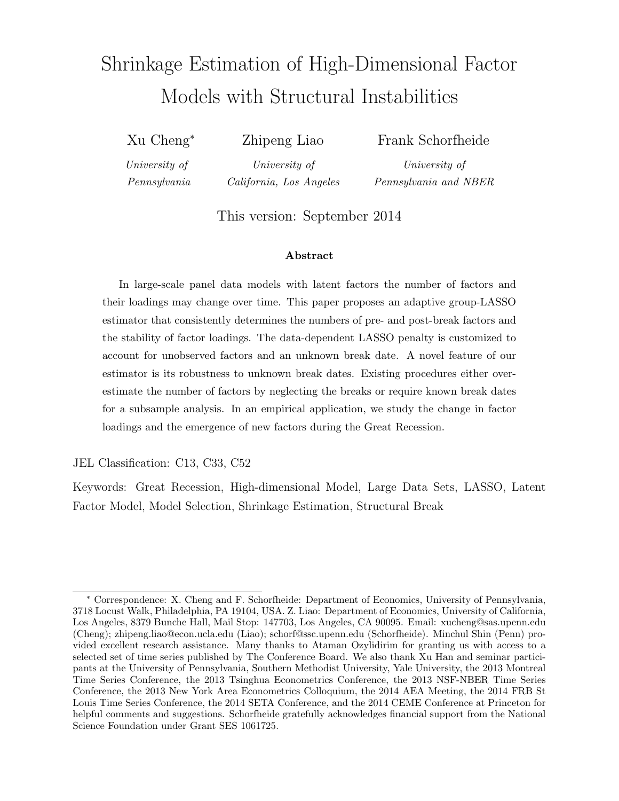# Shrinkage Estimation of High-Dimensional Factor Models with Structural Instabilities

Xu Cheng<sup>∗</sup>

Zhipeng Liao

Frank Schorfheide

University of Pennsylvania

University of California, Los Angeles

University of Pennsylvania and NBER

This version: September 2014

#### Abstract

In large-scale panel data models with latent factors the number of factors and their loadings may change over time. This paper proposes an adaptive group-LASSO estimator that consistently determines the numbers of pre- and post-break factors and the stability of factor loadings. The data-dependent LASSO penalty is customized to account for unobserved factors and an unknown break date. A novel feature of our estimator is its robustness to unknown break dates. Existing procedures either overestimate the number of factors by neglecting the breaks or require known break dates for a subsample analysis. In an empirical application, we study the change in factor loadings and the emergence of new factors during the Great Recession.

JEL Classification: C13, C33, C52

Keywords: Great Recession, High-dimensional Model, Large Data Sets, LASSO, Latent Factor Model, Model Selection, Shrinkage Estimation, Structural Break

<sup>∗</sup> Correspondence: X. Cheng and F. Schorfheide: Department of Economics, University of Pennsylvania, 3718 Locust Walk, Philadelphia, PA 19104, USA. Z. Liao: Department of Economics, University of California, Los Angeles, 8379 Bunche Hall, Mail Stop: 147703, Los Angeles, CA 90095. Email: xucheng@sas.upenn.edu (Cheng); zhipeng.liao@econ.ucla.edu (Liao); schorf@ssc.upenn.edu (Schorfheide). Minchul Shin (Penn) provided excellent research assistance. Many thanks to Ataman Ozylidirim for granting us with access to a selected set of time series published by The Conference Board. We also thank Xu Han and seminar participants at the University of Pennsylvania, Southern Methodist University, Yale University, the 2013 Montreal Time Series Conference, the 2013 Tsinghua Econometrics Conference, the 2013 NSF-NBER Time Series Conference, the 2013 New York Area Econometrics Colloquium, the 2014 AEA Meeting, the 2014 FRB St Louis Time Series Conference, the 2014 SETA Conference, and the 2014 CEME Conference at Princeton for helpful comments and suggestions. Schorfheide gratefully acknowledges financial support from the National Science Foundation under Grant SES 1061725.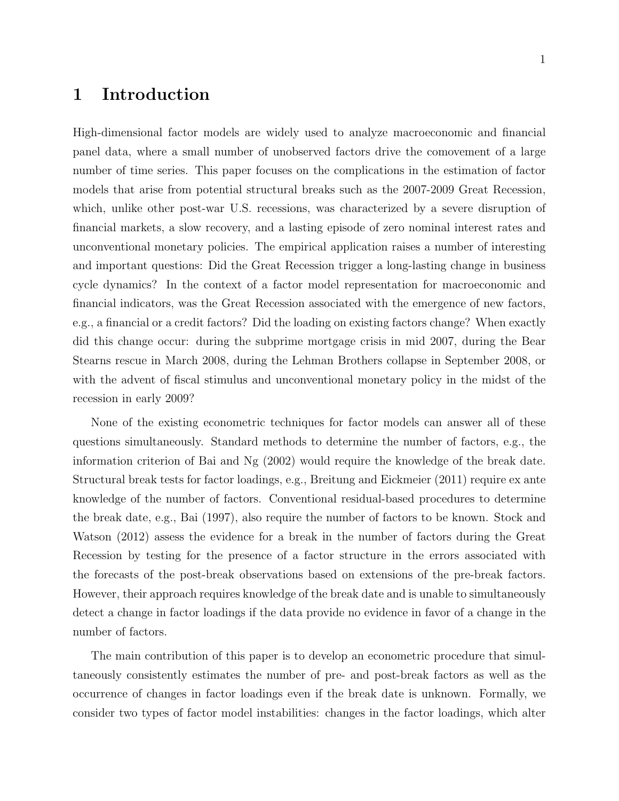# 1 Introduction

High-dimensional factor models are widely used to analyze macroeconomic and financial panel data, where a small number of unobserved factors drive the comovement of a large number of time series. This paper focuses on the complications in the estimation of factor models that arise from potential structural breaks such as the 2007-2009 Great Recession, which, unlike other post-war U.S. recessions, was characterized by a severe disruption of financial markets, a slow recovery, and a lasting episode of zero nominal interest rates and unconventional monetary policies. The empirical application raises a number of interesting and important questions: Did the Great Recession trigger a long-lasting change in business cycle dynamics? In the context of a factor model representation for macroeconomic and financial indicators, was the Great Recession associated with the emergence of new factors, e.g., a financial or a credit factors? Did the loading on existing factors change? When exactly did this change occur: during the subprime mortgage crisis in mid 2007, during the Bear Stearns rescue in March 2008, during the Lehman Brothers collapse in September 2008, or with the advent of fiscal stimulus and unconventional monetary policy in the midst of the recession in early 2009?

None of the existing econometric techniques for factor models can answer all of these questions simultaneously. Standard methods to determine the number of factors, e.g., the information criterion of Bai and Ng (2002) would require the knowledge of the break date. Structural break tests for factor loadings, e.g., Breitung and Eickmeier (2011) require ex ante knowledge of the number of factors. Conventional residual-based procedures to determine the break date, e.g., Bai (1997), also require the number of factors to be known. Stock and Watson (2012) assess the evidence for a break in the number of factors during the Great Recession by testing for the presence of a factor structure in the errors associated with the forecasts of the post-break observations based on extensions of the pre-break factors. However, their approach requires knowledge of the break date and is unable to simultaneously detect a change in factor loadings if the data provide no evidence in favor of a change in the number of factors.

The main contribution of this paper is to develop an econometric procedure that simultaneously consistently estimates the number of pre- and post-break factors as well as the occurrence of changes in factor loadings even if the break date is unknown. Formally, we consider two types of factor model instabilities: changes in the factor loadings, which alter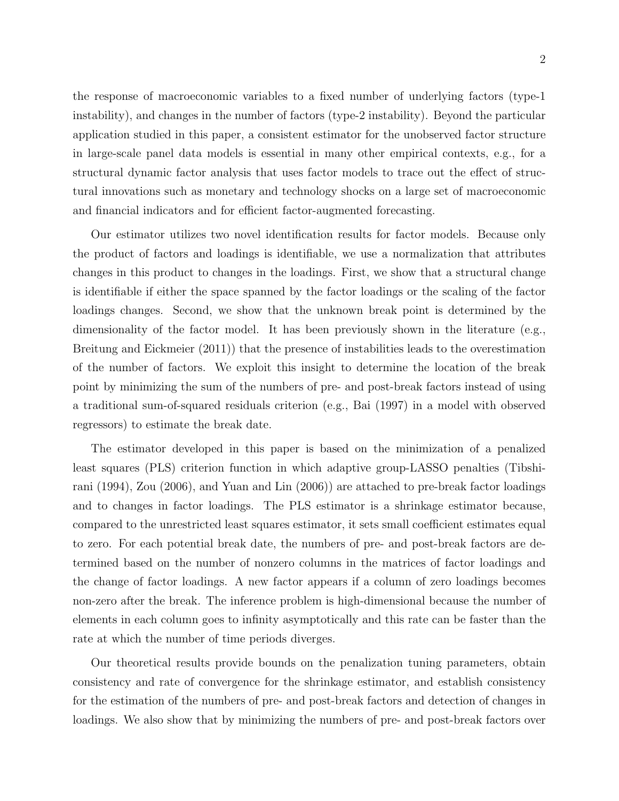the response of macroeconomic variables to a fixed number of underlying factors (type-1 instability), and changes in the number of factors (type-2 instability). Beyond the particular application studied in this paper, a consistent estimator for the unobserved factor structure in large-scale panel data models is essential in many other empirical contexts, e.g., for a structural dynamic factor analysis that uses factor models to trace out the effect of structural innovations such as monetary and technology shocks on a large set of macroeconomic and financial indicators and for efficient factor-augmented forecasting.

Our estimator utilizes two novel identification results for factor models. Because only the product of factors and loadings is identifiable, we use a normalization that attributes changes in this product to changes in the loadings. First, we show that a structural change is identifiable if either the space spanned by the factor loadings or the scaling of the factor loadings changes. Second, we show that the unknown break point is determined by the dimensionality of the factor model. It has been previously shown in the literature (e.g., Breitung and Eickmeier (2011)) that the presence of instabilities leads to the overestimation of the number of factors. We exploit this insight to determine the location of the break point by minimizing the sum of the numbers of pre- and post-break factors instead of using a traditional sum-of-squared residuals criterion (e.g., Bai (1997) in a model with observed regressors) to estimate the break date.

The estimator developed in this paper is based on the minimization of a penalized least squares (PLS) criterion function in which adaptive group-LASSO penalties (Tibshirani (1994), Zou (2006), and Yuan and Lin (2006)) are attached to pre-break factor loadings and to changes in factor loadings. The PLS estimator is a shrinkage estimator because, compared to the unrestricted least squares estimator, it sets small coefficient estimates equal to zero. For each potential break date, the numbers of pre- and post-break factors are determined based on the number of nonzero columns in the matrices of factor loadings and the change of factor loadings. A new factor appears if a column of zero loadings becomes non-zero after the break. The inference problem is high-dimensional because the number of elements in each column goes to infinity asymptotically and this rate can be faster than the rate at which the number of time periods diverges.

Our theoretical results provide bounds on the penalization tuning parameters, obtain consistency and rate of convergence for the shrinkage estimator, and establish consistency for the estimation of the numbers of pre- and post-break factors and detection of changes in loadings. We also show that by minimizing the numbers of pre- and post-break factors over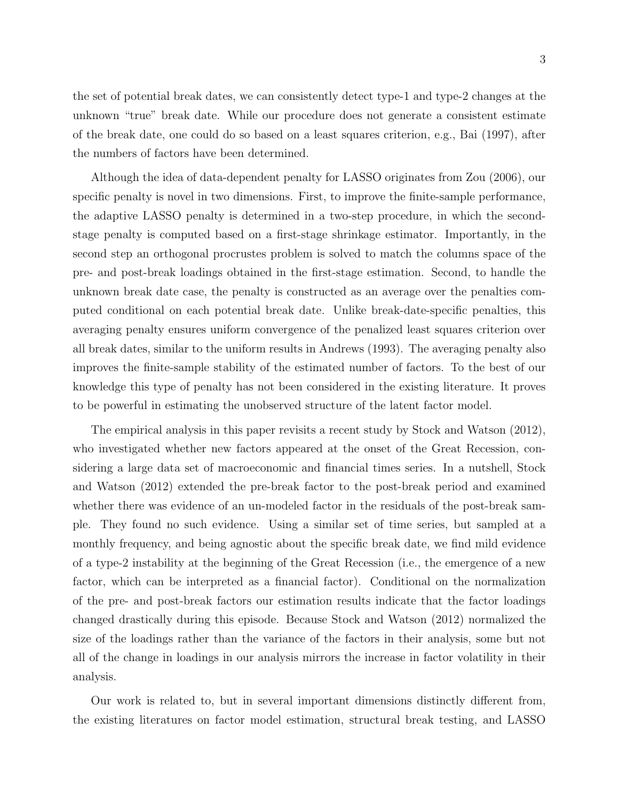the set of potential break dates, we can consistently detect type-1 and type-2 changes at the unknown "true" break date. While our procedure does not generate a consistent estimate of the break date, one could do so based on a least squares criterion, e.g., Bai (1997), after the numbers of factors have been determined.

Although the idea of data-dependent penalty for LASSO originates from Zou (2006), our specific penalty is novel in two dimensions. First, to improve the finite-sample performance, the adaptive LASSO penalty is determined in a two-step procedure, in which the secondstage penalty is computed based on a first-stage shrinkage estimator. Importantly, in the second step an orthogonal procrustes problem is solved to match the columns space of the pre- and post-break loadings obtained in the first-stage estimation. Second, to handle the unknown break date case, the penalty is constructed as an average over the penalties computed conditional on each potential break date. Unlike break-date-specific penalties, this averaging penalty ensures uniform convergence of the penalized least squares criterion over all break dates, similar to the uniform results in Andrews (1993). The averaging penalty also improves the finite-sample stability of the estimated number of factors. To the best of our knowledge this type of penalty has not been considered in the existing literature. It proves to be powerful in estimating the unobserved structure of the latent factor model.

The empirical analysis in this paper revisits a recent study by Stock and Watson (2012), who investigated whether new factors appeared at the onset of the Great Recession, considering a large data set of macroeconomic and financial times series. In a nutshell, Stock and Watson (2012) extended the pre-break factor to the post-break period and examined whether there was evidence of an un-modeled factor in the residuals of the post-break sample. They found no such evidence. Using a similar set of time series, but sampled at a monthly frequency, and being agnostic about the specific break date, we find mild evidence of a type-2 instability at the beginning of the Great Recession (i.e., the emergence of a new factor, which can be interpreted as a financial factor). Conditional on the normalization of the pre- and post-break factors our estimation results indicate that the factor loadings changed drastically during this episode. Because Stock and Watson (2012) normalized the size of the loadings rather than the variance of the factors in their analysis, some but not all of the change in loadings in our analysis mirrors the increase in factor volatility in their analysis.

Our work is related to, but in several important dimensions distinctly different from, the existing literatures on factor model estimation, structural break testing, and LASSO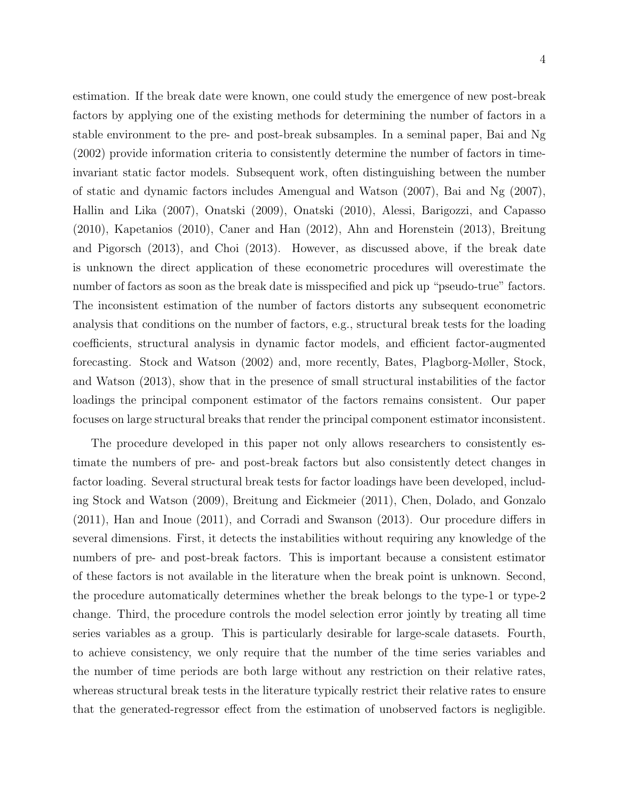stable environment to the pre- and post-break subsamples. In a seminal paper, Bai and Ng (2002) provide information criteria to consistently determine the number of factors in timeinvariant static factor models. Subsequent work, often distinguishing between the number of static and dynamic factors includes Amengual and Watson (2007), Bai and Ng (2007), Hallin and Lika (2007), Onatski (2009), Onatski (2010), Alessi, Barigozzi, and Capasso (2010), Kapetanios (2010), Caner and Han (2012), Ahn and Horenstein (2013), Breitung and Pigorsch (2013), and Choi (2013). However, as discussed above, if the break date is unknown the direct application of these econometric procedures will overestimate the number of factors as soon as the break date is misspecified and pick up "pseudo-true" factors. The inconsistent estimation of the number of factors distorts any subsequent econometric analysis that conditions on the number of factors, e.g., structural break tests for the loading coefficients, structural analysis in dynamic factor models, and efficient factor-augmented forecasting. Stock and Watson (2002) and, more recently, Bates, Plagborg-Møller, Stock, and Watson (2013), show that in the presence of small structural instabilities of the factor loadings the principal component estimator of the factors remains consistent. Our paper focuses on large structural breaks that render the principal component estimator inconsistent.

The procedure developed in this paper not only allows researchers to consistently estimate the numbers of pre- and post-break factors but also consistently detect changes in factor loading. Several structural break tests for factor loadings have been developed, including Stock and Watson (2009), Breitung and Eickmeier (2011), Chen, Dolado, and Gonzalo (2011), Han and Inoue (2011), and Corradi and Swanson (2013). Our procedure differs in several dimensions. First, it detects the instabilities without requiring any knowledge of the numbers of pre- and post-break factors. This is important because a consistent estimator of these factors is not available in the literature when the break point is unknown. Second, the procedure automatically determines whether the break belongs to the type-1 or type-2 change. Third, the procedure controls the model selection error jointly by treating all time series variables as a group. This is particularly desirable for large-scale datasets. Fourth, to achieve consistency, we only require that the number of the time series variables and the number of time periods are both large without any restriction on their relative rates, whereas structural break tests in the literature typically restrict their relative rates to ensure that the generated-regressor effect from the estimation of unobserved factors is negligible.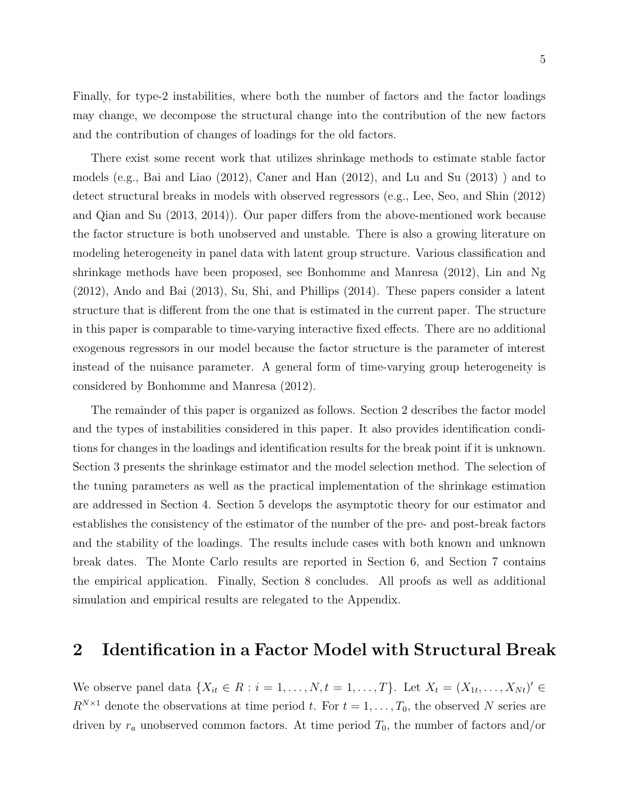Finally, for type-2 instabilities, where both the number of factors and the factor loadings may change, we decompose the structural change into the contribution of the new factors and the contribution of changes of loadings for the old factors.

There exist some recent work that utilizes shrinkage methods to estimate stable factor models (e.g., Bai and Liao (2012), Caner and Han (2012), and Lu and Su (2013) ) and to detect structural breaks in models with observed regressors (e.g., Lee, Seo, and Shin (2012) and Qian and Su (2013, 2014)). Our paper differs from the above-mentioned work because the factor structure is both unobserved and unstable. There is also a growing literature on modeling heterogeneity in panel data with latent group structure. Various classification and shrinkage methods have been proposed, see Bonhomme and Manresa (2012), Lin and Ng (2012), Ando and Bai (2013), Su, Shi, and Phillips (2014). These papers consider a latent structure that is different from the one that is estimated in the current paper. The structure in this paper is comparable to time-varying interactive fixed effects. There are no additional exogenous regressors in our model because the factor structure is the parameter of interest instead of the nuisance parameter. A general form of time-varying group heterogeneity is considered by Bonhomme and Manresa (2012).

The remainder of this paper is organized as follows. Section 2 describes the factor model and the types of instabilities considered in this paper. It also provides identification conditions for changes in the loadings and identification results for the break point if it is unknown. Section 3 presents the shrinkage estimator and the model selection method. The selection of the tuning parameters as well as the practical implementation of the shrinkage estimation are addressed in Section 4. Section 5 develops the asymptotic theory for our estimator and establishes the consistency of the estimator of the number of the pre- and post-break factors and the stability of the loadings. The results include cases with both known and unknown break dates. The Monte Carlo results are reported in Section 6, and Section 7 contains the empirical application. Finally, Section 8 concludes. All proofs as well as additional simulation and empirical results are relegated to the Appendix.

# 2 Identification in a Factor Model with Structural Break

We observe panel data  $\{X_{it} \in R : i = 1, \ldots, N, t = 1, \ldots, T\}$ . Let  $X_t = (X_{1t}, \ldots, X_{Nt})' \in$  $R^{N\times 1}$  denote the observations at time period t. For  $t = 1, \ldots, T_0$ , the observed N series are driven by  $r_a$  unobserved common factors. At time period  $T_0$ , the number of factors and/or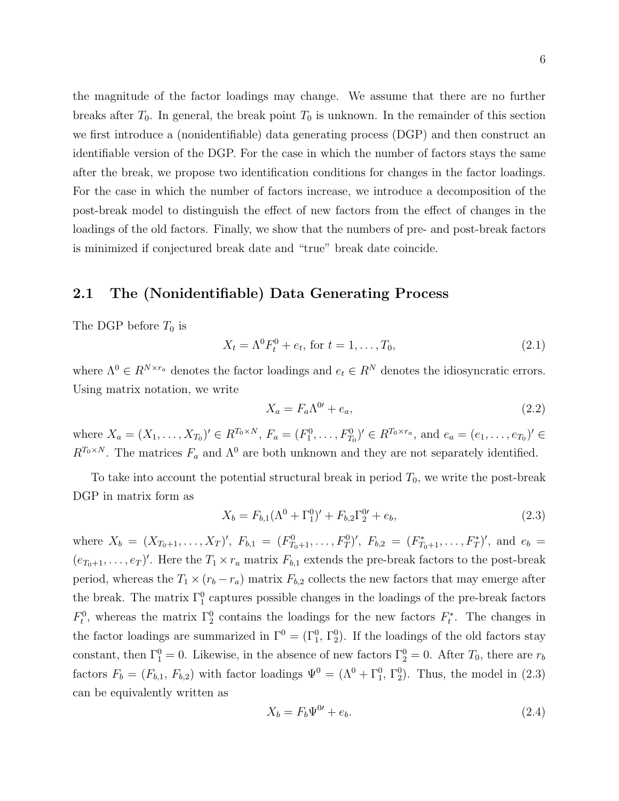the magnitude of the factor loadings may change. We assume that there are no further breaks after  $T_0$ . In general, the break point  $T_0$  is unknown. In the remainder of this section we first introduce a (nonidentifiable) data generating process (DGP) and then construct an identifiable version of the DGP. For the case in which the number of factors stays the same after the break, we propose two identification conditions for changes in the factor loadings. For the case in which the number of factors increase, we introduce a decomposition of the post-break model to distinguish the effect of new factors from the effect of changes in the loadings of the old factors. Finally, we show that the numbers of pre- and post-break factors is minimized if conjectured break date and "true" break date coincide.

### 2.1 The (Nonidentifiable) Data Generating Process

The DGP before  $T_0$  is

$$
X_t = \Lambda^0 F_t^0 + e_t, \text{ for } t = 1, ..., T_0,
$$
\n(2.1)

where  $\Lambda^0 \in R^{N \times r_a}$  denotes the factor loadings and  $e_t \in R^N$  denotes the idiosyncratic errors. Using matrix notation, we write

$$
X_a = F_a \Lambda^{0'} + e_a,\tag{2.2}
$$

where  $X_a = (X_1, \ldots, X_{T_0})' \in R^{T_0 \times N}$ ,  $F_a = (F_1^0, \ldots, F_{T_0}^0)' \in R^{T_0 \times r_a}$ , and  $e_a = (e_1, \ldots, e_{T_0})' \in R^{T_0 \times r_a}$  $R^{T_0 \times N}$ . The matrices  $F_a$  and  $\Lambda^0$  are both unknown and they are not separately identified.

To take into account the potential structural break in period  $T_0$ , we write the post-break DGP in matrix form as

$$
X_b = F_{b,1}(\Lambda^0 + \Gamma_1^0)' + F_{b,2}\Gamma_2^0' + e_b,
$$
\n(2.3)

where  $X_b = (X_{T_0+1},...,X_T)'$ ,  $F_{b,1} = (F_{T_0+1}^0,...,F_T^0)'$ ,  $F_{b,2} = (F_{T_0+1}^*,...,F_T^*)'$ , and  $e_b =$  $(e_{T_0+1},...,e_T)'$ . Here the  $T_1 \times r_a$  matrix  $F_{b,1}$  extends the pre-break factors to the post-break period, whereas the  $T_1 \times (r_b - r_a)$  matrix  $F_{b,2}$  collects the new factors that may emerge after the break. The matrix  $\Gamma_1^0$  captures possible changes in the loadings of the pre-break factors  $F_t^0$ , whereas the matrix  $\Gamma_2^0$  contains the loadings for the new factors  $F_t^*$ . The changes in the factor loadings are summarized in  $\Gamma^0 = (\Gamma_1^0, \Gamma_2^0)$ . If the loadings of the old factors stay constant, then  $\Gamma_1^0 = 0$ . Likewise, in the absence of new factors  $\Gamma_2^0 = 0$ . After  $T_0$ , there are  $r_b$ factors  $F_b = (F_{b,1}, F_{b,2})$  with factor loadings  $\Psi^0 = (\Lambda^0 + \Gamma_1^0, \Gamma_2^0)$ . Thus, the model in (2.3) can be equivalently written as

$$
X_b = F_b \Psi^{0\prime} + e_b. \tag{2.4}
$$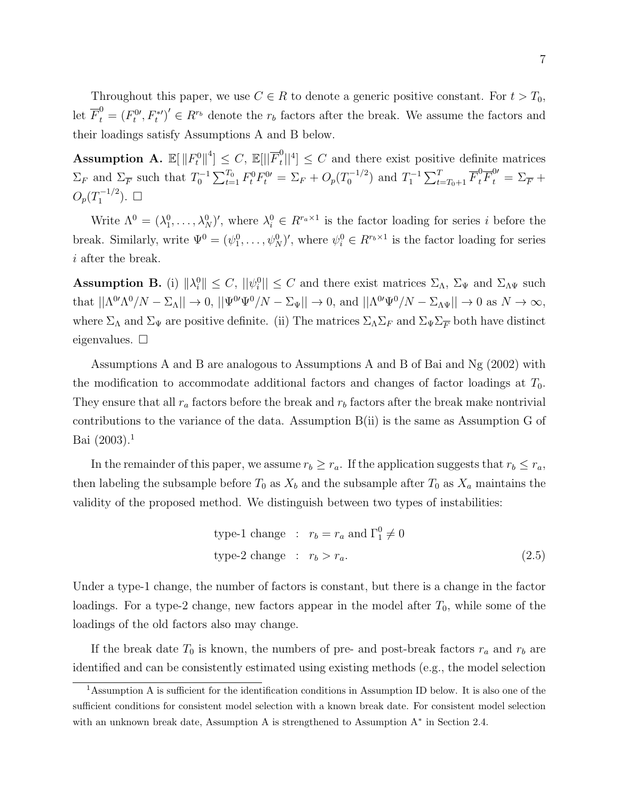Throughout this paper, we use  $C \in R$  to denote a generic positive constant. For  $t > T_0$ , let  $\overline{F}_t^0 = (F_t^{0}, F_t^{*})' \in R^{r_b}$  denote the  $r_b$  factors after the break. We assume the factors and their loadings satisfy Assumptions A and B below.

 $\text{Assumption A. } \mathbb{E}[\left\| F^0_t \right\|^4] \leq C, \, \mathbb{E}[\left\| \overline{F}^0_t \right\|]$  $t_{\ell}^{0}$ ||<sup>4</sup>]  $\leq C$  and there exist positive definite matrices  $\Sigma_F$  and  $\Sigma_F^-$  such that  $T_0^{-1} \sum_{t=1}^{T_0} F_t^0 F_t^0 = \Sigma_F + O_p(T_0^{-1/2})$  $\sum_{t=0}^{T-1/2}$  and  $T_1^{-1} \sum_{t=T_0+1}^{T} \overline{F}_t^0 \overline{F}_t^0 = \Sigma_{\overline{F}} +$  $O_p(T_1^{-1/2}$  $i_1^{-1/2}$ ).  $\Box$ 

Write  $\Lambda^0 = (\lambda_1^0, \ldots, \lambda_N^0)'$ , where  $\lambda_i^0 \in R^{r_a \times 1}$  is the factor loading for series *i* before the break. Similarly, write  $\Psi^0 = (\psi_1^0, \dots, \psi_N^0)'$ , where  $\psi_i^0 \in R^{r_b \times 1}$  is the factor loading for series i after the break.

**Assumption B.** (i)  $\|\lambda_i^0\| \leq C$ ,  $\|\psi_i^0\| \leq C$  and there exist matrices  $\Sigma_{\Lambda}$ ,  $\Sigma_{\Psi}$  and  $\Sigma_{\Lambda\Psi}$  such that  $||\Lambda^{0'}\Lambda^0/N - \Sigma_{\Lambda}|| \to 0$ ,  $||\Psi^{0'}\Psi^0/N - \Sigma_{\Psi}|| \to 0$ , and  $||\Lambda^{0'}\Psi^0/N - \Sigma_{\Lambda}\Psi|| \to 0$  as  $N \to \infty$ , where  $\Sigma_\Lambda$  and  $\Sigma_\Psi$  are positive definite. (ii) The matrices  $\Sigma_\Lambda \Sigma_F$  and  $\Sigma_\Psi \Sigma_F$  both have distinct eigenvalues.  $\square$ 

Assumptions A and B are analogous to Assumptions A and B of Bai and Ng (2002) with the modification to accommodate additional factors and changes of factor loadings at  $T_0$ . They ensure that all  $r_a$  factors before the break and  $r_b$  factors after the break make nontrivial contributions to the variance of the data. Assumption B(ii) is the same as Assumption G of Bai  $(2003).<sup>1</sup>$ 

In the remainder of this paper, we assume  $r_b \ge r_a$ . If the application suggests that  $r_b \le r_a$ , then labeling the subsample before  $T_0$  as  $X_b$  and the subsample after  $T_0$  as  $X_a$  maintains the validity of the proposed method. We distinguish between two types of instabilities:

type-1 change : 
$$
r_b = r_a
$$
 and  $\Gamma_1^0 \neq 0$   
type-2 change :  $r_b > r_a$ . (2.5)

Under a type-1 change, the number of factors is constant, but there is a change in the factor loadings. For a type-2 change, new factors appear in the model after  $T_0$ , while some of the loadings of the old factors also may change.

If the break date  $T_0$  is known, the numbers of pre- and post-break factors  $r_a$  and  $r_b$  are identified and can be consistently estimated using existing methods (e.g., the model selection

<sup>1</sup>Assumption A is sufficient for the identification conditions in Assumption ID below. It is also one of the sufficient conditions for consistent model selection with a known break date. For consistent model selection with an unknown break date, Assumption A is strengthened to Assumption A<sup>∗</sup> in Section 2.4.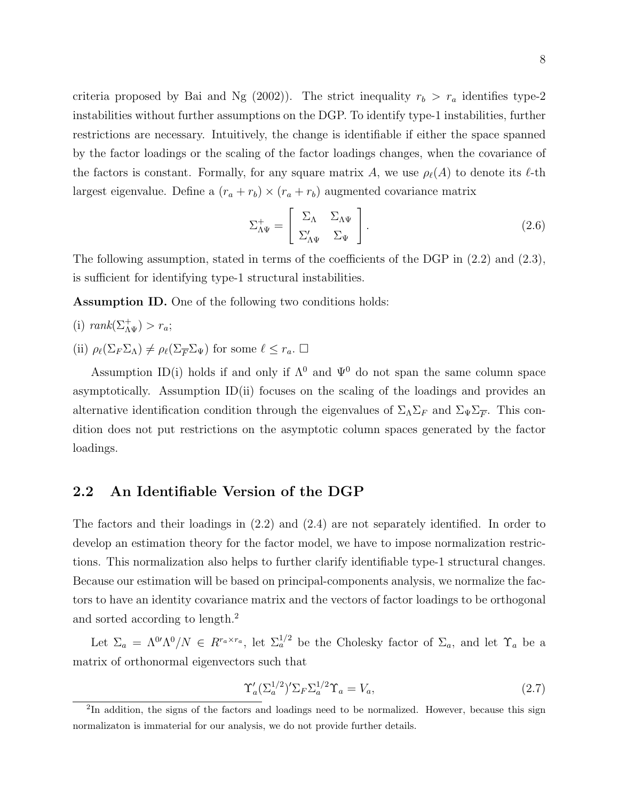criteria proposed by Bai and Ng (2002)). The strict inequality  $r_b > r_a$  identifies type-2 instabilities without further assumptions on the DGP. To identify type-1 instabilities, further restrictions are necessary. Intuitively, the change is identifiable if either the space spanned by the factor loadings or the scaling of the factor loadings changes, when the covariance of the factors is constant. Formally, for any square matrix A, we use  $\rho_{\ell}(A)$  to denote its  $\ell$ -th largest eigenvalue. Define a  $(r_a + r_b) \times (r_a + r_b)$  augmented covariance matrix

$$
\Sigma_{\Lambda \Psi}^{+} = \begin{bmatrix} \Sigma_{\Lambda} & \Sigma_{\Lambda \Psi} \\ \Sigma_{\Lambda \Psi}' & \Sigma_{\Psi} \end{bmatrix} . \tag{2.6}
$$

The following assumption, stated in terms of the coefficients of the DGP in (2.2) and (2.3), is sufficient for identifying type-1 structural instabilities.

Assumption ID. One of the following two conditions holds:

- (i)  $rank(\Sigma_{\Lambda \Psi}^+) > r_a;$
- (ii)  $\rho_{\ell}(\Sigma_F \Sigma_{\Lambda}) \neq \rho_{\ell}(\Sigma_F \Sigma_{\Psi})$  for some  $\ell \leq r_a$ .  $\Box$

Assumption ID(i) holds if and only if  $\Lambda^0$  and  $\Psi^0$  do not span the same column space asymptotically. Assumption ID(ii) focuses on the scaling of the loadings and provides an alternative identification condition through the eigenvalues of  $\Sigma_{\Lambda}\Sigma_F$  and  $\Sigma_{\Psi}\Sigma_F$ . This condition does not put restrictions on the asymptotic column spaces generated by the factor loadings.

#### 2.2 An Identifiable Version of the DGP

The factors and their loadings in (2.2) and (2.4) are not separately identified. In order to develop an estimation theory for the factor model, we have to impose normalization restrictions. This normalization also helps to further clarify identifiable type-1 structural changes. Because our estimation will be based on principal-components analysis, we normalize the factors to have an identity covariance matrix and the vectors of factor loadings to be orthogonal and sorted according to length.<sup>2</sup>

Let  $\Sigma_a = \Lambda^{0'} \Lambda^0/N \in R^{r_a \times r_a}$ , let  $\Sigma_a^{1/2}$  be the Cholesky factor of  $\Sigma_a$ , and let  $\Upsilon_a$  be a matrix of orthonormal eigenvectors such that

$$
\Upsilon_a' (\Sigma_a^{1/2})' \Sigma_F \Sigma_a^{1/2} \Upsilon_a = V_a,\tag{2.7}
$$

<sup>&</sup>lt;sup>2</sup>In addition, the signs of the factors and loadings need to be normalized. However, because this sign normalizaton is immaterial for our analysis, we do not provide further details.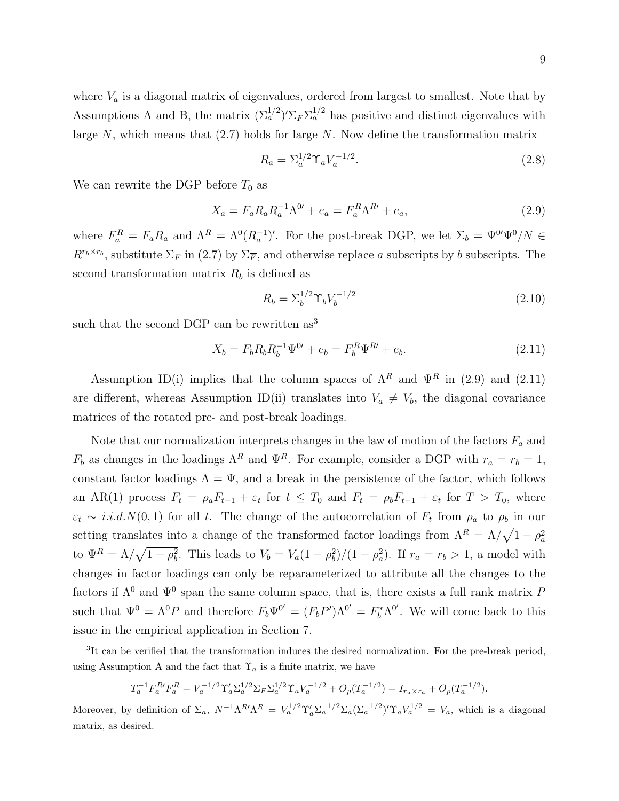where  $V_a$  is a diagonal matrix of eigenvalues, ordered from largest to smallest. Note that by Assumptions A and B, the matrix  $(\Sigma_a^{1/2})' \Sigma_F \Sigma_a^{1/2}$  has positive and distinct eigenvalues with large  $N$ , which means that  $(2.7)$  holds for large  $N$ . Now define the transformation matrix

$$
R_a = \Sigma_a^{1/2} \Upsilon_a V_a^{-1/2}.
$$
\n(2.8)

We can rewrite the DGP before  $T_0$  as

$$
X_a = F_a R_a R_a^{-1} \Lambda^{0'} + e_a = F_a^R \Lambda^{R'} + e_a,
$$
\n(2.9)

where  $F_a^R = F_a R_a$  and  $\Lambda^R = \Lambda^0 (R_a^{-1})'$ . For the post-break DGP, we let  $\Sigma_b = \Psi^{0'} \Psi^0 / N \in$  $R^{r_b \times r_b}$ , substitute  $\Sigma_F$  in (2.7) by  $\Sigma_F$ , and otherwise replace a subscripts by b subscripts. The second transformation matrix  $R_b$  is defined as

$$
R_b = \Sigma_b^{1/2} \Upsilon_b V_b^{-1/2} \tag{2.10}
$$

such that the second DGP can be rewritten as<sup>3</sup>

$$
X_b = F_b R_b R_b^{-1} \Psi^0 + e_b = F_b^R \Psi^R + e_b. \tag{2.11}
$$

Assumption ID(i) implies that the column spaces of  $\Lambda^R$  and  $\Psi^R$  in (2.9) and (2.11) are different, whereas Assumption ID(ii) translates into  $V_a \neq V_b$ , the diagonal covariance matrices of the rotated pre- and post-break loadings.

Note that our normalization interprets changes in the law of motion of the factors  $F_a$  and  $F_b$  as changes in the loadings  $\Lambda^R$  and  $\Psi^R$ . For example, consider a DGP with  $r_a = r_b = 1$ , constant factor loadings  $\Lambda = \Psi$ , and a break in the persistence of the factor, which follows an AR(1) process  $F_t = \rho_a F_{t-1} + \varepsilon_t$  for  $t \leq T_0$  and  $F_t = \rho_b F_{t-1} + \varepsilon_t$  for  $T > T_0$ , where  $\varepsilon_t \sim i.i.d. N(0,1)$  for all t. The change of the autocorrelation of  $F_t$  from  $\rho_a$  to  $\rho_b$  in our setting translates into a change of the transformed factor loadings from  $\Lambda^R = \Lambda / \sqrt{1 - \rho_a^2}$ to  $\Psi^R = \Lambda/\sqrt{1-\rho_b^2}$ . This leads to  $V_b = V_a(1-\rho_b^2)/(1-\rho_a^2)$ . If  $r_a = r_b > 1$ , a model with changes in factor loadings can only be reparameterized to attribute all the changes to the factors if  $\Lambda^0$  and  $\Psi^0$  span the same column space, that is, there exists a full rank matrix F such that  $\Psi^0 = \Lambda^0 P$  and therefore  $F_b \Psi^{0'} = (F_b P') \Lambda^{0'} = F_b^* \Lambda^{0'}$ . We will come back to this issue in the empirical application in Section 7.

$$
T_a^{-1}F_a^{R'}F_a^R = V_a^{-1/2} \Upsilon_a' \Sigma_a^{1/2} \Sigma_F \Sigma_a^{1/2} \Upsilon_a V_a^{-1/2} + O_p(T_a^{-1/2}) = I_{r_a \times r_a} + O_p(T_a^{-1/2}).
$$

Moreover, by definition of  $\Sigma_a$ ,  $N^{-1}\Lambda^R N \Lambda^R = V_a^{1/2} \Upsilon_a' \Sigma_a^{-1/2} \Sigma_a (\Sigma_a^{-1/2})' \Upsilon_a V_a^{1/2} = V_a$ , which is a diagonal matrix, as desired.

<sup>&</sup>lt;sup>3</sup>It can be verified that the transformation induces the desired normalization. For the pre-break period, using Assumption A and the fact that  $\Upsilon_a$  is a finite matrix, we have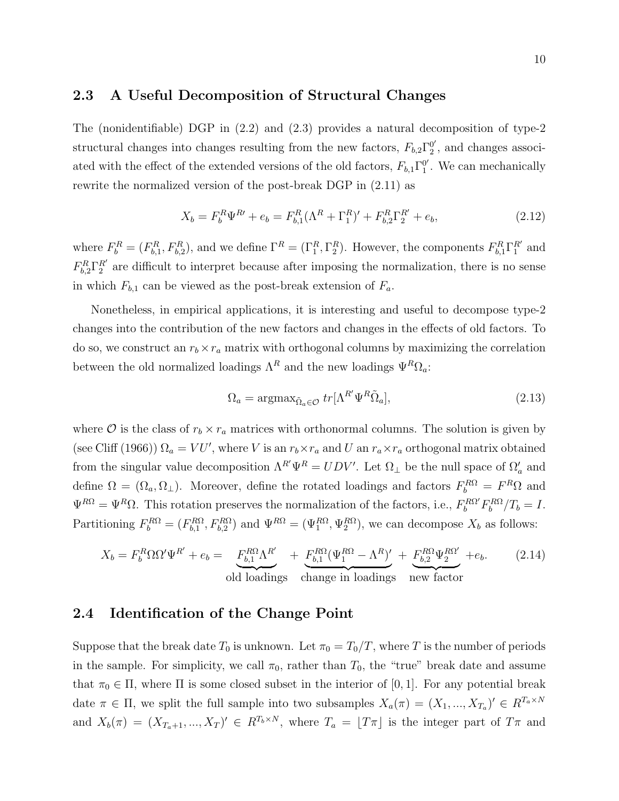#### 2.3 A Useful Decomposition of Structural Changes

The (nonidentifiable) DGP in  $(2.2)$  and  $(2.3)$  provides a natural decomposition of type-2 structural changes into changes resulting from the new factors,  $F_{b,2}\Gamma_2^{0'}$  $_2^0$ , and changes associated with the effect of the extended versions of the old factors,  $F_{b,1}\Gamma_1^{0'}$  $_1^0$ . We can mechanically rewrite the normalized version of the post-break DGP in (2.11) as

$$
X_b = F_b^R \Psi^{R'} + e_b = F_{b,1}^R (\Lambda^R + \Gamma_1^R)' + F_{b,2}^R \Gamma_2^{R'} + e_b,
$$
\n(2.12)

where  $F_b^R = (F_{b,1}^R, F_{b,2}^R)$ , and we define  $\Gamma^R = (\Gamma_1^R, \Gamma_2^R)$ . However, the components  $F_{b,1}^R \Gamma_1^{R'}$  and  $F_{b,2}^R\Gamma_2^{R'}$  are difficult to interpret because after imposing the normalization, there is no sense in which  $F_{b,1}$  can be viewed as the post-break extension of  $F_a$ .

Nonetheless, in empirical applications, it is interesting and useful to decompose type-2 changes into the contribution of the new factors and changes in the effects of old factors. To do so, we construct an  $r_b \times r_a$  matrix with orthogonal columns by maximizing the correlation between the old normalized loadings  $\Lambda^R$  and the new loadings  $\Psi^R\Omega_a$ :

$$
\Omega_a = \operatorname{argmax}_{\tilde{\Omega}_a \in \mathcal{O}} \, tr[\Lambda^{R'} \Psi^R \tilde{\Omega}_a],\tag{2.13}
$$

where  $\mathcal O$  is the class of  $r_b \times r_a$  matrices with orthonormal columns. The solution is given by (see Cliff (1966))  $\Omega_a = VU'$ , where V is an  $r_b \times r_a$  and U an  $r_a \times r_a$  orthogonal matrix obtained from the singular value decomposition  $\Lambda^{R'}\Psi^R = UDV'$ . Let  $\Omega_{\perp}$  be the null space of  $\Omega_a'$  and define  $\Omega = (\Omega_a, \Omega_\perp)$ . Moreover, define the rotated loadings and factors  $F_b^{R\Omega} = F^R \Omega$  and  $\Psi^{R\Omega} = \Psi^R \Omega$ . This rotation preserves the normalization of the factors, i.e.,  $F_b^{R\Omega'} F_b^{R\Omega}/T_b = I$ . Partitioning  $F_b^{R\Omega} = (F_{b,1}^{R\Omega}, F_{b,2}^{R\Omega})$  and  $\Psi^{R\Omega} = (\Psi_1^{R\Omega}, \Psi_2^{R\Omega})$ , we can decompose  $X_b$  as follows:

$$
X_b = F_b^R \Omega \Omega' \Psi^{R'} + e_b = \underbrace{F_{b,1}^{R\Omega} \Lambda^{R'}}_{\text{old loadings}} + \underbrace{F_{b,1}^{R\Omega} (\Psi_1^{R\Omega} - \Lambda^R)'}_{\text{change in loadings}} + \underbrace{F_{b,2}^{R\Omega} \Psi_2^{R\Omega'}}_{\text{new factor}} + e_b. \tag{2.14}
$$

### 2.4 Identification of the Change Point

Suppose that the break date  $T_0$  is unknown. Let  $\pi_0 = T_0/T$ , where T is the number of periods in the sample. For simplicity, we call  $\pi_0$ , rather than  $T_0$ , the "true" break date and assume that  $\pi_0 \in \Pi$ , where  $\Pi$  is some closed subset in the interior of [0, 1]. For any potential break date  $\pi \in \Pi$ , we split the full sample into two subsamples  $X_a(\pi) = (X_1, ..., X_{T_a})' \in R^{T_a \times N_a}$ and  $X_b(\pi) = (X_{T_a+1},...,X_T)' \in R^{T_b \times N}$ , where  $T_a = [T_{\pi}]$  is the integer part of  $T_{\pi}$  and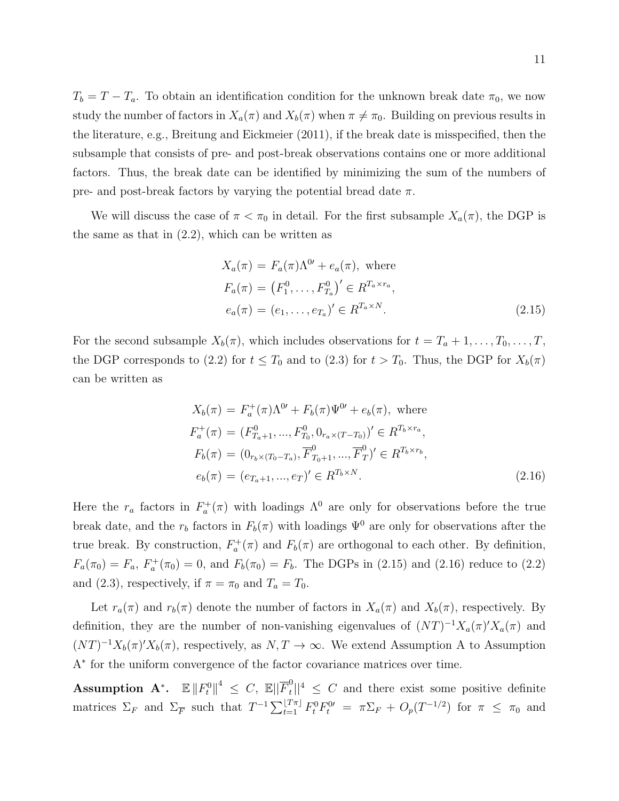$T_b = T - T_a$ . To obtain an identification condition for the unknown break date  $\pi_0$ , we now study the number of factors in  $X_a(\pi)$  and  $X_b(\pi)$  when  $\pi \neq \pi_0$ . Building on previous results in the literature, e.g., Breitung and Eickmeier (2011), if the break date is misspecified, then the subsample that consists of pre- and post-break observations contains one or more additional factors. Thus, the break date can be identified by minimizing the sum of the numbers of pre- and post-break factors by varying the potential bread date  $\pi$ .

We will discuss the case of  $\pi < \pi_0$  in detail. For the first subsample  $X_a(\pi)$ , the DGP is the same as that in  $(2.2)$ , which can be written as

$$
X_a(\pi) = F_a(\pi)\Lambda^{0'} + e_a(\pi), \text{ where}
$$
  
\n
$$
F_a(\pi) = (F_1^0, \dots, F_{T_a}^0)' \in R^{T_a \times r_a},
$$
  
\n
$$
e_a(\pi) = (e_1, \dots, e_{T_a})' \in R^{T_a \times N}.
$$
\n(2.15)

For the second subsample  $X_b(\pi)$ , which includes observations for  $t = T_a + 1, \ldots, T_0, \ldots, T$ , the DGP corresponds to (2.2) for  $t \leq T_0$  and to (2.3) for  $t > T_0$ . Thus, the DGP for  $X_b(\pi)$ can be written as

$$
X_b(\pi) = F_a^+(\pi) \Lambda^{0'} + F_b(\pi) \Psi^{0'} + e_b(\pi), \text{ where}
$$
  
\n
$$
F_a^+(\pi) = (F_{T_a+1}^0, ..., F_{T_0}^0, 0_{r_a \times (T - T_0)})' \in R^{T_b \times r_a},
$$
  
\n
$$
F_b(\pi) = (0_{r_b \times (T_0 - T_a)}, \overline{F}_{T_0+1}^0, ..., \overline{F}_T^0)' \in R^{T_b \times r_b},
$$
  
\n
$$
e_b(\pi) = (e_{T_a+1}, ..., e_T)' \in R^{T_b \times N}.
$$
\n(2.16)

Here the  $r_a$  factors in  $F_a^+(\pi)$  with loadings  $\Lambda^0$  are only for observations before the true break date, and the  $r_b$  factors in  $F_b(\pi)$  with loadings  $\Psi^0$  are only for observations after the true break. By construction,  $F_a^+(\pi)$  and  $F_b(\pi)$  are orthogonal to each other. By definition,  $F_a(\pi_0) = F_a$ ,  $F_a^+(\pi_0) = 0$ , and  $F_b(\pi_0) = F_b$ . The DGPs in (2.15) and (2.16) reduce to (2.2) and (2.3), respectively, if  $\pi = \pi_0$  and  $T_a = T_0$ .

Let  $r_a(\pi)$  and  $r_b(\pi)$  denote the number of factors in  $X_a(\pi)$  and  $X_b(\pi)$ , respectively. By definition, they are the number of non-vanishing eigenvalues of  $(NT)^{-1}X_a(\pi)X_a(\pi)$  and  $(NT)^{-1}X_b(\pi)X_b(\pi)$ , respectively, as  $N, T \to \infty$ . We extend Assumption A to Assumption A∗ for the uniform convergence of the factor covariance matrices over time.

 $\textbf{Assumption \:} \: \mathbf{A^*}. \: \: \: \mathbb{E}\left\|F^0_t\right\|^4 \: \le \: C, \: \mathbb{E} \vert \vert \overline{F}^0_t$  $t ||^4 \leq C$  and there exist some positive definite matrices  $\Sigma_F$  and  $\Sigma_F^-$  such that  $T^{-1}\sum_{t=1}^{\lfloor T\pi \rfloor} F_t^0 F_t^{0} = \pi \Sigma_F + O_p(T^{-1/2})$  for  $\pi \leq \pi_0$  and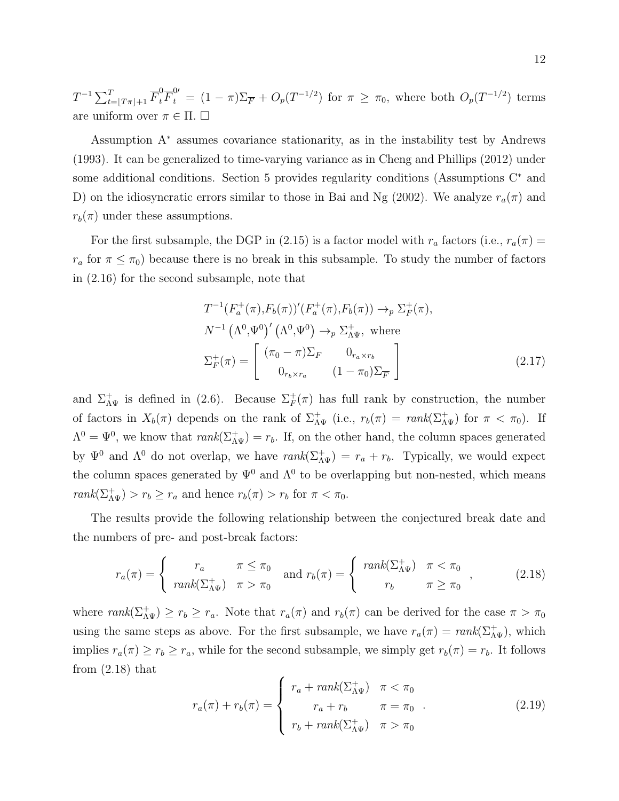$T^{-1} \sum_{t=\lfloor T\pi \rfloor+1}^T \overline{F}_t^0 \overline{F}_t^0 = (1-\pi) \sum_{\overline{F}} + O_p(T^{-1/2})$  for  $\pi \ge \pi_0$ , where both  $O_p(T^{-1/2})$  terms are uniform over  $\pi \in \Pi$ .  $\Box$ 

Assumption A<sup>∗</sup> assumes covariance stationarity, as in the instability test by Andrews (1993). It can be generalized to time-varying variance as in Cheng and Phillips (2012) under some additional conditions. Section 5 provides regularity conditions (Assumptions C<sup>∗</sup> and D) on the idiosyncratic errors similar to those in Bai and Ng (2002). We analyze  $r_a(\pi)$  and  $r_b(\pi)$  under these assumptions.

For the first subsample, the DGP in (2.15) is a factor model with  $r_a$  factors (i.e.,  $r_a(\pi)$  =  $r_a$  for  $\pi \leq \pi_0$ ) because there is no break in this subsample. To study the number of factors in (2.16) for the second subsample, note that

$$
T^{-1}(F_a^+(\pi), F_b(\pi))'(F_a^+(\pi), F_b(\pi)) \to_p \Sigma^+_F(\pi),
$$
  
\n
$$
N^{-1} (\Lambda^0, \Psi^0)' (\Lambda^0, \Psi^0) \to_p \Sigma^+_{\Lambda\Psi}, \text{ where}
$$
  
\n
$$
\Sigma^+_F(\pi) = \begin{bmatrix} (\pi_0 - \pi)\Sigma_F & 0_{r_a \times r_b} \\ 0_{r_b \times r_a} & (1 - \pi_0)\Sigma_F \end{bmatrix}
$$
\n(2.17)

and  $\Sigma_{\Lambda\Psi}^+$  is defined in (2.6). Because  $\Sigma_F^+(\pi)$  has full rank by construction, the number of factors in  $X_b(\pi)$  depends on the rank of  $\Sigma_{\Lambda\Psi}^+$  (i.e.,  $r_b(\pi) = \text{rank}(\Sigma_{\Lambda\Psi}^+)$  for  $\pi < \pi_0$ ). If  $\Lambda^0 = \Psi^0$ , we know that  $rank(\Sigma_{\Lambda\Psi}^+) = r_b$ . If, on the other hand, the column spaces generated by  $\Psi^0$  and  $\Lambda^0$  do not overlap, we have  $rank(\Sigma_{\Lambda\Psi}^+) = r_a + r_b$ . Typically, we would expect the column spaces generated by  $\Psi^0$  and  $\Lambda^0$  to be overlapping but non-nested, which means  $rank(\Sigma_{\Lambda\Psi}^+) > r_b \ge r_a$  and hence  $r_b(\pi) > r_b$  for  $\pi < \pi_0$ .

The results provide the following relationship between the conjectured break date and the numbers of pre- and post-break factors:

$$
r_a(\pi) = \begin{cases} r_a & \pi \le \pi_0 \\ rank(\Sigma_{\Lambda\Psi}^+) & \pi > \pi_0 \end{cases} \text{ and } r_b(\pi) = \begin{cases} rank(\Sigma_{\Lambda\Psi}^+) & \pi < \pi_0 \\ r_b & \pi \ge \pi_0 \end{cases}, \quad (2.18)
$$

where  $rank(\Sigma_{\Lambda\Psi}^+) \ge r_b \ge r_a$ . Note that  $r_a(\pi)$  and  $r_b(\pi)$  can be derived for the case  $\pi > \pi_0$ using the same steps as above. For the first subsample, we have  $r_a(\pi) = \text{rank}(\Sigma_{\Lambda\Psi}^+)$ , which implies  $r_a(\pi) \ge r_b \ge r_a$ , while for the second subsample, we simply get  $r_b(\pi) = r_b$ . It follows from  $(2.18)$  that

$$
r_a(\pi) + r_b(\pi) = \begin{cases} r_a + rank(\Sigma_{\Lambda\Psi}^+) & \pi < \pi_0 \\ r_a + r_b & \pi = \pi_0 \\ r_b + rank(\Sigma_{\Lambda\Psi}^+) & \pi > \pi_0 \end{cases} \tag{2.19}
$$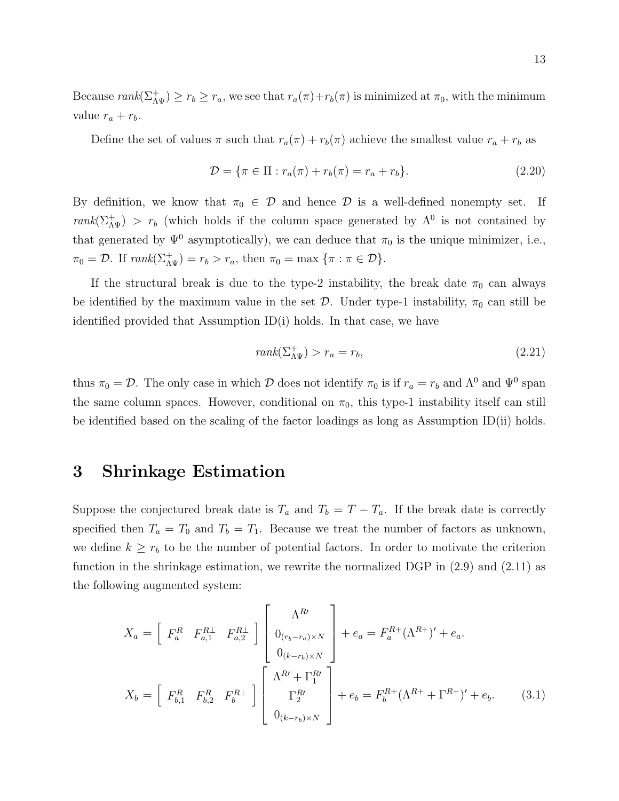Because  $rank(\Sigma_{\Lambda\Psi}^+) \ge r_b \ge r_a$ , we see that  $r_a(\pi) + r_b(\pi)$  is minimized at  $\pi_0$ , with the minimum value  $r_a + r_b$ .

Define the set of values  $\pi$  such that  $r_a(\pi) + r_b(\pi)$  achieve the smallest value  $r_a + r_b$  as

$$
\mathcal{D} = \{\pi \in \Pi : r_a(\pi) + r_b(\pi) = r_a + r_b\}.
$$
\n(2.20)

By definition, we know that  $\pi_0 \in \mathcal{D}$  and hence  $\mathcal{D}$  is a well-defined nonempty set. If  $rank(\Sigma_{\Lambda\Psi}^+) > r_b$  (which holds if the column space generated by  $\Lambda^0$  is not contained by that generated by  $\Psi^0$  asymptotically), we can deduce that  $\pi_0$  is the unique minimizer, i.e.,  $\pi_0 = \mathcal{D}$ . If  $rank(\Sigma_{\Lambda \Psi}^+) = r_b > r_a$ , then  $\pi_0 = \max {\{\pi : \pi \in \mathcal{D}\}}$ .

If the structural break is due to the type-2 instability, the break date  $\pi_0$  can always be identified by the maximum value in the set  $\mathcal{D}$ . Under type-1 instability,  $\pi_0$  can still be identified provided that Assumption ID(i) holds. In that case, we have

$$
rank(\Sigma_{\Lambda\Psi}^+) > r_a = r_b,
$$
\n(2.21)

thus  $\pi_0 = \mathcal{D}$ . The only case in which  $\mathcal D$  does not identify  $\pi_0$  is if  $r_a = r_b$  and  $\Lambda^0$  and  $\Psi^0$  span the same column spaces. However, conditional on  $\pi_0$ , this type-1 instability itself can still be identified based on the scaling of the factor loadings as long as Assumption ID(ii) holds.

# 3 Shrinkage Estimation

Suppose the conjectured break date is  $T_a$  and  $T_b = T - T_a$ . If the break date is correctly specified then  $T_a = T_0$  and  $T_b = T_1$ . Because we treat the number of factors as unknown, we define  $k \geq r_b$  to be the number of potential factors. In order to motivate the criterion function in the shrinkage estimation, we rewrite the normalized DGP in (2.9) and (2.11) as the following augmented system:

$$
X_{a} = \begin{bmatrix} F_{a}^{R} & F_{a,1}^{R} & F_{a,2}^{R} \end{bmatrix} \begin{bmatrix} \Lambda^{R} \\ 0_{(r_{b}-r_{a})\times N} \\ 0_{(k-r_{b})\times N} \end{bmatrix} + e_{a} = F_{a}^{R+}(\Lambda^{R+})' + e_{a}.
$$
  

$$
X_{b} = \begin{bmatrix} F_{b,1}^{R} & F_{b,2}^{R} & F_{b}^{R} \end{bmatrix} \begin{bmatrix} \Lambda^{R} + \Gamma_{1}^{R} \\ \Gamma_{2}^{R} \\ 0_{(k-r_{b})\times N} \end{bmatrix} + e_{b} = F_{b}^{R+}(\Lambda^{R+} + \Gamma^{R+})' + e_{b}.
$$
 (3.1)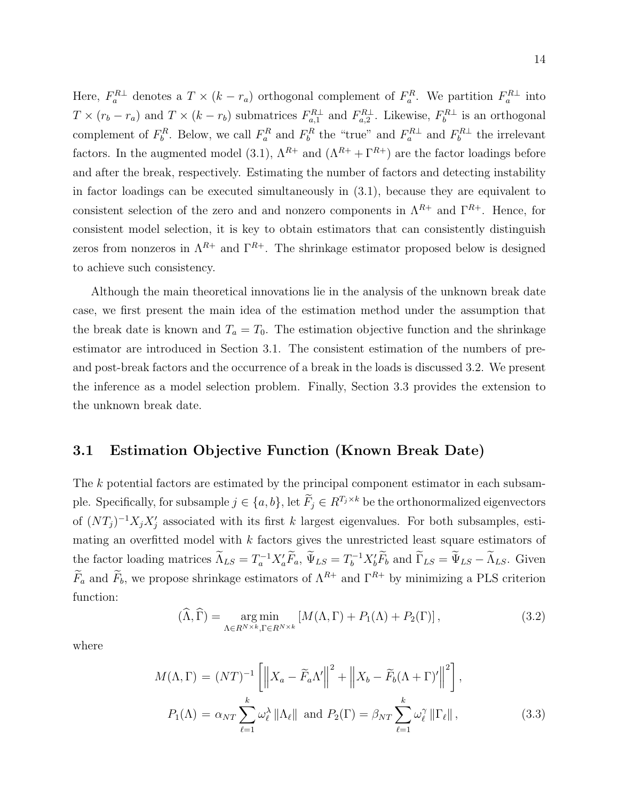Here,  $F_a^{R\perp}$  denotes a  $T \times (k - r_a)$  orthogonal complement of  $F_a^R$ . We partition  $F_a^{R\perp}$  into  $T \times (r_b - r_a)$  and  $T \times (k - r_b)$  submatrices  $F_{a,1}^{R \perp}$  and  $F_{a,2}^{R \perp}$ . Likewise,  $F_b^{R \perp}$  is an orthogonal complement of  $F_b^R$ . Below, we call  $F_a^R$  and  $F_b^R$  the "true" and  $F_a^{R\perp}$  and  $F_b^{R\perp}$  the irrelevant factors. In the augmented model (3.1),  $\Lambda^{R+}$  and  $(\Lambda^{R+} + \Gamma^{R+})$  are the factor loadings before and after the break, respectively. Estimating the number of factors and detecting instability in factor loadings can be executed simultaneously in (3.1), because they are equivalent to consistent selection of the zero and and nonzero components in  $\Lambda^{R+}$  and  $\Gamma^{R+}$ . Hence, for consistent model selection, it is key to obtain estimators that can consistently distinguish zeros from nonzeros in  $\Lambda^{R+}$  and  $\Gamma^{R+}$ . The shrinkage estimator proposed below is designed to achieve such consistency.

Although the main theoretical innovations lie in the analysis of the unknown break date case, we first present the main idea of the estimation method under the assumption that the break date is known and  $T_a = T_0$ . The estimation objective function and the shrinkage estimator are introduced in Section 3.1. The consistent estimation of the numbers of preand post-break factors and the occurrence of a break in the loads is discussed 3.2. We present the inference as a model selection problem. Finally, Section 3.3 provides the extension to the unknown break date.

## 3.1 Estimation Objective Function (Known Break Date)

The k potential factors are estimated by the principal component estimator in each subsample. Specifically, for subsample  $j \in \{a, b\}$ , let  $\widetilde{F}_j \in R^{T_j \times k}$  be the orthonormalized eigenvectors of  $(NT_j)^{-1}X_jX_j'$  associated with its first k largest eigenvalues. For both subsamples, estimating an overfitted model with  $k$  factors gives the unrestricted least square estimators of the factor loading matrices  $\widetilde{\Lambda}_{LS} = T_a^{-1} X_a' \widetilde{F}_a$ ,  $\widetilde{\Psi}_{LS} = T_b^{-1} X_b' \widetilde{F}_b$  and  $\widetilde{\Gamma}_{LS} = \widetilde{\Psi}_{LS} - \widetilde{\Lambda}_{LS}$ . Given  $\widetilde{F}_a$  and  $\widetilde{F}_b$ , we propose shrinkage estimators of  $\Lambda^{R+}$  and  $\Gamma^{R+}$  by minimizing a PLS criterion function:

$$
(\widehat{\Lambda}, \widehat{\Gamma}) = \underset{\Lambda \in R^{N \times k}, \Gamma \in R^{N \times k}}{\arg \min} \left[ M(\Lambda, \Gamma) + P_1(\Lambda) + P_2(\Gamma) \right],\tag{3.2}
$$

where

$$
M(\Lambda, \Gamma) = (NT)^{-1} \left[ \left\| X_a - \widetilde{F}_a \Lambda' \right\|^2 + \left\| X_b - \widetilde{F}_b (\Lambda + \Gamma)' \right\|^2 \right],
$$
  

$$
P_1(\Lambda) = \alpha_{NT} \sum_{\ell=1}^k \omega_\ell^{\lambda} \left\| \Lambda_\ell \right\| \text{ and } P_2(\Gamma) = \beta_{NT} \sum_{\ell=1}^k \omega_\ell^{\gamma} \left\| \Gamma_\ell \right\|,
$$
 (3.3)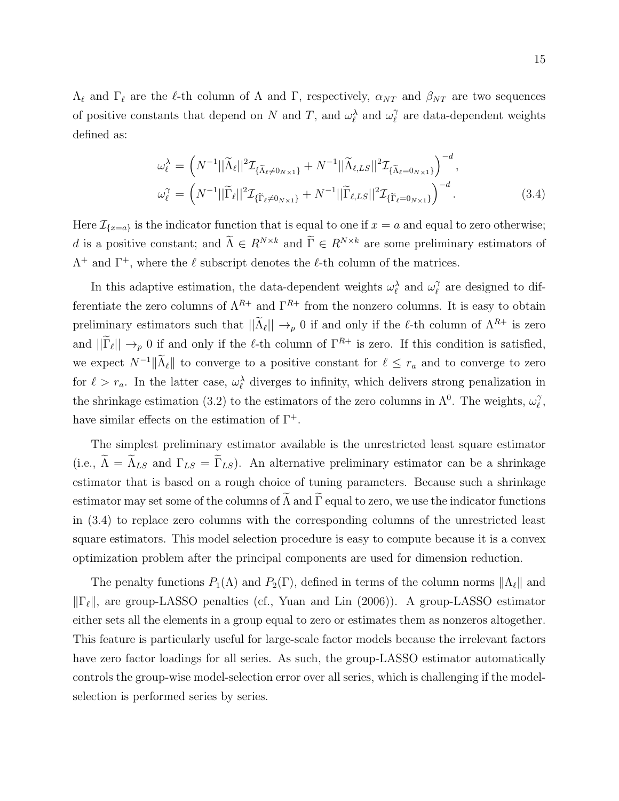$\Lambda_{\ell}$  and  $\Gamma_{\ell}$  are the  $\ell$ -th column of  $\Lambda$  and  $\Gamma$ , respectively,  $\alpha_{NT}$  and  $\beta_{NT}$  are two sequences of positive constants that depend on N and T, and  $\omega_{\ell}^{\lambda}$  and  $\omega_{\ell}^{\gamma}$  $\hat{l}$  are data-dependent weights defined as:

$$
\omega_{\ell}^{\lambda} = \left(N^{-1}||\widetilde{\Lambda}_{\ell}||^{2}\mathcal{I}_{\{\widetilde{\Lambda}_{\ell}\neq0_{N\times1}\}} + N^{-1}||\widetilde{\Lambda}_{\ell,LS}||^{2}\mathcal{I}_{\{\widetilde{\Lambda}_{\ell}=0_{N\times1}\}}\right)^{-d},
$$
  

$$
\omega_{\ell}^{\gamma} = \left(N^{-1}||\widetilde{\Gamma}_{\ell}||^{2}\mathcal{I}_{\{\widetilde{\Gamma}_{\ell}\neq0_{N\times1}\}} + N^{-1}||\widetilde{\Gamma}_{\ell,LS}||^{2}\mathcal{I}_{\{\widetilde{\Gamma}_{\ell}=0_{N\times1}\}}\right)^{-d}.
$$
 (3.4)

Here  $\mathcal{I}_{\{x=a\}}$  is the indicator function that is equal to one if  $x = a$  and equal to zero otherwise; d is a positive constant; and  $\widetilde{\Lambda} \in R^{N \times k}$  and  $\widetilde{\Gamma} \in R^{N \times k}$  are some preliminary estimators of  $\Lambda^+$  and  $\Gamma^+$ , where the  $\ell$  subscript denotes the  $\ell$ -th column of the matrices.

In this adaptive estimation, the data-dependent weights  $\omega_{\ell}^{\lambda}$  and  $\omega_{\ell}^{\gamma}$  $\gamma$  are designed to differentiate the zero columns of  $\Lambda^{R+}$  and  $\Gamma^{R+}$  from the nonzero columns. It is easy to obtain preliminary estimators such that  $||\tilde{\Lambda}_{\ell}|| \to_p 0$  if and only if the  $\ell$ -th column of  $\Lambda^{R+}$  is zero and  $||\Gamma_\ell|| \to_p 0$  if and only if the  $\ell$ -th column of  $\Gamma^{R+}$  is zero. If this condition is satisfied, we expect  $N^{-1}||\widetilde{\Lambda}_{\ell}||$  to converge to a positive constant for  $\ell \leq r_a$  and to converge to zero for  $\ell > r_a$ . In the latter case,  $\omega_{\ell}^{\lambda}$  diverges to infinity, which delivers strong penalization in the shrinkage estimation (3.2) to the estimators of the zero columns in  $\Lambda^0$ . The weights,  $\omega_\ell^\gamma$  $_{\ell}^{\gamma},$ have similar effects on the estimation of  $\Gamma^+$ .

The simplest preliminary estimator available is the unrestricted least square estimator (i.e.,  $\tilde{\Lambda} = \tilde{\Lambda}_{LS}$  and  $\Gamma_{LS} = \tilde{\Gamma}_{LS}$ ). An alternative preliminary estimator can be a shrinkage estimator that is based on a rough choice of tuning parameters. Because such a shrinkage estimator may set some of the columns of  $\widetilde{\Lambda}$  and  $\widetilde{\Gamma}$  equal to zero, we use the indicator functions in (3.4) to replace zero columns with the corresponding columns of the unrestricted least square estimators. This model selection procedure is easy to compute because it is a convex optimization problem after the principal components are used for dimension reduction.

The penalty functions  $P_1(\Lambda)$  and  $P_2(\Gamma)$ , defined in terms of the column norms  $\|\Lambda_\ell\|$  and  $\|\Gamma_\ell\|$ , are group-LASSO penalties (cf., Yuan and Lin (2006)). A group-LASSO estimator either sets all the elements in a group equal to zero or estimates them as nonzeros altogether. This feature is particularly useful for large-scale factor models because the irrelevant factors have zero factor loadings for all series. As such, the group-LASSO estimator automatically controls the group-wise model-selection error over all series, which is challenging if the modelselection is performed series by series.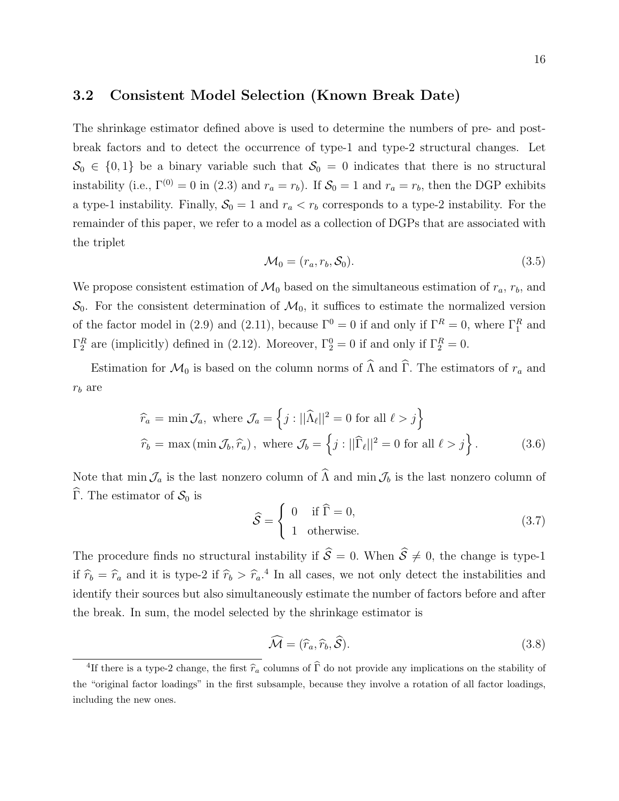### 3.2 Consistent Model Selection (Known Break Date)

The shrinkage estimator defined above is used to determine the numbers of pre- and postbreak factors and to detect the occurrence of type-1 and type-2 structural changes. Let  $\mathcal{S}_0 \in \{0,1\}$  be a binary variable such that  $\mathcal{S}_0 = 0$  indicates that there is no structural instability (i.e.,  $\Gamma^{(0)} = 0$  in (2.3) and  $r_a = r_b$ ). If  $S_0 = 1$  and  $r_a = r_b$ , then the DGP exhibits a type-1 instability. Finally,  $S_0 = 1$  and  $r_a < r_b$  corresponds to a type-2 instability. For the remainder of this paper, we refer to a model as a collection of DGPs that are associated with the triplet

$$
\mathcal{M}_0 = (r_a, r_b, \mathcal{S}_0). \tag{3.5}
$$

We propose consistent estimation of  $\mathcal{M}_0$  based on the simultaneous estimation of  $r_a$ ,  $r_b$ , and  $\mathcal{S}_0$ . For the consistent determination of  $\mathcal{M}_0$ , it suffices to estimate the normalized version of the factor model in (2.9) and (2.11), because  $\Gamma^0 = 0$  if and only if  $\Gamma^R = 0$ , where  $\Gamma_1^R$  and  $\Gamma_2^R$  are (implicitly) defined in (2.12). Moreover,  $\Gamma_2^0 = 0$  if and only if  $\Gamma_2^R = 0$ .

Estimation for  $\mathcal{M}_0$  is based on the column norms of  $\widehat{\Lambda}$  and  $\widehat{\Gamma}$ . The estimators of  $r_a$  and  $r_b$  are

$$
\widehat{r}_a = \min \mathcal{J}_a, \text{ where } \mathcal{J}_a = \left\{ j : ||\widehat{\Lambda}_{\ell}||^2 = 0 \text{ for all } \ell > j \right\}
$$
  

$$
\widehat{r}_b = \max (\min \mathcal{J}_b, \widehat{r}_a), \text{ where } \mathcal{J}_b = \left\{ j : ||\widehat{\Gamma}_{\ell}||^2 = 0 \text{ for all } \ell > j \right\}. \tag{3.6}
$$

Note that min  $\mathcal{J}_a$  is the last nonzero column of  $\widehat{\Lambda}$  and min  $\mathcal{J}_b$  is the last nonzero column of  $\widehat{\Gamma}$ . The estimator of  $\mathcal{S}_0$  is

$$
\widehat{S} = \begin{cases} 0 & \text{if } \widehat{\Gamma} = 0, \\ 1 & \text{otherwise.} \end{cases}
$$
 (3.7)

The procedure finds no structural instability if  $\hat{\mathcal{S}} = 0$ . When  $\hat{\mathcal{S}} \neq 0$ , the change is type-1 if  $\hat{r}_b = \hat{r}_a$  and it is type-2 if  $\hat{r}_b > \hat{r}_a$ .<sup>4</sup> In all cases, we not only detect the instabilities and identify their sources but also simultaneously estimate the number of factors before and after the break. In sum, the model selected by the shrinkage estimator is

$$
\widehat{\mathcal{M}} = (\widehat{r}_a, \widehat{r}_b, \widehat{\mathcal{S}}). \tag{3.8}
$$

<sup>&</sup>lt;sup>4</sup>If there is a type-2 change, the first  $\hat{r}_a$  columns of  $\hat{\Gamma}$  do not provide any implications on the stability of the "original factor loadings" in the first subsample, because they involve a rotation of all factor loadings, including the new ones.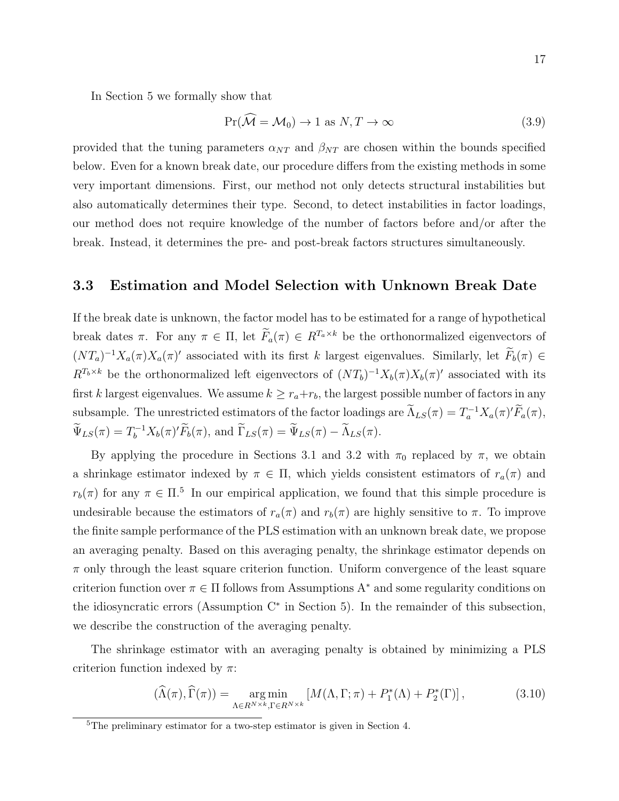In Section 5 we formally show that

$$
Pr(\mathcal{M} = \mathcal{M}_0) \to 1 \text{ as } N, T \to \infty \tag{3.9}
$$

provided that the tuning parameters  $\alpha_{NT}$  and  $\beta_{NT}$  are chosen within the bounds specified below. Even for a known break date, our procedure differs from the existing methods in some very important dimensions. First, our method not only detects structural instabilities but also automatically determines their type. Second, to detect instabilities in factor loadings, our method does not require knowledge of the number of factors before and/or after the break. Instead, it determines the pre- and post-break factors structures simultaneously.

#### 3.3 Estimation and Model Selection with Unknown Break Date

If the break date is unknown, the factor model has to be estimated for a range of hypothetical break dates π. For any  $\pi \in \Pi$ , let  $\widetilde{F}_a(\pi) \in R^{T_a \times k}$  be the orthonormalized eigenvectors of  $(NT_a)^{-1}X_a(\pi)X_a(\pi)'$  associated with its first k largest eigenvalues. Similarly, let  $F_b(\pi) \in$  $R^{T_b \times k}$  be the orthonormalized left eigenvectors of  $(NT_b)^{-1}X_b(\pi)X_b(\pi)'$  associated with its first k largest eigenvalues. We assume  $k \geq r_a + r_b$ , the largest possible number of factors in any subsample. The unrestricted estimators of the factor loadings are  $\tilde{\Lambda}_{LS}(\pi) = T_a^{-1} X_a(\pi)' \tilde{F}_a(\pi)$ ,  $\widetilde{\Psi}_{LS}(\pi) = T_b^{-1} X_b(\pi)' \widetilde{F}_b(\pi)$ , and  $\widetilde{\Gamma}_{LS}(\pi) = \widetilde{\Psi}_{LS}(\pi) - \widetilde{\Lambda}_{LS}(\pi)$ .

By applying the procedure in Sections 3.1 and 3.2 with  $\pi_0$  replaced by  $\pi$ , we obtain a shrinkage estimator indexed by  $\pi \in \Pi$ , which yields consistent estimators of  $r_a(\pi)$  and  $r_b(\pi)$  for any  $\pi \in \Pi$ <sup>5</sup>. In our empirical application, we found that this simple procedure is undesirable because the estimators of  $r_a(\pi)$  and  $r_b(\pi)$  are highly sensitive to  $\pi$ . To improve the finite sample performance of the PLS estimation with an unknown break date, we propose an averaging penalty. Based on this averaging penalty, the shrinkage estimator depends on  $\pi$  only through the least square criterion function. Uniform convergence of the least square criterion function over  $\pi \in \Pi$  follows from Assumptions A<sup>\*</sup> and some regularity conditions on the idiosyncratic errors (Assumption C<sup>∗</sup> in Section 5). In the remainder of this subsection, we describe the construction of the averaging penalty.

The shrinkage estimator with an averaging penalty is obtained by minimizing a PLS criterion function indexed by  $\pi$ :

$$
(\widehat{\Lambda}(\pi), \widehat{\Gamma}(\pi)) = \underset{\Lambda \in R^{N \times k}, \Gamma \in R^{N \times k}}{\arg \min} \left[ M(\Lambda, \Gamma; \pi) + P_1^*(\Lambda) + P_2^*(\Gamma) \right],\tag{3.10}
$$

<sup>5</sup>The preliminary estimator for a two-step estimator is given in Section 4.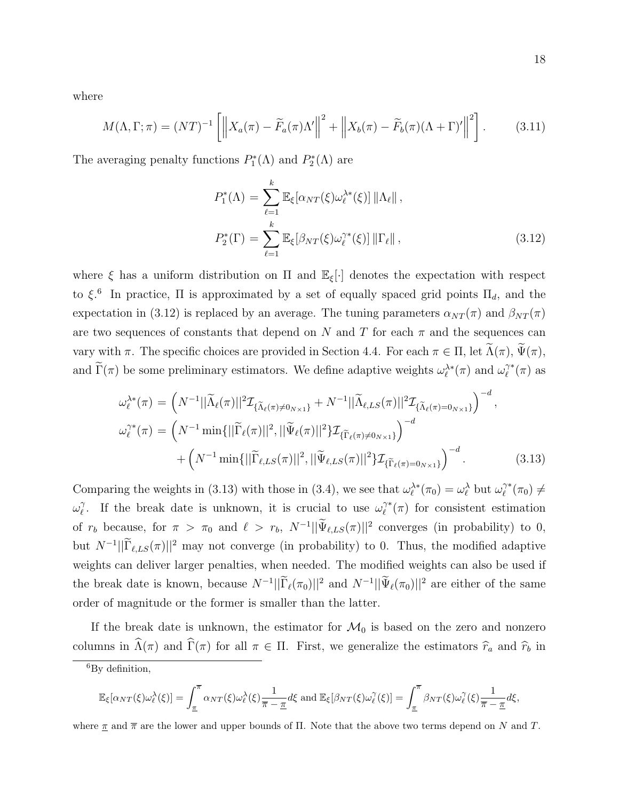where

$$
M(\Lambda, \Gamma; \pi) = (NT)^{-1} \left[ \left\| X_a(\pi) - \widetilde{F}_a(\pi) \Lambda' \right\|^2 + \left\| X_b(\pi) - \widetilde{F}_b(\pi) (\Lambda + \Gamma)' \right\|^2 \right]. \tag{3.11}
$$

The averaging penalty functions  $P_1^*(\Lambda)$  and  $P_2^*(\Lambda)$  are

$$
P_1^*(\Lambda) = \sum_{\ell=1}^k \mathbb{E}_{\xi} [\alpha_{NT}(\xi)\omega_{\ell}^{\lambda*}(\xi)] \left\| \Lambda_{\ell} \right\|,
$$
  

$$
P_2^*(\Gamma) = \sum_{\ell=1}^k \mathbb{E}_{\xi} [\beta_{NT}(\xi)\omega_{\ell}^{\gamma*}(\xi)] \left\| \Gamma_{\ell} \right\|,
$$
 (3.12)

where  $\xi$  has a uniform distribution on  $\Pi$  and  $\mathbb{E}_{\xi}[\cdot]$  denotes the expectation with respect to  $\xi$ <sup>6</sup>. In practice,  $\Pi$  is approximated by a set of equally spaced grid points  $\Pi_d$ , and the expectation in (3.12) is replaced by an average. The tuning parameters  $\alpha_{NT}(\pi)$  and  $\beta_{NT}(\pi)$ are two sequences of constants that depend on N and T for each  $\pi$  and the sequences can vary with  $\pi$ . The specific choices are provided in Section 4.4. For each  $\pi \in \Pi$ , let  $\widetilde{\Lambda}(\pi)$ ,  $\widetilde{\Psi}(\pi)$ , and  $\tilde{\Gamma}(\pi)$  be some preliminary estimators. We define adaptive weights  $\omega_{\ell}^{\lambda *}(\pi)$  and  $\omega_{\ell}^{\gamma *}$  $\ell^{\gamma *}(\pi)$  as

$$
\omega_{\ell}^{\lambda *}(\pi) = \left(N^{-1}||\widetilde{\Lambda}_{\ell}(\pi)||^{2}\mathcal{I}_{\{\widetilde{\Lambda}_{\ell}(\pi) \neq 0_{N\times 1}\}} + N^{-1}||\widetilde{\Lambda}_{\ell,LS}(\pi)||^{2}\mathcal{I}_{\{\widetilde{\Lambda}_{\ell}(\pi) = 0_{N\times 1}\}}\right)^{-d},
$$
  

$$
\omega_{\ell}^{\gamma *}(\pi) = \left(N^{-1}\min\{||\widetilde{\Gamma}_{\ell}(\pi)||^{2}, ||\widetilde{\Psi}_{\ell}(\pi)||^{2}\} \mathcal{I}_{\{\widetilde{\Gamma}_{\ell}(\pi) \neq 0_{N\times 1}\}}\right)^{-d}
$$

$$
+ \left(N^{-1}\min\{||\widetilde{\Gamma}_{\ell,LS}(\pi)||^{2}, ||\widetilde{\Psi}_{\ell,LS}(\pi)||^{2}\} \mathcal{I}_{\{\widetilde{\Gamma}_{\ell}(\pi) = 0_{N\times 1}\}}\right)^{-d}.
$$
(3.13)

Comparing the weights in (3.13) with those in (3.4), we see that  $\omega_{\ell}^{\lambda *}(\pi_0) = \omega_{\ell}^{\lambda}$  but  $\omega_{\ell}^{\gamma *}$  $\gamma^*(\pi_0)\neq$  $\omega_{\ell}^{\gamma}$  $\widetilde{\ell}$ . If the break date is unknown, it is crucial to use  $\omega_{\ell}^{\gamma*}$  $\tilde{C}^*(\pi)$  for consistent estimation of  $r_b$  because, for  $\pi > \pi_0$  and  $\ell > r_b$ ,  $N^{-1} || \Psi_{\ell,LS}(\pi) ||^2$  converges (in probability) to 0, but  $N^{-1}$ || $\tilde{\Gamma}_{\ell,LS}(\pi)$ ||<sup>2</sup> may not converge (in probability) to 0. Thus, the modified adaptive weights can deliver larger penalties, when needed. The modified weights can also be used if the break date is known, because  $N^{-1}||\tilde{\Gamma}_{\ell}(\pi_0)||^2$  and  $N^{-1}||\tilde{\Psi}_{\ell}(\pi_0)||^2$  are either of the same order of magnitude or the former is smaller than the latter.

If the break date is unknown, the estimator for  $\mathcal{M}_0$  is based on the zero and nonzero columns in  $\widehat{\Lambda}(\pi)$  and  $\widehat{\Gamma}(\pi)$  for all  $\pi \in \Pi$ . First, we generalize the estimators  $\widehat{r}_a$  and  $\widehat{r}_b$  in

$$
\mathbb{E}_{\xi}[\alpha_{NT}(\xi)\omega_{\ell}^{\lambda}(\xi)]=\int_{\underline{\pi}}^{\overline{\pi}}\alpha_{NT}(\xi)\omega_{\ell}^{\lambda}(\xi)\frac{1}{\overline{\pi}-\underline{\pi}}d\xi \text{ and } \mathbb{E}_{\xi}[\beta_{NT}(\xi)\omega_{\ell}^{\gamma}(\xi)]=\int_{\underline{\pi}}^{\overline{\pi}}\beta_{NT}(\xi)\omega_{\ell}^{\gamma}(\xi)\frac{1}{\overline{\pi}-\underline{\pi}}d\xi,
$$

where  $\pi$  and  $\bar{\pi}$  are the lower and upper bounds of  $\Pi$ . Note that the above two terms depend on N and T.

<sup>6</sup>By definition,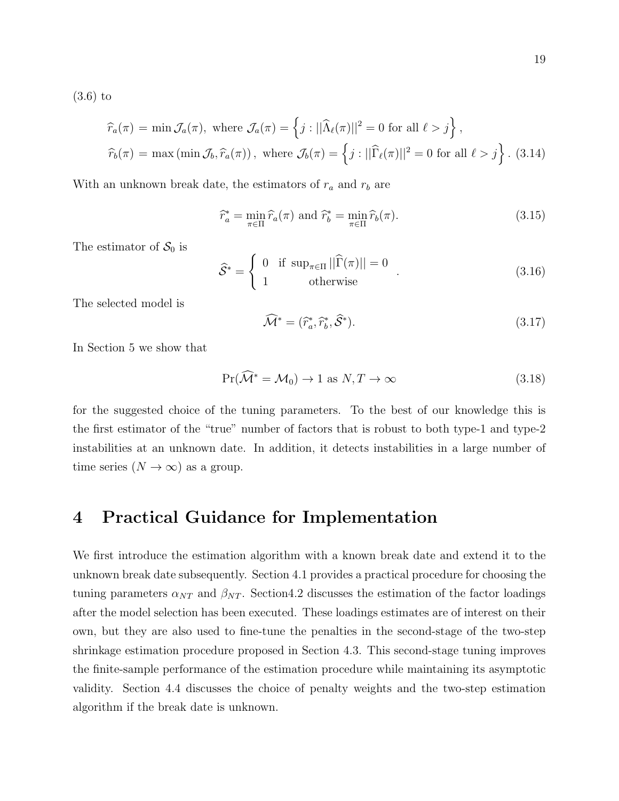(3.6) to

$$
\widehat{r}_a(\pi) = \min \mathcal{J}_a(\pi), \text{ where } \mathcal{J}_a(\pi) = \left\{ j : ||\widehat{\Lambda}_{\ell}(\pi)||^2 = 0 \text{ for all } \ell > j \right\},\
$$
  

$$
\widehat{r}_b(\pi) = \max (\min \mathcal{J}_b, \widehat{r}_a(\pi)), \text{ where } \mathcal{J}_b(\pi) = \left\{ j : ||\widehat{\Gamma}_{\ell}(\pi)||^2 = 0 \text{ for all } \ell > j \right\}. \tag{3.14}
$$

With an unknown break date, the estimators of  $r_a$  and  $r_b$  are

$$
\widehat{r}_a^* = \min_{\pi \in \Pi} \widehat{r}_a(\pi) \text{ and } \widehat{r}_b^* = \min_{\pi \in \Pi} \widehat{r}_b(\pi). \tag{3.15}
$$

The estimator of  $S_0$  is

$$
\widehat{S}^* = \begin{cases} 0 & \text{if } \sup_{\pi \in \Pi} ||\widehat{\Gamma}(\pi)|| = 0 \\ 1 & \text{otherwise} \end{cases}
$$
 (3.16)

The selected model is

$$
\widehat{\mathcal{M}}^* = (\widehat{r}_a^*, \widehat{r}_b^*, \widehat{\mathcal{S}}^*). \tag{3.17}
$$

In Section 5 we show that

$$
\Pr(\widehat{\mathcal{M}}^* = \mathcal{M}_0) \to 1 \text{ as } N, T \to \infty \tag{3.18}
$$

for the suggested choice of the tuning parameters. To the best of our knowledge this is the first estimator of the "true" number of factors that is robust to both type-1 and type-2 instabilities at an unknown date. In addition, it detects instabilities in a large number of time series  $(N \to \infty)$  as a group.

# 4 Practical Guidance for Implementation

We first introduce the estimation algorithm with a known break date and extend it to the unknown break date subsequently. Section 4.1 provides a practical procedure for choosing the tuning parameters  $\alpha_{NT}$  and  $\beta_{NT}$ . Section4.2 discusses the estimation of the factor loadings after the model selection has been executed. These loadings estimates are of interest on their own, but they are also used to fine-tune the penalties in the second-stage of the two-step shrinkage estimation procedure proposed in Section 4.3. This second-stage tuning improves the finite-sample performance of the estimation procedure while maintaining its asymptotic validity. Section 4.4 discusses the choice of penalty weights and the two-step estimation algorithm if the break date is unknown.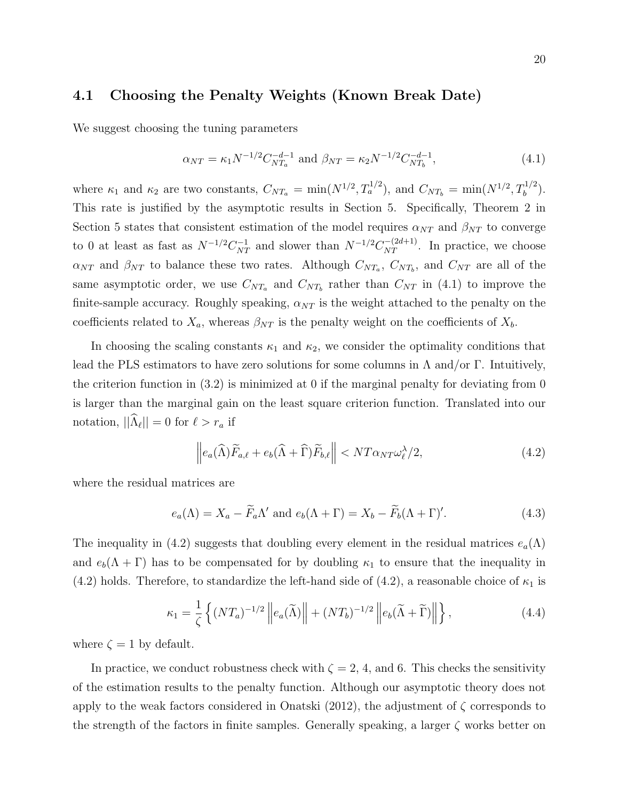### 4.1 Choosing the Penalty Weights (Known Break Date)

We suggest choosing the tuning parameters

$$
\alpha_{NT} = \kappa_1 N^{-1/2} C_{NT_a}^{-d-1} \text{ and } \beta_{NT} = \kappa_2 N^{-1/2} C_{NT_b}^{-d-1}, \qquad (4.1)
$$

where  $\kappa_1$  and  $\kappa_2$  are two constants,  $C_{NT_a} = \min(N^{1/2}, T_a^{1/2})$ , and  $C_{NT_b} = \min(N^{1/2}, T_b^{1/2})$ . This rate is justified by the asymptotic results in Section 5. Specifically, Theorem 2 in Section 5 states that consistent estimation of the model requires  $\alpha_{NT}$  and  $\beta_{NT}$  to converge to 0 at least as fast as  $N^{-1/2}C_{NT}^{-1}$  and slower than  $N^{-1/2}C_{NT}^{-(2d+1)}$ . In practice, we choose  $\alpha_{NT}$  and  $\beta_{NT}$  to balance these two rates. Although  $C_{NT_a}$ ,  $C_{NT_b}$ , and  $C_{NT}$  are all of the same asymptotic order, we use  $C_{NT_a}$  and  $C_{NT_b}$  rather than  $C_{NT}$  in (4.1) to improve the finite-sample accuracy. Roughly speaking,  $\alpha_{NT}$  is the weight attached to the penalty on the coefficients related to  $X_a$ , whereas  $\beta_{NT}$  is the penalty weight on the coefficients of  $X_b$ .

In choosing the scaling constants  $\kappa_1$  and  $\kappa_2$ , we consider the optimality conditions that lead the PLS estimators to have zero solutions for some columns in  $\Lambda$  and/or  $\Gamma$ . Intuitively, the criterion function in  $(3.2)$  is minimized at 0 if the marginal penalty for deviating from 0 is larger than the marginal gain on the least square criterion function. Translated into our notation,  $||\Lambda_{\ell}|| = 0$  for  $\ell > r_a$  if

$$
\left\| e_a(\widehat{\Lambda}) \widetilde{F}_{a,\ell} + e_b(\widehat{\Lambda} + \widehat{\Gamma}) \widetilde{F}_{b,\ell} \right\| < N T \alpha_{NT} \omega_{\ell}^{\lambda} / 2, \tag{4.2}
$$

where the residual matrices are

$$
e_a(\Lambda) = X_a - \widetilde{F}_a \Lambda' \text{ and } e_b(\Lambda + \Gamma) = X_b - \widetilde{F}_b(\Lambda + \Gamma)'. \tag{4.3}
$$

The inequality in (4.2) suggests that doubling every element in the residual matrices  $e_a(\Lambda)$ and  $e_b(\Lambda + \Gamma)$  has to be compensated for by doubling  $\kappa_1$  to ensure that the inequality in (4.2) holds. Therefore, to standardize the left-hand side of (4.2), a reasonable choice of  $\kappa_1$  is

$$
\kappa_1 = \frac{1}{\zeta} \left\{ (NT_a)^{-1/2} \left\| e_a(\widetilde{\Lambda}) \right\| + (NT_b)^{-1/2} \left\| e_b(\widetilde{\Lambda} + \widetilde{\Gamma}) \right\| \right\},\tag{4.4}
$$

where  $\zeta = 1$  by default.

In practice, we conduct robustness check with  $\zeta = 2, 4$ , and 6. This checks the sensitivity of the estimation results to the penalty function. Although our asymptotic theory does not apply to the weak factors considered in Onatski (2012), the adjustment of  $\zeta$  corresponds to the strength of the factors in finite samples. Generally speaking, a larger  $\zeta$  works better on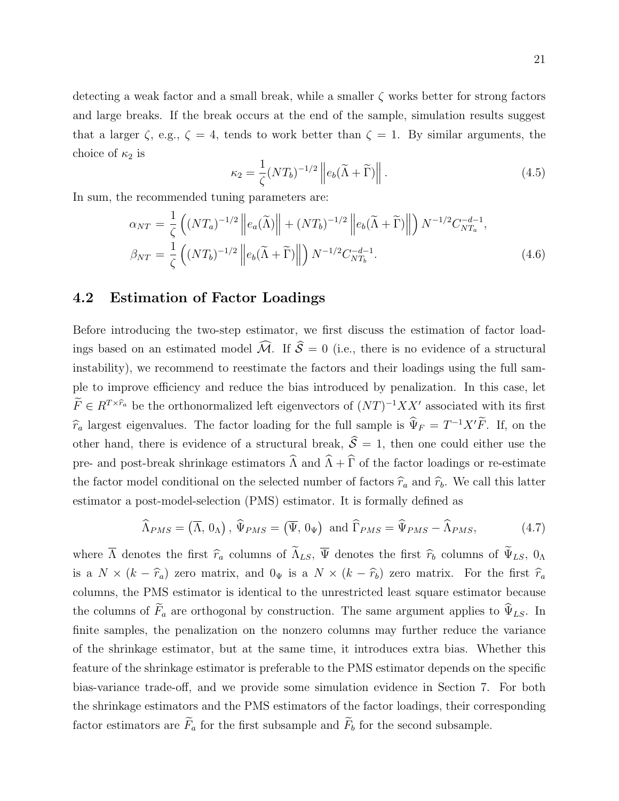detecting a weak factor and a small break, while a smaller  $\zeta$  works better for strong factors and large breaks. If the break occurs at the end of the sample, simulation results suggest that a larger  $\zeta$ , e.g.,  $\zeta = 4$ , tends to work better than  $\zeta = 1$ . By similar arguments, the choice of  $\kappa_2$  is

$$
\kappa_2 = \frac{1}{\zeta} (NT_b)^{-1/2} \left\| e_b (\widetilde{\Lambda} + \widetilde{\Gamma}) \right\|.
$$
 (4.5)

In sum, the recommended tuning parameters are:

$$
\alpha_{NT} = \frac{1}{\zeta} \left( (NT_a)^{-1/2} \left\| e_a(\widetilde{\Lambda}) \right\| + (NT_b)^{-1/2} \left\| e_b(\widetilde{\Lambda} + \widetilde{\Gamma}) \right\| \right) N^{-1/2} C_{NT_a}^{-d-1},
$$
  
\n
$$
\beta_{NT} = \frac{1}{\zeta} \left( (NT_b)^{-1/2} \left\| e_b(\widetilde{\Lambda} + \widetilde{\Gamma}) \right\| \right) N^{-1/2} C_{NT_b}^{-d-1}.
$$
\n(4.6)

#### 4.2 Estimation of Factor Loadings

Before introducing the two-step estimator, we first discuss the estimation of factor loadings based on an estimated model  $\widehat{\mathcal{M}}$ . If  $\widehat{\mathcal{S}} = 0$  (i.e., there is no evidence of a structural instability), we recommend to reestimate the factors and their loadings using the full sample to improve efficiency and reduce the bias introduced by penalization. In this case, let  $\widetilde{F} \in R^{T \times \widehat{r}_a}$  be the orthonormalized left eigenvectors of  $(NT)^{-1} X X'$  associated with its first  $\hat{r}_a$  largest eigenvalues. The factor loading for the full sample is  $\hat{\Psi}_F = T^{-1}X'\tilde{F}$ . If, on the other hand, there is evidence of a structural break,  $\hat{\mathcal{S}} = 1$ , then one could either use the pre- and post-break shrinkage estimators  $\widehat{\Lambda}$  and  $\widehat{\Lambda} + \widehat{\Gamma}$  of the factor loadings or re-estimate the factor model conditional on the selected number of factors  $\hat{r}_a$  and  $\hat{r}_b$ . We call this latter estimator a post-model-selection (PMS) estimator. It is formally defined as

$$
\widehat{\Lambda}_{PMS} = (\overline{\Lambda}, 0_{\Lambda}), \widehat{\Psi}_{PMS} = (\overline{\Psi}, 0_{\Psi}) \text{ and } \widehat{\Gamma}_{PMS} = \widehat{\Psi}_{PMS} - \widehat{\Lambda}_{PMS}, \tag{4.7}
$$

where  $\overline{\Lambda}$  denotes the first  $\hat{r}_a$  columns of  $\widetilde{\Lambda}_{LS}$ ,  $\overline{\Psi}$  denotes the first  $\hat{r}_b$  columns of  $\widetilde{\Psi}_{LS}$ ,  $0_\Lambda$ is a  $N \times (k - \hat{r}_a)$  zero matrix, and  $0_{\Psi}$  is a  $N \times (k - \hat{r}_b)$  zero matrix. For the first  $\hat{r}_a$ columns, the PMS estimator is identical to the unrestricted least square estimator because the columns of  $\widetilde{F}_a$  are orthogonal by construction. The same argument applies to  $\widehat{\Psi}_{LS}$ . In finite samples, the penalization on the nonzero columns may further reduce the variance of the shrinkage estimator, but at the same time, it introduces extra bias. Whether this feature of the shrinkage estimator is preferable to the PMS estimator depends on the specific bias-variance trade-off, and we provide some simulation evidence in Section 7. For both the shrinkage estimators and the PMS estimators of the factor loadings, their corresponding factor estimators are  $\widetilde{F}_a$  for the first subsample and  $\widetilde{F}_b$  for the second subsample.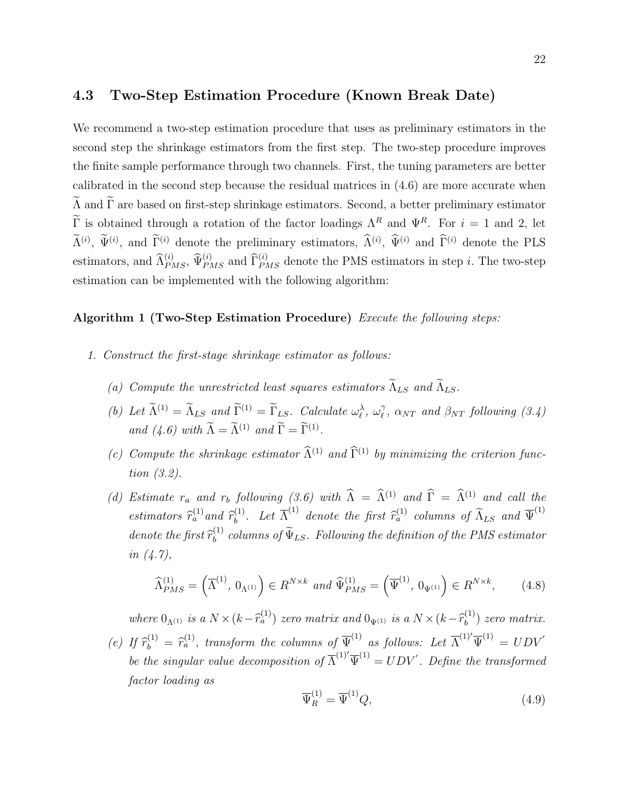We recommend a two-step estimation procedure that uses as preliminary estimators in the second step the shrinkage estimators from the first step. The two-step procedure improves the finite sample performance through two channels. First, the tuning parameters are better calibrated in the second step because the residual matrices in (4.6) are more accurate when  $\widetilde{\Lambda}$  and  $\widetilde{\Gamma}$  are based on first-step shrinkage estimators. Second, a better preliminary estimator  $\widetilde{\Gamma}$  is obtained through a rotation of the factor loadings  $\Lambda^R$  and  $\Psi^R$ . For  $i = 1$  and 2, let  $\hat{\Lambda}^{(i)}$ ,  $\hat{\Psi}^{(i)}$ , and  $\hat{\Gamma}^{(i)}$  denote the preliminary estimators,  $\hat{\Lambda}^{(i)}$ ,  $\hat{\Psi}^{(i)}$  and  $\hat{\Gamma}^{(i)}$  denote the PLS estimators, and  $\widehat{\Lambda}_{PMS}^{(i)}$ ,  $\widehat{\Psi}_{PMS}^{(i)}$  and  $\widehat{\Gamma}_{PMS}^{(i)}$  denote the PMS estimators in step *i*. The two-step estimation can be implemented with the following algorithm:

#### Algorithm 1 (Two-Step Estimation Procedure) Execute the following steps:

- 1. Construct the first-stage shrinkage estimator as follows:
	- (a) Compute the unrestricted least squares estimators  $\widetilde{\Lambda}_{LS}$  and  $\widetilde{\Lambda}_{LS}$ .
	- (b) Let  $\widetilde{\Lambda}^{(1)} = \widetilde{\Lambda}_{LS}$  and  $\widetilde{\Gamma}^{(1)} = \widetilde{\Gamma}_{LS}$ . Calculate  $\omega_{\ell}^{\lambda}$ ,  $\omega_{\ell}^{\gamma}$  $\hat{\ell}$ ,  $\alpha_{NT}$  and  $\beta_{NT}$  following (3.4) and  $(4.6)$  with  $\hat{\Lambda} = \hat{\Lambda}^{(1)}$  and  $\hat{\Gamma} = \hat{\Gamma}^{(1)}$ .
	- (c) Compute the shrinkage estimator  $\widehat{\Lambda}^{(1)}$  and  $\widehat{\Gamma}^{(1)}$  by minimizing the criterion function (3.2).
	- (d) Estimate  $r_a$  and  $r_b$  following (3.6) with  $\widehat{\Lambda} = \widehat{\Lambda}^{(1)}$  and  $\widehat{\Gamma} = \widehat{\Lambda}^{(1)}$  and call the estimators  $\hat{r}_a^{(1)}$  and  $\hat{r}_b^{(1)}$ (1). Let  $\overline{\Lambda}^{(1)}$  denote the first  $\widehat{r}_a^{(1)}$  columns of  $\widetilde{\Lambda}_{LS}$  and  $\overline{\Psi}^{(1)}$ denote the first  $\widehat{r}_{b}^{(1)}$  $b_b^{(1)}$  columns of  $\Psi_{LS}$ . Following the definition of the PMS estimator in (4.7),

$$
\widehat{\Lambda}_{PMS}^{(1)} = \left(\overline{\Lambda}^{(1)}, 0_{\Lambda^{(1)}}\right) \in R^{N \times k} \text{ and } \widehat{\Psi}_{PMS}^{(1)} = \left(\overline{\Psi}^{(1)}, 0_{\Psi^{(1)}}\right) \in R^{N \times k},\tag{4.8}
$$

where  $0_{\Lambda^{(1)}}$  is a  $N \times (k - \widehat{r}_a^{(1)})$  zero matrix and  $0_{\Psi^{(1)}}$  is a  $N \times (k - \widehat{r}_b^{(1)})$  $\binom{1}{b}$  zero matrix. (e) If  $\widehat{r}_b^{(1)} = \widehat{r}_a^{(1)}$ , transform the columns of  $\overline{\Psi}^{(1)}$  as follows: Let  $\overline{\Lambda}^{(1)'} \overline{\Psi}^{(1)} = U D V'$ be the singular value decomposition of  $\overline{\Lambda}^{(1)'}\overline{\Psi}^{(1)} = UDV'$ . Define the transformed factor loading as

$$
\overline{\Psi}_R^{(1)} = \overline{\Psi}^{(1)} Q,\tag{4.9}
$$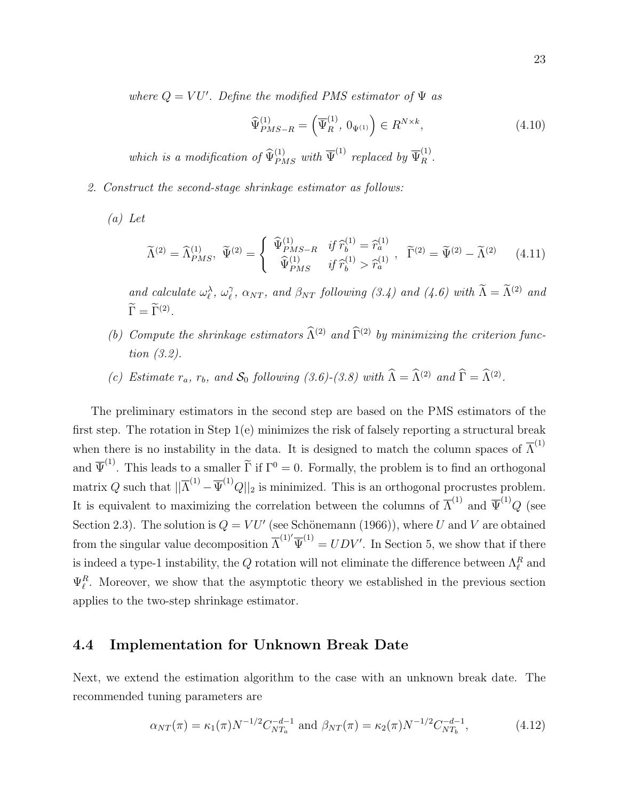where  $Q = VU'$ . Define the modified PMS estimator of  $\Psi$  as

$$
\widehat{\Psi}_{PMS-R}^{(1)} = \left(\overline{\Psi}_R^{(1)}, 0_{\Psi^{(1)}}\right) \in R^{N \times k},\tag{4.10}
$$

which is a modification of  $\widehat{\Psi}_{PMS}^{(1)}$  with  $\overline{\Psi}^{(1)}$  replaced by  $\overline{\Psi}_{R}^{(1)}$ .

- 2. Construct the second-stage shrinkage estimator as follows:
	- (a) Let

$$
\widetilde{\Lambda}^{(2)} = \widehat{\Lambda}_{PMS}^{(1)}, \quad \widetilde{\Psi}^{(2)} = \begin{cases} \widehat{\Psi}_{PMS-R}^{(1)} & \text{if } \widehat{r}_b^{(1)} = \widehat{r}_a^{(1)} \\ \widehat{\Psi}_{PMS}^{(1)} & \text{if } \widehat{r}_b^{(1)} > \widehat{r}_a^{(1)} \end{cases}, \quad \widetilde{\Gamma}^{(2)} = \widetilde{\Psi}^{(2)} - \widetilde{\Lambda}^{(2)} \tag{4.11}
$$

and calculate  $\omega_{\ell}^{\lambda}$ ,  $\omega_{\ell}^{\gamma}$  $\hat{Q}_{\ell}$ ,  $\alpha_{NT}$ , and  $\beta_{NT}$  following (3.4) and (4.6) with  $\tilde{\Lambda} = \tilde{\Lambda}^{(2)}$  and  $\Gamma = \Gamma^{(2)}$ .

- (b) Compute the shrinkage estimators  $\widehat{\Lambda}^{(2)}$  and  $\widehat{\Gamma}^{(2)}$  by minimizing the criterion function (3.2).
- (c) Estimate  $r_a$ ,  $r_b$ , and  $S_0$  following (3.6)-(3.8) with  $\hat{\Lambda} = \hat{\Lambda}^{(2)}$  and  $\hat{\Gamma} = \hat{\Lambda}^{(2)}$ .

The preliminary estimators in the second step are based on the PMS estimators of the first step. The rotation in Step 1(e) minimizes the risk of falsely reporting a structural break when there is no instability in the data. It is designed to match the column spaces of  $\overline{\Lambda}^{(1)}$ and  $\overline{\Psi}^{(1)}$ . This leads to a smaller  $\widetilde{\Gamma}$  if  $\Gamma^0 = 0$ . Formally, the problem is to find an orthogonal matrix Q such that  $||\overline{\Lambda}^{(1)} - \overline{\Psi}^{(1)}Q||_2$  is minimized. This is an orthogonal procrustes problem. It is equivalent to maximizing the correlation between the columns of  $\overline{\Lambda}^{(1)}$  and  $\overline{\Psi}^{(1)}Q$  (see Section 2.3). The solution is  $Q = VU'$  (see Schönemann (1966)), where U and V are obtained from the singular value decomposition  $\overline{\Lambda}^{(1)'}\overline{\Psi}^{(1)} = UDV'$ . In Section 5, we show that if there is indeed a type-1 instability, the  $Q$  rotation will not eliminate the difference between  $\Lambda_{\ell}^R$  and  $\Psi_{\ell}^{R}$ . Moreover, we show that the asymptotic theory we established in the previous section applies to the two-step shrinkage estimator.

### 4.4 Implementation for Unknown Break Date

Next, we extend the estimation algorithm to the case with an unknown break date. The recommended tuning parameters are

$$
\alpha_{NT}(\pi) = \kappa_1(\pi) N^{-1/2} C_{NT_a}^{-d-1} \text{ and } \beta_{NT}(\pi) = \kappa_2(\pi) N^{-1/2} C_{NT_b}^{-d-1}, \tag{4.12}
$$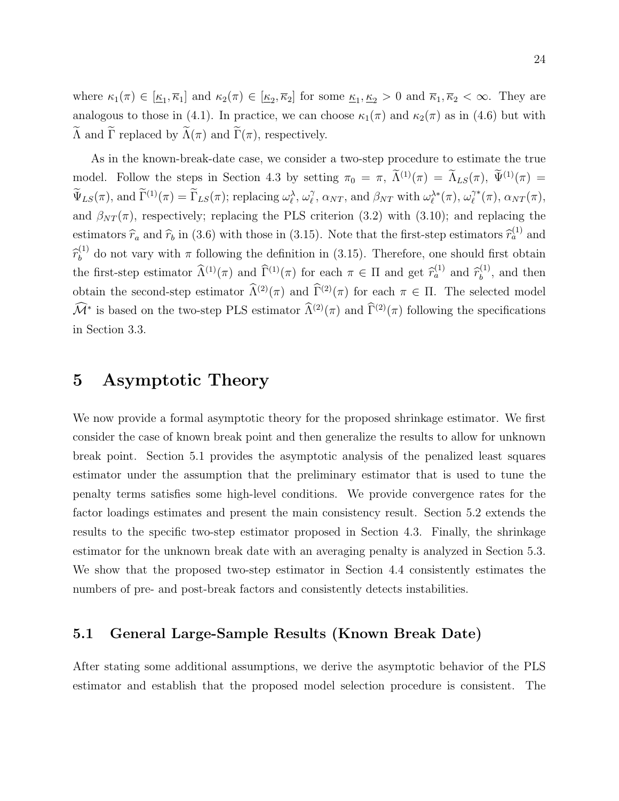where  $\kappa_1(\pi) \in [\underline{\kappa}_1, \overline{\kappa}_1]$  and  $\kappa_2(\pi) \in [\underline{\kappa}_2, \overline{\kappa}_2]$  for some  $\underline{\kappa}_1, \underline{\kappa}_2 > 0$  and  $\overline{\kappa}_1, \overline{\kappa}_2 < \infty$ . They are analogous to those in (4.1). In practice, we can choose  $\kappa_1(\pi)$  and  $\kappa_2(\pi)$  as in (4.6) but with  $\widetilde{\Lambda}$  and  $\widetilde{\Gamma}$  replaced by  $\widetilde{\Lambda}(\pi)$  and  $\widetilde{\Gamma}(\pi)$ , respectively.

As in the known-break-date case, we consider a two-step procedure to estimate the true model. Follow the steps in Section 4.3 by setting  $\pi_0 = \pi$ ,  $\tilde{\Lambda}^{(1)}(\pi) = \tilde{\Lambda}_{LS}(\pi)$ ,  $\tilde{\Psi}^{(1)}(\pi) =$  $\widetilde{\Psi}_{LS}(\pi)$ , and  $\widetilde{\Gamma}^{(1)}(\pi) = \widetilde{\Gamma}_{LS}(\pi)$ ; replacing  $\omega_{\ell}^{\lambda}, \omega_{\ell}^{\gamma}$  $\hat{\ell}$ ,  $\alpha_{NT}$ , and  $\beta_{NT}$  with  $\omega_{\ell}^{\lambda *}(\pi)$ ,  $\omega_{\ell}^{\gamma *}$  $\ell^{\gamma *}(\pi), \, \alpha_{NT}(\pi),$ and  $\beta_{NT}(\pi)$ , respectively; replacing the PLS criterion (3.2) with (3.10); and replacing the estimators  $\hat{r}_a$  and  $\hat{r}_b$  in (3.6) with those in (3.15). Note that the first-step estimators  $\hat{r}_a^{(1)}$  and  $\widehat{r}_{b}^{(1)}$  $b<sub>b</sub>$ <sup>(1)</sup> do not vary with  $\pi$  following the definition in (3.15). Therefore, one should first obtain the first-step estimator  $\widehat{\Lambda}^{(1)}(\pi)$  and  $\widehat{\Gamma}^{(1)}(\pi)$  for each  $\pi \in \Pi$  and get  $\widehat{r}_a^{(1)}$  and  $\widehat{r}_b^{(1)}$  $b^{(1)}$ , and then obtain the second-step estimator  $\widehat{\Lambda}^{(2)}(\pi)$  and  $\widehat{\Gamma}^{(2)}(\pi)$  for each  $\pi \in \Pi$ . The selected model  $\widehat{\mathcal{M}}^*$  is based on the two-step PLS estimator  $\widehat{\Lambda}^{(2)}(\pi)$  and  $\widehat{\Gamma}^{(2)}(\pi)$  following the specifications in Section 3.3.

# 5 Asymptotic Theory

We now provide a formal asymptotic theory for the proposed shrinkage estimator. We first consider the case of known break point and then generalize the results to allow for unknown break point. Section 5.1 provides the asymptotic analysis of the penalized least squares estimator under the assumption that the preliminary estimator that is used to tune the penalty terms satisfies some high-level conditions. We provide convergence rates for the factor loadings estimates and present the main consistency result. Section 5.2 extends the results to the specific two-step estimator proposed in Section 4.3. Finally, the shrinkage estimator for the unknown break date with an averaging penalty is analyzed in Section 5.3. We show that the proposed two-step estimator in Section 4.4 consistently estimates the numbers of pre- and post-break factors and consistently detects instabilities.

### 5.1 General Large-Sample Results (Known Break Date)

After stating some additional assumptions, we derive the asymptotic behavior of the PLS estimator and establish that the proposed model selection procedure is consistent. The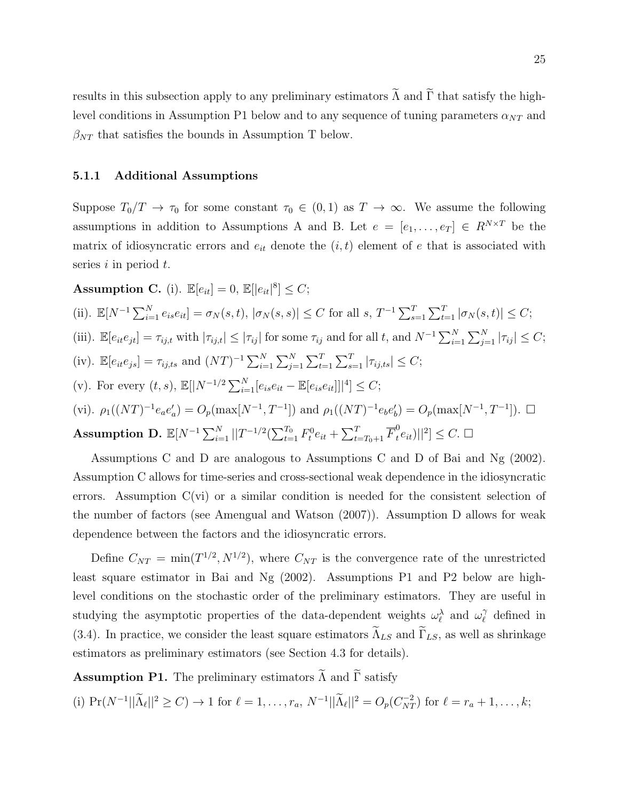results in this subsection apply to any preliminary estimators  $\widetilde{\Lambda}$  and  $\widetilde{\Gamma}$  that satisfy the highlevel conditions in Assumption P1 below and to any sequence of tuning parameters  $\alpha_{NT}$  and  $\beta_{NT}$  that satisfies the bounds in Assumption T below.

#### 5.1.1 Additional Assumptions

Suppose  $T_0/T \to \tau_0$  for some constant  $\tau_0 \in (0,1)$  as  $T \to \infty$ . We assume the following assumptions in addition to Assumptions A and B. Let  $e = [e_1, \ldots, e_T] \in R^{N \times T}$  be the matrix of idiosyncratic errors and  $e_{it}$  denote the  $(i, t)$  element of e that is associated with series  $i$  in period  $t$ .

**Assumption C.** (i).  $\mathbb{E}[e_{it}] = 0$ ,  $\mathbb{E}[|e_{it}|^8] \leq C$ ;

(ii). 
$$
\mathbb{E}[N^{-1}\sum_{i=1}^{N} e_{is}e_{it}] = \sigma_N(s,t), |\sigma_N(s,s)| \leq C
$$
 for all  $s, T^{-1}\sum_{s=1}^{T}\sum_{t=1}^{T} |\sigma_N(s,t)| \leq C$ ;  
\n(iii).  $\mathbb{E}[e_{it}e_{jt}] = \tau_{ij,t}$  with  $|\tau_{ij,t}| \leq |\tau_{ij}|$  for some  $\tau_{ij}$  and for all  $t$ , and  $N^{-1}\sum_{i=1}^{N}\sum_{j=1}^{N}|\tau_{ij}| \leq C$ ;  
\n(iv).  $\mathbb{E}[e_{it}e_{js}] = \tau_{ij,ts}$  and  $(NT)^{-1}\sum_{i=1}^{N}\sum_{j=1}^{N}\sum_{t=1}^{T}|\tau_{ij,ts}| \leq C$ ;  
\n(v). For every  $(t, s)$ ,  $\mathbb{E}[|N^{-1/2}\sum_{i=1}^{N}[e_{is}e_{it} - \mathbb{E}[e_{is}e_{it}]]|^{4}] \leq C$ ;  
\n(vi).  $\rho_1((NT)^{-1}e_{a}e'_{a}) = O_p(\max[N^{-1}, T^{-1}])$  and  $\rho_1((NT)^{-1}e_{b}e'_{b}) = O_p(\max[N^{-1}, T^{-1}])$ .  $\square$   
\n**Assumption D.**  $\mathbb{E}[N^{-1}\sum_{i=1}^{N}||T^{-1/2}(\sum_{t=1}^{T_0}F_t^0e_{it} + \sum_{t=T_0+1}^{T}\overline{F}_t^0e_{it})||^{2}] \leq C$ .  $\square$ 

Assumptions C and D are analogous to Assumptions C and D of Bai and Ng (2002). Assumption C allows for time-series and cross-sectional weak dependence in the idiosyncratic errors. Assumption  $C(vi)$  or a similar condition is needed for the consistent selection of the number of factors (see Amengual and Watson (2007)). Assumption D allows for weak dependence between the factors and the idiosyncratic errors.

Define  $C_{NT} = \min(T^{1/2}, N^{1/2})$ , where  $C_{NT}$  is the convergence rate of the unrestricted least square estimator in Bai and Ng (2002). Assumptions P1 and P2 below are highlevel conditions on the stochastic order of the preliminary estimators. They are useful in studying the asymptotic properties of the data-dependent weights  $\omega_{\ell}^{\lambda}$  and  $\omega_{\ell}^{\gamma}$  $\ell$ <sup> $\gamma$ </sup> defined in (3.4). In practice, we consider the least square estimators  $\tilde{\Lambda}_{LS}$  and  $\tilde{\Gamma}_{LS}$ , as well as shrinkage estimators as preliminary estimators (see Section 4.3 for details).

**Assumption P1.** The preliminary estimators  $\widetilde{\Lambda}$  and  $\widetilde{\Gamma}$  satisfy

(i)  $Pr(N^{-1}||\tilde{\Lambda}_{\ell}||^2 \ge C) \to 1$  for  $\ell = 1, ..., r_a, N^{-1}||\tilde{\Lambda}_{\ell}||^2 = O_p(C_{NT}^{-2})$  for  $\ell = r_a + 1, ..., k;$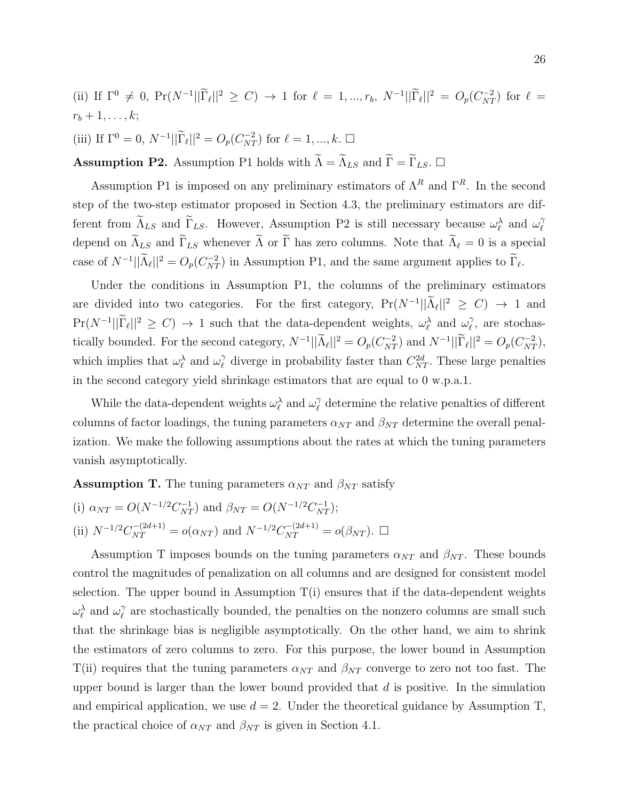(ii) If  $\Gamma^0 \neq 0$ ,  $\Pr(N^{-1}||\tilde{\Gamma}_{\ell}||^2 \geq C) \rightarrow 1$  for  $\ell = 1, ..., r_b$ ,  $N^{-1}||\tilde{\Gamma}_{\ell}||^2 = O_p(C_{NT}^{-2})$  for  $\ell =$  $r_b+1,\ldots,k;$ (iii) If  $\Gamma^0 = 0$ ,  $N^{-1} ||\widetilde{\Gamma}_{\ell}||^2 = O_p(C_{NT}^{-2})$  for  $\ell = 1, ..., k$ .  $\Box$ 

**Assumption P2.** Assumption P1 holds with  $\widetilde{\Lambda} = \widetilde{\Lambda}_{LS}$  and  $\widetilde{\Gamma} = \widetilde{\Gamma}_{LS}$ .

Assumption P1 is imposed on any preliminary estimators of  $\Lambda^R$  and  $\Gamma^R$ . In the second step of the two-step estimator proposed in Section 4.3, the preliminary estimators are different from  $\widetilde{\Lambda}_{LS}$  and  $\widetilde{\Gamma}_{LS}$ . However, Assumption P2 is still necessary because  $\omega_{\ell}^{\lambda}$  and  $\omega_{\ell}^{\gamma}$  $\ell$ depend on  $\widetilde{\Lambda}_{LS}$  and  $\widetilde{\Gamma}_{LS}$  whenever  $\widetilde{\Lambda}$  or  $\widetilde{\Gamma}$  has zero columns. Note that  $\widetilde{\Lambda}_{\ell} = 0$  is a special case of  $N^{-1}||\tilde{\Lambda}_{\ell}||^2 = O_p(C_{NT}^{-2})$  in Assumption P1, and the same argument applies to  $\tilde{\Gamma}_{\ell}$ .

Under the conditions in Assumption P1, the columns of the preliminary estimators are divided into two categories. For the first category,  $Pr(N^{-1}||\tilde{\Lambda}_{\ell}||^2 \geq C) \rightarrow 1$  and  $Pr(N^{-1}||\widetilde{\Gamma}_{\ell}||^2 \geq C) \rightarrow 1$  such that the data-dependent weights,  $\omega_{\ell}^{\lambda}$  and  $\omega_{\ell}^{\gamma}$  $\gamma$ , are stochastically bounded. For the second category,  $N^{-1} || \tilde{\Lambda}_{\ell} ||^2 = O_p(C_{NT}^{-2})$  and  $N^{-1} || \tilde{\Gamma}_{\ell} ||^2 = O_p(C_{NT}^{-2})$ , which implies that  $\omega_{\ell}^{\lambda}$  and  $\omega_{\ell}^{\gamma}$  $\ell$  diverge in probability faster than  $C_{NT}^{2d}$ . These large penalties in the second category yield shrinkage estimators that are equal to 0 w.p.a.1.

While the data-dependent weights  $\omega_{\ell}^{\lambda}$  and  $\omega_{\ell}^{\gamma}$  $\hat{l}$  determine the relative penalties of different columns of factor loadings, the tuning parameters  $\alpha_{NT}$  and  $\beta_{NT}$  determine the overall penalization. We make the following assumptions about the rates at which the tuning parameters vanish asymptotically.

**Assumption T.** The tuning parameters  $\alpha_{NT}$  and  $\beta_{NT}$  satisfy

(i) 
$$
\alpha_{NT} = O(N^{-1/2}C_{NT}^{-1})
$$
 and  $\beta_{NT} = O(N^{-1/2}C_{NT}^{-1})$ ;  
\n(ii)  $N^{-1/2}C_{NT}^{-(2d+1)} = o(\alpha_{NT})$  and  $N^{-1/2}C_{NT}^{-(2d+1)} = o(\beta_{NT})$ .  $\Box$ 

Assumption T imposes bounds on the tuning parameters  $\alpha_{NT}$  and  $\beta_{NT}$ . These bounds control the magnitudes of penalization on all columns and are designed for consistent model selection. The upper bound in Assumption  $T(i)$  ensures that if the data-dependent weights  $\omega_{\ell}^{\lambda}$  and  $\omega_{\ell}^{\gamma}$  $\hat{l}$  are stochastically bounded, the penalties on the nonzero columns are small such that the shrinkage bias is negligible asymptotically. On the other hand, we aim to shrink the estimators of zero columns to zero. For this purpose, the lower bound in Assumption T(ii) requires that the tuning parameters  $\alpha_{NT}$  and  $\beta_{NT}$  converge to zero not too fast. The upper bound is larger than the lower bound provided that  $d$  is positive. In the simulation and empirical application, we use  $d = 2$ . Under the theoretical guidance by Assumption T, the practical choice of  $\alpha_{NT}$  and  $\beta_{NT}$  is given in Section 4.1.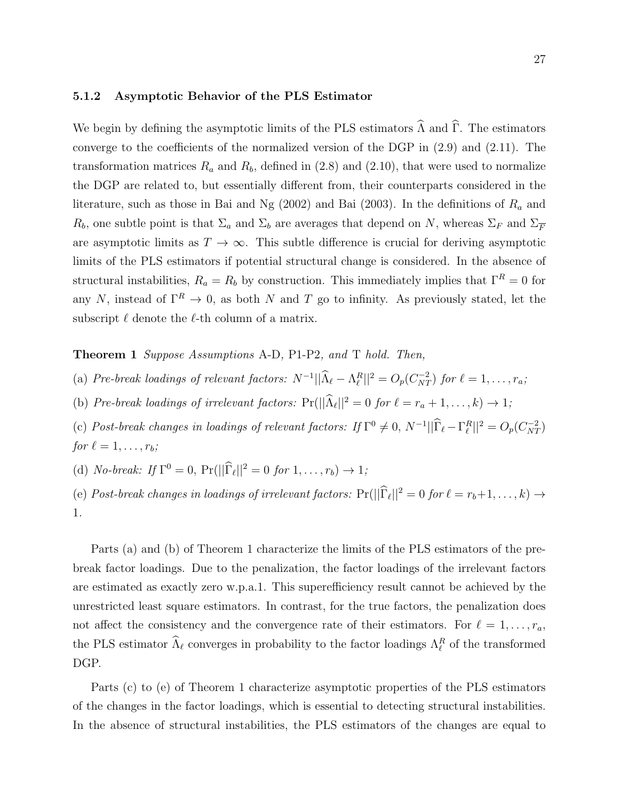#### 5.1.2 Asymptotic Behavior of the PLS Estimator

We begin by defining the asymptotic limits of the PLS estimators  $\widehat{\Lambda}$  and  $\widehat{\Gamma}$ . The estimators converge to the coefficients of the normalized version of the DGP in (2.9) and (2.11). The transformation matrices  $R_a$  and  $R_b$ , defined in (2.8) and (2.10), that were used to normalize the DGP are related to, but essentially different from, their counterparts considered in the literature, such as those in Bai and Ng  $(2002)$  and Bai  $(2003)$ . In the definitions of  $R_a$  and  $R_b$ , one subtle point is that  $\Sigma_a$  and  $\Sigma_b$  are averages that depend on N, whereas  $\Sigma_F$  and  $\Sigma_F$ are asymptotic limits as  $T \to \infty$ . This subtle difference is crucial for deriving asymptotic limits of the PLS estimators if potential structural change is considered. In the absence of structural instabilities,  $R_a = R_b$  by construction. This immediately implies that  $\Gamma^R = 0$  for any N, instead of  $\Gamma^R \to 0$ , as both N and T go to infinity. As previously stated, let the subscript  $\ell$  denote the  $\ell\text{-th}$  column of a matrix.

Theorem 1 Suppose Assumptions A-D, P1-P2, and T hold. Then,

- (a) Pre-break loadings of relevant factors:  $N^{-1} || \widehat{\Lambda}_{\ell} \Lambda_{\ell}^{R} ||^2 = O_p(C_{NT}^{-2})$  for  $\ell = 1, \ldots, r_a$ ;
- (b) Pre-break loadings of irrelevant factors:  $Pr(||\hat{\Lambda}_{\ell}||^2 = 0$  for  $\ell = r_a + 1, ..., k) \rightarrow 1;$
- (c) Post-break changes in loadings of relevant factors: If  $\Gamma^0 \neq 0$ ,  $N^{-1} || \widehat{\Gamma}_{\ell} \Gamma_{\ell}^R ||^2 = O_p(C_{NT}^{-2})$ for  $\ell = 1, \ldots, r_b;$
- (d) *No-break:* If  $\Gamma^0 = 0$ ,  $\Pr(||\hat{\Gamma}_{\ell}||^2 = 0$  for  $1, ..., r_b) \to 1$ ;

(e) Post-break changes in loadings of irrelevant factors:  $Pr(||\hat{\Gamma}_{\ell}||^2 = 0$  for  $\ell = r_b+1, \ldots, k) \rightarrow$ 1.

Parts (a) and (b) of Theorem 1 characterize the limits of the PLS estimators of the prebreak factor loadings. Due to the penalization, the factor loadings of the irrelevant factors are estimated as exactly zero w.p.a.1. This superefficiency result cannot be achieved by the unrestricted least square estimators. In contrast, for the true factors, the penalization does not affect the consistency and the convergence rate of their estimators. For  $\ell = 1, \ldots, r_a$ , the PLS estimator  $\widehat{\Lambda}_{\ell}$  converges in probability to the factor loadings  $\Lambda_{\ell}^R$  of the transformed DGP.

Parts (c) to (e) of Theorem 1 characterize asymptotic properties of the PLS estimators of the changes in the factor loadings, which is essential to detecting structural instabilities. In the absence of structural instabilities, the PLS estimators of the changes are equal to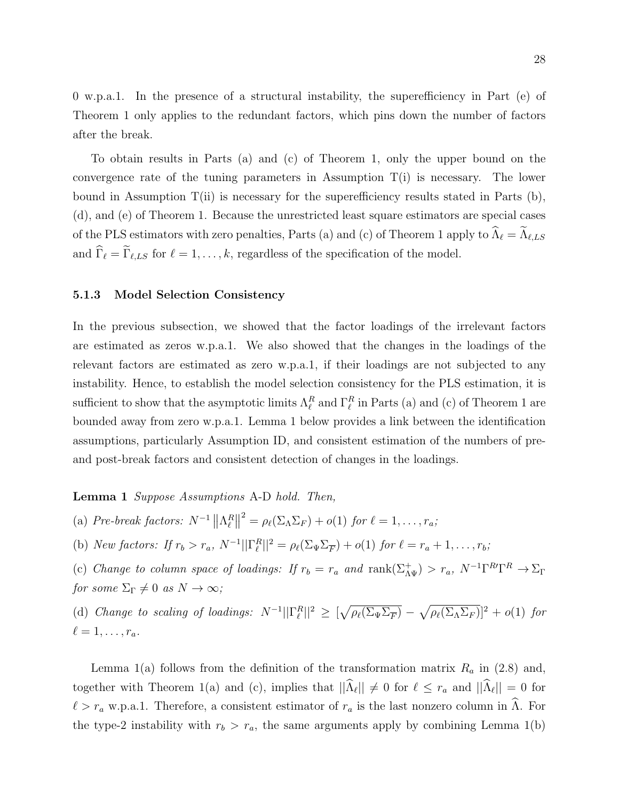0 w.p.a.1. In the presence of a structural instability, the superefficiency in Part (e) of Theorem 1 only applies to the redundant factors, which pins down the number of factors after the break.

To obtain results in Parts (a) and (c) of Theorem 1, only the upper bound on the convergence rate of the tuning parameters in Assumption  $T(i)$  is necessary. The lower bound in Assumption  $T(i)$  is necessary for the superefficiency results stated in Parts (b), (d), and (e) of Theorem 1. Because the unrestricted least square estimators are special cases of the PLS estimators with zero penalties, Parts (a) and (c) of Theorem 1 apply to  $\widehat{\Lambda}_\ell = \widetilde{\Lambda}_{\ell,LS}$ and  $\widehat{\Gamma}_{\ell} = \widetilde{\Gamma}_{\ell,LS}$  for  $\ell = 1, \ldots, k$ , regardless of the specification of the model.

#### 5.1.3 Model Selection Consistency

In the previous subsection, we showed that the factor loadings of the irrelevant factors are estimated as zeros w.p.a.1. We also showed that the changes in the loadings of the relevant factors are estimated as zero w.p.a.1, if their loadings are not subjected to any instability. Hence, to establish the model selection consistency for the PLS estimation, it is sufficient to show that the asymptotic limits  $\Lambda_{\ell}^R$  and  $\Gamma_{\ell}^R$  in Parts (a) and (c) of Theorem 1 are bounded away from zero w.p.a.1. Lemma 1 below provides a link between the identification assumptions, particularly Assumption ID, and consistent estimation of the numbers of preand post-break factors and consistent detection of changes in the loadings.

#### Lemma 1 Suppose Assumptions A-D hold. Then,

(a) Pre-break factors:  $N^{-1} \|\Lambda_{\ell}^R\|$  $2^2 = \rho_\ell(\Sigma_\Lambda \Sigma_F) + o(1)$  for  $\ell = 1, \ldots, r_a;$ 

(b) New factors: If  $r_b > r_a$ ,  $N^{-1} || \Gamma_{\ell}^R ||^2 = \rho_{\ell} (\Sigma_{\Psi} \Sigma_{\overline{F}}) + o(1)$  for  $\ell = r_a + 1, \ldots, r_b$ ;

(c) Change to column space of loadings: If  $r_b = r_a$  and  $\text{rank}(\Sigma_{\Lambda\Psi}^+) > r_a$ ,  $N^{-1}\Gamma^{R}\Gamma^R \to \Sigma_{\Gamma}$ for some  $\Sigma_{\Gamma} \neq 0$  as  $N \to \infty$ ;

(d) Change to scaling of loadings:  $N^{-1}||\Gamma_{\ell}^{R}||^2 \geq \left[\sqrt{\rho_{\ell}(\Sigma_{\Psi}\Sigma_{\overline{F}})} - \sqrt{\rho_{\ell}(\Sigma_{\Lambda}\Sigma_{F})}\right]^2 + o(1)$  for  $\ell = 1, \ldots, r_a.$ 

Lemma 1(a) follows from the definition of the transformation matrix  $R_a$  in (2.8) and, together with Theorem 1(a) and (c), implies that  $||\Lambda_{\ell}|| \neq 0$  for  $\ell \leq r_a$  and  $||\Lambda_{\ell}|| = 0$  for  $\ell > r_a$  w.p.a.1. Therefore, a consistent estimator of  $r_a$  is the last nonzero column in  $\Lambda$ . For the type-2 instability with  $r_b > r_a$ , the same arguments apply by combining Lemma 1(b)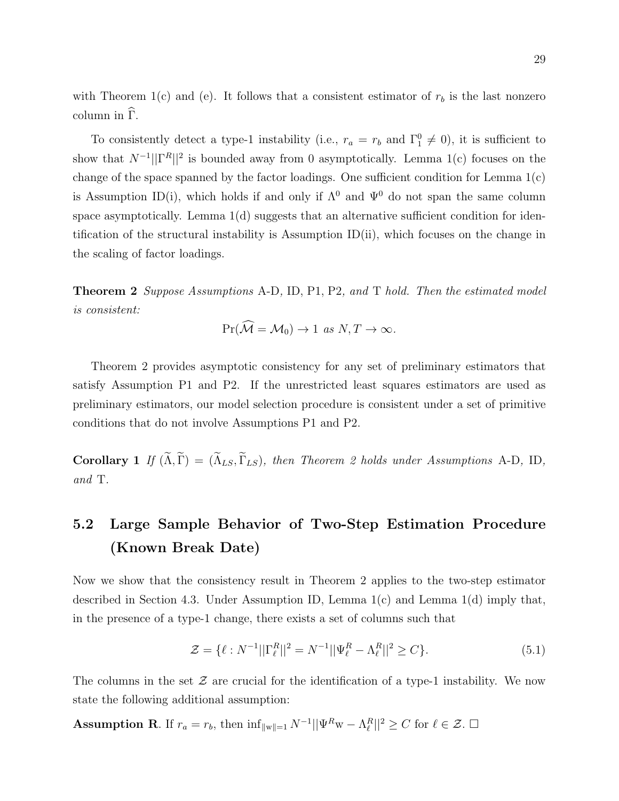with Theorem 1(c) and (e). It follows that a consistent estimator of  $r_b$  is the last nonzero column in  $\Gamma$ .

To consistently detect a type-1 instability (i.e.,  $r_a = r_b$  and  $\Gamma_1^0 \neq 0$ ), it is sufficient to show that  $N^{-1} \|\Gamma^R\|^2$  is bounded away from 0 asymptotically. Lemma 1(c) focuses on the change of the space spanned by the factor loadings. One sufficient condition for Lemma  $1(c)$ is Assumption ID(i), which holds if and only if  $\Lambda^0$  and  $\Psi^0$  do not span the same column space asymptotically. Lemma  $1(d)$  suggests that an alternative sufficient condition for identification of the structural instability is Assumption  $ID(ii)$ , which focuses on the change in the scaling of factor loadings.

**Theorem 2** Suppose Assumptions A-D, ID, P1, P2, and T hold. Then the estimated model is consistent:

$$
\Pr(\mathcal{M} = \mathcal{M}_0) \to 1 \text{ as } N, T \to \infty.
$$

Theorem 2 provides asymptotic consistency for any set of preliminary estimators that satisfy Assumption P1 and P2. If the unrestricted least squares estimators are used as preliminary estimators, our model selection procedure is consistent under a set of primitive conditions that do not involve Assumptions P1 and P2.

Corollary 1 If  $(\widetilde{\Lambda}, \widetilde{\Gamma}) = (\widetilde{\Lambda}_{LS}, \widetilde{\Gamma}_{LS})$ , then Theorem 2 holds under Assumptions A-D, ID, and T.

# 5.2 Large Sample Behavior of Two-Step Estimation Procedure (Known Break Date)

Now we show that the consistency result in Theorem 2 applies to the two-step estimator described in Section 4.3. Under Assumption ID, Lemma 1(c) and Lemma 1(d) imply that, in the presence of a type-1 change, there exists a set of columns such that

$$
\mathcal{Z} = \{ \ell : N^{-1} || \Gamma_{\ell}^{R} ||^2 = N^{-1} || \Psi_{\ell}^{R} - \Lambda_{\ell}^{R} ||^2 \ge C \}.
$$
\n(5.1)

The columns in the set  $\mathcal Z$  are crucial for the identification of a type-1 instability. We now state the following additional assumption:

**Assumption R**. If  $r_a = r_b$ , then  $\inf_{\|w\|=1} N^{-1} ||\Psi^R w - \Lambda_\ell^R ||^2 \ge C$  for  $\ell \in \mathcal{Z}$ .  $\Box$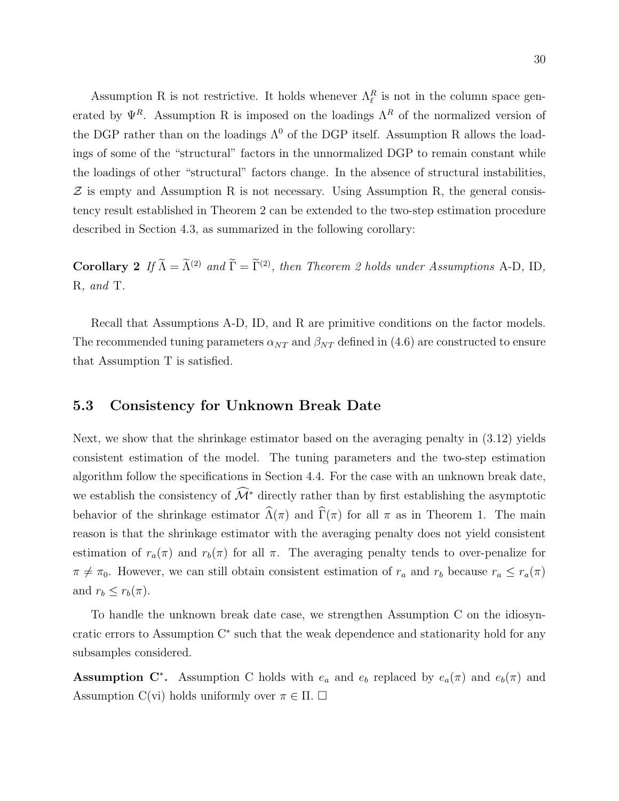Assumption R is not restrictive. It holds whenever  $\Lambda_{\ell}^{R}$  is not in the column space generated by  $\Psi^R$ . Assumption R is imposed on the loadings  $\Lambda^R$  of the normalized version of the DGP rather than on the loadings  $\Lambda^0$  of the DGP itself. Assumption R allows the loadings of some of the "structural" factors in the unnormalized DGP to remain constant while the loadings of other "structural" factors change. In the absence of structural instabilities,  $Z$  is empty and Assumption R is not necessary. Using Assumption R, the general consistency result established in Theorem 2 can be extended to the two-step estimation procedure described in Section 4.3, as summarized in the following corollary:

**Corollary 2** If  $\widetilde{\Lambda} = \widetilde{\Lambda}^{(2)}$  and  $\widetilde{\Gamma} = \widetilde{\Gamma}^{(2)}$ , then Theorem 2 holds under Assumptions A-D, ID, R, and T.

Recall that Assumptions A-D, ID, and R are primitive conditions on the factor models. The recommended tuning parameters  $\alpha_{NT}$  and  $\beta_{NT}$  defined in (4.6) are constructed to ensure that Assumption T is satisfied.

### 5.3 Consistency for Unknown Break Date

Next, we show that the shrinkage estimator based on the averaging penalty in (3.12) yields consistent estimation of the model. The tuning parameters and the two-step estimation algorithm follow the specifications in Section 4.4. For the case with an unknown break date, we establish the consistency of  $\widehat{\mathcal{M}}^*$  directly rather than by first establishing the asymptotic behavior of the shrinkage estimator  $\widehat{\Lambda}(\pi)$  and  $\widehat{\Gamma}(\pi)$  for all  $\pi$  as in Theorem 1. The main reason is that the shrinkage estimator with the averaging penalty does not yield consistent estimation of  $r_a(\pi)$  and  $r_b(\pi)$  for all  $\pi$ . The averaging penalty tends to over-penalize for  $\pi \neq \pi_0$ . However, we can still obtain consistent estimation of  $r_a$  and  $r_b$  because  $r_a \leq r_a(\pi)$ and  $r_b \leq r_b(\pi)$ .

To handle the unknown break date case, we strengthen Assumption C on the idiosyncratic errors to Assumption C<sup>∗</sup> such that the weak dependence and stationarity hold for any subsamples considered.

Assumption C<sup>\*</sup>. Assumption C holds with  $e_a$  and  $e_b$  replaced by  $e_a(\pi)$  and  $e_b(\pi)$  and Assumption C(vi) holds uniformly over  $\pi \in \Pi$ .  $\Box$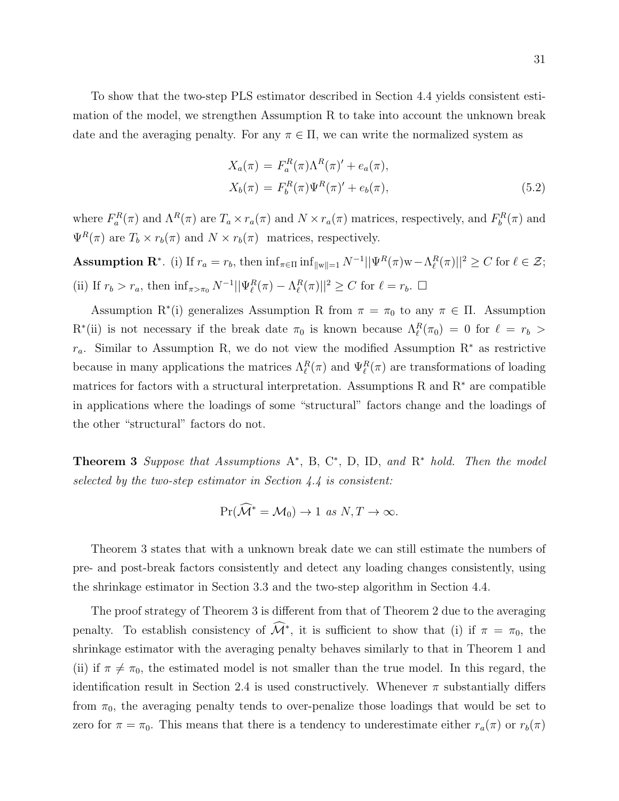To show that the two-step PLS estimator described in Section 4.4 yields consistent estimation of the model, we strengthen Assumption R to take into account the unknown break date and the averaging penalty. For any  $\pi \in \Pi$ , we can write the normalized system as

$$
X_a(\pi) = F_a^R(\pi) \Lambda^R(\pi)' + e_a(\pi),
$$
  
\n
$$
X_b(\pi) = F_b^R(\pi) \Psi^R(\pi)' + e_b(\pi),
$$
\n(5.2)

where  $F_a^R(\pi)$  and  $\Lambda^R(\pi)$  are  $T_a \times r_a(\pi)$  and  $N \times r_a(\pi)$  matrices, respectively, and  $F_b^R(\pi)$  and  $\Psi^R(\pi)$  are  $T_b \times r_b(\pi)$  and  $N \times r_b(\pi)$  matrices, respectively.

**Assumption R<sup>\*</sup>**. (i) If  $r_a = r_b$ , then  $\inf_{\pi \in \Pi} \inf_{\|w\|=1} N^{-1} ||\Psi^R(\pi)w - \Lambda^R_{\ell}(\pi)||^2 \ge C$  for  $\ell \in \mathcal{Z}$ ; (ii) If  $r_b > r_a$ , then  $\inf_{\pi > \pi_0} N^{-1} ||\Psi_{\ell}^R(\pi) - \Lambda_{\ell}^R(\pi)||^2 \ge C$  for  $\ell = r_b$ .  $\Box$ 

Assumption R<sup>∗</sup>(i) generalizes Assumption R from  $\pi = \pi_0$  to any  $\pi \in \Pi$ . Assumption R<sup>\*</sup>(ii) is not necessary if the break date  $\pi_0$  is known because  $\Lambda_{\ell}^R(\pi_0) = 0$  for  $\ell = r_b >$  $r_a$ . Similar to Assumption R, we do not view the modified Assumption R<sup>∗</sup> as restrictive because in many applications the matrices  $\Lambda_{\ell}^R(\pi)$  and  $\Psi_{\ell}^R(\pi)$  are transformations of loading matrices for factors with a structural interpretation. Assumptions R and  $R^*$  are compatible in applications where the loadings of some "structural" factors change and the loadings of the other "structural" factors do not.

**Theorem 3** Suppose that Assumptions  $A^*$ , B, C<sup>\*</sup>, D, ID, and  $R^*$  hold. Then the model selected by the two-step estimator in Section 4.4 is consistent:

$$
\Pr(\widehat{\mathcal{M}}^* = \mathcal{M}_0) \to 1 \text{ as } N, T \to \infty.
$$

Theorem 3 states that with a unknown break date we can still estimate the numbers of pre- and post-break factors consistently and detect any loading changes consistently, using the shrinkage estimator in Section 3.3 and the two-step algorithm in Section 4.4.

The proof strategy of Theorem 3 is different from that of Theorem 2 due to the averaging penalty. To establish consistency of  $\widehat{\mathcal{M}}^*$ , it is sufficient to show that (i) if  $\pi = \pi_0$ , the shrinkage estimator with the averaging penalty behaves similarly to that in Theorem 1 and (ii) if  $\pi \neq \pi_0$ , the estimated model is not smaller than the true model. In this regard, the identification result in Section 2.4 is used constructively. Whenever  $\pi$  substantially differs from  $\pi_0$ , the averaging penalty tends to over-penalize those loadings that would be set to zero for  $\pi = \pi_0$ . This means that there is a tendency to underestimate either  $r_a(\pi)$  or  $r_b(\pi)$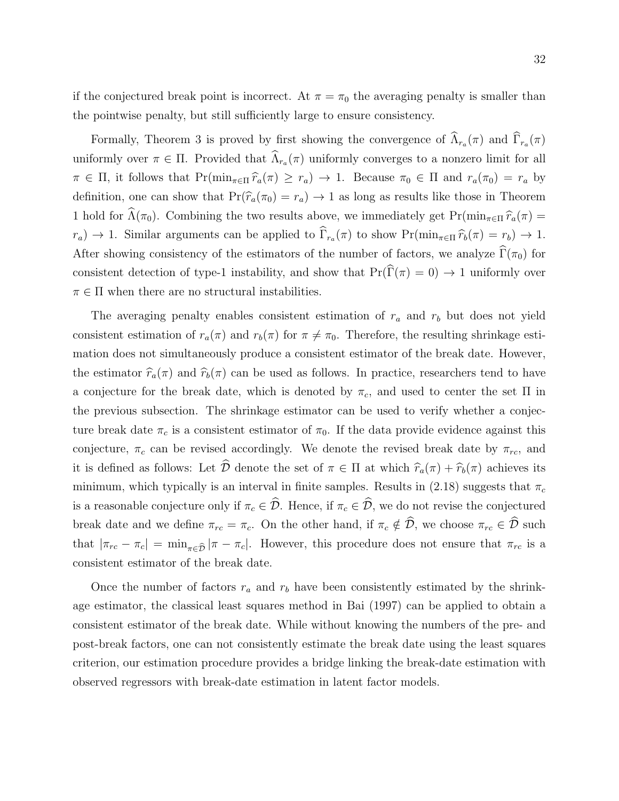if the conjectured break point is incorrect. At  $\pi = \pi_0$  the averaging penalty is smaller than the pointwise penalty, but still sufficiently large to ensure consistency.

Formally, Theorem 3 is proved by first showing the convergence of  $\Lambda_{r_a}(\pi)$  and  $\Gamma_{r_a}(\pi)$ uniformly over  $\pi \in \Pi$ . Provided that  $\Lambda_{r_a}(\pi)$  uniformly converges to a nonzero limit for all  $\pi \in \Pi$ , it follows that  $Pr(\min_{\pi \in \Pi} \hat{r}_a(\pi) \geq r_a) \to 1$ . Because  $\pi_0 \in \Pi$  and  $r_a(\pi_0) = r_a$  by definition, one can show that  $Pr(\hat{r}_a(\pi_0) = r_a) \rightarrow 1$  as long as results like those in Theorem 1 hold for  $\widehat{\Lambda}(\pi_0)$ . Combining the two results above, we immediately get Pr(min<sub>π∈Π</sub> $\widehat{r}_a(\pi)$  =  $(r_a) \to 1$ . Similar arguments can be applied to  $\Gamma_{r_a}(\pi)$  to show  $\Pr(\min_{\pi \in \Pi} \widehat{r}_b(\pi) = r_b) \to 1$ . After showing consistency of the estimators of the number of factors, we analyze  $\widehat{\Gamma}(\pi_0)$  for consistent detection of type-1 instability, and show that  $Pr(\widehat{\Gamma}(\pi) = 0) \rightarrow 1$  uniformly over  $\pi \in \Pi$  when there are no structural instabilities.

The averaging penalty enables consistent estimation of  $r_a$  and  $r_b$  but does not yield consistent estimation of  $r_a(\pi)$  and  $r_b(\pi)$  for  $\pi \neq \pi_0$ . Therefore, the resulting shrinkage estimation does not simultaneously produce a consistent estimator of the break date. However, the estimator  $\hat{r}_a(\pi)$  and  $\hat{r}_b(\pi)$  can be used as follows. In practice, researchers tend to have a conjecture for the break date, which is denoted by  $\pi_c$ , and used to center the set  $\Pi$  in the previous subsection. The shrinkage estimator can be used to verify whether a conjecture break date  $\pi_c$  is a consistent estimator of  $\pi_0$ . If the data provide evidence against this conjecture,  $\pi_c$  can be revised accordingly. We denote the revised break date by  $\pi_{rc}$ , and it is defined as follows: Let  $\hat{\mathcal{D}}$  denote the set of  $\pi \in \Pi$  at which  $\hat{r}_a(\pi) + \hat{r}_b(\pi)$  achieves its minimum, which typically is an interval in finite samples. Results in (2.18) suggests that  $\pi_c$ is a reasonable conjecture only if  $\pi_c \in \widehat{\mathcal{D}}$ . Hence, if  $\pi_c \in \widehat{\mathcal{D}}$ , we do not revise the conjectured break date and we define  $\pi_{rc} = \pi_c$ . On the other hand, if  $\pi_c \notin \widehat{\mathcal{D}}$ , we choose  $\pi_{rc} \in \widehat{\mathcal{D}}$  such that  $|\pi_{rc} - \pi_c| = \min_{\pi \in \hat{\mathcal{D}}} |\pi - \pi_c|$ . However, this procedure does not ensure that  $\pi_{rc}$  is a consistent estimator of the break date.

Once the number of factors  $r_a$  and  $r_b$  have been consistently estimated by the shrinkage estimator, the classical least squares method in Bai (1997) can be applied to obtain a consistent estimator of the break date. While without knowing the numbers of the pre- and post-break factors, one can not consistently estimate the break date using the least squares criterion, our estimation procedure provides a bridge linking the break-date estimation with observed regressors with break-date estimation in latent factor models.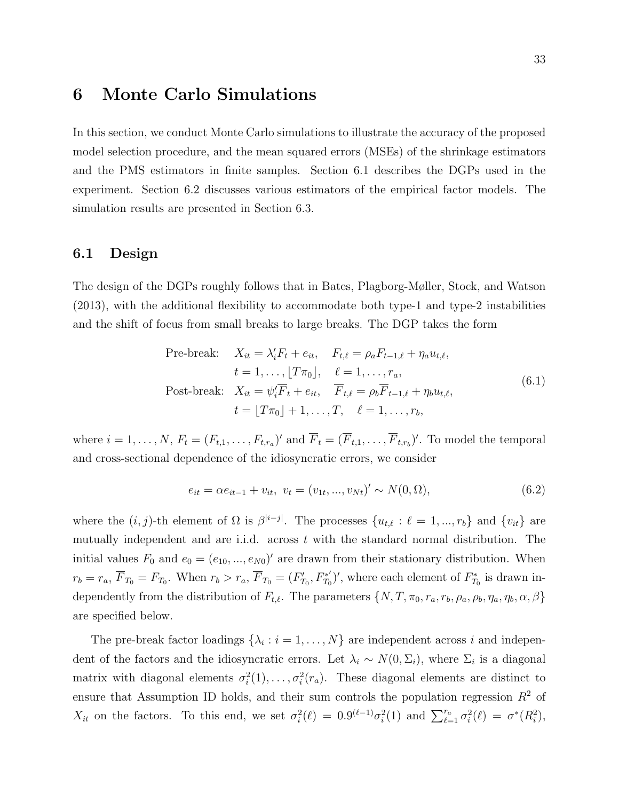# 6 Monte Carlo Simulations

In this section, we conduct Monte Carlo simulations to illustrate the accuracy of the proposed model selection procedure, and the mean squared errors (MSEs) of the shrinkage estimators and the PMS estimators in finite samples. Section 6.1 describes the DGPs used in the experiment. Section 6.2 discusses various estimators of the empirical factor models. The simulation results are presented in Section 6.3.

#### 6.1 Design

The design of the DGPs roughly follows that in Bates, Plagborg-Møller, Stock, and Watson (2013), with the additional flexibility to accommodate both type-1 and type-2 instabilities and the shift of focus from small breaks to large breaks. The DGP takes the form

Pre-breaking: 
$$
X_{it} = \lambda'_i F_t + e_{it}, \quad F_{t,\ell} = \rho_a F_{t-1,\ell} + \eta_a u_{t,\ell},
$$

$$
t = 1, \dots, \lfloor T \pi_0 \rfloor, \quad \ell = 1, \dots, r_a,
$$
Post-breaking: 
$$
X_{it} = \psi'_i \overline{F}_t + e_{it}, \quad \overline{F}_{t,\ell} = \rho_b \overline{F}_{t-1,\ell} + \eta_b u_{t,\ell},
$$

$$
t = \lfloor T \pi_0 \rfloor + 1, \dots, T, \quad \ell = 1, \dots, r_b,
$$
(6.1)

where  $i = 1, \ldots, N$ ,  $F_t = (F_{t,1}, \ldots, F_{t,r_a})'$  and  $\overline{F}_t = (\overline{F}_{t,1}, \ldots, \overline{F}_{t,r_b})'$ . To model the temporal and cross-sectional dependence of the idiosyncratic errors, we consider

$$
e_{it} = \alpha e_{it-1} + v_{it}, \ v_t = (v_{1t}, ..., v_{Nt})' \sim N(0, \Omega), \tag{6.2}
$$

where the  $(i, j)$ -th element of  $\Omega$  is  $\beta^{|i-j|}$ . The processes  $\{u_{t,\ell} : \ell = 1, ..., r_b\}$  and  $\{v_{it}\}$  are mutually independent and are i.i.d. across  $t$  with the standard normal distribution. The initial values  $F_0$  and  $e_0 = (e_{10}, ..., e_{N0})'$  are drawn from their stationary distribution. When  $r_b = r_a, \overline{F}_{T_0} = F_{T_0}.$  When  $r_b > r_a, \overline{F}_{T_0} = (F'_{T_0}, F^{*'}_{T_0})$  $(T_{T_0}^{*'})'$ , where each element of  $F_{T_0}^*$  is drawn independently from the distribution of  $F_{t,\ell}$ . The parameters  $\{N, T, \pi_0, r_a, r_b, \rho_a, \rho_b, \eta_a, \eta_b, \alpha, \beta\}$ are specified below.

The pre-break factor loadings  $\{\lambda_i : i = 1, ..., N\}$  are independent across i and independent of the factors and the idiosyncratic errors. Let  $\lambda_i \sim N(0, \Sigma_i)$ , where  $\Sigma_i$  is a diagonal matrix with diagonal elements  $\sigma_i^2(1), \ldots, \sigma_i^2(r_a)$ . These diagonal elements are distinct to ensure that Assumption ID holds, and their sum controls the population regression  $R^2$  of  $X_{it}$  on the factors. To this end, we set  $\sigma_i^2(\ell) = 0.9^{(\ell-1)}\sigma_i^2(1)$  and  $\sum_{\ell=1}^{r_a} \sigma_i^2(\ell) = \sigma^*(R_i^2)$ ,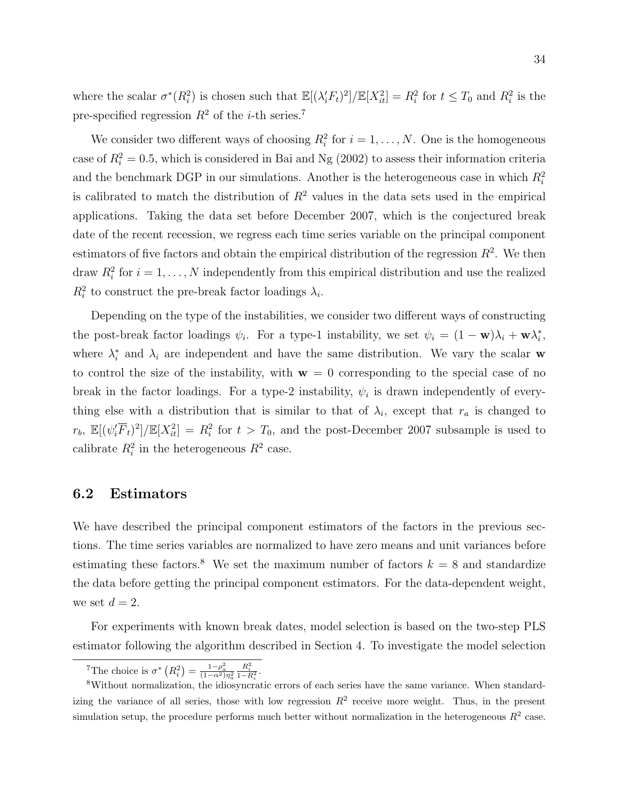where the scalar  $\sigma^*(R_i^2)$  is chosen such that  $\mathbb{E}[(\lambda_i' F_t)^2]/\mathbb{E}[X_{it}^2] = R_i^2$  for  $t \leq T_0$  and  $R_i^2$  is the pre-specified regression  $R^2$  of the *i*-th series.<sup>7</sup>

We consider two different ways of choosing  $R_i^2$  for  $i = 1, ..., N$ . One is the homogeneous case of  $R_i^2 = 0.5$ , which is considered in Bai and Ng (2002) to assess their information criteria and the benchmark DGP in our simulations. Another is the heterogeneous case in which  $R_i^2$ is calibrated to match the distribution of  $R<sup>2</sup>$  values in the data sets used in the empirical applications. Taking the data set before December 2007, which is the conjectured break date of the recent recession, we regress each time series variable on the principal component estimators of five factors and obtain the empirical distribution of the regression  $R^2$ . We then draw  $R_i^2$  for  $i = 1, ..., N$  independently from this empirical distribution and use the realized  $R_i^2$  to construct the pre-break factor loadings  $\lambda_i$ .

Depending on the type of the instabilities, we consider two different ways of constructing the post-break factor loadings  $\psi_i$ . For a type-1 instability, we set  $\psi_i = (1 - \mathbf{w})\lambda_i + \mathbf{w}\lambda_i^*$ , where  $\lambda_i^*$  and  $\lambda_i$  are independent and have the same distribution. We vary the scalar w to control the size of the instability, with  $w = 0$  corresponding to the special case of no break in the factor loadings. For a type-2 instability,  $\psi_i$  is drawn independently of everything else with a distribution that is similar to that of  $\lambda_i$ , except that  $r_a$  is changed to  $r_b$ ,  $\mathbb{E}[(\psi_i' \overline{F}_t)^2]/\mathbb{E}[X_{it}^2] = R_i^2$  for  $t > T_0$ , and the post-December 2007 subsample is used to calibrate  $R_i^2$  in the heterogeneous  $R^2$  case.

#### 6.2 Estimators

We have described the principal component estimators of the factors in the previous sections. The time series variables are normalized to have zero means and unit variances before estimating these factors.<sup>8</sup> We set the maximum number of factors  $k = 8$  and standardize the data before getting the principal component estimators. For the data-dependent weight, we set  $d=2$ .

For experiments with known break dates, model selection is based on the two-step PLS estimator following the algorithm described in Section 4. To investigate the model selection

<sup>&</sup>lt;sup>7</sup>The choice is  $\sigma^* (R_i^2) = \frac{1-\rho_a^2}{(1-\alpha^2)\eta_a^2}$  $\frac{R_i^2}{1-R_i^2}.$ 

<sup>8</sup>Without normalization, the idiosyncratic errors of each series have the same variance. When standardizing the variance of all series, those with low regression  $R^2$  receive more weight. Thus, in the present simulation setup, the procedure performs much better without normalization in the heterogeneous  $R^2$  case.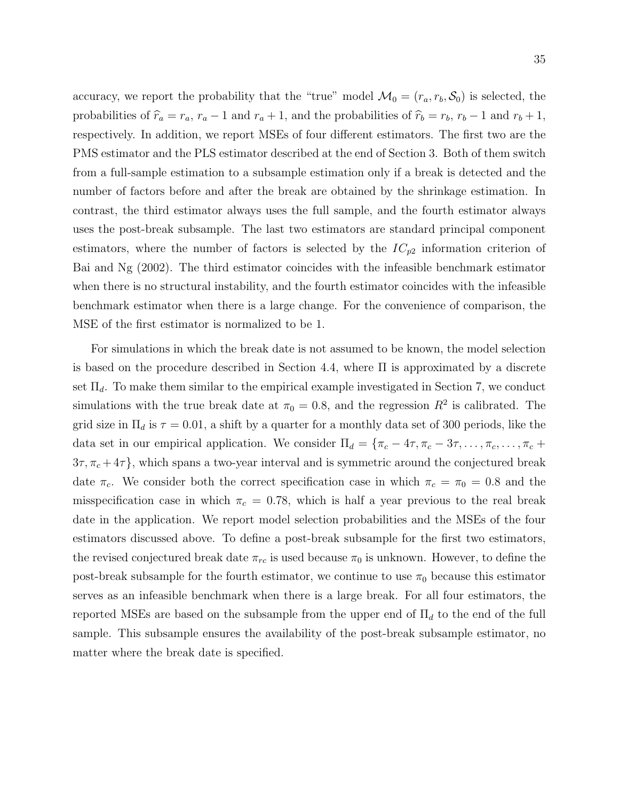accuracy, we report the probability that the "true" model  $\mathcal{M}_0 = (r_a, r_b, \mathcal{S}_0)$  is selected, the probabilities of  $\hat{r}_a = r_a$ ,  $r_a - 1$  and  $r_a + 1$ , and the probabilities of  $\hat{r}_b = r_b$ ,  $r_b - 1$  and  $r_b + 1$ , respectively. In addition, we report MSEs of four different estimators. The first two are the PMS estimator and the PLS estimator described at the end of Section 3. Both of them switch from a full-sample estimation to a subsample estimation only if a break is detected and the number of factors before and after the break are obtained by the shrinkage estimation. In contrast, the third estimator always uses the full sample, and the fourth estimator always uses the post-break subsample. The last two estimators are standard principal component estimators, where the number of factors is selected by the  $IC_{p2}$  information criterion of Bai and Ng (2002). The third estimator coincides with the infeasible benchmark estimator when there is no structural instability, and the fourth estimator coincides with the infeasible benchmark estimator when there is a large change. For the convenience of comparison, the MSE of the first estimator is normalized to be 1.

For simulations in which the break date is not assumed to be known, the model selection is based on the procedure described in Section 4.4, where Π is approximated by a discrete set  $\Pi_d$ . To make them similar to the empirical example investigated in Section 7, we conduct simulations with the true break date at  $\pi_0 = 0.8$ , and the regression  $R^2$  is calibrated. The grid size in  $\Pi_d$  is  $\tau = 0.01$ , a shift by a quarter for a monthly data set of 300 periods, like the data set in our empirical application. We consider  $\Pi_d = \{\pi_c - 4\tau, \pi_c - 3\tau, \ldots, \pi_c, \ldots, \pi_c +$  $3\tau, \pi_c + 4\tau$ , which spans a two-year interval and is symmetric around the conjectured break date  $\pi_c$ . We consider both the correct specification case in which  $\pi_c = \pi_0 = 0.8$  and the misspecification case in which  $\pi_c = 0.78$ , which is half a year previous to the real break date in the application. We report model selection probabilities and the MSEs of the four estimators discussed above. To define a post-break subsample for the first two estimators, the revised conjectured break date  $\pi_{rc}$  is used because  $\pi_0$  is unknown. However, to define the post-break subsample for the fourth estimator, we continue to use  $\pi_0$  because this estimator serves as an infeasible benchmark when there is a large break. For all four estimators, the reported MSEs are based on the subsample from the upper end of  $\Pi_d$  to the end of the full sample. This subsample ensures the availability of the post-break subsample estimator, no matter where the break date is specified.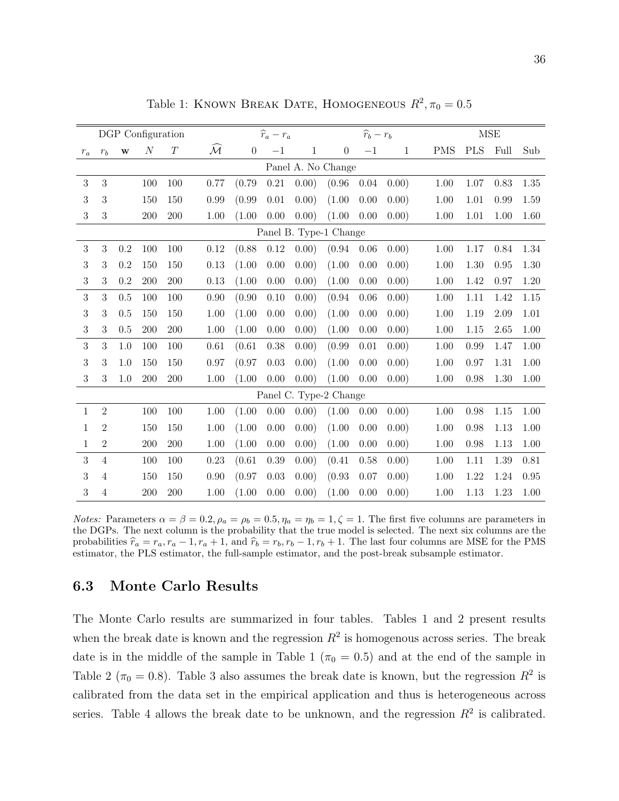|              |                |              | DGP Configuration |          |                         |                  | $\widehat{r}_a-r_a$ |              |                        | $\widehat{r}_b-r_b$ |              |            |            | <b>MSE</b> |      |
|--------------|----------------|--------------|-------------------|----------|-------------------------|------------------|---------------------|--------------|------------------------|---------------------|--------------|------------|------------|------------|------|
| $r_a$        | $r_b$          | $\mathbf{W}$ | $\mathcal N$      | $\cal T$ | $\widehat{\mathcal{M}}$ | $\boldsymbol{0}$ | $-1$                | $\mathbf{1}$ | $\overline{0}$         | $-1$                | $\mathbf{1}$ | <b>PMS</b> | <b>PLS</b> | Full       | Sub  |
|              |                |              |                   |          |                         |                  |                     |              | Panel A. No Change     |                     |              |            |            |            |      |
| 3            | 3              |              | 100               | 100      | 0.77                    | (0.79)           | 0.21                | (0.00)       | (0.96)                 | 0.04                | 0.00)        | 1.00       | 1.07       | 0.83       | 1.35 |
| 3            | 3              |              | 150               | 150      | 0.99                    | (0.99)           | 0.01                | 0.00)        | (1.00)                 | 0.00                | 0.00)        | 1.00       | 1.01       | 0.99       | 1.59 |
| 3            | 3              |              | 200               | 200      | 1.00                    | (1.00)           | 0.00                | 0.00)        | (1.00)                 | 0.00                | 0.00)        | 1.00       | 1.01       | 1.00       | 1.60 |
|              |                |              |                   |          |                         |                  |                     |              | Panel B. Type-1 Change |                     |              |            |            |            |      |
| 3            | 3              | 0.2          | 100               | 100      | 0.12                    | (0.88)           | 0.12                | (0.00)       | (0.94)                 | 0.06                | 0.00)        | 1.00       | 1.17       | 0.84       | 1.34 |
| 3            | 3              | 0.2          | 150               | 150      | 0.13                    | (1.00)           | 0.00                | 0.00)        | (1.00)                 | 0.00                | 0.00)        | 1.00       | 1.30       | 0.95       | 1.30 |
| 3            | 3              | 0.2          | 200               | 200      | 0.13                    | (1.00)           | 0.00                | 0.00)        | (1.00)                 | 0.00                | 0.00)        | 1.00       | 1.42       | 0.97       | 1.20 |
| 3            | 3              | 0.5          | 100               | 100      | 0.90                    | (0.90)           | 0.10                | 0.00)        | (0.94)                 | 0.06                | 0.00)        | 1.00       | 1.11       | 1.42       | 1.15 |
| 3            | 3              | 0.5          | 150               | 150      | 1.00                    | (1.00)           | 0.00                | 0.00)        | (1.00)                 | 0.00                | 0.00)        | 1.00       | 1.19       | 2.09       | 1.01 |
| 3            | 3              | 0.5          | 200               | 200      | 1.00                    | (1.00)           | 0.00                | 0.00)        | (1.00)                 | 0.00                | 0.00)        | 1.00       | 1.15       | 2.65       | 1.00 |
| 3            | 3              | 1.0          | 100               | 100      | 0.61                    | (0.61)           | 0.38                | 0.00)        | (0.99)                 | 0.01                | 0.00)        | 1.00       | 0.99       | 1.47       | 1.00 |
| 3            | 3              | 1.0          | 150               | 150      | 0.97                    | (0.97)           | 0.03                | 0.00)        | (1.00)                 | 0.00                | 0.00)        | 1.00       | 0.97       | 1.31       | 1.00 |
| 3            | 3              | 1.0          | 200               | 200      | 1.00                    | (1.00)           | 0.00                | 0.00)        | (1.00)                 | 0.00                | 0.00)        | 1.00       | 0.98       | 1.30       | 1.00 |
|              |                |              |                   |          |                         |                  |                     |              | Panel C. Type-2 Change |                     |              |            |            |            |      |
| $\mathbf{1}$ | $\overline{2}$ |              | 100               | 100      | 1.00                    | (1.00)           | 0.00                | 0.00)        | (1.00)                 | 0.00                | 0.00)        | 1.00       | 0.98       | 1.15       | 1.00 |
| 1            | $\overline{2}$ |              | 150               | 150      | 1.00                    | (1.00)           | 0.00                | 0.00)        | (1.00)                 | 0.00                | 0.00)        | 1.00       | 0.98       | 1.13       | 1.00 |
| 1            | $\overline{2}$ |              | 200               | 200      | 1.00                    | (1.00)           | 0.00                | 0.00)        | (1.00)                 | 0.00                | 0.00)        | 1.00       | 0.98       | 1.13       | 1.00 |
| 3            | $\overline{4}$ |              | 100               | 100      | 0.23                    | (0.61)           | 0.39                | 0.00)        | (0.41)                 | 0.58                | 0.00)        | 1.00       | 1.11       | 1.39       | 0.81 |
| 3            | $\overline{4}$ |              | 150               | 150      | 0.90                    | (0.97)           | 0.03                | 0.00)        | (0.93)                 | 0.07                | 0.00)        | 1.00       | 1.22       | 1.24       | 0.95 |
| 3            | $\overline{4}$ |              | 200               | 200      | 1.00                    | (1.00)           | 0.00                | 0.00)        | (1.00)                 | 0.00                | 0.00)        | 1.00       | 1.13       | 1.23       | 1.00 |

Table 1: KNOWN BREAK DATE, HOMOGENEOUS  $R^2$ ,  $\pi_0 = 0.5$ 

Notes: Parameters  $\alpha = \beta = 0.2$ ,  $\rho_a = \rho_b = 0.5$ ,  $\eta_a = \eta_b = 1$ ,  $\zeta = 1$ . The first five columns are parameters in the DGPs. The next column is the probability that the true model is selected. The next six columns are the probabilities  $\hat{r}_a = r_a, r_a - 1, r_a + 1$ , and  $\hat{r}_b = r_b, r_b - 1, r_b + 1$ . The last four columns are MSE for the PMS estimator, the PLS estimator, the full-sample estimator, and the post-break subsample estimator.

#### 6.3 Monte Carlo Results

The Monte Carlo results are summarized in four tables. Tables 1 and 2 present results when the break date is known and the regression  $R^2$  is homogenous across series. The break date is in the middle of the sample in Table 1 ( $\pi$ <sub>0</sub> = 0.5) and at the end of the sample in Table 2 ( $\pi_0 = 0.8$ ). Table 3 also assumes the break date is known, but the regression  $R^2$  is calibrated from the data set in the empirical application and thus is heterogeneous across series. Table 4 allows the break date to be unknown, and the regression  $R^2$  is calibrated.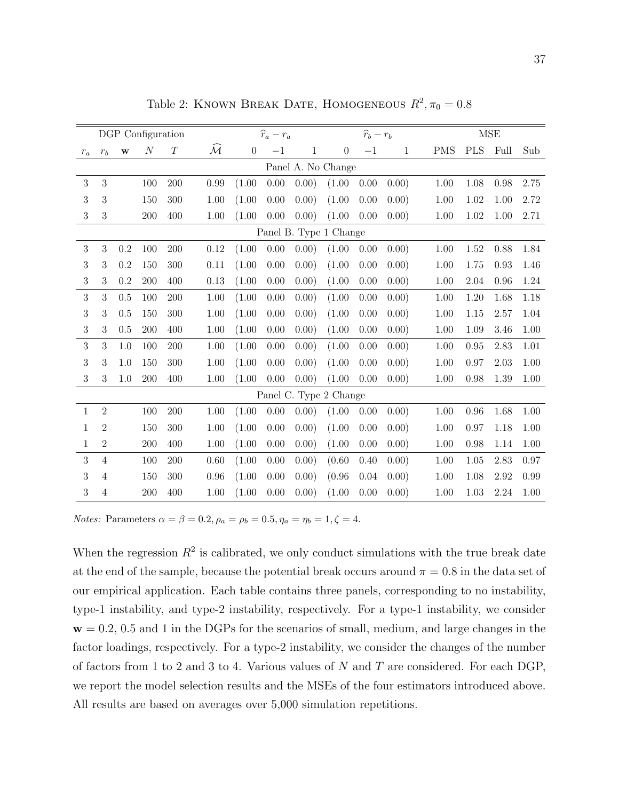|                  |                |          | DGP Configuration |          |                         |                | $\widehat{r}_a-r_a$ |              |                        | $\widehat{r}_b-r_b$ |       |            |            | <b>MSE</b> |      |
|------------------|----------------|----------|-------------------|----------|-------------------------|----------------|---------------------|--------------|------------------------|---------------------|-------|------------|------------|------------|------|
| $r_a$            | $r_b$          | $\bf{W}$ | $\cal N$          | $\cal T$ | $\widehat{\mathcal{M}}$ | $\overline{0}$ | $-1$                | $\mathbf{1}$ | $\overline{0}$         | $-1$                | 1     | <b>PMS</b> | <b>PLS</b> | Full       | Sub  |
|                  |                |          |                   |          |                         |                |                     |              | Panel A. No Change     |                     |       |            |            |            |      |
| 3                | 3              |          | 100               | 200      | 0.99                    | (1.00)         | 0.00                | (0.00)       | (1.00)                 | 0.00                | 0.00) | 1.00       | 1.08       | 0.98       | 2.75 |
| 3                | 3              |          | 150               | 300      | 1.00                    | (1.00)         | 0.00                | 0.00)        | (1.00)                 | 0.00                | 0.00) | 1.00       | 1.02       | 1.00       | 2.72 |
| 3                | 3              |          | 200               | 400      | 1.00                    | (1.00)         | 0.00                | 0.00)        | (1.00)                 | 0.00                | 0.00) | 1.00       | 1.02       | 1.00       | 2.71 |
|                  |                |          |                   |          |                         |                |                     |              | Panel B. Type 1 Change |                     |       |            |            |            |      |
| 3                | 3              | 0.2      | 100               | 200      | 0.12                    | (1.00)         | 0.00                | 0.00)        | (1.00)                 | 0.00                | 0.00) | 1.00       | 1.52       | 0.88       | 1.84 |
| $\boldsymbol{3}$ | 3              | 0.2      | 150               | 300      | 0.11                    | (1.00)         | 0.00                | 0.00)        | (1.00)                 | 0.00                | 0.00) | 1.00       | 1.75       | 0.93       | 1.46 |
| 3                | 3              | 0.2      | 200               | 400      | 0.13                    | (1.00)         | 0.00                | 0.00)        | (1.00)                 | 0.00                | 0.00) | 1.00       | 2.04       | 0.96       | 1.24 |
| 3                | 3              | 0.5      | 100               | 200      | 1.00                    | (1.00)         | 0.00                | 0.00)        | (1.00)                 | 0.00                | 0.00) | 1.00       | 1.20       | 1.68       | 1.18 |
| 3                | 3              | 0.5      | 150               | 300      | 1.00                    | (1.00)         | 0.00                | 0.00)        | (1.00)                 | 0.00                | 0.00) | 1.00       | 1.15       | 2.57       | 1.04 |
| 3                | 3              | 0.5      | 200               | 400      | 1.00                    | (1.00)         | 0.00                | 0.00)        | (1.00)                 | 0.00                | 0.00) | 1.00       | 1.09       | 3.46       | 1.00 |
| 3                | 3              | 1.0      | 100               | 200      | 1.00                    | (1.00)         | 0.00                | 0.00)        | (1.00)                 | 0.00                | 0.00) | 1.00       | 0.95       | 2.83       | 1.01 |
| 3                | 3              | 1.0      | 150               | 300      | 1.00                    | (1.00)         | 0.00                | 0.00)        | (1.00)                 | 0.00                | 0.00) | 1.00       | 0.97       | 2.03       | 1.00 |
| 3                | 3              | 1.0      | 200               | 400      | 1.00                    | (1.00)         | 0.00                | 0.00)        | (1.00)                 | 0.00                | 0.00) | 1.00       | 0.98       | 1.39       | 1.00 |
|                  |                |          |                   |          |                         |                |                     |              | Panel C. Type 2 Change |                     |       |            |            |            |      |
| $\mathbf{1}$     | $\overline{2}$ |          | 100               | 200      | 1.00                    | (1.00)         | 0.00                | 0.00)        | (1.00)                 | 0.00                | 0.00) | 1.00       | 0.96       | 1.68       | 1.00 |
| 1                | $\overline{2}$ |          | 150               | 300      | 1.00                    | (1.00)         | 0.00                | 0.00)        | (1.00)                 | 0.00                | 0.00) | 1.00       | 0.97       | 1.18       | 1.00 |
| 1                | $\overline{2}$ |          | 200               | 400      | 1.00                    | (1.00)         | 0.00                | 0.00)        | (1.00)                 | 0.00                | 0.00) | 1.00       | 0.98       | 1.14       | 1.00 |
| 3                | $\overline{4}$ |          | 100               | 200      | 0.60                    | (1.00)         | 0.00                | 0.00)        | (0.60)                 | 0.40                | 0.00) | 1.00       | 1.05       | 2.83       | 0.97 |
| 3                | 4              |          | 150               | 300      | 0.96                    | (1.00)         | 0.00                | 0.00)        | (0.96)                 | 0.04                | 0.00) | 1.00       | 1.08       | 2.92       | 0.99 |
| 3                | 4              |          | 200               | 400      | 1.00                    | (1.00)         | 0.00                | 0.00)        | (1.00)                 | 0.00                | 0.00) | 1.00       | 1.03       | 2.24       | 1.00 |

Table 2: KNOWN BREAK DATE, HOMOGENEOUS  $R^2$ ,  $\pi_0 = 0.8$ 

Notes: Parameters  $\alpha = \beta = 0.2$ ,  $\rho_a = \rho_b = 0.5$ ,  $\eta_a = \eta_b = 1$ ,  $\zeta = 4$ .

When the regression  $R^2$  is calibrated, we only conduct simulations with the true break date at the end of the sample, because the potential break occurs around  $\pi = 0.8$  in the data set of our empirical application. Each table contains three panels, corresponding to no instability, type-1 instability, and type-2 instability, respectively. For a type-1 instability, we consider  $w = 0.2, 0.5$  and 1 in the DGPs for the scenarios of small, medium, and large changes in the factor loadings, respectively. For a type-2 instability, we consider the changes of the number of factors from 1 to 2 and 3 to 4. Various values of  $N$  and  $T$  are considered. For each DGP, we report the model selection results and the MSEs of the four estimators introduced above. All results are based on averages over 5,000 simulation repetitions.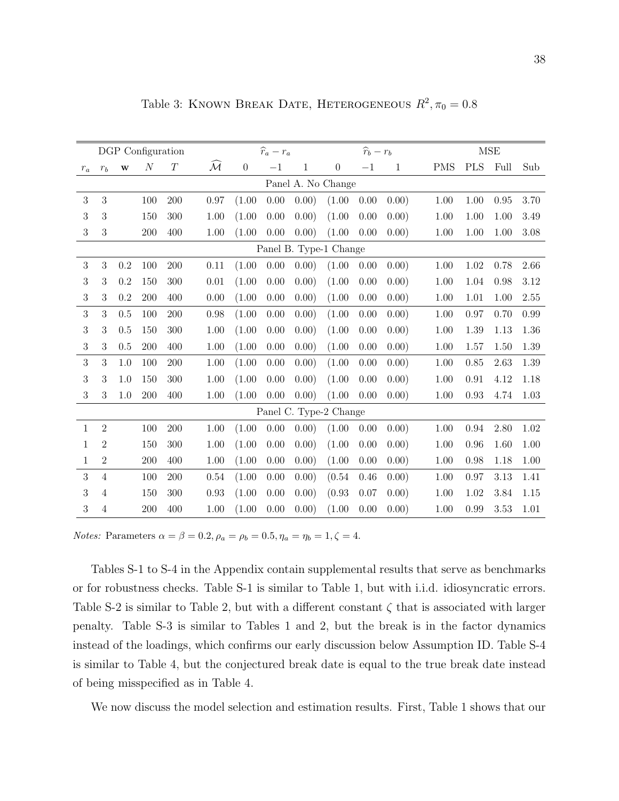|              |                |         | DGP Configuration |          |                     |                  | $\widehat{r}_a-r_a$ |              |                        | $\widehat{r}_b-r_b$ |              |            |            | <b>MSE</b> |      |
|--------------|----------------|---------|-------------------|----------|---------------------|------------------|---------------------|--------------|------------------------|---------------------|--------------|------------|------------|------------|------|
| $r_{a}$      | $r_b$          | $\bf w$ | $\cal N$          | $\cal T$ | $\mathcal{\bar{M}}$ | $\boldsymbol{0}$ | $-1$                | $\mathbf{1}$ | $\boldsymbol{0}$       | $-1$                | $\mathbf{1}$ | <b>PMS</b> | <b>PLS</b> | Full       | Sub  |
|              |                |         |                   |          |                     |                  |                     |              | Panel A. No Change     |                     |              |            |            |            |      |
| 3            | 3              |         | 100               | 200      | 0.97                | (1.00)           | 0.00                | 0.00)        | (1.00)                 | 0.00                | 0.00)        | 1.00       | 1.00       | 0.95       | 3.70 |
| 3            | $\sqrt{3}$     |         | 150               | 300      | 1.00                | (1.00)           | 0.00                | 0.00)        | (1.00)                 | 0.00                | 0.00)        | 1.00       | 1.00       | 1.00       | 3.49 |
| 3            | 3              |         | 200               | 400      | 1.00                | (1.00)           | 0.00                | 0.00)        | (1.00)                 | 0.00                | 0.00)        | 1.00       | 1.00       | 1.00       | 3.08 |
|              |                |         |                   |          |                     |                  |                     |              | Panel B. Type-1 Change |                     |              |            |            |            |      |
| 3            | 3              | 0.2     | 100               | 200      | 0.11                | (1.00)           | 0.00                | 0.00)        | (1.00)                 | 0.00                | 0.00)        | 1.00       | 1.02       | 0.78       | 2.66 |
| 3            | $\sqrt{3}$     | 0.2     | 150               | 300      | 0.01                | (1.00)           | 0.00                | 0.00)        | (1.00)                 | 0.00                | 0.00)        | 1.00       | 1.04       | 0.98       | 3.12 |
| 3            | 3              | 0.2     | 200               | 400      | 0.00                | (1.00)           | 0.00                | 0.00)        | (1.00)                 | 0.00                | 0.00)        | 1.00       | 1.01       | 1.00       | 2.55 |
| 3            | 3              | 0.5     | 100               | 200      | 0.98                | (1.00)           | 0.00                | 0.00)        | (1.00)                 | 0.00                | 0.00)        | 1.00       | 0.97       | 0.70       | 0.99 |
| 3            | 3              | 0.5     | 150               | 300      | 1.00                | (1.00)           | 0.00                | 0.00)        | (1.00)                 | 0.00                | 0.00)        | 1.00       | 1.39       | 1.13       | 1.36 |
| 3            | 3              | 0.5     | 200               | 400      | 1.00                | (1.00)           | 0.00                | 0.00)        | (1.00)                 | 0.00                | 0.00)        | 1.00       | 1.57       | 1.50       | 1.39 |
| 3            | 3              | 1.0     | 100               | 200      | 1.00                | (1.00)           | 0.00                | 0.00)        | (1.00)                 | 0.00                | 0.00)        | 1.00       | 0.85       | 2.63       | 1.39 |
| 3            | 3              | 1.0     | 150               | 300      | 1.00                | (1.00)           | 0.00                | 0.00)        | (1.00)                 | 0.00                | 0.00)        | 1.00       | 0.91       | 4.12       | 1.18 |
| 3            | 3              | 1.0     | 200               | 400      | 1.00                | (1.00)           | 0.00                | 0.00)        | (1.00)                 | 0.00                | 0.00)        | 1.00       | 0.93       | 4.74       | 1.03 |
|              |                |         |                   |          |                     |                  |                     |              | Panel C. Type-2 Change |                     |              |            |            |            |      |
| $\mathbf{1}$ | $\overline{2}$ |         | 100               | 200      | 1.00                | (1.00)           | 0.00                | 0.00)        | (1.00)                 | 0.00                | 0.00)        | 1.00       | 0.94       | 2.80       | 1.02 |
| 1            | $\overline{2}$ |         | 150               | 300      | 1.00                | (1.00)           | 0.00                | 0.00)        | (1.00)                 | 0.00                | 0.00)        | 1.00       | 0.96       | 1.60       | 1.00 |
| 1            | $\overline{2}$ |         | 200               | 400      | 1.00                | (1.00)           | 0.00                | 0.00)        | (1.00)                 | 0.00                | 0.00)        | 1.00       | 0.98       | 1.18       | 1.00 |
| 3            | $\overline{4}$ |         | 100               | 200      | 0.54                | (1.00)           | 0.00                | 0.00)        | (0.54)                 | 0.46                | 0.00)        | 1.00       | 0.97       | 3.13       | 1.41 |
| 3            | 4              |         | 150               | 300      | 0.93                | (1.00)           | 0.00                | 0.00)        | (0.93)                 | 0.07                | 0.00)        | 1.00       | 1.02       | 3.84       | 1.15 |
| 3            | $\overline{4}$ |         | 200               | 400      | 1.00                | (1.00)           | 0.00                | 0.00)        | (1.00)                 | 0.00                | 0.00)        | 1.00       | 0.99       | 3.53       | 1.01 |

Table 3: KNOWN BREAK DATE, HETEROGENEOUS  $R^2$ ,  $\pi_0 = 0.8$ 

Notes: Parameters  $\alpha = \beta = 0.2, \rho_a = \rho_b = 0.5, \eta_a = \eta_b = 1, \zeta = 4.$ 

Tables S-1 to S-4 in the Appendix contain supplemental results that serve as benchmarks or for robustness checks. Table S-1 is similar to Table 1, but with i.i.d. idiosyncratic errors. Table S-2 is similar to Table 2, but with a different constant  $\zeta$  that is associated with larger penalty. Table S-3 is similar to Tables 1 and 2, but the break is in the factor dynamics instead of the loadings, which confirms our early discussion below Assumption ID. Table S-4 is similar to Table 4, but the conjectured break date is equal to the true break date instead of being misspecified as in Table 4.

We now discuss the model selection and estimation results. First, Table 1 shows that our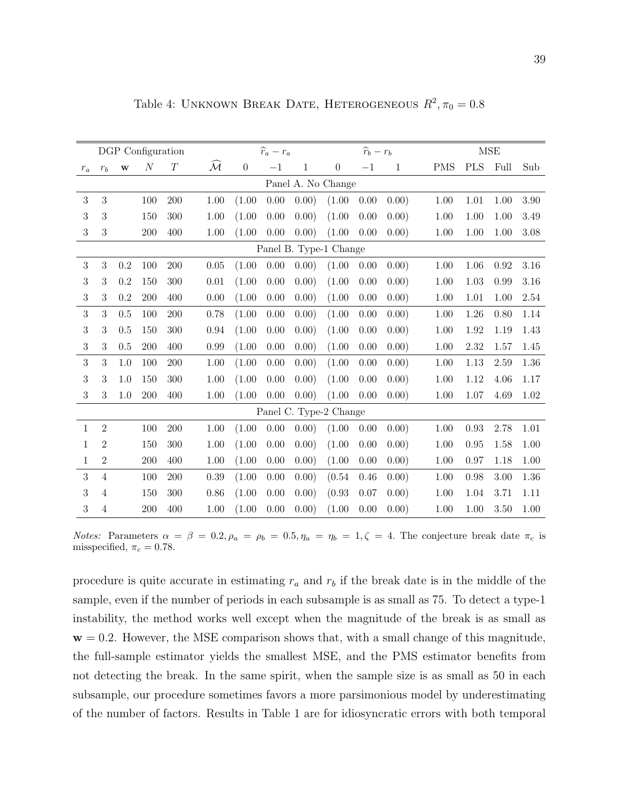|              |                  |              | DGP Configuration |          |                         |                | $\widehat{r}_a-r_a$ |              |                        | $\widehat{r}_b-r_b$ |              |            |            | <b>MSE</b> |      |
|--------------|------------------|--------------|-------------------|----------|-------------------------|----------------|---------------------|--------------|------------------------|---------------------|--------------|------------|------------|------------|------|
| $r_a$        | $r_b$            | $\mathbf{w}$ | $\cal N$          | $\cal T$ | $\widehat{\mathcal{M}}$ | $\overline{0}$ | $-1$                | $\mathbf{1}$ | $\boldsymbol{0}$       | $-1$                | $\mathbf{1}$ | <b>PMS</b> | $\rm{PLS}$ | Full       | Sub  |
|              |                  |              |                   |          |                         |                |                     |              | Panel A. No Change     |                     |              |            |            |            |      |
| $\sqrt{3}$   | $\mathbf{3}$     |              | 100               | 200      | 1.00                    | (1.00)         | 0.00                | 0.00)        | (1.00)                 | 0.00                | 0.00)        | 1.00       | 1.01       | 1.00       | 3.90 |
| 3            | $\boldsymbol{3}$ |              | 150               | 300      | 1.00                    | (1.00)         | 0.00                | 0.00)        | (1.00)                 | 0.00                | 0.00)        | 1.00       | 1.00       | 1.00       | 3.49 |
| 3            | 3                |              | 200               | 400      | 1.00                    | (1.00)         | 0.00                | 0.00)        | (1.00)                 | 0.00                | 0.00)        | 1.00       | 1.00       | 1.00       | 3.08 |
|              |                  |              |                   |          |                         |                |                     |              | Panel B. Type-1 Change |                     |              |            |            |            |      |
| $\sqrt{3}$   | 3                | 0.2          | 100               | 200      | 0.05                    | (1.00)         | 0.00                | 0.00)        | (1.00)                 | 0.00                | 0.00)        | 1.00       | 1.06       | 0.92       | 3.16 |
| 3            | $\boldsymbol{3}$ | 0.2          | 150               | 300      | 0.01                    | (1.00)         | 0.00                | 0.00)        | (1.00)                 | 0.00                | 0.00)        | 1.00       | 1.03       | 0.99       | 3.16 |
| 3            | 3                | 0.2          | 200               | 400      | 0.00                    | (1.00)         | 0.00                | 0.00)        | (1.00)                 | 0.00                | 0.00)        | 1.00       | 1.01       | 1.00       | 2.54 |
| 3            | 3                | 0.5          | 100               | 200      | 0.78                    | (1.00)         | 0.00                | 0.00)        | (1.00)                 | 0.00                | 0.00)        | 1.00       | 1.26       | 0.80       | 1.14 |
| 3            | 3                | 0.5          | 150               | 300      | 0.94                    | (1.00)         | 0.00                | 0.00)        | (1.00)                 | 0.00                | 0.00)        | 1.00       | 1.92       | 1.19       | 1.43 |
| 3            | 3                | 0.5          | 200               | 400      | 0.99                    | (1.00)         | 0.00                | 0.00)        | (1.00)                 | 0.00                | 0.00)        | 1.00       | 2.32       | 1.57       | 1.45 |
| 3            | 3                | 1.0          | 100               | 200      | 1.00                    | (1.00)         | 0.00                | 0.00)        | (1.00)                 | 0.00                | 0.00)        | 1.00       | 1.13       | 2.59       | 1.36 |
| 3            | 3                | 1.0          | 150               | 300      | 1.00                    | (1.00)         | 0.00                | 0.00)        | (1.00)                 | 0.00                | 0.00)        | 1.00       | 1.12       | 4.06       | 1.17 |
| 3            | 3                | 1.0          | 200               | 400      | 1.00                    | (1.00)         | 0.00                | 0.00)        | (1.00)                 | 0.00                | 0.00)        | 1.00       | 1.07       | 4.69       | 1.02 |
|              |                  |              |                   |          |                         |                |                     |              | Panel C. Type-2 Change |                     |              |            |            |            |      |
| $\mathbf{1}$ | $\overline{2}$   |              | 100               | 200      | 1.00                    | (1.00)         | 0.00                | 0.00)        | (1.00)                 | 0.00                | 0.00)        | 1.00       | 0.93       | 2.78       | 1.01 |
| 1            | $\overline{2}$   |              | 150               | 300      | 1.00                    | (1.00)         | 0.00                | 0.00)        | (1.00)                 | 0.00                | 0.00)        | 1.00       | 0.95       | 1.58       | 1.00 |
| 1            | $\overline{2}$   |              | 200               | 400      | 1.00                    | (1.00)         | 0.00                | 0.00)        | (1.00)                 | 0.00                | 0.00)        | 1.00       | 0.97       | 1.18       | 1.00 |
| 3            | $\overline{4}$   |              | 100               | 200      | 0.39                    | (1.00)         | 0.00                | 0.00)        | (0.54)                 | 0.46                | 0.00)        | 1.00       | 0.98       | 3.00       | 1.36 |
| 3            | $\overline{4}$   |              | 150               | 300      | 0.86                    | (1.00)         | 0.00                | 0.00)        | (0.93)                 | 0.07                | 0.00)        | 1.00       | 1.04       | 3.71       | 1.11 |
| 3            | $\overline{4}$   |              | 200               | 400      | 1.00                    | (1.00)         | 0.00                | 0.00)        | (1.00)                 | 0.00                | 0.00)        | 1.00       | 1.00       | 3.50       | 1.00 |

Table 4: UNKNOWN BREAK DATE, HETEROGENEOUS  $R^2$ ,  $\pi_0 = 0.8$ 

Notes: Parameters  $\alpha = \beta = 0.2$ ,  $\rho_a = \rho_b = 0.5$ ,  $\eta_a = \eta_b = 1$ ,  $\zeta = 4$ . The conjecture break date  $\pi_c$  is misspecified,  $\pi_c = 0.78$ .

procedure is quite accurate in estimating  $r_a$  and  $r_b$  if the break date is in the middle of the sample, even if the number of periods in each subsample is as small as 75. To detect a type-1 instability, the method works well except when the magnitude of the break is as small as  $\mathbf{w} = 0.2$ . However, the MSE comparison shows that, with a small change of this magnitude, the full-sample estimator yields the smallest MSE, and the PMS estimator benefits from not detecting the break. In the same spirit, when the sample size is as small as 50 in each subsample, our procedure sometimes favors a more parsimonious model by underestimating of the number of factors. Results in Table 1 are for idiosyncratic errors with both temporal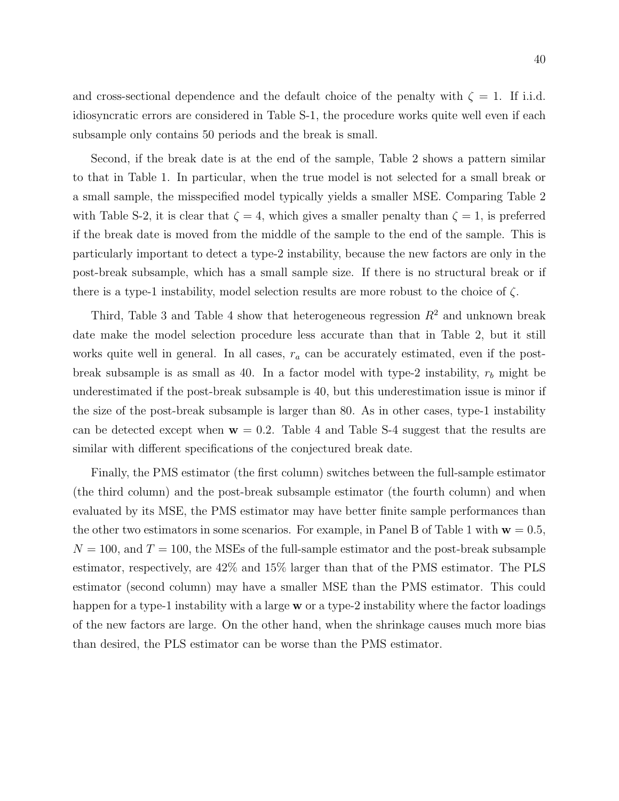and cross-sectional dependence and the default choice of the penalty with  $\zeta = 1$ . If i.i.d. idiosyncratic errors are considered in Table S-1, the procedure works quite well even if each subsample only contains 50 periods and the break is small.

Second, if the break date is at the end of the sample, Table 2 shows a pattern similar to that in Table 1. In particular, when the true model is not selected for a small break or a small sample, the misspecified model typically yields a smaller MSE. Comparing Table 2 with Table S-2, it is clear that  $\zeta = 4$ , which gives a smaller penalty than  $\zeta = 1$ , is preferred if the break date is moved from the middle of the sample to the end of the sample. This is particularly important to detect a type-2 instability, because the new factors are only in the post-break subsample, which has a small sample size. If there is no structural break or if there is a type-1 instability, model selection results are more robust to the choice of  $\zeta$ .

Third, Table 3 and Table 4 show that heterogeneous regression  $R^2$  and unknown break date make the model selection procedure less accurate than that in Table 2, but it still works quite well in general. In all cases,  $r_a$  can be accurately estimated, even if the postbreak subsample is as small as 40. In a factor model with type-2 instability,  $r_b$  might be underestimated if the post-break subsample is 40, but this underestimation issue is minor if the size of the post-break subsample is larger than 80. As in other cases, type-1 instability can be detected except when  $w = 0.2$ . Table 4 and Table S-4 suggest that the results are similar with different specifications of the conjectured break date.

Finally, the PMS estimator (the first column) switches between the full-sample estimator (the third column) and the post-break subsample estimator (the fourth column) and when evaluated by its MSE, the PMS estimator may have better finite sample performances than the other two estimators in some scenarios. For example, in Panel B of Table 1 with  $\mathbf{w} = 0.5$ ,  $N = 100$ , and  $T = 100$ , the MSEs of the full-sample estimator and the post-break subsample estimator, respectively, are 42% and 15% larger than that of the PMS estimator. The PLS estimator (second column) may have a smaller MSE than the PMS estimator. This could happen for a type-1 instability with a large  $w$  or a type-2 instability where the factor loadings of the new factors are large. On the other hand, when the shrinkage causes much more bias than desired, the PLS estimator can be worse than the PMS estimator.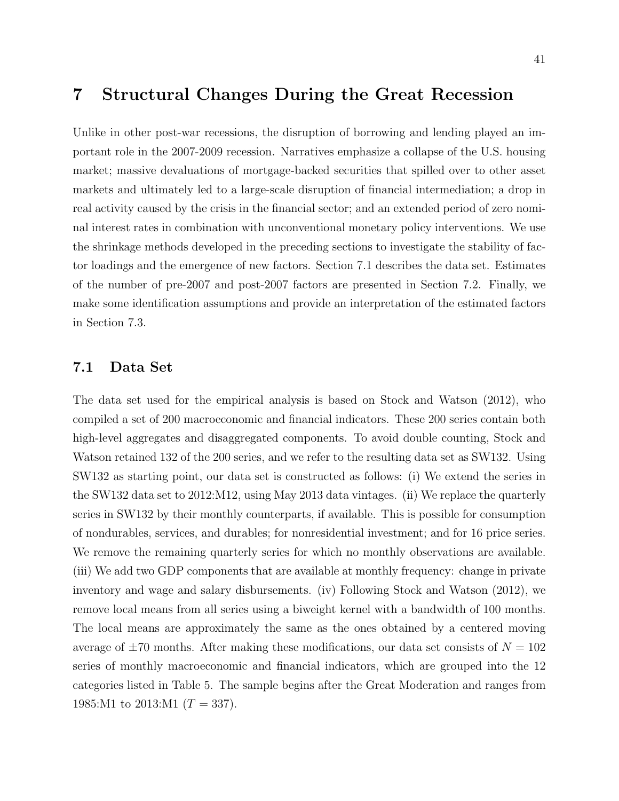### 7 Structural Changes During the Great Recession

Unlike in other post-war recessions, the disruption of borrowing and lending played an important role in the 2007-2009 recession. Narratives emphasize a collapse of the U.S. housing market; massive devaluations of mortgage-backed securities that spilled over to other asset markets and ultimately led to a large-scale disruption of financial intermediation; a drop in real activity caused by the crisis in the financial sector; and an extended period of zero nominal interest rates in combination with unconventional monetary policy interventions. We use the shrinkage methods developed in the preceding sections to investigate the stability of factor loadings and the emergence of new factors. Section 7.1 describes the data set. Estimates of the number of pre-2007 and post-2007 factors are presented in Section 7.2. Finally, we make some identification assumptions and provide an interpretation of the estimated factors in Section 7.3.

### 7.1 Data Set

The data set used for the empirical analysis is based on Stock and Watson (2012), who compiled a set of 200 macroeconomic and financial indicators. These 200 series contain both high-level aggregates and disaggregated components. To avoid double counting, Stock and Watson retained 132 of the 200 series, and we refer to the resulting data set as SW132. Using SW132 as starting point, our data set is constructed as follows: (i) We extend the series in the SW132 data set to 2012:M12, using May 2013 data vintages. (ii) We replace the quarterly series in SW132 by their monthly counterparts, if available. This is possible for consumption of nondurables, services, and durables; for nonresidential investment; and for 16 price series. We remove the remaining quarterly series for which no monthly observations are available. (iii) We add two GDP components that are available at monthly frequency: change in private inventory and wage and salary disbursements. (iv) Following Stock and Watson (2012), we remove local means from all series using a biweight kernel with a bandwidth of 100 months. The local means are approximately the same as the ones obtained by a centered moving average of  $\pm 70$  months. After making these modifications, our data set consists of  $N = 102$ series of monthly macroeconomic and financial indicators, which are grouped into the 12 categories listed in Table 5. The sample begins after the Great Moderation and ranges from 1985:M1 to 2013:M1  $(T = 337)$ .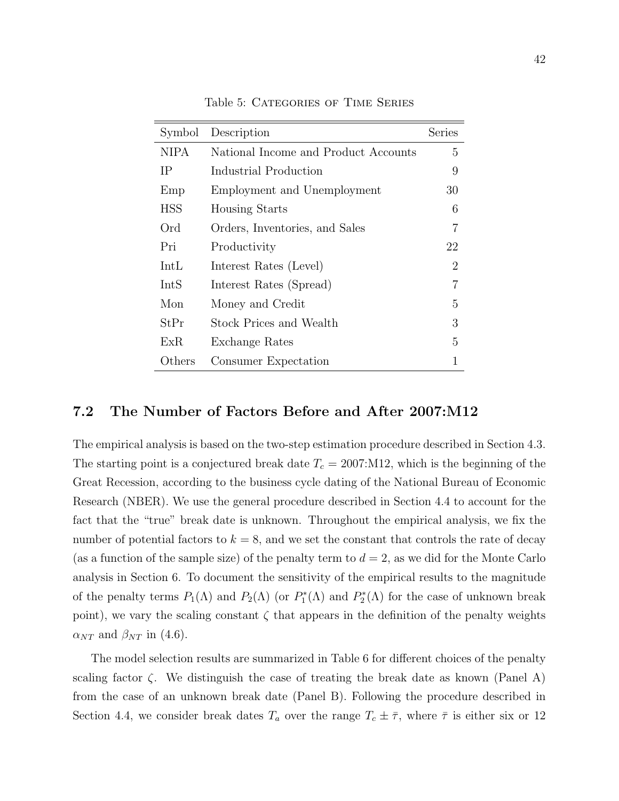| Symbol      | Description                          | Series |
|-------------|--------------------------------------|--------|
| <b>NIPA</b> | National Income and Product Accounts | 5      |
| IΡ          | Industrial Production                | 9      |
| Emp         | Employment and Unemployment          | 30     |
| <b>HSS</b>  | <b>Housing Starts</b>                | 6      |
| Ord         | Orders, Inventories, and Sales       | 7      |
| Pri         | Productivity                         | 22     |
| IntL        | Interest Rates (Level)               | 2      |
| IntS        | Interest Rates (Spread)              | 7      |
| Mon         | Money and Credit                     | 5      |
| StPr        | Stock Prices and Wealth              | 3      |
| ExR.        | Exchange Rates                       | 5      |
| Others      | Consumer Expectation                 | 1      |

Table 5: Categories of Time Series

#### 7.2 The Number of Factors Before and After 2007:M12

The empirical analysis is based on the two-step estimation procedure described in Section 4.3. The starting point is a conjectured break date  $T_c = 2007$ : M12, which is the beginning of the Great Recession, according to the business cycle dating of the National Bureau of Economic Research (NBER). We use the general procedure described in Section 4.4 to account for the fact that the "true" break date is unknown. Throughout the empirical analysis, we fix the number of potential factors to  $k = 8$ , and we set the constant that controls the rate of decay (as a function of the sample size) of the penalty term to  $d = 2$ , as we did for the Monte Carlo analysis in Section 6. To document the sensitivity of the empirical results to the magnitude of the penalty terms  $P_1(\Lambda)$  and  $P_2(\Lambda)$  (or  $P_1^*(\Lambda)$  and  $P_2^*(\Lambda)$  for the case of unknown break point), we vary the scaling constant  $\zeta$  that appears in the definition of the penalty weights  $\alpha_{NT}$  and  $\beta_{NT}$  in (4.6).

The model selection results are summarized in Table 6 for different choices of the penalty scaling factor  $\zeta$ . We distinguish the case of treating the break date as known (Panel A) from the case of an unknown break date (Panel B). Following the procedure described in Section 4.4, we consider break dates  $T_a$  over the range  $T_c \pm \bar{\tau}$ , where  $\bar{\tau}$  is either six or 12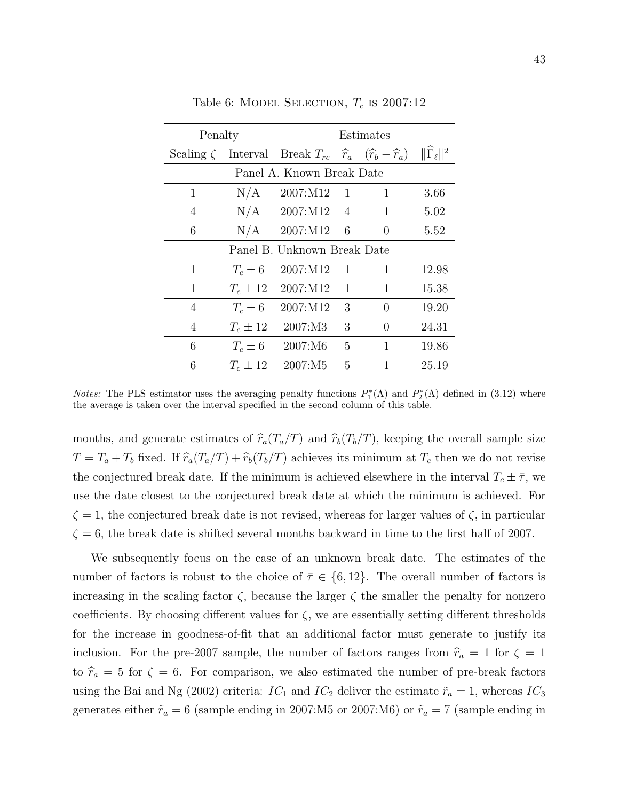| Penalty |              |                                                                               |                | Estimates        |                             |
|---------|--------------|-------------------------------------------------------------------------------|----------------|------------------|-----------------------------|
|         |              | Scaling $\zeta$ Interval Break $T_{rc}$ $\hat{r}_a$ $(\hat{r}_b - \hat{r}_a)$ |                |                  | $\ \hat{\Gamma}_{\ell}\ ^2$ |
|         |              | Panel A. Known Break Date                                                     |                |                  |                             |
| 1       | N/A          | 2007:M12                                                                      | -1             | 1                | 3.66                        |
| 4       |              | $N/A$ 2007:M12                                                                | 4              | 1                | 5.02                        |
| 6       | N/A          | 2007:M12                                                                      | 6              | $\theta$         | 5.52                        |
|         |              | Panel B. Unknown Break Date                                                   |                |                  |                             |
| 1       | $T_c \pm 6$  | 2007:M12                                                                      | $\overline{1}$ | 1                | 12.98                       |
| 1       | $T_c \pm 12$ | 2007:M12                                                                      | 1              | 1                | 15.38                       |
| 4       | $T_c \pm 6$  | 2007:M12                                                                      | 3              | $\theta$         | 19.20                       |
| 4       | $T_c \pm 12$ | 2007:M3                                                                       | 3              | $\left( \right)$ | 24.31                       |
| 6       | $T_c \pm 6$  | 2007:M6                                                                       | 5              | 1                | 19.86                       |
| 6       | $T_c \pm 12$ | 2007:M5                                                                       | 5              | 1                | 25.19                       |

Table 6: MODEL SELECTION,  $T_c$  is 2007:12

Notes: The PLS estimator uses the averaging penalty functions  $P_1^*(\Lambda)$  and  $P_2^*(\Lambda)$  defined in (3.12) where the average is taken over the interval specified in the second column of this table.

months, and generate estimates of  $\hat{r}_a(T_a/T)$  and  $\hat{r}_b(T_b/T)$ , keeping the overall sample size  $T = T_a + T_b$  fixed. If  $\hat{r}_a(T_a/T) + \hat{r}_b(T_b/T)$  achieves its minimum at  $T_c$  then we do not revise the conjectured break date. If the minimum is achieved elsewhere in the interval  $T_c \pm \bar{\tau}$ , we use the date closest to the conjectured break date at which the minimum is achieved. For  $\zeta = 1$ , the conjectured break date is not revised, whereas for larger values of  $\zeta$ , in particular  $\zeta = 6$ , the break date is shifted several months backward in time to the first half of 2007.

We subsequently focus on the case of an unknown break date. The estimates of the number of factors is robust to the choice of  $\overline{\tau} \in \{6, 12\}$ . The overall number of factors is increasing in the scaling factor  $\zeta$ , because the larger  $\zeta$  the smaller the penalty for nonzero coefficients. By choosing different values for  $\zeta$ , we are essentially setting different thresholds for the increase in goodness-of-fit that an additional factor must generate to justify its inclusion. For the pre-2007 sample, the number of factors ranges from  $\hat{r}_a = 1$  for  $\zeta = 1$ to  $\hat{r}_a = 5$  for  $\zeta = 6$ . For comparison, we also estimated the number of pre-break factors using the Bai and Ng (2002) criteria:  $IC_1$  and  $IC_2$  deliver the estimate  $\tilde{r}_a = 1$ , whereas  $IC_3$ generates either  $\tilde{r}_a = 6$  (sample ending in 2007:M5 or 2007:M6) or  $\tilde{r}_a = 7$  (sample ending in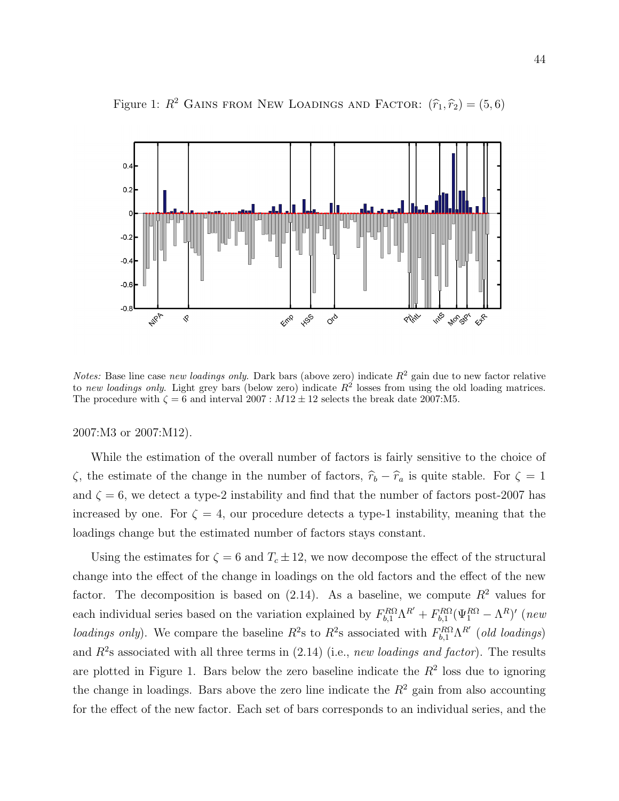

Figure 1:  $R^2$  GAINS FROM NEW LOADINGS AND FACTOR:  $(\hat{r}_1, \hat{r}_2) = (5, 6)$ 

*Notes:* Base line case new loadings only. Dark bars (above zero) indicate  $R^2$  gain due to new factor relative to new loadings only. Light grey bars (below zero) indicate  $R^2$  losses from using the old loading matrices. The procedure with  $\zeta = 6$  and interval 2007:  $M12 \pm 12$  selects the break date 2007:M5.

2007:M3 or 2007:M12).

While the estimation of the overall number of factors is fairly sensitive to the choice of  $\zeta$ , the estimate of the change in the number of factors,  $\hat{r}_b - \hat{r}_a$  is quite stable. For  $\zeta = 1$ and  $\zeta = 6$ , we detect a type-2 instability and find that the number of factors post-2007 has increased by one. For  $\zeta = 4$ , our procedure detects a type-1 instability, meaning that the loadings change but the estimated number of factors stays constant.

Using the estimates for  $\zeta = 6$  and  $T_c \pm 12$ , we now decompose the effect of the structural change into the effect of the change in loadings on the old factors and the effect of the new factor. The decomposition is based on  $(2.14)$ . As a baseline, we compute  $R^2$  values for each individual series based on the variation explained by  $F_{b,1}^{R\Omega}\Lambda^{R'} + F_{b,1}^{R\Omega}(\Psi_1^{R\Omega} - \Lambda^R)'$  (new loadings only). We compare the baseline  $R^2$ s to  $R^2$ s associated with  $F_{b,1}^{R\Omega}\Lambda^{R'}$  (old loadings) and  $R^2$ s associated with all three terms in  $(2.14)$  (i.e., new loadings and factor). The results are plotted in Figure 1. Bars below the zero baseline indicate the  $R^2$  loss due to ignoring the change in loadings. Bars above the zero line indicate the  $R^2$  gain from also accounting for the effect of the new factor. Each set of bars corresponds to an individual series, and the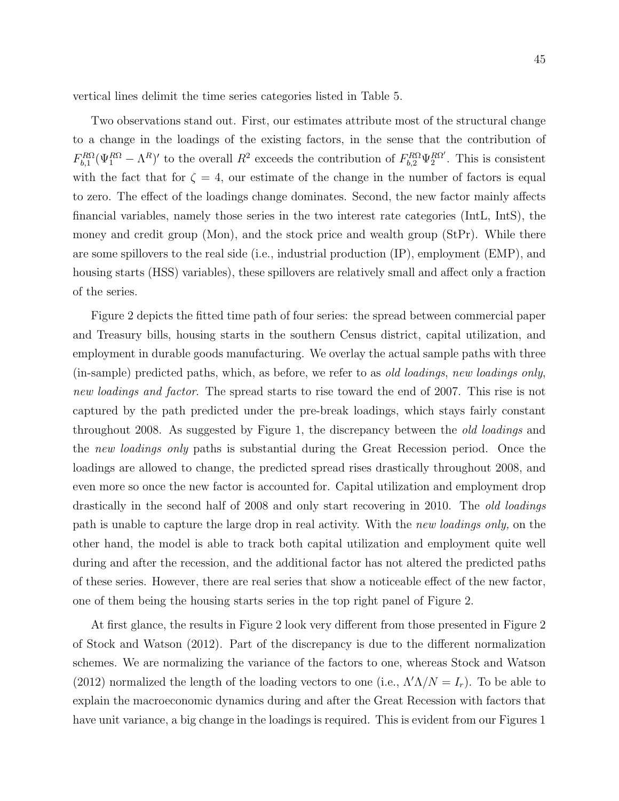vertical lines delimit the time series categories listed in Table 5.

Two observations stand out. First, our estimates attribute most of the structural change to a change in the loadings of the existing factors, in the sense that the contribution of  $F_{b,1}^{R\Omega}(\Psi_1^{R\Omega}-\Lambda^R)'$  to the overall  $R^2$  exceeds the contribution of  $F_{b,2}^{R\Omega}\Psi_2^{R\Omega'}$ . This is consistent with the fact that for  $\zeta = 4$ , our estimate of the change in the number of factors is equal to zero. The effect of the loadings change dominates. Second, the new factor mainly affects financial variables, namely those series in the two interest rate categories (IntL, IntS), the money and credit group (Mon), and the stock price and wealth group (StPr). While there are some spillovers to the real side (i.e., industrial production (IP), employment (EMP), and housing starts (HSS) variables), these spillovers are relatively small and affect only a fraction of the series.

Figure 2 depicts the fitted time path of four series: the spread between commercial paper and Treasury bills, housing starts in the southern Census district, capital utilization, and employment in durable goods manufacturing. We overlay the actual sample paths with three (in-sample) predicted paths, which, as before, we refer to as old loadings, new loadings only, new loadings and factor. The spread starts to rise toward the end of 2007. This rise is not captured by the path predicted under the pre-break loadings, which stays fairly constant throughout 2008. As suggested by Figure 1, the discrepancy between the old loadings and the new loadings only paths is substantial during the Great Recession period. Once the loadings are allowed to change, the predicted spread rises drastically throughout 2008, and even more so once the new factor is accounted for. Capital utilization and employment drop drastically in the second half of 2008 and only start recovering in 2010. The old loadings path is unable to capture the large drop in real activity. With the new loadings only, on the other hand, the model is able to track both capital utilization and employment quite well during and after the recession, and the additional factor has not altered the predicted paths of these series. However, there are real series that show a noticeable effect of the new factor, one of them being the housing starts series in the top right panel of Figure 2.

At first glance, the results in Figure 2 look very different from those presented in Figure 2 of Stock and Watson (2012). Part of the discrepancy is due to the different normalization schemes. We are normalizing the variance of the factors to one, whereas Stock and Watson (2012) normalized the length of the loading vectors to one (i.e.,  $\Lambda' \Lambda/N = I_r$ ). To be able to explain the macroeconomic dynamics during and after the Great Recession with factors that have unit variance, a big change in the loadings is required. This is evident from our Figures 1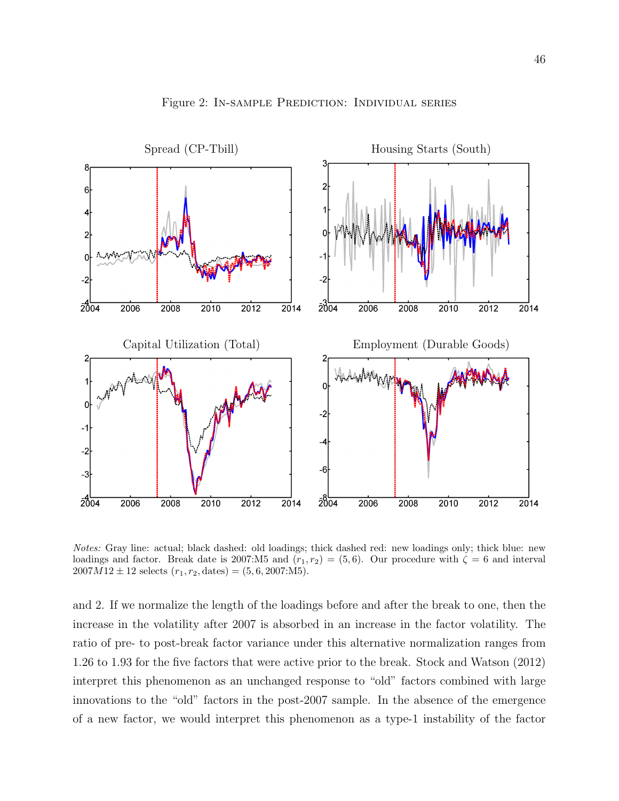

Figure 2: In-sample Prediction: Individual series

Notes: Gray line: actual; black dashed: old loadings; thick dashed red: new loadings only; thick blue: new loadings and factor. Break date is 2007:M5 and  $(r_1, r_2) = (5, 6)$ . Our procedure with  $\zeta = 6$  and interval  $2007M12 \pm 12$  selects  $(r_1, r_2, \text{ dates}) = (5, 6, 2007:M5).$ 

and 2. If we normalize the length of the loadings before and after the break to one, then the increase in the volatility after 2007 is absorbed in an increase in the factor volatility. The ratio of pre- to post-break factor variance under this alternative normalization ranges from 1.26 to 1.93 for the five factors that were active prior to the break. Stock and Watson (2012) interpret this phenomenon as an unchanged response to "old" factors combined with large innovations to the "old" factors in the post-2007 sample. In the absence of the emergence of a new factor, we would interpret this phenomenon as a type-1 instability of the factor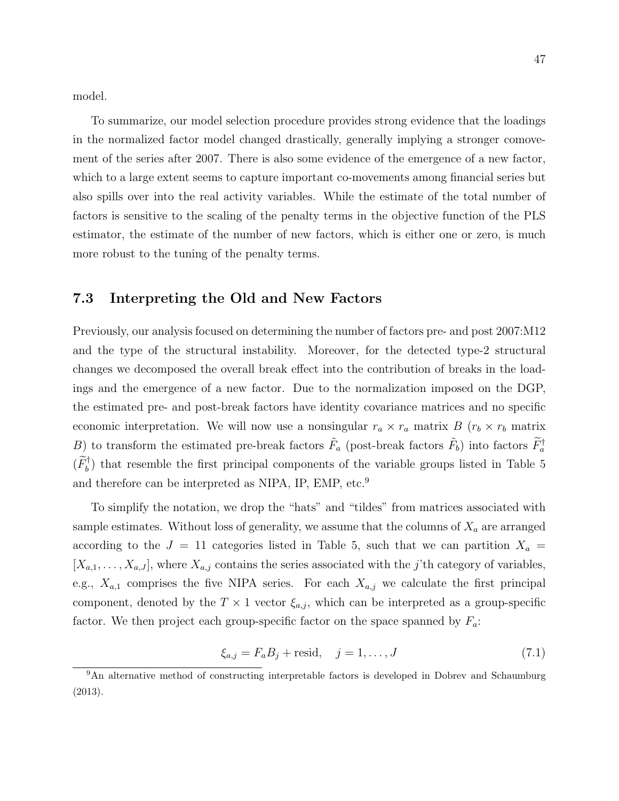model.

To summarize, our model selection procedure provides strong evidence that the loadings in the normalized factor model changed drastically, generally implying a stronger comovement of the series after 2007. There is also some evidence of the emergence of a new factor, which to a large extent seems to capture important co-movements among financial series but also spills over into the real activity variables. While the estimate of the total number of factors is sensitive to the scaling of the penalty terms in the objective function of the PLS estimator, the estimate of the number of new factors, which is either one or zero, is much more robust to the tuning of the penalty terms.

#### 7.3 Interpreting the Old and New Factors

Previously, our analysis focused on determining the number of factors pre- and post 2007:M12 and the type of the structural instability. Moreover, for the detected type-2 structural changes we decomposed the overall break effect into the contribution of breaks in the loadings and the emergence of a new factor. Due to the normalization imposed on the DGP, the estimated pre- and post-break factors have identity covariance matrices and no specific economic interpretation. We will now use a nonsingular  $r_a \times r_a$  matrix  $B(r_b \times r_b$  matrix B) to transform the estimated pre-break factors  $\tilde{F}_a$  (post-break factors  $\tilde{F}_b$ ) into factors  $\tilde{F}_a^{\dagger}$  $(\widetilde{F}_{b}^{\dagger})$  that resemble the first principal components of the variable groups listed in Table 5 and therefore can be interpreted as NIPA, IP, EMP, etc.<sup>9</sup>

To simplify the notation, we drop the "hats" and "tildes" from matrices associated with sample estimates. Without loss of generality, we assume that the columns of  $X_a$  are arranged according to the  $J = 11$  categories listed in Table 5, such that we can partition  $X_a =$  $[X_{a,1},\ldots,X_{a,J}]$ , where  $X_{a,j}$  contains the series associated with the j'th category of variables, e.g.,  $X_{a,1}$  comprises the five NIPA series. For each  $X_{a,j}$  we calculate the first principal component, denoted by the  $T \times 1$  vector  $\xi_{a,j}$ , which can be interpreted as a group-specific factor. We then project each group-specific factor on the space spanned by  $F_a$ :

$$
\xi_{a,j} = F_a B_j + \text{resid}, \quad j = 1, \dots, J \tag{7.1}
$$

<sup>9</sup>An alternative method of constructing interpretable factors is developed in Dobrev and Schaumburg (2013).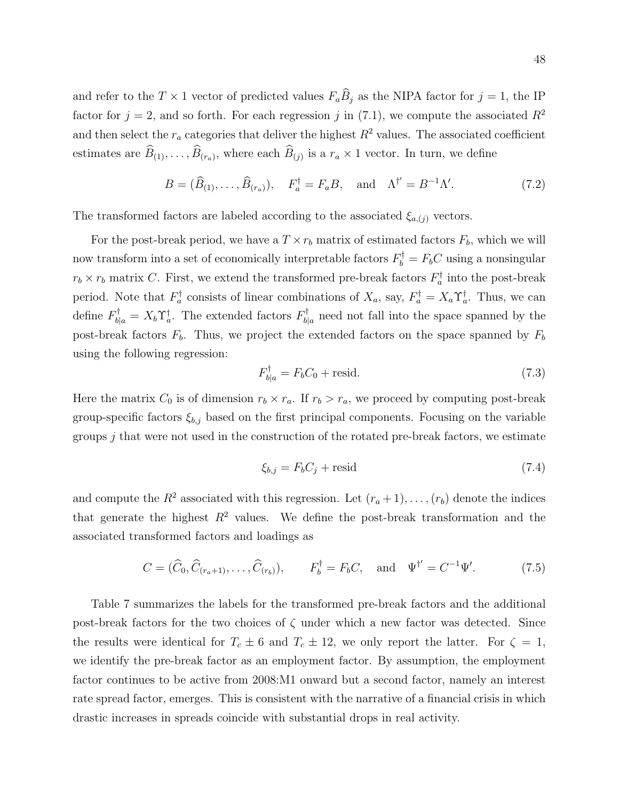and refer to the  $T \times 1$  vector of predicted values  $F_a \hat{B}_j$  as the NIPA factor for  $j = 1$ , the IP factor for  $j = 2$ , and so forth. For each regression j in (7.1), we compute the associated  $R^2$ and then select the  $r_a$  categories that deliver the highest  $R^2$  values. The associated coefficient estimates are  $B_{(1)}, \ldots, B_{(r_a)}$ , where each  $B_{(j)}$  is a  $r_a \times 1$  vector. In turn, we define

$$
B = (\widehat{B}_{(1)}, \dots, \widehat{B}_{(r_a)}), \quad F_a^{\dagger} = F_a B, \quad \text{and} \quad \Lambda^{\dagger'} = B^{-1} \Lambda'. \tag{7.2}
$$

The transformed factors are labeled according to the associated  $\xi_{a,(j)}$  vectors.

For the post-break period, we have a  $T \times r_b$  matrix of estimated factors  $F_b$ , which we will now transform into a set of economically interpretable factors  $F_b^{\dagger} = F_b C$  using a nonsingular  $r_b \times r_b$  matrix C. First, we extend the transformed pre-break factors  $F_a^{\dagger}$  into the post-break period. Note that  $F_a^{\dagger}$  consists of linear combinations of  $X_a$ , say,  $F_a^{\dagger} = X_a \Upsilon_a^{\dagger}$ . Thus, we can define  $F_{b|a}^{\dagger} = X_b \Upsilon_a^{\dagger}$ . The extended factors  $F_{b|a}^{\dagger}$  $b_{a}^{\dagger}$  need not fall into the space spanned by the post-break factors  $F_b$ . Thus, we project the extended factors on the space spanned by  $F_b$ using the following regression:

$$
F_{b|a}^{\dagger} = F_b C_0 + \text{resid.} \tag{7.3}
$$

Here the matrix  $C_0$  is of dimension  $r_b \times r_a$ . If  $r_b > r_a$ , we proceed by computing post-break group-specific factors  $\xi_{b,j}$  based on the first principal components. Focusing on the variable groups  $j$  that were not used in the construction of the rotated pre-break factors, we estimate

$$
\xi_{b,j} = F_b C_j + \text{resid} \tag{7.4}
$$

and compute the  $R^2$  associated with this regression. Let  $(r_a + 1), \ldots, (r_b)$  denote the indices that generate the highest  $R^2$  values. We define the post-break transformation and the associated transformed factors and loadings as

$$
C = (\widehat{C}_0, \widehat{C}_{(r_a+1)}, \dots, \widehat{C}_{(r_b)}), \qquad F_b^{\dagger} = F_b C, \quad \text{and} \quad \Psi^{\dagger'} = C^{-1} \Psi'. \tag{7.5}
$$

Table 7 summarizes the labels for the transformed pre-break factors and the additional post-break factors for the two choices of  $\zeta$  under which a new factor was detected. Since the results were identical for  $T_c \pm 6$  and  $T_c \pm 12$ , we only report the latter. For  $\zeta = 1$ , we identify the pre-break factor as an employment factor. By assumption, the employment factor continues to be active from 2008:M1 onward but a second factor, namely an interest rate spread factor, emerges. This is consistent with the narrative of a financial crisis in which drastic increases in spreads coincide with substantial drops in real activity.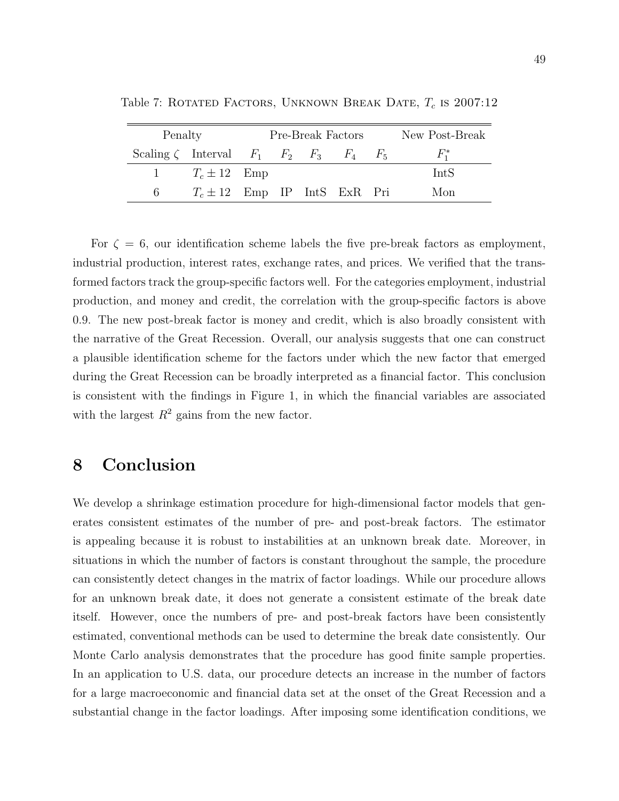| Penalty      |                                  |  | Pre-Break Factors | New Post-Break                                                 |
|--------------|----------------------------------|--|-------------------|----------------------------------------------------------------|
|              |                                  |  |                   | Scaling $\zeta$ Interval $F_1$ $F_2$ $F_3$ $F_4$ $F_5$ $F_1^*$ |
| $\mathbf{1}$ | $T_c \pm 12$ Emp                 |  |                   | IntS                                                           |
| 6            | $T_c \pm 12$ Emp IP IntS ExR Pri |  |                   | Mon                                                            |

Table 7: ROTATED FACTORS, UNKNOWN BREAK DATE,  $T_c$  is 2007:12

For  $\zeta = 6$ , our identification scheme labels the five pre-break factors as employment, industrial production, interest rates, exchange rates, and prices. We verified that the transformed factors track the group-specific factors well. For the categories employment, industrial production, and money and credit, the correlation with the group-specific factors is above 0.9. The new post-break factor is money and credit, which is also broadly consistent with the narrative of the Great Recession. Overall, our analysis suggests that one can construct a plausible identification scheme for the factors under which the new factor that emerged during the Great Recession can be broadly interpreted as a financial factor. This conclusion is consistent with the findings in Figure 1, in which the financial variables are associated with the largest  $R^2$  gains from the new factor.

## 8 Conclusion

We develop a shrinkage estimation procedure for high-dimensional factor models that generates consistent estimates of the number of pre- and post-break factors. The estimator is appealing because it is robust to instabilities at an unknown break date. Moreover, in situations in which the number of factors is constant throughout the sample, the procedure can consistently detect changes in the matrix of factor loadings. While our procedure allows for an unknown break date, it does not generate a consistent estimate of the break date itself. However, once the numbers of pre- and post-break factors have been consistently estimated, conventional methods can be used to determine the break date consistently. Our Monte Carlo analysis demonstrates that the procedure has good finite sample properties. In an application to U.S. data, our procedure detects an increase in the number of factors for a large macroeconomic and financial data set at the onset of the Great Recession and a substantial change in the factor loadings. After imposing some identification conditions, we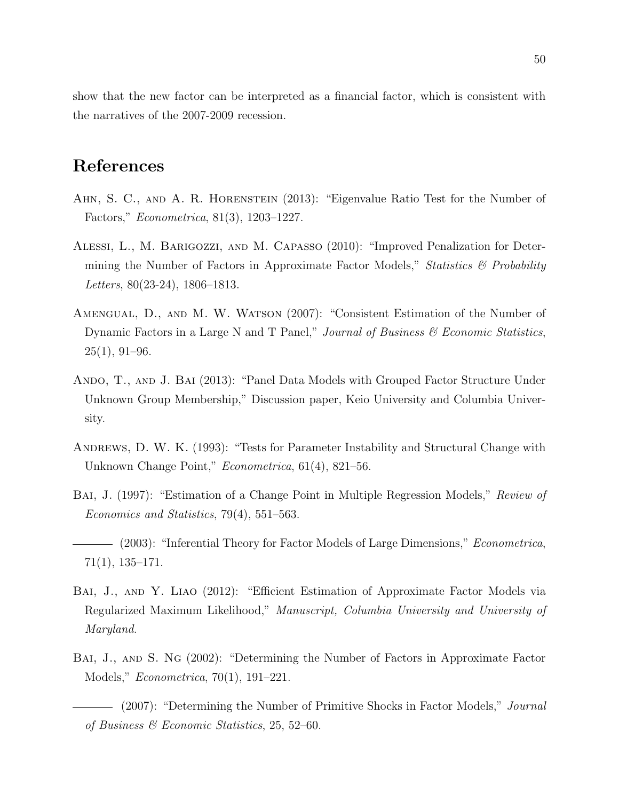show that the new factor can be interpreted as a financial factor, which is consistent with the narratives of the 2007-2009 recession.

## References

- Ahn, S. C., and A. R. Horenstein (2013): "Eigenvalue Ratio Test for the Number of Factors," Econometrica, 81(3), 1203–1227.
- Alessi, L., M. Barigozzi, and M. Capasso (2010): "Improved Penalization for Determining the Number of Factors in Approximate Factor Models," Statistics  $\mathcal{B}'$  Probability Letters, 80(23-24), 1806–1813.
- Amengual, D., and M. W. Watson (2007): "Consistent Estimation of the Number of Dynamic Factors in a Large N and T Panel," Journal of Business  $\mathcal C$  Economic Statistics,  $25(1), 91-96.$
- ANDO, T., AND J. BAI (2013): "Panel Data Models with Grouped Factor Structure Under Unknown Group Membership," Discussion paper, Keio University and Columbia University.
- Andrews, D. W. K. (1993): "Tests for Parameter Instability and Structural Change with Unknown Change Point," Econometrica, 61(4), 821–56.
- BAI, J. (1997): "Estimation of a Change Point in Multiple Regression Models," Review of Economics and Statistics, 79(4), 551–563.
- (2003): "Inferential Theory for Factor Models of Large Dimensions," *Econometrica*, 71(1), 135–171.
- Bai, J., and Y. Liao (2012): "Efficient Estimation of Approximate Factor Models via Regularized Maximum Likelihood," Manuscript, Columbia University and University of Maryland.
- BAI, J., AND S. NG (2002): "Determining the Number of Factors in Approximate Factor Models," Econometrica, 70(1), 191–221.

- (2007): "Determining the Number of Primitive Shocks in Factor Models," *Journal* of Business & Economic Statistics, 25, 52–60.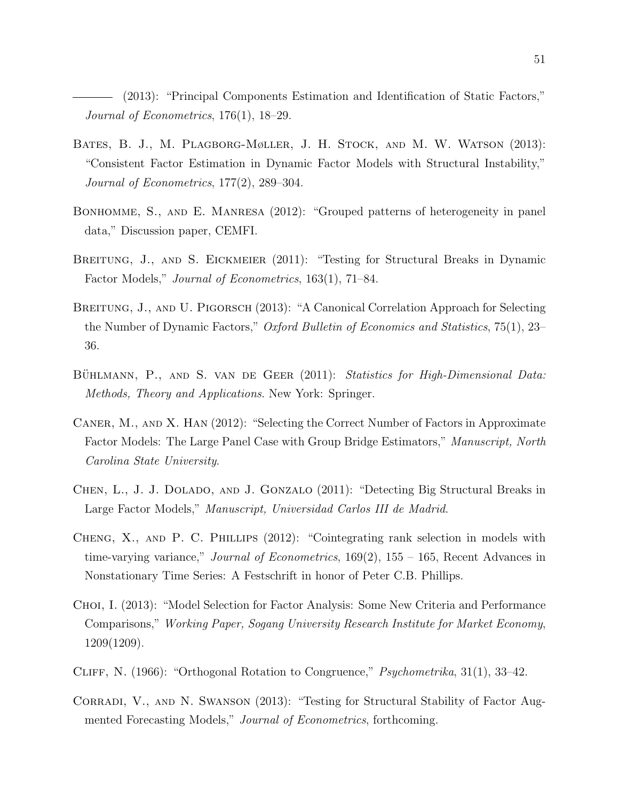(2013): "Principal Components Estimation and Identification of Static Factors," Journal of Econometrics, 176(1), 18–29.

- Bates, B. J., M. Plagborg-Møller, J. H. Stock, and M. W. Watson (2013): "Consistent Factor Estimation in Dynamic Factor Models with Structural Instability," Journal of Econometrics, 177(2), 289–304.
- Bonhomme, S., and E. Manresa (2012): "Grouped patterns of heterogeneity in panel data," Discussion paper, CEMFI.
- BREITUNG, J., AND S. EICKMEIER (2011): "Testing for Structural Breaks in Dynamic Factor Models," Journal of Econometrics, 163(1), 71–84.
- BREITUNG, J., AND U. PIGORSCH (2013): "A Canonical Correlation Approach for Selecting the Number of Dynamic Factors," Oxford Bulletin of Economics and Statistics, 75(1), 23– 36.
- BÜHLMANN, P., AND S. VAN DE GEER (2011): Statistics for High-Dimensional Data: Methods, Theory and Applications. New York: Springer.
- CANER, M., AND X. HAN (2012): "Selecting the Correct Number of Factors in Approximate Factor Models: The Large Panel Case with Group Bridge Estimators," Manuscript, North Carolina State University.
- Chen, L., J. J. Dolado, and J. Gonzalo (2011): "Detecting Big Structural Breaks in Large Factor Models," Manuscript, Universidad Carlos III de Madrid.
- Cheng, X., and P. C. Phillips (2012): "Cointegrating rank selection in models with time-varying variance," *Journal of Econometrics*, 169(2), 155 – 165, Recent Advances in Nonstationary Time Series: A Festschrift in honor of Peter C.B. Phillips.
- Choi, I. (2013): "Model Selection for Factor Analysis: Some New Criteria and Performance Comparisons," Working Paper, Sogang University Research Institute for Market Economy, 1209(1209).
- Cliff, N. (1966): "Orthogonal Rotation to Congruence," Psychometrika, 31(1), 33–42.
- CORRADI, V., AND N. SWANSON (2013): "Testing for Structural Stability of Factor Augmented Forecasting Models," Journal of Econometrics, forthcoming.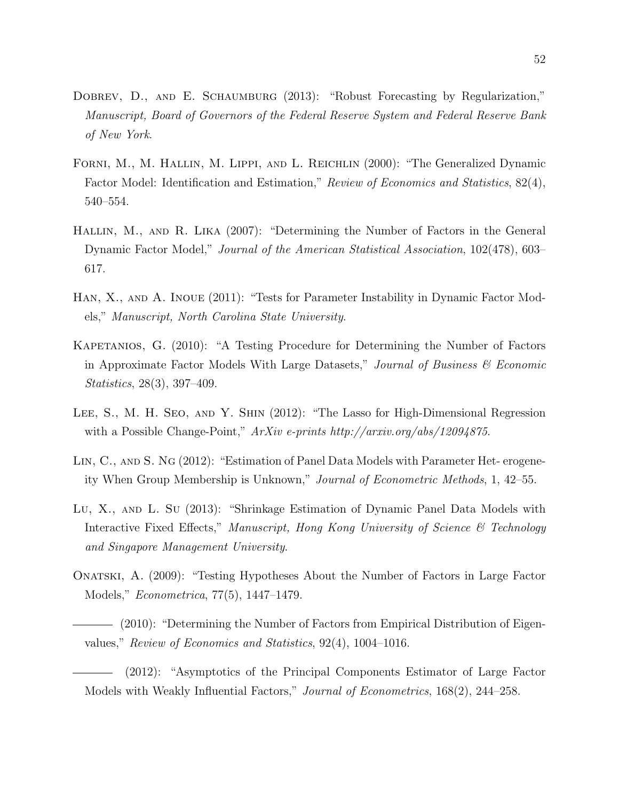- DOBREV, D., AND E. SCHAUMBURG (2013): "Robust Forecasting by Regularization," Manuscript, Board of Governors of the Federal Reserve System and Federal Reserve Bank of New York.
- Forni, M., M. Hallin, M. Lippi, and L. Reichlin (2000): "The Generalized Dynamic Factor Model: Identification and Estimation," Review of Economics and Statistics, 82(4), 540–554.
- Hallin, M., and R. Lika (2007): "Determining the Number of Factors in the General Dynamic Factor Model," Journal of the American Statistical Association, 102(478), 603– 617.
- HAN, X., AND A. INOUE (2011): "Tests for Parameter Instability in Dynamic Factor Models," Manuscript, North Carolina State University.
- Kapetanios, G. (2010): "A Testing Procedure for Determining the Number of Factors in Approximate Factor Models With Large Datasets," Journal of Business  $\mathscr B$  Economic Statistics, 28(3), 397–409.
- Lee, S., M. H. Seo, and Y. Shin (2012): "The Lasso for High-Dimensional Regression with a Possible Change-Point,"  $ArXiv$  e-prints http://arxiv.org/abs/12094875.
- LIN, C., AND S. NG (2012): "Estimation of Panel Data Models with Parameter Het- erogeneity When Group Membership is Unknown," Journal of Econometric Methods, 1, 42–55.
- Lu, X., and L. Su (2013): "Shrinkage Estimation of Dynamic Panel Data Models with Interactive Fixed Effects," Manuscript, Hong Kong University of Science & Technology and Singapore Management University.
- Onatski, A. (2009): "Testing Hypotheses About the Number of Factors in Large Factor Models," Econometrica, 77(5), 1447–1479.
- (2010): "Determining the Number of Factors from Empirical Distribution of Eigenvalues," Review of Economics and Statistics, 92(4), 1004–1016.

<sup>(2012): &</sup>quot;Asymptotics of the Principal Components Estimator of Large Factor Models with Weakly Influential Factors," Journal of Econometrics, 168(2), 244–258.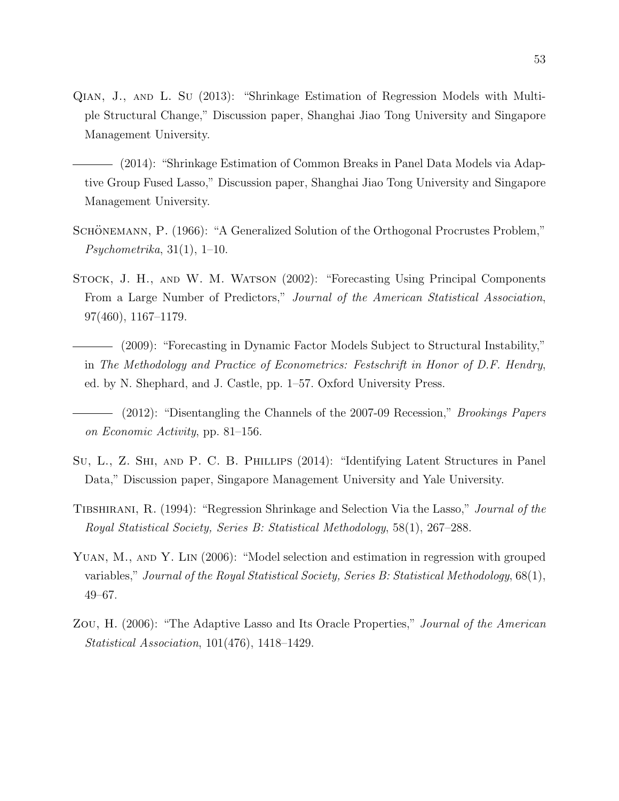- Qian, J., and L. Su (2013): "Shrinkage Estimation of Regression Models with Multiple Structural Change," Discussion paper, Shanghai Jiao Tong University and Singapore Management University.
	- (2014): "Shrinkage Estimation of Common Breaks in Panel Data Models via Adaptive Group Fused Lasso," Discussion paper, Shanghai Jiao Tong University and Singapore Management University.
- SCHÖNEMANN, P. (1966): "A Generalized Solution of the Orthogonal Procrustes Problem,"  $Psychometrika, 31(1), 1-10.$
- Stock, J. H., and W. M. Watson (2002): "Forecasting Using Principal Components From a Large Number of Predictors," Journal of the American Statistical Association, 97(460), 1167–1179.
	- (2009): "Forecasting in Dynamic Factor Models Subject to Structural Instability," in The Methodology and Practice of Econometrics: Festschrift in Honor of D.F. Hendry, ed. by N. Shephard, and J. Castle, pp. 1–57. Oxford University Press.
- (2012): "Disentangling the Channels of the 2007-09 Recession," Brookings Papers on Economic Activity, pp. 81–156.
- Su, L., Z. Shi, and P. C. B. Phillips (2014): "Identifying Latent Structures in Panel Data," Discussion paper, Singapore Management University and Yale University.
- Tibshirani, R. (1994): "Regression Shrinkage and Selection Via the Lasso," Journal of the Royal Statistical Society, Series B: Statistical Methodology, 58(1), 267–288.
- YUAN, M., AND Y. LIN (2006): "Model selection and estimation in regression with grouped variables," Journal of the Royal Statistical Society, Series B: Statistical Methodology, 68(1), 49–67.
- Zou, H. (2006): "The Adaptive Lasso and Its Oracle Properties," Journal of the American Statistical Association, 101(476), 1418–1429.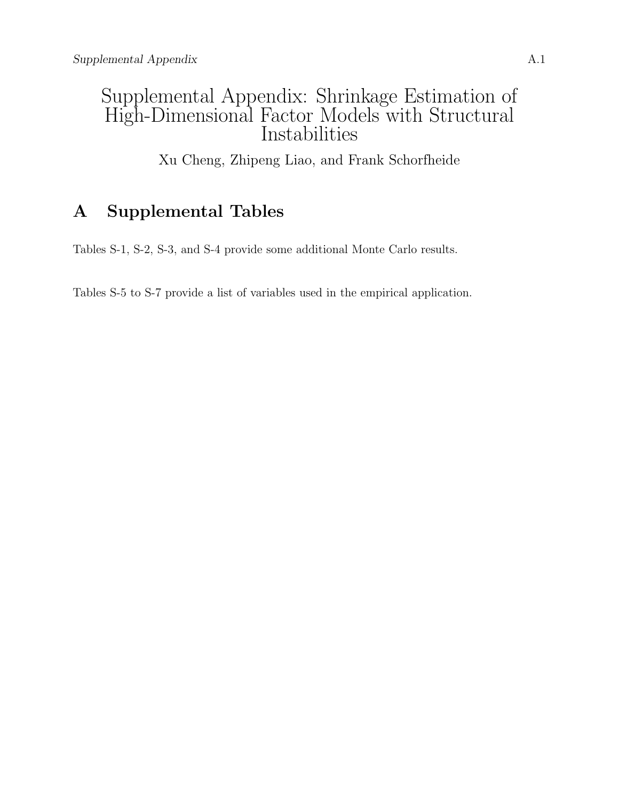# Supplemental Appendix: Shrinkage Estimation of High-Dimensional Factor Models with Structural Instabilities

Xu Cheng, Zhipeng Liao, and Frank Schorfheide

# A Supplemental Tables

Tables S-1, S-2, S-3, and S-4 provide some additional Monte Carlo results.

Tables S-5 to S-7 provide a list of variables used in the empirical application.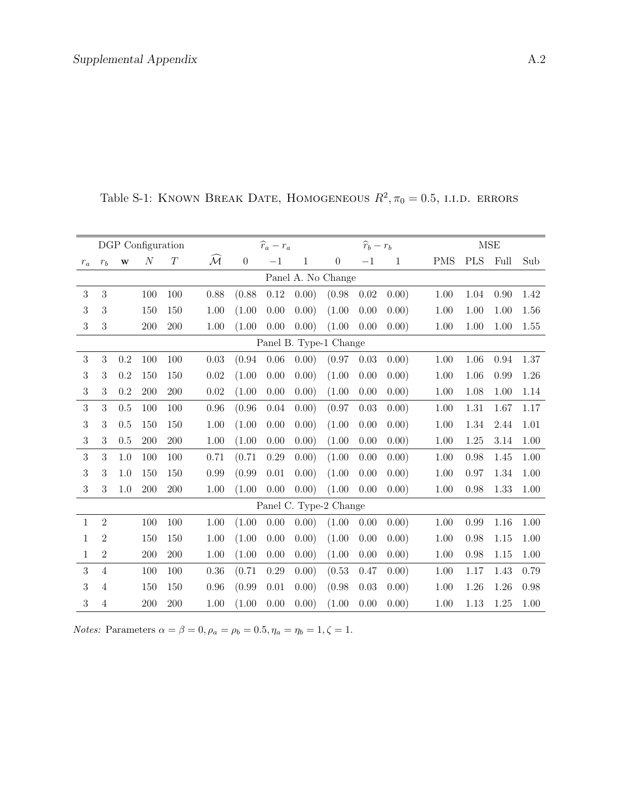|              |                |              | DGP Configuration |          |                     |                  | $\widehat{r}_a-r_a$ |                        |                  | $\widehat{r}_b-r_b$ |       |            |            | <b>MSE</b> |      |
|--------------|----------------|--------------|-------------------|----------|---------------------|------------------|---------------------|------------------------|------------------|---------------------|-------|------------|------------|------------|------|
| $r_a$        | $r_b$          | $\mathbf{W}$ | $\cal N$          | $\cal T$ | $\mathcal{\bar{M}}$ | $\boldsymbol{0}$ | $-1$                | $\mathbf{1}$           | $\boldsymbol{0}$ | $-1$                | 1     | <b>PMS</b> | <b>PLS</b> | Full       | Sub  |
|              |                |              |                   |          |                     |                  |                     | Panel A. No Change     |                  |                     |       |            |            |            |      |
| 3            | $\mathbf{3}$   |              | 100               | 100      | 0.88                | (0.88)           | 0.12                | 0.00)                  | (0.98)           | 0.02                | 0.00) | 1.00       | 1.04       | 0.90       | 1.42 |
| 3            | 3              |              | 150               | 150      | 1.00                | (1.00)           | 0.00                | 0.00)                  | (1.00)           | 0.00                | 0.00) | 1.00       | 1.00       | 1.00       | 1.56 |
| $\sqrt{3}$   | 3              |              | 200               | 200      | 1.00                | (1.00)           | 0.00                | 0.00)                  | (1.00)           | 0.00                | 0.00) | 1.00       | 1.00       | 1.00       | 1.55 |
|              |                |              |                   |          |                     |                  |                     | Panel B. Type-1 Change |                  |                     |       |            |            |            |      |
| $\sqrt{3}$   | 3              | 0.2          | 100               | 100      | 0.03                | (0.94)           | 0.06                | 0.00)                  | (0.97)           | 0.03                | 0.00) | 1.00       | 1.06       | 0.94       | 1.37 |
| 3            | 3              | 0.2          | 150               | 150      | 0.02                | (1.00)           | 0.00                | 0.00)                  | (1.00)           | 0.00                | 0.00) | 1.00       | 1.06       | 0.99       | 1.26 |
| $\sqrt{3}$   | 3              | 0.2          | 200               | 200      | 0.02                | (1.00)           | 0.00                | 0.00)                  | (1.00)           | 0.00                | 0.00) | 1.00       | 1.08       | 1.00       | 1.14 |
| 3            | 3              | 0.5          | 100               | 100      | 0.96                | (0.96)           | 0.04                | 0.00)                  | (0.97)           | 0.03                | 0.00) | 1.00       | 1.31       | 1.67       | 1.17 |
| 3            | 3              | 0.5          | 150               | 150      | 1.00                | (1.00)           | 0.00                | 0.00)                  | (1.00)           | 0.00                | 0.00) | 1.00       | 1.34       | 2.44       | 1.01 |
| 3            | 3              | 0.5          | 200               | 200      | 1.00                | (1.00)           | 0.00                | 0.00)                  | (1.00)           | 0.00                | 0.00) | 1.00       | 1.25       | 3.14       | 1.00 |
| 3            | 3              | 1.0          | 100               | 100      | 0.71                | (0.71)           | 0.29                | 0.00)                  | (1.00)           | 0.00                | 0.00) | 1.00       | 0.98       | 1.45       | 1.00 |
| 3            | 3              | 1.0          | 150               | 150      | 0.99                | (0.99)           | 0.01                | 0.00)                  | (1.00)           | 0.00                | 0.00) | 1.00       | 0.97       | 1.34       | 1.00 |
| 3            | 3              | 1.0          | 200               | 200      | 1.00                | (1.00)           | 0.00                | 0.00)                  | (1.00)           | 0.00                | 0.00) | 1.00       | 0.98       | 1.33       | 1.00 |
|              |                |              |                   |          |                     |                  |                     | Panel C. Type-2 Change |                  |                     |       |            |            |            |      |
| $\mathbf{1}$ | $\overline{2}$ |              | 100               | 100      | 1.00                | (1.00)           | 0.00                | 0.00)                  | (1.00)           | 0.00                | 0.00) | 1.00       | 0.99       | 1.16       | 1.00 |
| $\mathbf{1}$ | $\overline{2}$ |              | 150               | 150      | 1.00                | (1.00)           | 0.00                | 0.00)                  | (1.00)           | 0.00                | 0.00) | 1.00       | 0.98       | 1.15       | 1.00 |
| 1            | $\overline{2}$ |              | 200               | 200      | 1.00                | (1.00)           | 0.00                | 0.00)                  | (1.00)           | 0.00                | 0.00) | 1.00       | 0.98       | 1.15       | 1.00 |
| 3            | $\overline{4}$ |              | 100               | 100      | 0.36                | (0.71)           | 0.29                | 0.00)                  | (0.53)           | 0.47                | 0.00) | 1.00       | 1.17       | 1.43       | 0.79 |
| 3            | 4              |              | 150               | 150      | 0.96                | (0.99)           | 0.01                | 0.00)                  | (0.98)           | 0.03                | 0.00) | 1.00       | 1.26       | 1.26       | 0.98 |
| 3            | $\overline{4}$ |              | 200               | 200      | 1.00                | (1.00)           | 0.00                | 0.00)                  | (1.00)           | 0.00                | 0.00) | 1.00       | 1.13       | 1.25       | 1.00 |

Table S-1: KNOWN BREAK DATE, HOMOGENEOUS  $R^2$ ,  $\pi_0 = 0.5$ , i.i.d. errors

*Notes:* Parameters  $\alpha = \beta = 0, \rho_a = \rho_b = 0.5, \eta_a = \eta_b = 1, \zeta = 1.$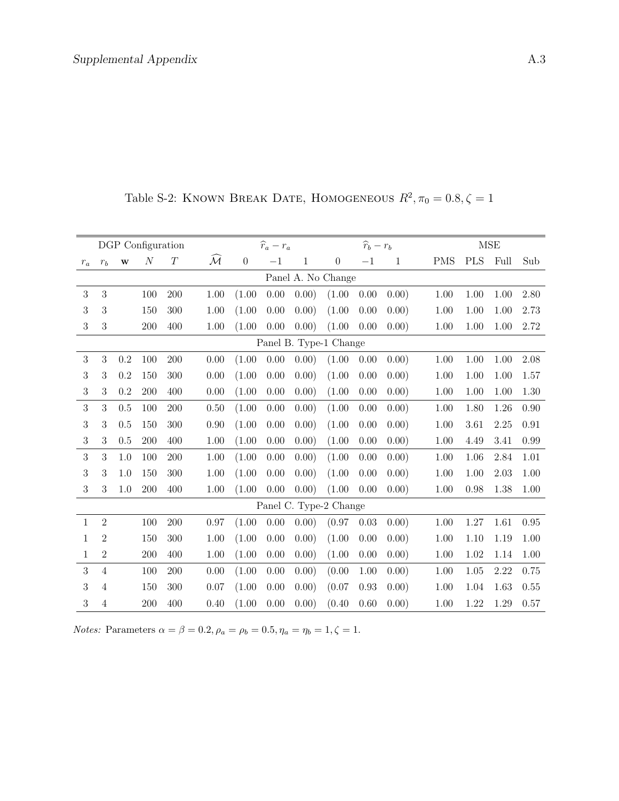|              |                |          | DGP Configuration |     |                       |          | $\widehat{r}_a-r_a$ |              |                        | $\widehat{r}_b-r_b$ |              |            |            | <b>MSE</b> |      |
|--------------|----------------|----------|-------------------|-----|-----------------------|----------|---------------------|--------------|------------------------|---------------------|--------------|------------|------------|------------|------|
| $r_a$        | $r_b\,$        | $\bf{W}$ | $\cal N$          | T   | $\mathcal{\tilde{M}}$ | $\theta$ | $-1$                | $\mathbf{1}$ | $\overline{0}$         | $-1$                | $\mathbf{1}$ | <b>PMS</b> | <b>PLS</b> | Full       | Sub  |
|              |                |          |                   |     |                       |          |                     |              | Panel A. No Change     |                     |              |            |            |            |      |
| 3            | 3              |          | 100               | 200 | 1.00                  | (1.00)   | 0.00                | 0.00)        | (1.00)                 | 0.00                | 0.00)        | 1.00       | 1.00       | 1.00       | 2.80 |
| 3            | 3              |          | 150               | 300 | 1.00                  | (1.00)   | 0.00                | 0.00)        | (1.00)                 | 0.00                | 0.00)        | 1.00       | 1.00       | 1.00       | 2.73 |
| 3            | 3              |          | 200               | 400 | 1.00                  | (1.00)   | 0.00                | 0.00)        | (1.00)                 | 0.00                | 0.00)        | 1.00       | 1.00       | 1.00       | 2.72 |
|              |                |          |                   |     |                       |          |                     |              | Panel B. Type-1 Change |                     |              |            |            |            |      |
| 3            | $\sqrt{3}$     | 0.2      | 100               | 200 | 0.00                  | (1.00)   | 0.00                | (0.00)       | (1.00)                 | 0.00                | 0.00)        | 1.00       | 1.00       | 1.00       | 2.08 |
| 3            | 3              | 0.2      | 150               | 300 | 0.00                  | (1.00)   | 0.00                | 0.00)        | (1.00)                 | 0.00                | 0.00)        | 1.00       | 1.00       | 1.00       | 1.57 |
| 3            | 3              | 0.2      | 200               | 400 | 0.00                  | (1.00)   | 0.00                | 0.00)        | (1.00)                 | 0.00                | 0.00)        | 1.00       | 1.00       | 1.00       | 1.30 |
| 3            | 3              | 0.5      | 100               | 200 | 0.50                  | (1.00)   | 0.00                | 0.00)        | (1.00)                 | 0.00                | (0.00)       | 1.00       | 1.80       | 1.26       | 0.90 |
| 3            | 3              | 0.5      | 150               | 300 | 0.90                  | (1.00)   | 0.00                | 0.00)        | (1.00)                 | 0.00                | 0.00)        | 1.00       | 3.61       | 2.25       | 0.91 |
| 3            | 3              | 0.5      | 200               | 400 | 1.00                  | (1.00)   | 0.00                | 0.00)        | (1.00)                 | 0.00                | 0.00)        | 1.00       | 4.49       | 3.41       | 0.99 |
| 3            | 3              | 1.0      | 100               | 200 | 1.00                  | (1.00)   | 0.00                | 0.00)        | (1.00)                 | 0.00                | 0.00)        | 1.00       | 1.06       | 2.84       | 1.01 |
| 3            | 3              | 1.0      | 150               | 300 | 1.00                  | (1.00)   | 0.00                | 0.00)        | (1.00)                 | 0.00                | 0.00)        | 1.00       | 1.00       | 2.03       | 1.00 |
| 3            | 3              | 1.0      | 200               | 400 | 1.00                  | (1.00)   | 0.00                | 0.00)        | (1.00)                 | 0.00                | 0.00)        | 1.00       | 0.98       | 1.38       | 1.00 |
|              |                |          |                   |     |                       |          |                     |              | Panel C. Type-2 Change |                     |              |            |            |            |      |
| $\mathbf{1}$ | $\overline{2}$ |          | 100               | 200 | 0.97                  | (1.00)   | 0.00                | 0.00)        | (0.97)                 | 0.03                | 0.00)        | 1.00       | 1.27       | 1.61       | 0.95 |
| 1            | $\overline{2}$ |          | 150               | 300 | 1.00                  | (1.00)   | 0.00                | 0.00)        | (1.00)                 | 0.00                | 0.00)        | 1.00       | 1.10       | 1.19       | 1.00 |
| 1            | $\overline{2}$ |          | 200               | 400 | 1.00                  | (1.00)   | 0.00                | 0.00)        | (1.00)                 | 0.00                | 0.00)        | 1.00       | 1.02       | 1.14       | 1.00 |
| 3            | $\overline{4}$ |          | 100               | 200 | 0.00                  | (1.00)   | 0.00                | 0.00)        | (0.00)                 | 1.00                | 0.00)        | 1.00       | 1.05       | 2.22       | 0.75 |
| 3            | 4              |          | 150               | 300 | 0.07                  | (1.00)   | 0.00                | 0.00)        | (0.07)                 | 0.93                | 0.00)        | 1.00       | 1.04       | 1.63       | 0.55 |
| 3            | $\overline{4}$ |          | 200               | 400 | 0.40                  | (1.00)   | 0.00                | 0.00)        | (0.40)                 | 0.60                | (0.00)       | 1.00       | 1.22       | 1.29       | 0.57 |

Table S-2: KNOWN BREAK DATE, HOMOGENEOUS  $R^2$ ,  $\pi_0 = 0.8$ ,  $\zeta = 1$ 

*Notes:* Parameters  $\alpha = \beta = 0.2, \rho_a = \rho_b = 0.5, \eta_a = \eta_b = 1, \zeta = 1.$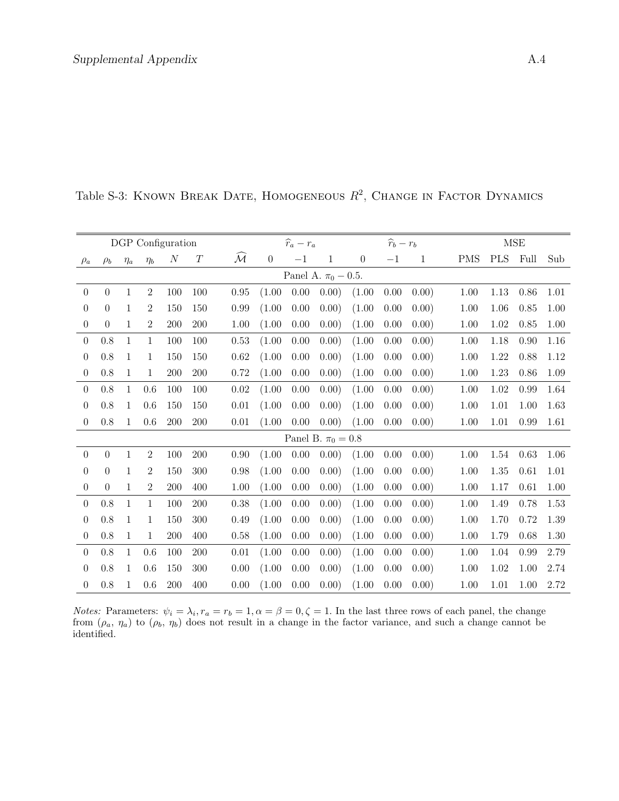|                  |                  |              |                | DGP Configuration |          |                         |                | $\widehat{r}_a-r_a$ |                          |                  | $\widehat{r}_b-r_b$ |       |            |            | $\operatorname{MSE}$ |      |
|------------------|------------------|--------------|----------------|-------------------|----------|-------------------------|----------------|---------------------|--------------------------|------------------|---------------------|-------|------------|------------|----------------------|------|
| $\rho_a$         | $\rho_b$         | $\eta_a$     | $\eta_b$       | $\boldsymbol{N}$  | $\cal T$ | $\widehat{\mathcal{M}}$ | $\overline{0}$ | $-1$                | 1                        | $\boldsymbol{0}$ | $-1$                | 1     | <b>PMS</b> | <b>PLS</b> | Full                 | Sub  |
|                  |                  |              |                |                   |          |                         |                |                     | Panel A. $\pi_0 - 0.5$ . |                  |                     |       |            |            |                      |      |
| $\theta$         | $\theta$         | 1            | $\overline{2}$ | 100               | 100      | 0.95                    | (1.00)         | 0.00                | 0.00)                    | (1.00)           | 0.00                | 0.00) | 1.00       | 1.13       | 0.86                 | 1.01 |
| $\boldsymbol{0}$ | $\boldsymbol{0}$ | $\mathbf{1}$ | 2              | 150               | 150      | 0.99                    | (1.00)         | 0.00                | 0.00)                    | (1.00)           | 0.00                | 0.00) | 1.00       | 1.06       | 0.85                 | 1.00 |
| $\theta$         | $\theta$         | $\mathbf{1}$ | $\overline{2}$ | 200               | 200      | 1.00                    | (1.00)         | 0.00                | 0.00)                    | (1.00)           | 0.00                | 0.00) | 1.00       | 1.02       | 0.85                 | 1.00 |
| $\theta$         | 0.8              | $\mathbf{1}$ | 1              | 100               | 100      | 0.53                    | (1.00)         | 0.00                | 0.00)                    | (1.00)           | 0.00                | 0.00) | 1.00       | 1.18       | 0.90                 | 1.16 |
| $\theta$         | 0.8              | $\mathbf{1}$ | 1              | 150               | 150      | $0.62\,$                | (1.00)         | 0.00                | 0.00)                    | (1.00)           | 0.00                | 0.00) | 1.00       | 1.22       | 0.88                 | 1.12 |
| $\theta$         | 0.8              | 1            | 1              | 200               | 200      | 0.72                    | (1.00)         | 0.00                | 0.00)                    | (1.00)           | 0.00                | 0.00) | 1.00       | 1.23       | 0.86                 | 1.09 |
| $\theta$         | 0.8              | $\mathbf{1}$ | 0.6            | 100               | 100      | 0.02                    | (1.00)         | 0.00                | 0.00)                    | (1.00)           | 0.00                | 0.00) | 1.00       | 1.02       | 0.99                 | 1.64 |
| $\theta$         | 0.8              | $\mathbf{1}$ | 0.6            | 150               | 150      | 0.01                    | (1.00)         | 0.00                | 0.00)                    | (1.00)           | 0.00                | 0.00) | 1.00       | 1.01       | 1.00                 | 1.63 |
| $\theta$         | 0.8              | $\mathbf{1}$ | 0.6            | 200               | 200      | 0.01                    | (1.00)         | 0.00                | 0.00)                    | (1.00)           | 0.00                | 0.00) | 1.00       | 1.01       | 0.99                 | 1.61 |
|                  |                  |              |                |                   |          |                         |                |                     | Panel B. $\pi_0 = 0.8$   |                  |                     |       |            |            |                      |      |
| $\overline{0}$   | $\overline{0}$   | $\mathbf{1}$ | $\overline{2}$ | 100               | 200      | 0.90                    | (1.00)         | 0.00                | 0.00)                    | (1.00)           | 0.00                | 0.00) | 1.00       | 1.54       | 0.63                 | 1.06 |
| $\theta$         | $\theta$         | 1            | $\overline{2}$ | 150               | 300      | 0.98                    | (1.00)         | 0.00                | 0.00)                    | (1.00)           | 0.00                | 0.00) | 1.00       | 1.35       | 0.61                 | 1.01 |
| $\theta$         | $\overline{0}$   | $\mathbf{1}$ | $\overline{2}$ | 200               | 400      | 1.00                    | (1.00)         | 0.00                | 0.00)                    | (1.00)           | 0.00                | 0.00) | 1.00       | 1.17       | 0.61                 | 1.00 |
| $\theta$         | 0.8              | $\mathbf{1}$ | 1              | 100               | 200      | 0.38                    | (1.00)         | 0.00                | 0.00)                    | (1.00)           | 0.00                | 0.00) | 1.00       | 1.49       | 0.78                 | 1.53 |
| $\theta$         | 0.8              | 1            | 1              | 150               | 300      | 0.49                    | (1.00)         | 0.00                | 0.00)                    | (1.00)           | 0.00                | 0.00) | 1.00       | 1.70       | 0.72                 | 1.39 |
| $\boldsymbol{0}$ | 0.8              | $\mathbf{1}$ | 1              | 200               | 400      | 0.58                    | (1.00)         | 0.00                | 0.00)                    | (1.00)           | 0.00                | 0.00) | 1.00       | 1.79       | 0.68                 | 1.30 |
| $\theta$         | 0.8              | $\mathbf{1}$ | 0.6            | 100               | 200      | $0.01\,$                | (1.00)         | 0.00                | 0.00)                    | (1.00)           | 0.00                | 0.00) | 1.00       | 1.04       | 0.99                 | 2.79 |
| $\theta$         | 0.8              | $\mathbf{1}$ | 0.6            | 150               | 300      | 0.00                    | (1.00)         | 0.00                | 0.00)                    | (1.00)           | 0.00                | 0.00) | 1.00       | 1.02       | 1.00                 | 2.74 |
| $\theta$         | 0.8              | $\mathbf{1}$ | 0.6            | <b>200</b>        | 400      | 0.00                    | (1.00)         | 0.00                | 0.00)                    | (1.00)           | 0.00                | 0.00) | 1.00       | 1.01       | 1.00                 | 2.72 |

Table S-3: KNOWN BREAK DATE, HOMOGENEOUS  $R^2$ , CHANGE IN FACTOR DYNAMICS

*Notes:* Parameters:  $\psi_i = \lambda_i$ ,  $r_a = r_b = 1$ ,  $\alpha = \beta = 0$ ,  $\zeta = 1$ . In the last three rows of each panel, the change from  $(\rho_a, \eta_a)$  to  $(\rho_b, \eta_b)$  does not result in a change in the factor variance, and such a change cannot be identified.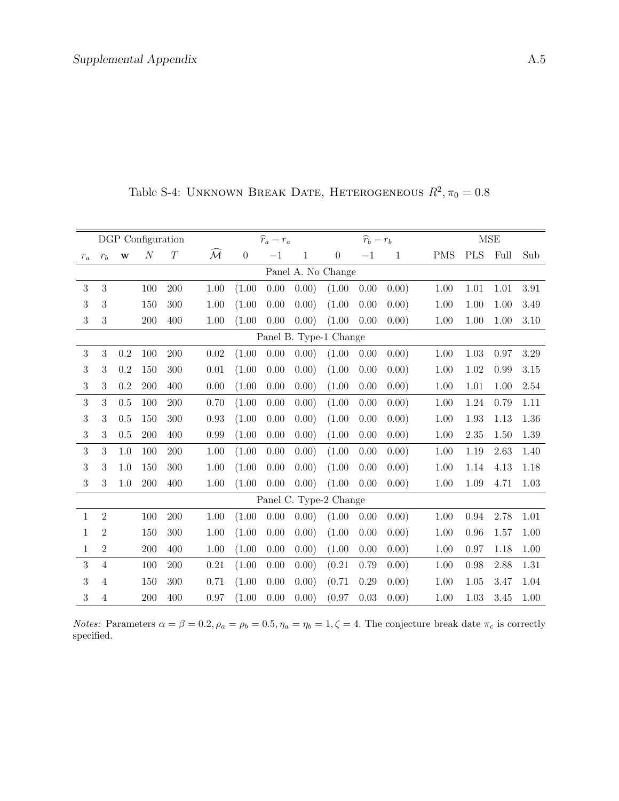|                  |                |              | DGP Configuration |          |                       |                  | $\widehat{r}_a-r_a$ |              |                        | $\widehat{r}_b-r_b$ |              |            |            | MSE  |          |
|------------------|----------------|--------------|-------------------|----------|-----------------------|------------------|---------------------|--------------|------------------------|---------------------|--------------|------------|------------|------|----------|
| $r_a$            | $r_b$          | $\mathbf{W}$ | $\cal N$          | $\cal T$ | $\mathcal{\tilde{M}}$ | $\boldsymbol{0}$ | $-1$                | $\mathbf{1}$ | $\boldsymbol{0}$       | $-1$                | $\mathbf{1}$ | <b>PMS</b> | <b>PLS</b> | Full | Sub      |
|                  |                |              |                   |          |                       |                  |                     |              | Panel A. No Change     |                     |              |            |            |      |          |
| $\sqrt{3}$       | $\mathbf{3}$   |              | 100               | 200      | 1.00                  | (1.00)           | 0.00                | 0.00)        | (1.00)                 | 0.00                | (0.00)       | 1.00       | 1.01       | 1.01 | 3.91     |
| 3                | 3              |              | 150               | 300      | 1.00                  | (1.00)           | 0.00                | 0.00)        | (1.00)                 | 0.00                | 0.00)        | 1.00       | 1.00       | 1.00 | 3.49     |
| $\,3$            | $\sqrt{3}$     |              | 200               | 400      | 1.00                  | (1.00)           | 0.00                | 0.00)        | (1.00)                 | 0.00                | 0.00)        | 1.00       | 1.00       | 1.00 | $3.10\,$ |
|                  |                |              |                   |          |                       |                  |                     |              | Panel B. Type-1 Change |                     |              |            |            |      |          |
| 3                | 3              | 0.2          | $100\,$           | 200      | $0.02\,$              | (1.00)           | 0.00                | 0.00)        | (1.00)                 | 0.00                | 0.00)        | 1.00       | $1.03\,$   | 0.97 | 3.29     |
| 3                | 3              | 0.2          | 150               | 300      | 0.01                  | (1.00)           | 0.00                | 0.00)        | (1.00)                 | 0.00                | 0.00)        | 1.00       | 1.02       | 0.99 | 3.15     |
| $\sqrt{3}$       | 3              | 0.2          | 200               | 400      | 0.00                  | (1.00)           | 0.00                | 0.00)        | (1.00)                 | 0.00                | 0.00)        | 1.00       | $1.01\,$   | 1.00 | 2.54     |
| 3                | 3              | 0.5          | 100               | 200      | 0.70                  | (1.00)           | 0.00                | 0.00)        | (1.00)                 | 0.00                | 0.00)        | 1.00       | 1.24       | 0.79 | 1.11     |
| $\sqrt{3}$       | 3              | 0.5          | 150               | 300      | 0.93                  | (1.00)           | 0.00                | 0.00)        | (1.00)                 | 0.00                | 0.00)        | 1.00       | 1.93       | 1.13 | 1.36     |
| $\boldsymbol{3}$ | 3              | 0.5          | 200               | 400      | 0.99                  | (1.00)           | 0.00                | 0.00)        | (1.00)                 | 0.00                | 0.00)        | 1.00       | $2.35\,$   | 1.50 | 1.39     |
| 3                | 3              | 1.0          | 100               | 200      | 1.00                  | (1.00)           | 0.00                | 0.00)        | (1.00)                 | 0.00                | 0.00)        | 1.00       | 1.19       | 2.63 | 1.40     |
| $\boldsymbol{3}$ | 3              | 1.0          | 150               | 300      | 1.00                  | (1.00)           | 0.00                | 0.00)        | (1.00)                 | 0.00                | 0.00)        | 1.00       | 1.14       | 4.13 | 1.18     |
| $\boldsymbol{3}$ | 3              | 1.0          | 200               | 400      | 1.00                  | (1.00)           | 0.00                | 0.00)        | (1.00)                 | 0.00                | 0.00)        | 1.00       | 1.09       | 4.71 | 1.03     |
|                  |                |              |                   |          |                       |                  |                     |              | Panel C. Type-2 Change |                     |              |            |            |      |          |
| $\mathbf{1}$     | $\overline{2}$ |              | 100               | 200      | 1.00                  | (1.00)           | 0.00                | 0.00)        | (1.00)                 | 0.00                | 0.00)        | 1.00       | 0.94       | 2.78 | 1.01     |
| 1                | $\overline{2}$ |              | 150               | 300      | 1.00                  | (1.00)           | 0.00                | 0.00)        | (1.00)                 | 0.00                | 0.00)        | 1.00       | 0.96       | 1.57 | 1.00     |
| 1                | $\sqrt{2}$     |              | 200               | 400      | 1.00                  | (1.00)           | 0.00                | 0.00)        | (1.00)                 | 0.00                | 0.00)        | 1.00       | 0.97       | 1.18 | 1.00     |
| 3                | $\overline{4}$ |              | 100               | 200      | 0.21                  | (1.00)           | 0.00                | 0.00)        | (0.21)                 | 0.79                | 0.00)        | 1.00       | 0.98       | 2.88 | 1.31     |
| 3                | 4              |              | 150               | 300      | 0.71                  | (1.00)           | 0.00                | 0.00)        | (0.71)                 | 0.29                | 0.00)        | 1.00       | 1.05       | 3.47 | 1.04     |
| 3                | 4              |              | 200               | 400      | 0.97                  | (1.00)           | 0.00                | 0.00)        | (0.97)                 | 0.03                | 0.00)        | 1.00       | 1.03       | 3.45 | 1.00     |

Table S-4: UNKNOWN BREAK DATE, HETEROGENEOUS  $R^2$ ,  $\pi_0 = 0.8$ 

*Notes:* Parameters  $\alpha = \beta = 0.2$ ,  $\rho_a = \rho_b = 0.5$ ,  $\eta_a = \eta_b = 1$ ,  $\zeta = 4$ . The conjecture break date  $\pi_c$  is correctly specified.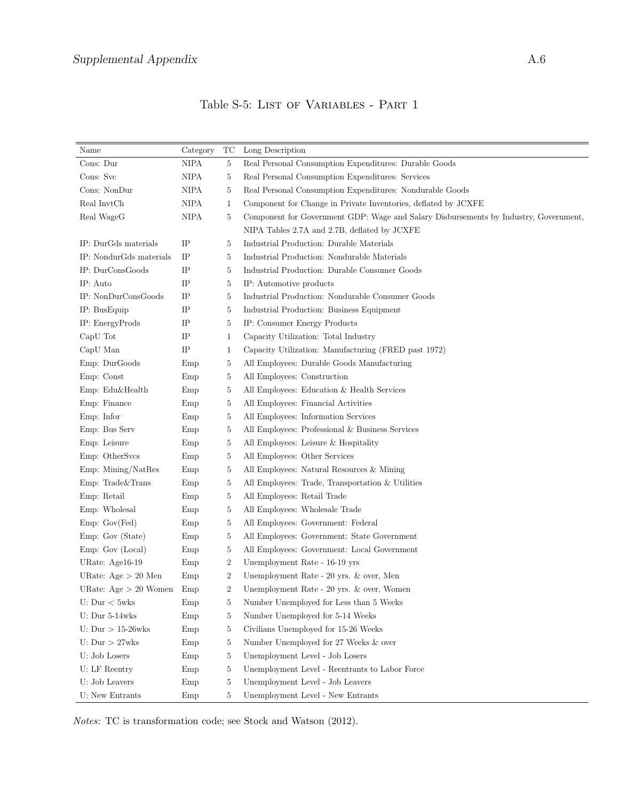| Category<br>Long Description<br>Name<br>TC<br>Cons: Dur<br><b>NIPA</b><br>Real Personal Consumption Expenditures: Durable Goods<br>$\overline{5}$<br>Cons: Svc<br><b>NIPA</b><br>Real Personal Consumption Expenditures: Services<br>5<br>Cons: NonDur<br><b>NIPA</b><br>Real Personal Consumption Expenditures: Nondurable Goods<br>5<br>Real InvtCh<br><b>NIPA</b><br>Component for Change in Private Inventories, deflated by JCXFE<br>1<br>Real WageG<br><b>NIPA</b><br>5<br>Component for Government GDP: Wage and Salary Disbursements by Industry, Government,<br>NIPA Tables 2.7A and 2.7B, deflated by JCXFE<br>IP<br>IP: DurGds materials<br>Industrial Production: Durable Materials<br>5<br>IP: NondurGds materials<br>IP<br>Industrial Production: Nondurable Materials<br>5<br>IP: DurConsGoods<br>IP<br>Industrial Production: Durable Consumer Goods<br>5<br>IP: Auto<br>IP<br>5<br>IP: Automotive products<br>$\rm IP$<br>IP: NonDurConsGoods<br>Industrial Production: Nondurable Consumer Goods<br>5<br>IP: BusEquip<br>IP<br>Industrial Production: Business Equipment<br>5<br>IP: EnergyProds<br>IP<br>IP: Consumer Energy Products<br>5<br>$\rm IP$<br>CapU Tot<br>1<br>Capacity Utilization: Total Industry<br>$\rm IP$<br>CapU Man<br>Capacity Utilization: Manufacturing (FRED past 1972)<br>1<br>Emp: DurGoods<br>All Employees: Durable Goods Manufacturing<br>5<br>Emp<br>Emp: Const<br>All Employees: Construction<br>Emp<br>5<br>Emp: Edu&Health<br>All Employees: Education & Health Services<br>Emp<br>5<br>Emp: Finance<br>All Employees: Financial Activities<br>Emp<br>5<br>Emp: Infor<br>5<br>All Employees: Information Services<br>Emp<br>Emp: Bus Serv<br>All Employees: Professional & Business Services<br>Emp<br>5<br>Emp: Leisure<br>Emp<br>5<br>All Employees: Leisure & Hospitality<br>Emp: OtherSvcs<br>Emp<br>5<br>All Employees: Other Services<br>Emp: Mining/NatRes<br>Emp<br>5<br>All Employees: Natural Resources & Mining<br>Emp: Trade&Trans<br>All Employees: Trade, Transportation & Utilities<br>5<br>Emp<br>Emp: Retail<br>All Employees: Retail Trade<br>Emp<br>5<br>Emp: Wholesal<br>All Employees: Wholesale Trade<br>Emp<br>5<br>Emp: Gov(Fed)<br>All Employees: Government: Federal<br>Emp<br>5<br>Emp: Gov (State)<br>All Employees: Government: State Government<br>Emp<br>5 |
|-----------------------------------------------------------------------------------------------------------------------------------------------------------------------------------------------------------------------------------------------------------------------------------------------------------------------------------------------------------------------------------------------------------------------------------------------------------------------------------------------------------------------------------------------------------------------------------------------------------------------------------------------------------------------------------------------------------------------------------------------------------------------------------------------------------------------------------------------------------------------------------------------------------------------------------------------------------------------------------------------------------------------------------------------------------------------------------------------------------------------------------------------------------------------------------------------------------------------------------------------------------------------------------------------------------------------------------------------------------------------------------------------------------------------------------------------------------------------------------------------------------------------------------------------------------------------------------------------------------------------------------------------------------------------------------------------------------------------------------------------------------------------------------------------------------------------------------------------------------------------------------------------------------------------------------------------------------------------------------------------------------------------------------------------------------------------------------------------------------------------------------------------------------------------------------------------------------------------------------------------------------------------------------------------------------------------------------------------|
|                                                                                                                                                                                                                                                                                                                                                                                                                                                                                                                                                                                                                                                                                                                                                                                                                                                                                                                                                                                                                                                                                                                                                                                                                                                                                                                                                                                                                                                                                                                                                                                                                                                                                                                                                                                                                                                                                                                                                                                                                                                                                                                                                                                                                                                                                                                                               |
|                                                                                                                                                                                                                                                                                                                                                                                                                                                                                                                                                                                                                                                                                                                                                                                                                                                                                                                                                                                                                                                                                                                                                                                                                                                                                                                                                                                                                                                                                                                                                                                                                                                                                                                                                                                                                                                                                                                                                                                                                                                                                                                                                                                                                                                                                                                                               |
|                                                                                                                                                                                                                                                                                                                                                                                                                                                                                                                                                                                                                                                                                                                                                                                                                                                                                                                                                                                                                                                                                                                                                                                                                                                                                                                                                                                                                                                                                                                                                                                                                                                                                                                                                                                                                                                                                                                                                                                                                                                                                                                                                                                                                                                                                                                                               |
|                                                                                                                                                                                                                                                                                                                                                                                                                                                                                                                                                                                                                                                                                                                                                                                                                                                                                                                                                                                                                                                                                                                                                                                                                                                                                                                                                                                                                                                                                                                                                                                                                                                                                                                                                                                                                                                                                                                                                                                                                                                                                                                                                                                                                                                                                                                                               |
|                                                                                                                                                                                                                                                                                                                                                                                                                                                                                                                                                                                                                                                                                                                                                                                                                                                                                                                                                                                                                                                                                                                                                                                                                                                                                                                                                                                                                                                                                                                                                                                                                                                                                                                                                                                                                                                                                                                                                                                                                                                                                                                                                                                                                                                                                                                                               |
|                                                                                                                                                                                                                                                                                                                                                                                                                                                                                                                                                                                                                                                                                                                                                                                                                                                                                                                                                                                                                                                                                                                                                                                                                                                                                                                                                                                                                                                                                                                                                                                                                                                                                                                                                                                                                                                                                                                                                                                                                                                                                                                                                                                                                                                                                                                                               |
|                                                                                                                                                                                                                                                                                                                                                                                                                                                                                                                                                                                                                                                                                                                                                                                                                                                                                                                                                                                                                                                                                                                                                                                                                                                                                                                                                                                                                                                                                                                                                                                                                                                                                                                                                                                                                                                                                                                                                                                                                                                                                                                                                                                                                                                                                                                                               |
|                                                                                                                                                                                                                                                                                                                                                                                                                                                                                                                                                                                                                                                                                                                                                                                                                                                                                                                                                                                                                                                                                                                                                                                                                                                                                                                                                                                                                                                                                                                                                                                                                                                                                                                                                                                                                                                                                                                                                                                                                                                                                                                                                                                                                                                                                                                                               |
|                                                                                                                                                                                                                                                                                                                                                                                                                                                                                                                                                                                                                                                                                                                                                                                                                                                                                                                                                                                                                                                                                                                                                                                                                                                                                                                                                                                                                                                                                                                                                                                                                                                                                                                                                                                                                                                                                                                                                                                                                                                                                                                                                                                                                                                                                                                                               |
|                                                                                                                                                                                                                                                                                                                                                                                                                                                                                                                                                                                                                                                                                                                                                                                                                                                                                                                                                                                                                                                                                                                                                                                                                                                                                                                                                                                                                                                                                                                                                                                                                                                                                                                                                                                                                                                                                                                                                                                                                                                                                                                                                                                                                                                                                                                                               |
|                                                                                                                                                                                                                                                                                                                                                                                                                                                                                                                                                                                                                                                                                                                                                                                                                                                                                                                                                                                                                                                                                                                                                                                                                                                                                                                                                                                                                                                                                                                                                                                                                                                                                                                                                                                                                                                                                                                                                                                                                                                                                                                                                                                                                                                                                                                                               |
|                                                                                                                                                                                                                                                                                                                                                                                                                                                                                                                                                                                                                                                                                                                                                                                                                                                                                                                                                                                                                                                                                                                                                                                                                                                                                                                                                                                                                                                                                                                                                                                                                                                                                                                                                                                                                                                                                                                                                                                                                                                                                                                                                                                                                                                                                                                                               |
|                                                                                                                                                                                                                                                                                                                                                                                                                                                                                                                                                                                                                                                                                                                                                                                                                                                                                                                                                                                                                                                                                                                                                                                                                                                                                                                                                                                                                                                                                                                                                                                                                                                                                                                                                                                                                                                                                                                                                                                                                                                                                                                                                                                                                                                                                                                                               |
|                                                                                                                                                                                                                                                                                                                                                                                                                                                                                                                                                                                                                                                                                                                                                                                                                                                                                                                                                                                                                                                                                                                                                                                                                                                                                                                                                                                                                                                                                                                                                                                                                                                                                                                                                                                                                                                                                                                                                                                                                                                                                                                                                                                                                                                                                                                                               |
|                                                                                                                                                                                                                                                                                                                                                                                                                                                                                                                                                                                                                                                                                                                                                                                                                                                                                                                                                                                                                                                                                                                                                                                                                                                                                                                                                                                                                                                                                                                                                                                                                                                                                                                                                                                                                                                                                                                                                                                                                                                                                                                                                                                                                                                                                                                                               |
|                                                                                                                                                                                                                                                                                                                                                                                                                                                                                                                                                                                                                                                                                                                                                                                                                                                                                                                                                                                                                                                                                                                                                                                                                                                                                                                                                                                                                                                                                                                                                                                                                                                                                                                                                                                                                                                                                                                                                                                                                                                                                                                                                                                                                                                                                                                                               |
|                                                                                                                                                                                                                                                                                                                                                                                                                                                                                                                                                                                                                                                                                                                                                                                                                                                                                                                                                                                                                                                                                                                                                                                                                                                                                                                                                                                                                                                                                                                                                                                                                                                                                                                                                                                                                                                                                                                                                                                                                                                                                                                                                                                                                                                                                                                                               |
|                                                                                                                                                                                                                                                                                                                                                                                                                                                                                                                                                                                                                                                                                                                                                                                                                                                                                                                                                                                                                                                                                                                                                                                                                                                                                                                                                                                                                                                                                                                                                                                                                                                                                                                                                                                                                                                                                                                                                                                                                                                                                                                                                                                                                                                                                                                                               |
|                                                                                                                                                                                                                                                                                                                                                                                                                                                                                                                                                                                                                                                                                                                                                                                                                                                                                                                                                                                                                                                                                                                                                                                                                                                                                                                                                                                                                                                                                                                                                                                                                                                                                                                                                                                                                                                                                                                                                                                                                                                                                                                                                                                                                                                                                                                                               |
|                                                                                                                                                                                                                                                                                                                                                                                                                                                                                                                                                                                                                                                                                                                                                                                                                                                                                                                                                                                                                                                                                                                                                                                                                                                                                                                                                                                                                                                                                                                                                                                                                                                                                                                                                                                                                                                                                                                                                                                                                                                                                                                                                                                                                                                                                                                                               |
|                                                                                                                                                                                                                                                                                                                                                                                                                                                                                                                                                                                                                                                                                                                                                                                                                                                                                                                                                                                                                                                                                                                                                                                                                                                                                                                                                                                                                                                                                                                                                                                                                                                                                                                                                                                                                                                                                                                                                                                                                                                                                                                                                                                                                                                                                                                                               |
|                                                                                                                                                                                                                                                                                                                                                                                                                                                                                                                                                                                                                                                                                                                                                                                                                                                                                                                                                                                                                                                                                                                                                                                                                                                                                                                                                                                                                                                                                                                                                                                                                                                                                                                                                                                                                                                                                                                                                                                                                                                                                                                                                                                                                                                                                                                                               |
|                                                                                                                                                                                                                                                                                                                                                                                                                                                                                                                                                                                                                                                                                                                                                                                                                                                                                                                                                                                                                                                                                                                                                                                                                                                                                                                                                                                                                                                                                                                                                                                                                                                                                                                                                                                                                                                                                                                                                                                                                                                                                                                                                                                                                                                                                                                                               |
|                                                                                                                                                                                                                                                                                                                                                                                                                                                                                                                                                                                                                                                                                                                                                                                                                                                                                                                                                                                                                                                                                                                                                                                                                                                                                                                                                                                                                                                                                                                                                                                                                                                                                                                                                                                                                                                                                                                                                                                                                                                                                                                                                                                                                                                                                                                                               |
|                                                                                                                                                                                                                                                                                                                                                                                                                                                                                                                                                                                                                                                                                                                                                                                                                                                                                                                                                                                                                                                                                                                                                                                                                                                                                                                                                                                                                                                                                                                                                                                                                                                                                                                                                                                                                                                                                                                                                                                                                                                                                                                                                                                                                                                                                                                                               |
|                                                                                                                                                                                                                                                                                                                                                                                                                                                                                                                                                                                                                                                                                                                                                                                                                                                                                                                                                                                                                                                                                                                                                                                                                                                                                                                                                                                                                                                                                                                                                                                                                                                                                                                                                                                                                                                                                                                                                                                                                                                                                                                                                                                                                                                                                                                                               |
|                                                                                                                                                                                                                                                                                                                                                                                                                                                                                                                                                                                                                                                                                                                                                                                                                                                                                                                                                                                                                                                                                                                                                                                                                                                                                                                                                                                                                                                                                                                                                                                                                                                                                                                                                                                                                                                                                                                                                                                                                                                                                                                                                                                                                                                                                                                                               |
|                                                                                                                                                                                                                                                                                                                                                                                                                                                                                                                                                                                                                                                                                                                                                                                                                                                                                                                                                                                                                                                                                                                                                                                                                                                                                                                                                                                                                                                                                                                                                                                                                                                                                                                                                                                                                                                                                                                                                                                                                                                                                                                                                                                                                                                                                                                                               |
|                                                                                                                                                                                                                                                                                                                                                                                                                                                                                                                                                                                                                                                                                                                                                                                                                                                                                                                                                                                                                                                                                                                                                                                                                                                                                                                                                                                                                                                                                                                                                                                                                                                                                                                                                                                                                                                                                                                                                                                                                                                                                                                                                                                                                                                                                                                                               |
|                                                                                                                                                                                                                                                                                                                                                                                                                                                                                                                                                                                                                                                                                                                                                                                                                                                                                                                                                                                                                                                                                                                                                                                                                                                                                                                                                                                                                                                                                                                                                                                                                                                                                                                                                                                                                                                                                                                                                                                                                                                                                                                                                                                                                                                                                                                                               |
| Emp: Gov (Local)<br>All Employees: Government: Local Government<br>Emp<br>5                                                                                                                                                                                                                                                                                                                                                                                                                                                                                                                                                                                                                                                                                                                                                                                                                                                                                                                                                                                                                                                                                                                                                                                                                                                                                                                                                                                                                                                                                                                                                                                                                                                                                                                                                                                                                                                                                                                                                                                                                                                                                                                                                                                                                                                                   |
| URate: Age16-19<br>$\boldsymbol{2}$<br>Unemployment Rate - 16-19 yrs<br>Emp                                                                                                                                                                                                                                                                                                                                                                                                                                                                                                                                                                                                                                                                                                                                                                                                                                                                                                                                                                                                                                                                                                                                                                                                                                                                                                                                                                                                                                                                                                                                                                                                                                                                                                                                                                                                                                                                                                                                                                                                                                                                                                                                                                                                                                                                   |
| URate: $Age > 20$ Men<br>$\boldsymbol{2}$<br>Unemployment Rate - 20 yrs. & over, Men<br>Emp                                                                                                                                                                                                                                                                                                                                                                                                                                                                                                                                                                                                                                                                                                                                                                                                                                                                                                                                                                                                                                                                                                                                                                                                                                                                                                                                                                                                                                                                                                                                                                                                                                                                                                                                                                                                                                                                                                                                                                                                                                                                                                                                                                                                                                                   |
| $\overline{2}$<br>URate: $Age > 20$ Women<br>Emp<br>Unemployment Rate - 20 yrs. & over, Women                                                                                                                                                                                                                                                                                                                                                                                                                                                                                                                                                                                                                                                                                                                                                                                                                                                                                                                                                                                                                                                                                                                                                                                                                                                                                                                                                                                                                                                                                                                                                                                                                                                                                                                                                                                                                                                                                                                                                                                                                                                                                                                                                                                                                                                 |
| U: $Dur < 5wks$<br>Number Unemployed for Less than 5 Weeks<br>Emp<br>5                                                                                                                                                                                                                                                                                                                                                                                                                                                                                                                                                                                                                                                                                                                                                                                                                                                                                                                                                                                                                                                                                                                                                                                                                                                                                                                                                                                                                                                                                                                                                                                                                                                                                                                                                                                                                                                                                                                                                                                                                                                                                                                                                                                                                                                                        |
| U: Dur $5-14wks$<br>Emp<br>5<br>Number Unemployed for 5-14 Weeks                                                                                                                                                                                                                                                                                                                                                                                                                                                                                                                                                                                                                                                                                                                                                                                                                                                                                                                                                                                                                                                                                                                                                                                                                                                                                                                                                                                                                                                                                                                                                                                                                                                                                                                                                                                                                                                                                                                                                                                                                                                                                                                                                                                                                                                                              |
| U: $Dur > 15-26wks$<br>Civilians Unemployed for 15-26 Weeks<br>5<br>Emp                                                                                                                                                                                                                                                                                                                                                                                                                                                                                                                                                                                                                                                                                                                                                                                                                                                                                                                                                                                                                                                                                                                                                                                                                                                                                                                                                                                                                                                                                                                                                                                                                                                                                                                                                                                                                                                                                                                                                                                                                                                                                                                                                                                                                                                                       |
| U: $Dur > 27wks$<br>Number Unemployed for 27 Weeks & over<br>Emp<br>5                                                                                                                                                                                                                                                                                                                                                                                                                                                                                                                                                                                                                                                                                                                                                                                                                                                                                                                                                                                                                                                                                                                                                                                                                                                                                                                                                                                                                                                                                                                                                                                                                                                                                                                                                                                                                                                                                                                                                                                                                                                                                                                                                                                                                                                                         |
| U: Job Losers<br>Unemployment Level - Job Losers<br>Emp<br>5                                                                                                                                                                                                                                                                                                                                                                                                                                                                                                                                                                                                                                                                                                                                                                                                                                                                                                                                                                                                                                                                                                                                                                                                                                                                                                                                                                                                                                                                                                                                                                                                                                                                                                                                                                                                                                                                                                                                                                                                                                                                                                                                                                                                                                                                                  |
| U: LF Reentry<br>Emp<br>5<br>Unemployment Level - Reentrants to Labor Force                                                                                                                                                                                                                                                                                                                                                                                                                                                                                                                                                                                                                                                                                                                                                                                                                                                                                                                                                                                                                                                                                                                                                                                                                                                                                                                                                                                                                                                                                                                                                                                                                                                                                                                                                                                                                                                                                                                                                                                                                                                                                                                                                                                                                                                                   |
| U: Job Leavers<br>Emp<br>5<br>Unemployment Level - Job Leavers                                                                                                                                                                                                                                                                                                                                                                                                                                                                                                                                                                                                                                                                                                                                                                                                                                                                                                                                                                                                                                                                                                                                                                                                                                                                                                                                                                                                                                                                                                                                                                                                                                                                                                                                                                                                                                                                                                                                                                                                                                                                                                                                                                                                                                                                                |
| U: New Entrants<br>5<br>Emp<br>Unemployment Level - New Entrants                                                                                                                                                                                                                                                                                                                                                                                                                                                                                                                                                                                                                                                                                                                                                                                                                                                                                                                                                                                                                                                                                                                                                                                                                                                                                                                                                                                                                                                                                                                                                                                                                                                                                                                                                                                                                                                                                                                                                                                                                                                                                                                                                                                                                                                                              |

Table S-5: LIST OF VARIABLES - PART 1

Notes: TC is transformation code; see Stock and Watson (2012).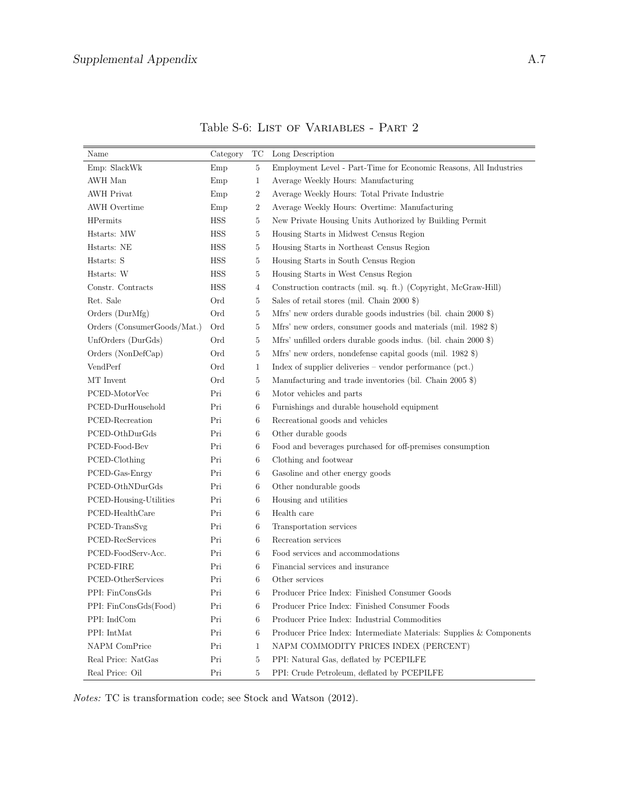| Name                        | Category   | TC             | Long Description                                                    |
|-----------------------------|------------|----------------|---------------------------------------------------------------------|
| Emp: SlackWk                | Emp        | 5              | Employment Level - Part-Time for Economic Reasons, All Industries   |
| AWH Man                     | Emp        | $\mathbf{1}$   | Average Weekly Hours: Manufacturing                                 |
| <b>AWH</b> Privat           | Emp        | $\overline{2}$ | Average Weekly Hours: Total Private Industrie                       |
| <b>AWH</b> Overtime         | Emp        | 2              | Average Weekly Hours: Overtime: Manufacturing                       |
| <b>HPermits</b>             | <b>HSS</b> | 5              | New Private Housing Units Authorized by Building Permit             |
| Hstarts: MW                 | <b>HSS</b> | 5              | Housing Starts in Midwest Census Region                             |
| Hstarts: NE                 | <b>HSS</b> | 5              | Housing Starts in Northeast Census Region                           |
| Hstarts: S                  | <b>HSS</b> | 5              | Housing Starts in South Census Region                               |
| Hstarts: W                  | <b>HSS</b> | 5              | Housing Starts in West Census Region                                |
| Constr. Contracts           | <b>HSS</b> | 4              | Construction contracts (mil. sq. ft.) (Copyright, McGraw-Hill)      |
| Ret. Sale                   | Ord        | 5              | Sales of retail stores (mil. Chain $2000$ \$)                       |
| Orders (DurMfg)             | Ord        | 5              | Mfrs' new orders durable goods industries (bil. chain 2000 \$)      |
| Orders (ConsumerGoods/Mat.) | Ord        | 5              | Mfrs' new orders, consumer goods and materials (mil. 1982 \$)       |
| UnfOrders (DurGds)          | Ord        | 5              | Mfrs' unfilled orders durable goods indus. (bil. chain 2000 \$)     |
| Orders (NonDefCap)          | Ord        | 5              | Mfrs' new orders, nondefense capital goods (mil. 1982 \$)           |
| VendPerf                    | Ord        | 1              | Index of supplier deliveries – vendor performance $(pct.)$          |
| MT Invent                   | Ord        | 5              | Manufacturing and trade inventories (bil. Chain 2005 \$)            |
| PCED-MotorVec               | Pri        | 6              | Motor vehicles and parts                                            |
| PCED-DurHousehold           | Pri        | 6              | Furnishings and durable household equipment                         |
| PCED-Recreation             | Pri        | 6              | Recreational goods and vehicles                                     |
| PCED-OthDurGds              | Pri        | 6              | Other durable goods                                                 |
| PCED-Food-Bev               | Pri        | 6              | Food and beverages purchased for off-premises consumption           |
| PCED-Clothing               | Pri        | 6              | Clothing and footwear                                               |
| PCED-Gas-Enrgy              | Pri        | 6              | Gasoline and other energy goods                                     |
| PCED-OthNDurGds             | Pri        | 6              | Other nondurable goods                                              |
| PCED-Housing-Utilities      | Pri        | 6              | Housing and utilities                                               |
| PCED-HealthCare             | Pri        | 6              | Health care                                                         |
| PCED-TransSvg               | Pri        | 6              | Transportation services                                             |
| PCED-RecServices            | Pri        | 6              | Recreation services                                                 |
| PCED-FoodServ-Acc.          | Pri        | 6              | Food services and accommodations                                    |
| PCED-FIRE                   | Pri        | 6              | Financial services and insurance                                    |
| PCED-OtherServices          | Pri        | 6              | Other services                                                      |
| PPI: FinConsGds             | Pri        | 6              | Producer Price Index: Finished Consumer Goods                       |
| PPI: FinConsGds(Food)       | Pri        | 6              | Producer Price Index: Finished Consumer Foods                       |
| PPI: IndCom                 | Pri        | 6              | Producer Price Index: Industrial Commodities                        |
| PPI: IntMat                 | Pri        | 6              | Producer Price Index: Intermediate Materials: Supplies & Components |
| <b>NAPM</b> ComPrice        | Pri        | 1              | NAPM COMMODITY PRICES INDEX (PERCENT)                               |
| Real Price: NatGas          | Pri        | 5              | PPI: Natural Gas, deflated by PCEPILFE                              |
| Real Price: Oil             | Pri        | $\overline{5}$ | PPI: Crude Petroleum, deflated by PCEPILFE                          |

Table S-6: LIST OF VARIABLES - PART  $2$ 

Notes: TC is transformation code; see Stock and Watson (2012).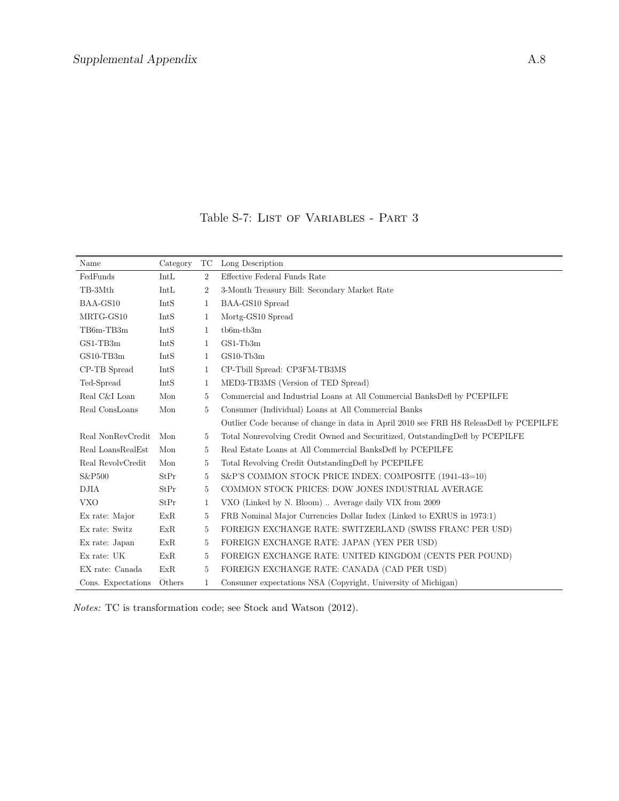Table S-7: LIST OF VARIABLES - PART 3

| Name               | Category | TC             | Long Description                                                                       |  |
|--------------------|----------|----------------|----------------------------------------------------------------------------------------|--|
| FedFunds           | IntL     | $\overline{2}$ | Effective Federal Funds Rate                                                           |  |
| TB-3Mth            | IntL     | $\overline{2}$ | 3-Month Treasury Bill: Secondary Market Rate                                           |  |
| BAA-GS10           | IntS     | 1              | BAA-GS10 Spread                                                                        |  |
| MRTG-GS10          | IntS     | 1              | Mortg-GS10 Spread                                                                      |  |
| TB6m-TB3m          | IntS     | 1              | $tb6m-tb3m$                                                                            |  |
| $GS1-TB3m$         | IntS     | 1              | $GS1-Tb3m$                                                                             |  |
| $GS10-TB3m$        | IntS     | 1              | $GS10-Tb3m$                                                                            |  |
| CP-TB Spread       | IntS     | 1              | CP-Tbill Spread: CP3FM-TB3MS                                                           |  |
| Ted-Spread         | IntS     | 1              | MED3-TB3MS (Version of TED Spread)                                                     |  |
| Real C&I Loan      | Mon      | 5              | Commercial and Industrial Loans at All Commercial BanksDefl by PCEPILFE                |  |
| Real ConsLoans     | Mon      | $\overline{5}$ | Consumer (Individual) Loans at All Commercial Banks                                    |  |
|                    |          |                | Outlier Code because of change in data in April 2010 see FRB H8 ReleasDefl by PCEPILFE |  |
| Real NonRevCredit  | Mon      | 5              | Total Nonrevolving Credit Owned and Securitized, Outstanding Defl by PCEPILFE          |  |
| Real LoansRealEst  | Mon      | 5              | Real Estate Loans at All Commercial BanksDefl by PCEPILFE                              |  |
| Real RevolvCredit  | Mon      | 5              | Total Revolving Credit Outstanding Defl by PCEPILFE                                    |  |
| S&P500             | StPr     | 5              | S&P'S COMMON STOCK PRICE INDEX: COMPOSITE (1941-43=10)                                 |  |
| <b>DJIA</b>        | StPr     | 5              | COMMON STOCK PRICES: DOW JONES INDUSTRIAL AVERAGE                                      |  |
| <b>VXO</b>         | StPr     | $\mathbf{1}$   | VXO (Linked by N. Bloom). Average daily VIX from 2009                                  |  |
| Ex rate: Major     | ExR      | 5              | FRB Nominal Major Currencies Dollar Index (Linked to EXRUS in 1973:1)                  |  |
| Ex rate: Switz     | ExR      | 5              | FOREIGN EXCHANGE RATE: SWITZERLAND (SWISS FRANC PER USD)                               |  |
| Ex rate: Japan     | ExR      | 5              | FOREIGN EXCHANGE RATE: JAPAN (YEN PER USD)                                             |  |
| Ex rate: UK        | ExR      | 5              | FOREIGN EXCHANGE RATE: UNITED KINGDOM (CENTS PER POUND)                                |  |
| EX rate: Canada    | ExR      | 5              | FOREIGN EXCHANGE RATE: CANADA (CAD PER USD)                                            |  |
| Cons. Expectations | Others   | $\mathbf{1}$   | Consumer expectations NSA (Copyright, University of Michigan)                          |  |

Notes: TC is transformation code; see Stock and Watson (2012).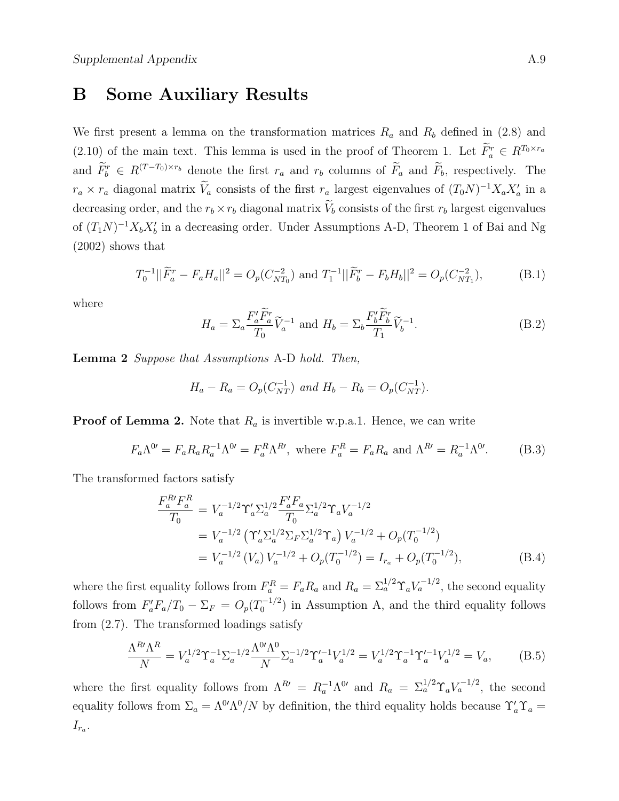### B Some Auxiliary Results

We first present a lemma on the transformation matrices  $R_a$  and  $R_b$  defined in (2.8) and  $(2.10)$  of the main text. This lemma is used in the proof of Theorem 1. Let  $\tilde{F}_a^r \in R^{T_0 \times r_a}$ and  $\tilde{F}_b^r \in R^{(T-T_0)\times r_b}$  denote the first  $r_a$  and  $r_b$  columns of  $\tilde{F}_a$  and  $\tilde{F}_b$ , respectively. The  $r_a \times r_a$  diagonal matrix  $V_a$  consists of the first  $r_a$  largest eigenvalues of  $(T_0N)^{-1}X_aX'_a$  in a decreasing order, and the  $r_b \times r_b$  diagonal matrix  $V_b$  consists of the first  $r_b$  largest eigenvalues of  $(T_1N)^{-1}X_bX_b'$  in a decreasing order. Under Assumptions A-D, Theorem 1 of Bai and Ng (2002) shows that

$$
T_0^{-1}||\widetilde{F}_a^r - F_a H_a||^2 = O_p(C_{NT_0}^{-2}) \text{ and } T_1^{-1}||\widetilde{F}_b^r - F_b H_b||^2 = O_p(C_{NT_1}^{-2}),\tag{B.1}
$$

where

$$
H_a = \sum_a \frac{F_a' \tilde{F}_a^r}{T_0} \tilde{V}_a^{-1} \text{ and } H_b = \sum_b \frac{F_b' \tilde{F}_b^r}{T_1} \tilde{V}_b^{-1}.
$$
 (B.2)

Lemma 2 Suppose that Assumptions A-D hold. Then,

$$
H_a - R_a = O_p(C_{NT}^{-1}) \text{ and } H_b - R_b = O_p(C_{NT}^{-1}).
$$

**Proof of Lemma 2.** Note that  $R_a$  is invertible w.p.a.1. Hence, we can write

$$
F_a \Lambda^{0'} = F_a R_a R_a^{-1} \Lambda^{0'} = F_a^R \Lambda^{R'}, \text{ where } F_a^R = F_a R_a \text{ and } \Lambda^{R'} = R_a^{-1} \Lambda^{0'}.
$$
 (B.3)

The transformed factors satisfy

$$
\frac{F_a^R F_a^R}{T_0} = V_a^{-1/2} \Upsilon_a' \Sigma_a^{1/2} \frac{F_a' F_a}{T_0} \Sigma_a^{1/2} \Upsilon_a V_a^{-1/2}
$$
\n
$$
= V_a^{-1/2} \left( \Upsilon_a' \Sigma_a^{1/2} \Sigma_F \Sigma_a^{1/2} \Upsilon_a \right) V_a^{-1/2} + O_p(T_0^{-1/2})
$$
\n
$$
= V_a^{-1/2} \left( V_a \right) V_a^{-1/2} + O_p(T_0^{-1/2}) = I_{r_a} + O_p(T_0^{-1/2}), \tag{B.4}
$$

where the first equality follows from  $F_a^R = F_a R_a$  and  $R_a = \sum_a^{1/2} \Upsilon_a V_a^{-1/2}$ , the second equality follows from  $F_a'F_a/T_0 - \Sigma_F = O_p(T_0^{-1/2})$  $\binom{1}{0}$  in Assumption A, and the third equality follows from (2.7). The transformed loadings satisfy

$$
\frac{\Lambda^R \Lambda^R}{N} = V_a^{1/2} \Upsilon_a^{-1} \Sigma_a^{-1/2} \frac{\Lambda^{0'} \Lambda^0}{N} \Sigma_a^{-1/2} \Upsilon_a'^{-1} V_a^{1/2} = V_a^{1/2} \Upsilon_a^{-1} \Upsilon_a'^{-1} V_a^{1/2} = V_a,\tag{B.5}
$$

where the first equality follows from  $\Lambda^{R} = R_a^{-1} \Lambda^{0}$  and  $R_a = \Sigma_a^{1/2} \Upsilon_a V_a^{-1/2}$ , the second equality follows from  $\Sigma_a = \Lambda^{0'}\Lambda^0/N$  by definition, the third equality holds because  $\Upsilon_a' \Upsilon_a =$  $I_{r_a}$ .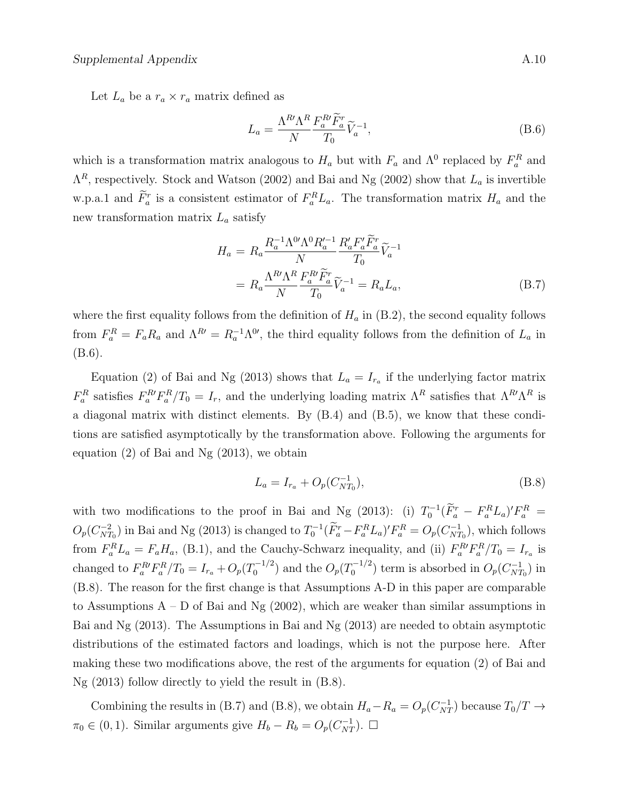Let  $L_a$  be a  $r_a \times r_a$  matrix defined as

$$
L_a = \frac{\Lambda^R \Lambda^R}{N} \frac{F_a^R \tilde{F}_a^r}{T_0} \tilde{V}_a^{-1},\tag{B.6}
$$

which is a transformation matrix analogous to  $H_a$  but with  $F_a$  and  $\Lambda^0$  replaced by  $F_a^R$  and  $\Lambda^R$ , respectively. Stock and Watson (2002) and Bai and Ng (2002) show that  $L_a$  is invertible w.p.a.1 and  $\overline{F}_a^r$  is a consistent estimator of  $F_a^R L_a$ . The transformation matrix  $H_a$  and the new transformation matrix  $L_a$  satisfy

$$
H_a = R_a \frac{R_a^{-1} \Lambda^{0'} \Lambda^0 R_a^{\prime -1}}{N} \frac{R_a' F_a' \tilde{F}_a^r}{T_0} \tilde{V}_a^{-1}
$$
  
= 
$$
R_a \frac{\Lambda^R \Lambda^R}{N} \frac{F_a^R \tilde{F}_a^r}{T_0} \tilde{V}_a^{-1} = R_a L_a,
$$
 (B.7)

where the first equality follows from the definition of  $H_a$  in  $(B.2)$ , the second equality follows from  $F_a^R = F_a R_a$  and  $\Lambda^{R'} = R_a^{-1} \Lambda^{0'}$ , the third equality follows from the definition of  $L_a$  in (B.6).

Equation (2) of Bai and Ng (2013) shows that  $L_a = I_{r_a}$  if the underlying factor matrix  $F_a^R$  satisfies  $F_a^R F_a^R / T_0 = I_r$ , and the underlying loading matrix  $\Lambda^R$  satisfies that  $\Lambda^R \Lambda^R$  is a diagonal matrix with distinct elements. By (B.4) and (B.5), we know that these conditions are satisfied asymptotically by the transformation above. Following the arguments for equation (2) of Bai and Ng (2013), we obtain

$$
L_a = I_{r_a} + O_p(C_{NT_0}^{-1}),
$$
\n(B.8)

with two modifications to the proof in Bai and Ng (2013): (i)  $T_0^{-1}(\tilde{F}_a^r - F_a^R L_a)' F_a^R =$  $O_p(C_{NT}^{-2})$  $\frac{N-T_0}{NT_0}$ ) in Bai and Ng (2013) is changed to  $T_0^{-1}(\tilde{F}_a^r - F_a^R L_a)' F_a^R = O_p(C_{NT}^{-1})$  $\binom{-1}{NT_0}$ , which follows from  $F_a^R L_a = F_a H_a$ , (B.1), and the Cauchy-Schwarz inequality, and (ii)  $F_a^R F_a^R / T_0 = I_{r_a}$  is changed to  $F_a^{R'} F_a^{R}/T_0 = I_{r_a} + O_p(T_0^{-1/2})$  $O_p(T_0^{-1/2})$  and the  $O_p(T_0^{-1/2})$  $O_p^{-1/2}$  term is absorbed in  $O_p(C_{NT}^{-1})$  $\binom{-1}{NT_0}$  in (B.8). The reason for the first change is that Assumptions A-D in this paper are comparable to Assumptions  $A - D$  of Bai and Ng (2002), which are weaker than similar assumptions in Bai and Ng (2013). The Assumptions in Bai and Ng (2013) are needed to obtain asymptotic distributions of the estimated factors and loadings, which is not the purpose here. After making these two modifications above, the rest of the arguments for equation (2) of Bai and Ng (2013) follow directly to yield the result in (B.8).

Combining the results in (B.7) and (B.8), we obtain  $H_a - R_a = O_p(C_{NT}^{-1})$  because  $T_0/T \rightarrow$  $\pi_0 \in (0, 1)$ . Similar arguments give  $H_b - R_b = O_p(C_{NT}^{-1})$ .  $\Box$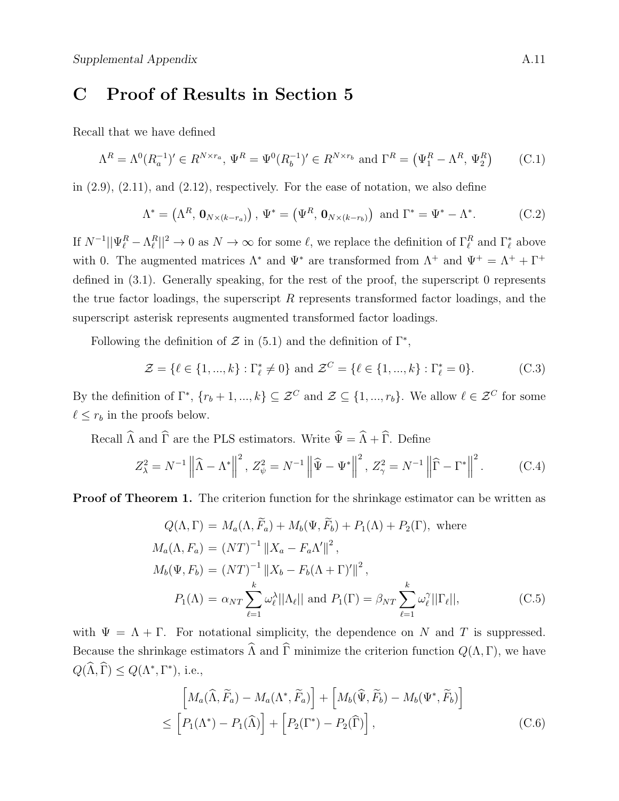## C Proof of Results in Section 5

Recall that we have defined

$$
\Lambda^R = \Lambda^0(R_a^{-1})' \in R^{N \times r_a}, \Psi^R = \Psi^0(R_b^{-1})' \in R^{N \times r_b} \text{ and } \Gamma^R = (\Psi_1^R - \Lambda^R, \Psi_2^R) \tag{C.1}
$$

in  $(2.9)$ ,  $(2.11)$ , and  $(2.12)$ , respectively. For the ease of notation, we also define

$$
\Lambda^* = \left(\Lambda^R, \mathbf{0}_{N \times (k - r_a)}\right), \Psi^* = \left(\Psi^R, \mathbf{0}_{N \times (k - r_b)}\right) \text{ and } \Gamma^* = \Psi^* - \Lambda^*.
$$
 (C.2)

If  $N^{-1}||\Psi_{\ell}^R - \Lambda_{\ell}^R||^2 \to 0$  as  $N \to \infty$  for some  $\ell$ , we replace the definition of  $\Gamma_{\ell}^R$  and  $\Gamma_{\ell}^*$  above with 0. The augmented matrices  $\Lambda^*$  and  $\Psi^*$  are transformed from  $\Lambda^+$  and  $\Psi^+ = \Lambda^+ + \Gamma^+$ defined in (3.1). Generally speaking, for the rest of the proof, the superscript 0 represents the true factor loadings, the superscript  $R$  represents transformed factor loadings, and the superscript asterisk represents augmented transformed factor loadings.

Following the definition of  $\mathcal Z$  in (5.1) and the definition of  $\Gamma^*$ ,

$$
\mathcal{Z} = \{ \ell \in \{1, ..., k\} : \Gamma_{\ell}^* \neq 0 \} \text{ and } \mathcal{Z}^C = \{ \ell \in \{1, ..., k\} : \Gamma_{\ell}^* = 0 \}. \tag{C.3}
$$

By the definition of  $\Gamma^*$ ,  $\{r_b + 1, ..., k\} \subseteq \mathcal{Z}^C$  and  $\mathcal{Z} \subseteq \{1, ..., r_b\}$ . We allow  $\ell \in \mathcal{Z}^C$  for some  $\ell \leq r_b$  in the proofs below.

Recall  $\widehat{\Lambda}$  and  $\widehat{\Gamma}$  are the PLS estimators. Write  $\widehat{\Psi} = \widehat{\Lambda} + \widehat{\Gamma}$ . Define

$$
Z_{\lambda}^{2} = N^{-1} \left\| \widehat{\Lambda} - \Lambda^{*} \right\|^{2}, Z_{\psi}^{2} = N^{-1} \left\| \widehat{\Psi} - \Psi^{*} \right\|^{2}, Z_{\gamma}^{2} = N^{-1} \left\| \widehat{\Gamma} - \Gamma^{*} \right\|^{2}.
$$
 (C.4)

**Proof of Theorem 1.** The criterion function for the shrinkage estimator can be written as

$$
Q(\Lambda, \Gamma) = M_a(\Lambda, \widetilde{F}_a) + M_b(\Psi, \widetilde{F}_b) + P_1(\Lambda) + P_2(\Gamma), \text{ where}
$$
  
\n
$$
M_a(\Lambda, F_a) = (NT)^{-1} ||X_a - F_a\Lambda'||^2,
$$
  
\n
$$
M_b(\Psi, F_b) = (NT)^{-1} ||X_b - F_b(\Lambda + \Gamma)'||^2,
$$
  
\n
$$
P_1(\Lambda) = \alpha_{NT} \sum_{\ell=1}^k \omega_\ell^{\lambda} ||\Lambda_\ell|| \text{ and } P_1(\Gamma) = \beta_{NT} \sum_{\ell=1}^k \omega_\ell^{\gamma} ||\Gamma_\ell||,
$$
 (C.5)

with  $\Psi = \Lambda + \Gamma$ . For notational simplicity, the dependence on N and T is suppressed. Because the shrinkage estimators  $\widehat{\Lambda}$  and  $\widehat{\Gamma}$  minimize the criterion function  $Q(\Lambda, \Gamma)$ , we have  $Q(\widehat{\Lambda}, \widehat{\Gamma}) \leq Q(\Lambda^*, \Gamma^*),$  i.e.,

$$
\[M_a(\widehat{\Lambda}, \widetilde{F}_a) - M_a(\Lambda^*, \widetilde{F}_a)\] + \left[M_b(\widehat{\Psi}, \widetilde{F}_b) - M_b(\Psi^*, \widetilde{F}_b)\right] \le \left[P_1(\Lambda^*) - P_1(\widehat{\Lambda})\right] + \left[P_2(\Gamma^*) - P_2(\widehat{\Gamma})\right],\tag{C.6}
$$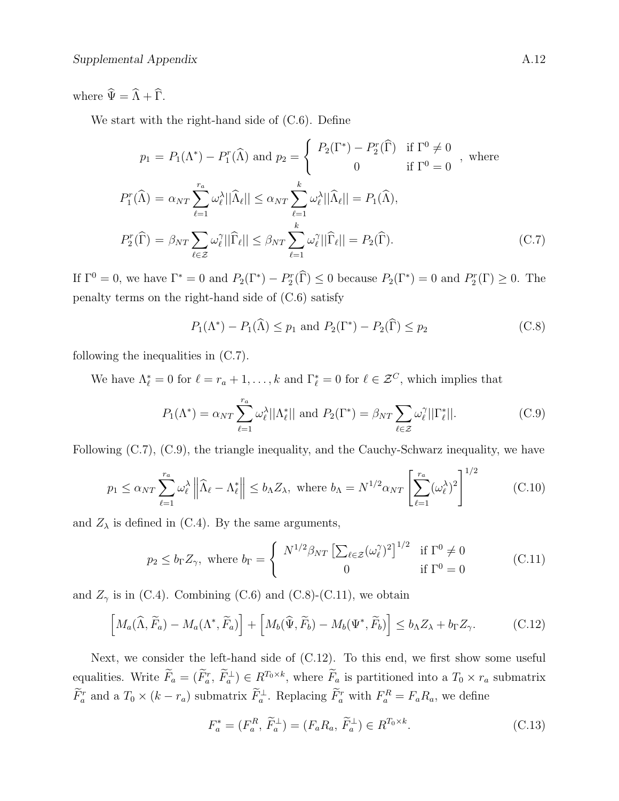where  $\widehat{\Psi} = \widehat{\Lambda} + \widehat{\Gamma}$ .

We start with the right-hand side of (C.6). Define

$$
p_1 = P_1(\Lambda^*) - P_1^r(\widehat{\Lambda}) \text{ and } p_2 = \begin{cases} P_2(\Gamma^*) - P_2^r(\widehat{\Gamma}) & \text{if } \Gamma^0 \neq 0 \\ 0 & \text{if } \Gamma^0 = 0 \end{cases}, \text{ where}
$$
  

$$
P_1^r(\widehat{\Lambda}) = \alpha_{NT} \sum_{\ell=1}^{r_a} \omega_\ell^{\lambda} ||\widehat{\Lambda}_{\ell}|| \leq \alpha_{NT} \sum_{\ell=1}^k \omega_\ell^{\lambda} ||\widehat{\Lambda}_{\ell}|| = P_1(\widehat{\Lambda}),
$$
  

$$
P_2^r(\widehat{\Gamma}) = \beta_{NT} \sum_{\ell \in \mathcal{Z}} \omega_\ell^{\gamma} ||\widehat{\Gamma}_{\ell}|| \leq \beta_{NT} \sum_{\ell=1}^k \omega_\ell^{\gamma} ||\widehat{\Gamma}_{\ell}|| = P_2(\widehat{\Gamma}). \tag{C.7}
$$

If  $\Gamma^0 = 0$ , we have  $\Gamma^* = 0$  and  $P_2(\Gamma^*) - P_2^r(\hat{\Gamma}) \le 0$  because  $P_2(\Gamma^*) = 0$  and  $P_2^r(\Gamma) \ge 0$ . The penalty terms on the right-hand side of (C.6) satisfy

$$
P_1(\Lambda^*) - P_1(\widehat{\Lambda}) \le p_1 \text{ and } P_2(\Gamma^*) - P_2(\widehat{\Gamma}) \le p_2 \tag{C.8}
$$

following the inequalities in (C.7).

We have  $\Lambda_{\ell}^* = 0$  for  $\ell = r_a + 1, \ldots, k$  and  $\Gamma_{\ell}^* = 0$  for  $\ell \in \mathcal{Z}^C$ , which implies that

$$
P_1(\Lambda^*) = \alpha_{NT} \sum_{\ell=1}^{r_a} \omega_\ell^{\lambda} ||\Lambda_\ell^*|| \text{ and } P_2(\Gamma^*) = \beta_{NT} \sum_{\ell \in \mathcal{Z}} \omega_\ell^{\gamma} ||\Gamma_\ell^*||. \tag{C.9}
$$

Following (C.7), (C.9), the triangle inequality, and the Cauchy-Schwarz inequality, we have

$$
p_1 \le \alpha_{NT} \sum_{\ell=1}^{r_a} \omega_\ell^{\lambda} \left\| \widehat{\Lambda}_\ell - \Lambda_\ell^* \right\| \le b_\Lambda Z_\lambda, \text{ where } b_\Lambda = N^{1/2} \alpha_{NT} \left[ \sum_{\ell=1}^{r_a} (\omega_\ell^{\lambda})^2 \right]^{1/2} \tag{C.10}
$$

and  $Z_{\lambda}$  is defined in (C.4). By the same arguments,

$$
p_2 \le b_\Gamma Z_\gamma, \text{ where } b_\Gamma = \begin{cases} N^{1/2} \beta_{NT} \left[ \sum_{\ell \in \mathcal{Z}} (\omega_\ell^\gamma)^2 \right]^{1/2} & \text{if } \Gamma^0 \neq 0 \\ 0 & \text{if } \Gamma^0 = 0 \end{cases}
$$
 (C.11)

and  $Z_{\gamma}$  is in (C.4). Combining (C.6) and (C.8)-(C.11), we obtain

$$
\left[M_a(\widehat{\Lambda}, \widetilde{F}_a) - M_a(\Lambda^*, \widetilde{F}_a)\right] + \left[M_b(\widehat{\Psi}, \widetilde{F}_b) - M_b(\Psi^*, \widetilde{F}_b)\right] \le b_{\Lambda} Z_{\lambda} + b_{\Gamma} Z_{\gamma}.
$$
 (C.12)

Next, we consider the left-hand side of (C.12). To this end, we first show some useful equalities. Write  $\tilde{F}_a = (\tilde{F}_a^r, \tilde{F}_a^{\perp}) \in R^{T_0 \times k}$ , where  $\tilde{F}_a$  is partitioned into a  $T_0 \times r_a$  submatrix  $\tilde{F}_a^r$  and a  $T_0 \times (k - r_a)$  submatrix  $\tilde{F}_a^{\perp}$ . Replacing  $\tilde{F}_a^r$  with  $F_a^R = F_a R_a$ , we define

$$
F_a^* = (F_a^R, \widetilde{F}_a^{\perp}) = (F_a R_a, \widetilde{F}_a^{\perp}) \in R^{T_0 \times k}.
$$
\n(C.13)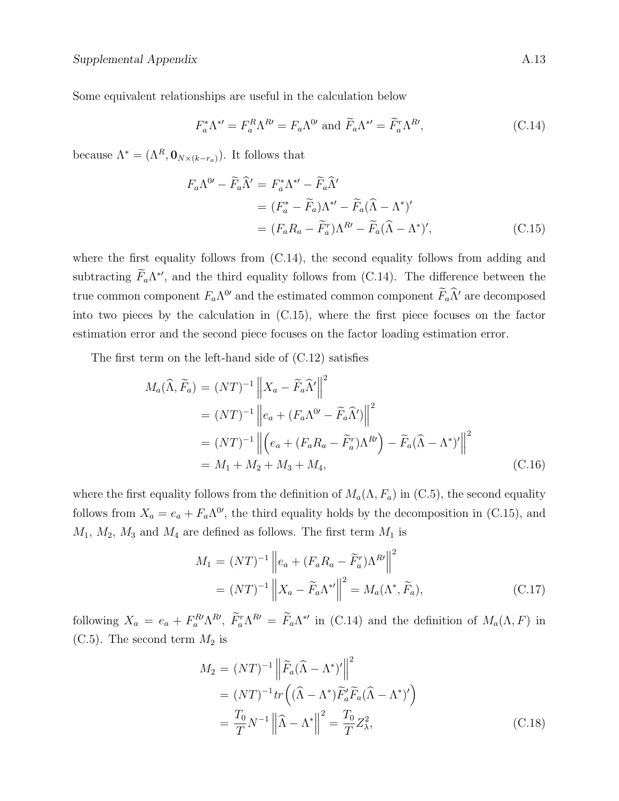Some equivalent relationships are useful in the calculation below

$$
F_a^* \Lambda^{*'} = F_a^R \Lambda^{R'} = F_a \Lambda^{0'} \text{ and } \widetilde{F}_a \Lambda^{*'} = \widetilde{F}_a^r \Lambda^{R'}, \tag{C.14}
$$

because  $\Lambda^* = (\Lambda^R, \mathbf{0}_{N \times (k-r_a)})$ . It follows that

$$
F_a \Lambda^{0'} - \widetilde{F}_a \widehat{\Lambda}' = F_a^* \Lambda^{*'} - \widetilde{F}_a \widehat{\Lambda}'
$$
  
=  $(F_a^* - \widetilde{F}_a) \Lambda^{*'} - \widetilde{F}_a (\widehat{\Lambda} - \Lambda^*)'$   
=  $(F_a R_a - \widetilde{F}_a^r) \Lambda^{R'} - \widetilde{F}_a (\widehat{\Lambda} - \Lambda^*)',$  (C.15)

where the first equality follows from  $(C.14)$ , the second equality follows from adding and subtracting  $F_a \Lambda^*$ , and the third equality follows from (C.14). The difference between the true common component  $F_a \Lambda^{0'}$  and the estimated common component  $\tilde{F}_a \tilde{\Lambda}'$  are decomposed into two pieces by the calculation in (C.15), where the first piece focuses on the factor estimation error and the second piece focuses on the factor loading estimation error.

The first term on the left-hand side of (C.12) satisfies

$$
M_a(\widehat{\Lambda}, \widetilde{F}_a) = (NT)^{-1} \|X_a - \widetilde{F}_a \widehat{\Lambda}'\|^2
$$
  
=  $(NT)^{-1} \|e_a + (F_a \Lambda^0 - \widetilde{F}_a \widehat{\Lambda}')\|^2$   
=  $(NT)^{-1} \| (e_a + (F_a R_a - \widetilde{F}_a^r) \Lambda^R) - \widetilde{F}_a (\widehat{\Lambda} - \Lambda^*)' \|^2$   
=  $M_1 + M_2 + M_3 + M_4,$  (C.16)

where the first equality follows from the definition of  $M_a(\Lambda, F_a)$  in (C.5), the second equality follows from  $X_a = e_a + F_a \Lambda^{0'}$ , the third equality holds by the decomposition in (C.15), and  $M_1, M_2, M_3$  and  $M_4$  are defined as follows. The first term  $M_1$  is

$$
M_1 = (NT)^{-1} \left\| e_a + (F_a R_a - \widetilde{F}_a^r) \Lambda^{R'} \right\|^2
$$
  
= 
$$
(NT)^{-1} \left\| X_a - \widetilde{F}_a \Lambda^{*'} \right\|^2 = M_a(\Lambda^*, \widetilde{F}_a),
$$
 (C.17)

following  $X_a = e_a + F_a^R \Lambda^R$ ,  $F_a^r \Lambda^R = F_a \Lambda^{*}$  in (C.14) and the definition of  $M_a(\Lambda, F)$  in (C.5). The second term  $M_2$  is

$$
M_2 = (NT)^{-1} \left\| \widetilde{F}_a (\widehat{\Lambda} - \Lambda^*)' \right\|^2
$$
  
=  $(NT)^{-1} tr \left( (\widehat{\Lambda} - \Lambda^*) \widetilde{F}_a' \widetilde{F}_a (\widehat{\Lambda} - \Lambda^*)' \right)$   
=  $\frac{T_0}{T} N^{-1} \left\| \widehat{\Lambda} - \Lambda^* \right\|^2 = \frac{T_0}{T} Z_\lambda^2,$  (C.18)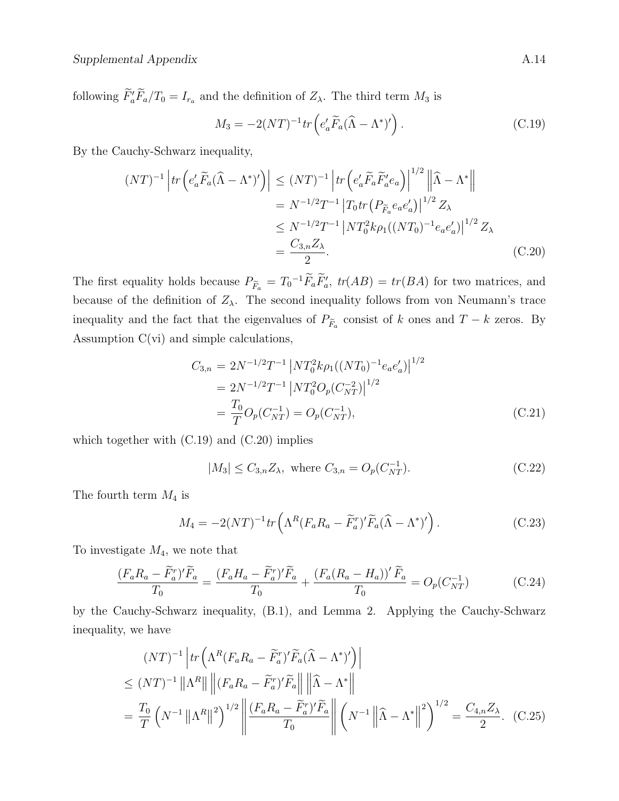following  $\tilde{F}'_a \tilde{F}_a/T_0 = I_{r_a}$  and the definition of  $Z_\lambda$ . The third term  $M_3$  is

$$
M_3 = -2(NT)^{-1} \operatorname{tr} \left( e_a' \widetilde{F}_a (\widehat{\Lambda} - \Lambda^*)' \right). \tag{C.19}
$$

By the Cauchy-Schwarz inequality,

$$
(NT)^{-1} \left| tr \left( e_a' \widetilde{F}_a (\widehat{\Lambda} - \Lambda^*)' \right) \right| \leq (NT)^{-1} \left| tr \left( e_a' \widetilde{F}_a \widetilde{F}_a' e_a \right) \right|^{1/2} \left\| \widehat{\Lambda} - \Lambda^* \right\|
$$
  

$$
= N^{-1/2} T^{-1} \left| T_0 tr \left( P_{\widetilde{F}_a} e_a e_a' \right) \right|^{1/2} Z_{\lambda}
$$
  

$$
\leq N^{-1/2} T^{-1} \left| N T_0^2 k \rho_1 ((NT_0)^{-1} e_a e_a') \right|^{1/2} Z_{\lambda}
$$
  

$$
= \frac{C_{3,n} Z_{\lambda}}{2}.
$$
 (C.20)

The first equality holds because  $P_{\tilde{F}_a} = T_0^{-1} \tilde{F}_a \tilde{F}'_a$ ,  $tr(AB) = tr(BA)$  for two matrices, and because of the definition of  $Z_{\lambda}$ . The second inequality follows from von Neumann's trace inequality and the fact that the eigenvalues of  $P_{\tilde{F}_a}$  consist of k ones and  $T - k$  zeros. By Assumption C(vi) and simple calculations,

$$
C_{3,n} = 2N^{-1/2}T^{-1} \left| NT_0^2 k \rho_1 ((NT_0)^{-1} e_a e'_a) \right|^{1/2}
$$
  
=  $2N^{-1/2}T^{-1} \left| NT_0^2 O_p(C_{NT}^{-2}) \right|^{1/2}$   
=  $\frac{T_0}{T} O_p(C_{NT}^{-1}) = O_p(C_{NT}^{-1}),$  (C.21)

which together with  $(C.19)$  and  $(C.20)$  implies

$$
|M_3| \le C_{3,n} Z_\lambda, \text{ where } C_{3,n} = O_p(C_{NT}^{-1}). \tag{C.22}
$$

The fourth term  $M_4$  is

$$
M_4 = -2(NT)^{-1} tr \left( \Lambda^R (F_a R_a - \widetilde{F}_a^r)' \widetilde{F}_a (\widehat{\Lambda} - \Lambda^*)' \right).
$$
 (C.23)

To investigate  $M_4$ , we note that

$$
\frac{(F_a R_a - \widetilde{F}_a^r)'\widetilde{F}_a}{T_0} = \frac{(F_a H_a - \widetilde{F}_a^r)'\widetilde{F}_a}{T_0} + \frac{(F_a (R_a - H_a))'\widetilde{F}_a}{T_0} = O_p(C_{NT}^{-1})
$$
(C.24)

by the Cauchy-Schwarz inequality, (B.1), and Lemma 2. Applying the Cauchy-Schwarz inequality, we have

$$
(NT)^{-1} \left| tr \left( \Lambda^R (F_a R_a - \tilde{F}_a^r)' \tilde{F}_a (\tilde{\Lambda} - \Lambda^*)' \right) \right|
$$
  
\n
$$
\leq (NT)^{-1} \left\| \Lambda^R \right\| \left\| (F_a R_a - \tilde{F}_a^r)' \tilde{F}_a \right\| \left\| \tilde{\Lambda} - \Lambda^* \right\|
$$
  
\n
$$
= \frac{T_0}{T} \left( N^{-1} \left\| \Lambda^R \right\|^2 \right)^{1/2} \left\| \frac{(F_a R_a - \tilde{F}_a^r)' \tilde{F}_a}{T_0} \right\| \left( N^{-1} \left\| \tilde{\Lambda} - \Lambda^* \right\|^2 \right)^{1/2} = \frac{C_{4,n} Z_\lambda}{2}.
$$
 (C.25)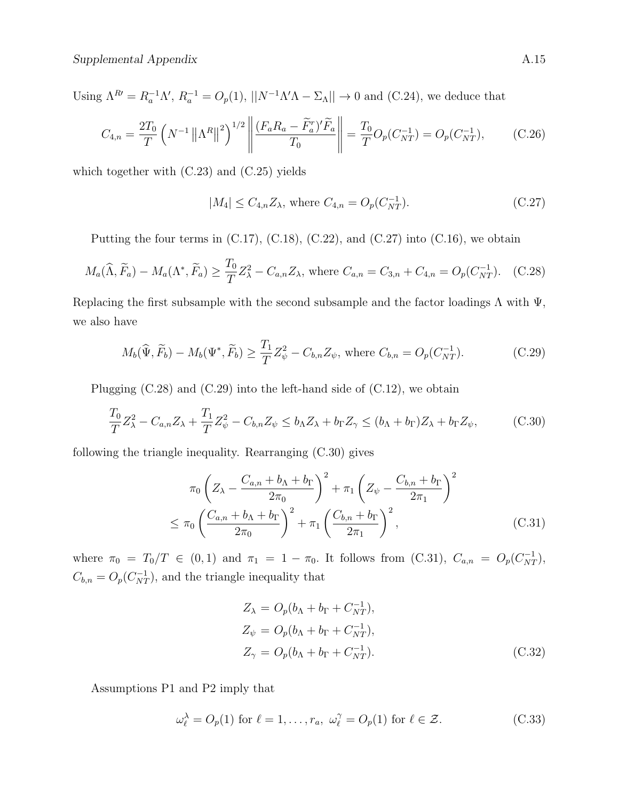Using  $\Lambda^{R'} = R_a^{-1} \Lambda', R_a^{-1} = O_p(1), ||N^{-1} \Lambda' \Lambda - \Sigma_{\Lambda}|| \to 0$  and (C.24), we deduce that

$$
C_{4,n} = \frac{2T_0}{T} \left( N^{-1} \left\| \Lambda^R \right\|^2 \right)^{1/2} \left\| \frac{(F_a R_a - \widetilde{F}_a^r)'\widetilde{F}_a}{T_0} \right\| = \frac{T_0}{T} O_p(C_{NT}^{-1}) = O_p(C_{NT}^{-1}), \tag{C.26}
$$

which together with (C.23) and (C.25) yields

$$
|M_4| \le C_{4,n} Z_\lambda, \text{ where } C_{4,n} = O_p(C_{NT}^{-1}). \tag{C.27}
$$

Putting the four terms in  $(C.17)$ ,  $(C.18)$ ,  $(C.22)$ , and  $(C.27)$  into  $(C.16)$ , we obtain

$$
M_a(\widehat{\Lambda}, \widetilde{F}_a) - M_a(\Lambda^*, \widetilde{F}_a) \ge \frac{T_0}{T} Z_{\lambda}^2 - C_{a,n} Z_{\lambda}, \text{ where } C_{a,n} = C_{3,n} + C_{4,n} = O_p(C_{NT}^{-1}). \quad (C.28)
$$

Replacing the first subsample with the second subsample and the factor loadings  $\Lambda$  with  $\Psi$ , we also have

$$
M_b(\hat{\Psi}, \tilde{F}_b) - M_b(\Psi^*, \tilde{F}_b) \ge \frac{T_1}{T} Z_{\psi}^2 - C_{b,n} Z_{\psi}, \text{ where } C_{b,n} = O_p(C_{NT}^{-1}).
$$
 (C.29)

Plugging  $(C.28)$  and  $(C.29)$  into the left-hand side of  $(C.12)$ , we obtain

$$
\frac{T_0}{T}Z_{\lambda}^2 - C_{a,n}Z_{\lambda} + \frac{T_1}{T}Z_{\psi}^2 - C_{b,n}Z_{\psi} \le b_{\Lambda}Z_{\lambda} + b_{\Gamma}Z_{\gamma} \le (b_{\Lambda} + b_{\Gamma})Z_{\lambda} + b_{\Gamma}Z_{\psi},\tag{C.30}
$$

following the triangle inequality. Rearranging (C.30) gives

$$
\pi_0 \left( Z_{\lambda} - \frac{C_{a,n} + b_{\Lambda} + b_{\Gamma}}{2\pi_0} \right)^2 + \pi_1 \left( Z_{\psi} - \frac{C_{b,n} + b_{\Gamma}}{2\pi_1} \right)^2
$$
\n
$$
\leq \pi_0 \left( \frac{C_{a,n} + b_{\Lambda} + b_{\Gamma}}{2\pi_0} \right)^2 + \pi_1 \left( \frac{C_{b,n} + b_{\Gamma}}{2\pi_1} \right)^2, \tag{C.31}
$$

where  $\pi_0 = T_0/T \in (0,1)$  and  $\pi_1 = 1 - \pi_0$ . It follows from (C.31),  $C_{a,n} = O_p(C_{NT}^{-1})$ ,  $C_{b,n} = O_p(C_{NT}^{-1})$ , and the triangle inequality that

$$
Z_{\lambda} = O_p(b_{\Lambda} + b_{\Gamma} + C_{NT}^{-1}),
$$
  
\n
$$
Z_{\psi} = O_p(b_{\Lambda} + b_{\Gamma} + C_{NT}^{-1}),
$$
  
\n
$$
Z_{\gamma} = O_p(b_{\Lambda} + b_{\Gamma} + C_{NT}^{-1}).
$$
\n(C.32)

Assumptions P1 and P2 imply that

$$
\omega_{\ell}^{\lambda} = O_p(1) \text{ for } \ell = 1, \dots, r_a, \ \omega_{\ell}^{\gamma} = O_p(1) \text{ for } \ell \in \mathcal{Z}.
$$
 (C.33)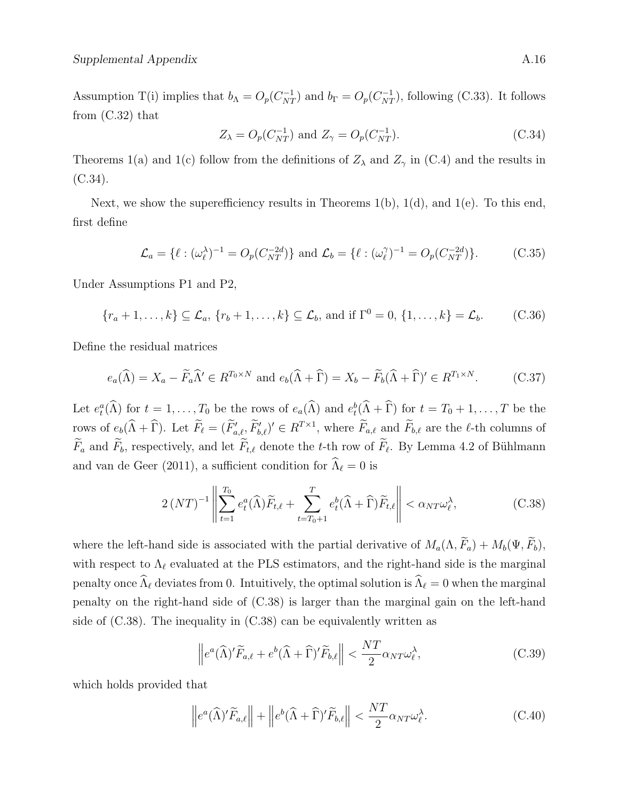Assumption T(i) implies that  $b_{\Lambda} = O_p(C_{NT}^{-1})$  and  $b_{\Gamma} = O_p(C_{NT}^{-1})$ , following (C.33). It follows from (C.32) that

$$
Z_{\lambda} = O_p(C_{NT}^{-1}) \text{ and } Z_{\gamma} = O_p(C_{NT}^{-1}).
$$
 (C.34)

Theorems 1(a) and 1(c) follow from the definitions of  $Z_{\lambda}$  and  $Z_{\gamma}$  in (C.4) and the results in  $(C.34)$ .

Next, we show the superefficiency results in Theorems  $1(b)$ ,  $1(d)$ , and  $1(e)$ . To this end, first define

$$
\mathcal{L}_a = \{ \ell : (\omega_\ell^{\lambda})^{-1} = O_p(C_{NT}^{-2d}) \} \text{ and } \mathcal{L}_b = \{ \ell : (\omega_\ell^{\gamma})^{-1} = O_p(C_{NT}^{-2d}) \}. \tag{C.35}
$$

Under Assumptions P1 and P2,

 ${r_a + 1, ..., k} \subseteq \mathcal{L}_a, {r_b + 1, ..., k} \subseteq \mathcal{L}_b,$  and if  $\Gamma^0 = 0, {1, ..., k} = \mathcal{L}_b.$  (C.36)

Define the residual matrices

$$
e_a(\widehat{\Lambda}) = X_a - \widetilde{F}_a \widehat{\Lambda}' \in R^{T_0 \times N} \text{ and } e_b(\widehat{\Lambda} + \widehat{\Gamma}) = X_b - \widetilde{F}_b(\widehat{\Lambda} + \widehat{\Gamma})' \in R^{T_1 \times N}.
$$
 (C.37)

Let  $e_t^a(\widehat{\Lambda})$  for  $t = 1, \ldots, T_0$  be the rows of  $e_a(\widehat{\Lambda})$  and  $e_t^b(\widehat{\Lambda} + \widehat{\Gamma})$  for  $t = T_0 + 1, \ldots, T$  be the rows of  $e_b(\hat{\Lambda} + \hat{\Gamma})$ . Let  $\tilde{F}_{\ell} = (\tilde{F}_{a,\ell}', \tilde{F}_{b,\ell}') \in R^{T \times 1}$ , where  $\tilde{F}_{a,\ell}$  and  $\tilde{F}_{b,\ell}$  are the  $\ell$ -th columns of  $F_a$  and  $F_b$ , respectively, and let  $F_{t,\ell}$  denote the t-th row of  $F_{\ell}$ . By Lemma 4.2 of Bühlmann and van de Geer (2011), a sufficient condition for  $\widehat{\Lambda}_{\ell} = 0$  is

$$
2\left(NT\right)^{-1}\left\|\sum_{t=1}^{T_0}e_t^a(\widehat{\Lambda})\widetilde{F}_{t,\ell}+\sum_{t=T_0+1}^{T}e_t^b(\widehat{\Lambda}+\widehat{\Gamma})\widetilde{F}_{t,\ell}\right\|<\alpha_{NT}\omega_{\ell}^{\lambda},\tag{C.38}
$$

where the left-hand side is associated with the partial derivative of  $M_a(\Lambda, \widetilde{F}_a) + M_b(\Psi, \widetilde{F}_b)$ , with respect to  $\Lambda_{\ell}$  evaluated at the PLS estimators, and the right-hand side is the marginal penalty once  $\widehat{\Lambda}_{\ell}$  deviates from 0. Intuitively, the optimal solution is  $\widehat{\Lambda}_{\ell} = 0$  when the marginal penalty on the right-hand side of (C.38) is larger than the marginal gain on the left-hand side of  $(C.38)$ . The inequality in  $(C.38)$  can be equivalently written as

$$
\left\|e^{a}(\widehat{\Lambda})'\widetilde{F}_{a,\ell}+e^{b}(\widehat{\Lambda}+\widehat{\Gamma})'\widetilde{F}_{b,\ell}\right\|<\frac{NT}{2}\alpha_{NT}\omega_{\ell}^{\lambda},\tag{C.39}
$$

which holds provided that

$$
\left\|e^{a}(\widehat{\Lambda})'\widetilde{F}_{a,\ell}\right\| + \left\|e^{b}(\widehat{\Lambda} + \widehat{\Gamma})'\widetilde{F}_{b,\ell}\right\| < \frac{NT}{2}\alpha_{NT}\omega_{\ell}^{\lambda}.\tag{C.40}
$$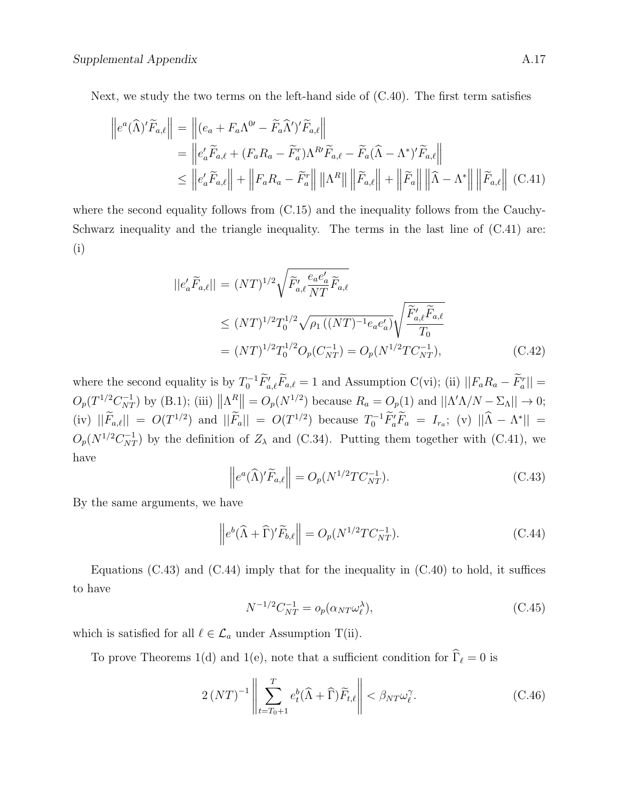Next, we study the two terms on the left-hand side of (C.40). The first term satisfies

$$
\begin{aligned}\n\left\|e^{a}(\widehat{\Lambda})'\widetilde{F}_{a,\ell}\right\| &= \left\|(e_{a} + F_{a}\Lambda^{0\prime} - \widetilde{F}_{a}\widehat{\Lambda}')'\widetilde{F}_{a,\ell}\right\| \\
&= \left\|e'_{a}\widetilde{F}_{a,\ell} + (F_{a}R_{a} - \widetilde{F}_{a}^{r})\Lambda^{R'}\widetilde{F}_{a,\ell} - \widetilde{F}_{a}(\widehat{\Lambda} - \Lambda^{*})'\widetilde{F}_{a,\ell}\right\| \\
&\leq \left\|e'_{a}\widetilde{F}_{a,\ell}\right\| + \left\|F_{a}R_{a} - \widetilde{F}_{a}^{r}\right\| \left\|\Lambda^{R}\right\| \left\|\widetilde{F}_{a,\ell}\right\| + \left\|\widetilde{F}_{a}\right\| \left\|\widehat{\Lambda} - \Lambda^{*}\right\| \left\|\widetilde{F}_{a,\ell}\right\| \end{aligned} \tag{C.41}
$$

where the second equality follows from (C.15) and the inequality follows from the Cauchy-Schwarz inequality and the triangle inequality. The terms in the last line of (C.41) are: (i)

$$
||e'_{a}\widetilde{F}_{a,\ell}|| = (NT)^{1/2}\sqrt{\widetilde{F}'_{a,\ell}\frac{e_{a}e'_{a}}{NT}\widetilde{F}_{a,\ell}}\n\leq (NT)^{1/2}T_0^{1/2}\sqrt{\rho_1((NT)^{-1}e_a e'_a)}\sqrt{\frac{\widetilde{F}'_{a,\ell}\widetilde{F}_{a,\ell}}{T_0}}\n= (NT)^{1/2}T_0^{1/2}O_p(C_{NT}^{-1}) = O_p(N^{1/2}TC_{NT}^{-1}),
$$
\n(C.42)

where the second equality is by  $T_0^{-1} \tilde{F}'_{a,\ell} \tilde{F}_{a,\ell} = 1$  and Assumption C(vi); (ii)  $||F_a R_a - \tilde{F}_a^r|| =$  $O_p(T^{1/2}C_{NT}^{-1})$  by (B.1); (iii)  $\|\Lambda^R\| = O_p(N^{1/2})$  because  $R_a = O_p(1)$  and  $\|\Lambda'\Lambda/N - \Sigma_\Lambda\| \to 0$ ; (iv)  $||\widetilde{F}_{a,\ell}|| = O(T^{1/2})$  and  $||\widetilde{F}_a|| = O(T^{1/2})$  because  $T_0^{-1} \widetilde{F}_a' \widetilde{F}_a = I_{r_a}$ ; (v)  $||\widehat{\Lambda} - \Lambda^*|| =$  $O_p(N^{1/2}C_{NT}^{-1})$  by the definition of  $Z_\lambda$  and (C.34). Putting them together with (C.41), we have

$$
\left\|e^{a}(\widehat{\Lambda})'\widetilde{F}_{a,\ell}\right\| = O_p(N^{1/2}TC_{NT}^{-1}).\tag{C.43}
$$

By the same arguments, we have

$$
\left\|e^{b}(\widehat{\Lambda}+\widehat{\Gamma})'\widetilde{F}_{b,\ell}\right\| = O_p(N^{1/2}TC_{NT}^{-1}).\tag{C.44}
$$

Equations  $(C.43)$  and  $(C.44)$  imply that for the inequality in  $(C.40)$  to hold, it suffices to have

$$
N^{-1/2}C_{NT}^{-1} = o_p(\alpha_{NT}\omega_\ell^{\lambda}),\tag{C.45}
$$

which is satisfied for all  $\ell \in \mathcal{L}_a$  under Assumption T(ii).

To prove Theorems 1(d) and 1(e), note that a sufficient condition for  $\widehat{\Gamma}_\ell = 0$  is

$$
2\left(NT\right)^{-1}\left\|\sum_{t=T_0+1}^{T}e_t^b(\widehat{\Lambda}+\widehat{\Gamma})\widetilde{F}_{t,\ell}\right\| < \beta_{NT}\omega_{\ell}^{\gamma}.
$$
 (C.46)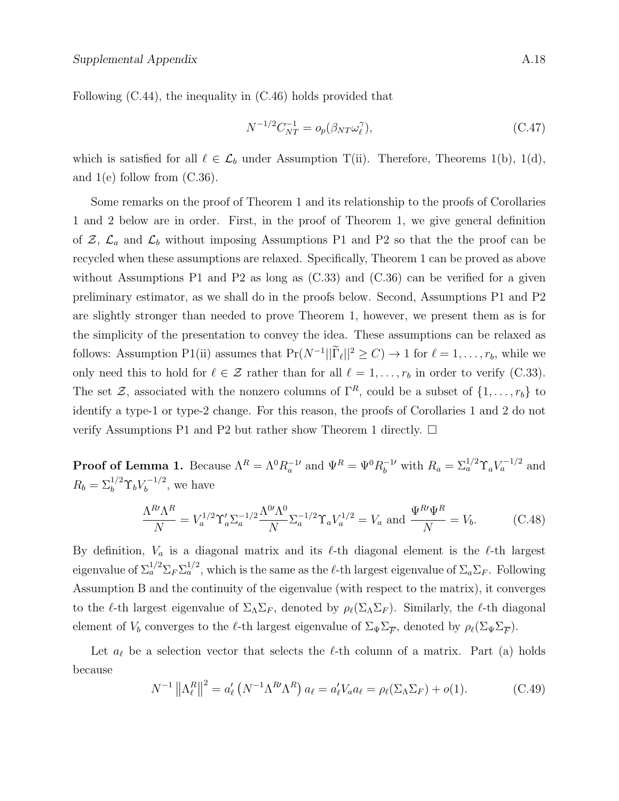Following (C.44), the inequality in (C.46) holds provided that

$$
N^{-1/2}C_{NT}^{-1} = o_p(\beta_{NT}\omega_\ell^\gamma),\tag{C.47}
$$

which is satisfied for all  $\ell \in \mathcal{L}_b$  under Assumption T(ii). Therefore, Theorems 1(b), 1(d), and  $1(e)$  follow from  $(C.36)$ .

Some remarks on the proof of Theorem 1 and its relationship to the proofs of Corollaries 1 and 2 below are in order. First, in the proof of Theorem 1, we give general definition of  $\mathcal{Z}, \mathcal{L}_a$  and  $\mathcal{L}_b$  without imposing Assumptions P1 and P2 so that the the proof can be recycled when these assumptions are relaxed. Specifically, Theorem 1 can be proved as above without Assumptions P1 and P2 as long as  $(C.33)$  and  $(C.36)$  can be verified for a given preliminary estimator, as we shall do in the proofs below. Second, Assumptions P1 and P2 are slightly stronger than needed to prove Theorem 1, however, we present them as is for the simplicity of the presentation to convey the idea. These assumptions can be relaxed as follows: Assumption P1(ii) assumes that  $Pr(N^{-1}||\tilde{\Gamma}_{\ell}||^2 \ge C) \to 1$  for  $\ell = 1, ..., r_b$ , while we only need this to hold for  $\ell \in \mathcal{Z}$  rather than for all  $\ell = 1, \ldots, r_b$  in order to verify (C.33). The set Z, associated with the nonzero columns of  $\Gamma^R$ , could be a subset of  $\{1, \ldots, r_b\}$  to identify a type-1 or type-2 change. For this reason, the proofs of Corollaries 1 and 2 do not verify Assumptions P1 and P2 but rather show Theorem 1 directly.  $\Box$ 

**Proof of Lemma 1.** Because  $\Lambda^R = \Lambda^0 R_a^{-1}$  and  $\Psi^R = \Psi^0 R_b^{-1}$  with  $R_a = \Sigma_a^{1/2} \Upsilon_a V_a^{-1/2}$  and  $R_b = \sum_b^{1/2} \Upsilon_b V_b^{-1/2}$  $b^{r-1/2}$ , we have

$$
\frac{\Lambda^R \Lambda^R}{N} = V_a^{1/2} \Upsilon_a' \Sigma_a^{-1/2} \frac{\Lambda^{0'} \Lambda^0}{N} \Sigma_a^{-1/2} \Upsilon_a V_a^{1/2} = V_a \text{ and } \frac{\Psi^R \Psi^R}{N} = V_b.
$$
 (C.48)

By definition,  $V_a$  is a diagonal matrix and its  $\ell$ -th diagonal element is the  $\ell$ -th largest eigenvalue of  $\Sigma_a^{1/2} \Sigma_F \Sigma_a^{1/2}$ , which is the same as the  $\ell$ -th largest eigenvalue of  $\Sigma_a \Sigma_F$ . Following Assumption B and the continuity of the eigenvalue (with respect to the matrix), it converges to the  $\ell$ -th largest eigenvalue of  $\Sigma_\Lambda \Sigma_F$ , denoted by  $\rho_\ell(\Sigma_\Lambda \Sigma_F)$ . Similarly, the  $\ell$ -th diagonal element of  $V_b$  converges to the  $\ell$ -th largest eigenvalue of  $\Sigma_{\Psi}\Sigma_{\overline{F}}$ , denoted by  $\rho_{\ell}(\Sigma_{\Psi}\Sigma_{\overline{F}})$ .

Let  $a_{\ell}$  be a selection vector that selects the  $\ell$ -th column of a matrix. Part (a) holds because

$$
N^{-1}\left\|\Lambda_{\ell}^{R}\right\|^{2}=a_{\ell}'\left(N^{-1}\Lambda^{R'}\Lambda^{R}\right)a_{\ell}=a_{\ell}'V_{a}a_{\ell}=\rho_{\ell}(\Sigma_{\Lambda}\Sigma_{F})+o(1). \tag{C.49}
$$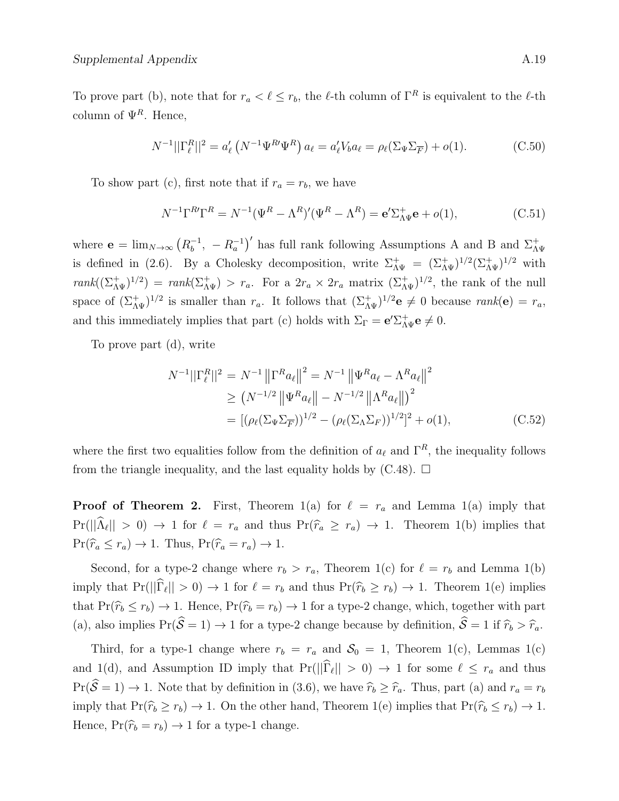$$
N^{-1}||\Gamma_{\ell}^{R}||^{2} = a'_{\ell} \left(N^{-1} \Psi^{R} \Psi^{R}\right) a_{\ell} = a'_{\ell} V_{b} a_{\ell} = \rho_{\ell} (\Sigma_{\Psi} \Sigma_{\overline{F}}) + o(1).
$$
 (C.50)

To show part (c), first note that if  $r_a = r_b$ , we have

$$
N^{-1}\Gamma^{R}\Gamma^{R} = N^{-1}(\Psi^{R} - \Lambda^{R})'(\Psi^{R} - \Lambda^{R}) = \mathbf{e}'\Sigma_{\Lambda\Psi}^{+}\mathbf{e} + o(1), \tag{C.51}
$$

where  $\mathbf{e} = \lim_{N \to \infty} (R_b^{-1})$  $\bar{b}^{-1}$ ,  $-R_a^{-1}$ )' has full rank following Assumptions A and B and  $\Sigma_{\Lambda\Psi}^+$ is defined in (2.6). By a Cholesky decomposition, write  $\Sigma_{\Lambda\Psi}^+ = (\Sigma_{\Lambda\Psi}^+)^{1/2} (\Sigma_{\Lambda\Psi}^+)^{1/2}$  with  $rank((\Sigma_{\Lambda\Psi}^+)^{1/2}) = rank(\Sigma_{\Lambda\Psi}^+) > r_a$ . For a  $2r_a \times 2r_a$  matrix  $(\Sigma_{\Lambda\Psi}^+)^{1/2}$ , the rank of the null space of  $(\Sigma_{\Lambda\Psi}^+)^{1/2}$  is smaller than  $r_a$ . It follows that  $(\Sigma_{\Lambda\Psi}^+)^{1/2}$ **e**  $\neq 0$  because  $rank(\mathbf{e}) = r_a$ , and this immediately implies that part (c) holds with  $\Sigma_{\Gamma} = e' \Sigma_{\Lambda \Psi}^+ e \neq 0$ .

To prove part (d), write

$$
N^{-1}||\Gamma_{\ell}^{R}||^{2} = N^{-1} ||\Gamma^{R}a_{\ell}||^{2} = N^{-1} ||\Psi^{R}a_{\ell} - \Lambda^{R}a_{\ell}||^{2}
$$
  
\n
$$
\geq (N^{-1/2} ||\Psi^{R}a_{\ell}|| - N^{-1/2} ||\Lambda^{R}a_{\ell}||)^{2}
$$
  
\n
$$
= [(\rho_{\ell}(\Sigma_{\Psi}\Sigma_{\overline{F}}))^{1/2} - (\rho_{\ell}(\Sigma_{\Lambda}\Sigma_{F}))^{1/2}]^{2} + o(1), \qquad (C.52)
$$

where the first two equalities follow from the definition of  $a_\ell$  and  $\Gamma^R$ , the inequality follows from the triangle inequality, and the last equality holds by  $(C.48)$ .  $\square$ 

**Proof of Theorem 2.** First, Theorem 1(a) for  $\ell = r_a$  and Lemma 1(a) imply that  $Pr(||\Lambda_{\ell}|| > 0) \rightarrow 1$  for  $\ell = r_a$  and thus  $Pr(\hat{r}_a \ge r_a) \rightarrow 1$ . Theorem 1(b) implies that  $Pr(\hat{r}_a \leq r_a) \to 1$ . Thus,  $Pr(\hat{r}_a = r_a) \to 1$ .

Second, for a type-2 change where  $r_b > r_a$ , Theorem 1(c) for  $\ell = r_b$  and Lemma 1(b) imply that  $Pr(||\Gamma_\ell|| > 0) \to 1$  for  $\ell = r_b$  and thus  $Pr(\hat{r}_b \ge r_b) \to 1$ . Theorem 1(e) implies that  $Pr(\hat{r}_b \leq r_b) \rightarrow 1$ . Hence,  $Pr(\hat{r}_b = r_b) \rightarrow 1$  for a type-2 change, which, together with part (a), also implies  $Pr(\hat{S} = 1) \rightarrow 1$  for a type-2 change because by definition,  $\hat{S} = 1$  if  $\hat{r}_b > \hat{r}_a$ .

Third, for a type-1 change where  $r_b = r_a$  and  $S_0 = 1$ , Theorem 1(c), Lemmas 1(c) and 1(d), and Assumption ID imply that  $Pr(||\Gamma_\ell|| > 0) \to 1$  for some  $\ell \leq r_a$  and thus  $Pr(\hat{S} = 1) \rightarrow 1$ . Note that by definition in (3.6), we have  $\hat{r}_b \geq \hat{r}_a$ . Thus, part (a) and  $r_a = r_b$ imply that  $Pr(\hat{r_b} \ge r_b) \to 1$ . On the other hand, Theorem 1(e) implies that  $Pr(\hat{r_b} \le r_b) \to 1$ . Hence,  $Pr(\hat{r}_b = r_b) \rightarrow 1$  for a type-1 change.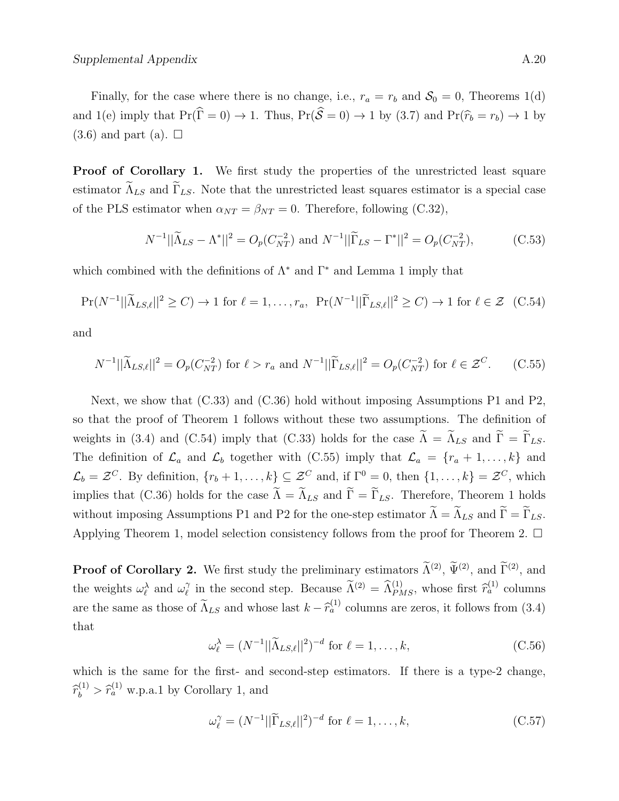Finally, for the case where there is no change, i.e.,  $r_a = r_b$  and  $S_0 = 0$ , Theorems 1(d) and 1(e) imply that  $Pr(\hat{\Gamma} = 0) \rightarrow 1$ . Thus,  $Pr(\hat{\mathcal{S}} = 0) \rightarrow 1$  by (3.7) and  $Pr(\hat{r_b} = r_b) \rightarrow 1$  by  $(3.6)$  and part (a).  $\Box$ 

**Proof of Corollary 1.** We first study the properties of the unrestricted least square estimator  $\widetilde{\Lambda}_{LS}$  and  $\widetilde{\Gamma}_{LS}$ . Note that the unrestricted least squares estimator is a special case of the PLS estimator when  $\alpha_{NT} = \beta_{NT} = 0$ . Therefore, following (C.32),

$$
N^{-1}||\widetilde{\Lambda}_{LS} - \Lambda^*||^2 = O_p(C_{NT}^{-2}) \text{ and } N^{-1}||\widetilde{\Gamma}_{LS} - \Gamma^*||^2 = O_p(C_{NT}^{-2}), \tag{C.53}
$$

which combined with the definitions of  $\Lambda^*$  and  $\Gamma^*$  and Lemma 1 imply that

$$
\Pr(N^{-1}||\widetilde{\Lambda}_{LS,\ell}||^2 \ge C) \to 1 \text{ for } \ell = 1,\dots,r_a, \ \Pr(N^{-1}||\widetilde{\Gamma}_{LS,\ell}||^2 \ge C) \to 1 \text{ for } \ell \in \mathcal{Z} \ \ (\text{C.54})
$$

and

$$
N^{-1}||\widetilde{\Lambda}_{LS,\ell}||^2 = O_p(C_{NT}^{-2}) \text{ for } \ell > r_a \text{ and } N^{-1}||\widetilde{\Gamma}_{LS,\ell}||^2 = O_p(C_{NT}^{-2}) \text{ for } \ell \in \mathcal{Z}^C.
$$
 (C.55)

Next, we show that (C.33) and (C.36) hold without imposing Assumptions P1 and P2, so that the proof of Theorem 1 follows without these two assumptions. The definition of weights in (3.4) and (C.54) imply that (C.33) holds for the case  $\tilde{\Lambda} = \tilde{\Lambda}_{LS}$  and  $\tilde{\Gamma} = \tilde{\Gamma}_{LS}$ . The definition of  $\mathcal{L}_a$  and  $\mathcal{L}_b$  together with (C.55) imply that  $\mathcal{L}_a = \{r_a + 1, \ldots, k\}$  and  $\mathcal{L}_b = \mathcal{Z}^C$ . By definition,  $\{r_b + 1, \ldots, k\} \subseteq \mathcal{Z}^C$  and, if  $\Gamma^0 = 0$ , then  $\{1, \ldots, k\} = \mathcal{Z}^C$ , which implies that (C.36) holds for the case  $\tilde{\Lambda} = \tilde{\Lambda}_{LS}$  and  $\tilde{\Gamma} = \tilde{\Gamma}_{LS}$ . Therefore, Theorem 1 holds without imposing Assumptions P1 and P2 for the one-step estimator  $\widetilde{\Lambda} = \widetilde{\Lambda}_{LS}$  and  $\widetilde{\Gamma} = \widetilde{\Gamma}_{LS}$ . Applying Theorem 1, model selection consistency follows from the proof for Theorem 2.  $\Box$ 

**Proof of Corollary 2.** We first study the preliminary estimators  $\tilde{\Lambda}^{(2)}$ ,  $\tilde{\Psi}^{(2)}$ , and  $\tilde{\Gamma}^{(2)}$ , and the weights  $\omega_{\ell}^{\lambda}$  and  $\omega_{\ell}^{\gamma}$  $\widetilde{\mathcal{N}}$  in the second step. Because  $\widetilde{\Lambda}^{(2)} = \widehat{\Lambda}_{PMS}^{(1)}$ , whose first  $\widehat{r}_a^{(1)}$  columns are the same as those of  $\widetilde{\Lambda}_{LS}$  and whose last  $k - \widehat{r}_a^{(1)}$  columns are zeros, it follows from (3.4) that

$$
\omega_{\ell}^{\lambda} = (N^{-1}||\widetilde{\Lambda}_{LS,\ell}||^2)^{-d} \text{ for } \ell = 1,\ldots,k,
$$
\n(C.56)

which is the same for the first- and second-step estimators. If there is a type-2 change,  $\hat{r}_b^{(1)} > \hat{r}_a^{(1)}$  w.p.a.1 by Corollary 1, and

$$
\omega_{\ell}^{\gamma} = (N^{-1}||\widetilde{\Gamma}_{LS,\ell}||^2)^{-d} \text{ for } \ell = 1,\ldots,k,
$$
\n(C.57)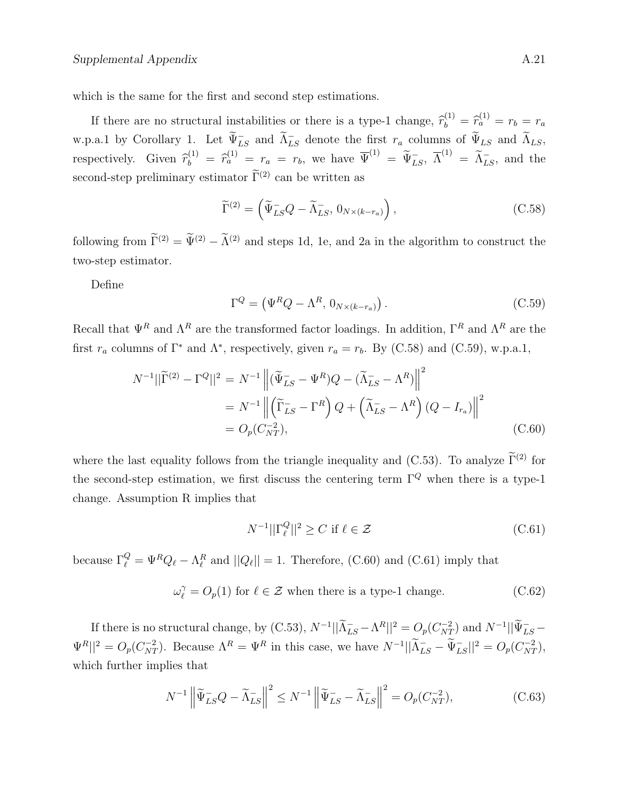which is the same for the first and second step estimations.

If there are no structural instabilities or there is a type-1 change,  $\hat{r}_b^{(1)} = \hat{r}_a^{(1)} = r_b = r_a$ w.p.a.1 by Corollary 1. Let  $\widetilde{\Psi}_{LS}^-$  and  $\widetilde{\Lambda}_{LS}^-$  denote the first  $r_a$  columns of  $\widetilde{\Psi}_{LS}$  and  $\widetilde{\Lambda}_{LS}$ , respectively. Given  $\widehat{r}_b^{(1)} = \widehat{r}_a^{(1)} = r_a = r_b$ , we have  $\overline{\Psi}^{(1)} = \widetilde{\Psi}_{LS}$ ,  $\overline{\Lambda}^{(1)} = \widetilde{\Lambda}_{LS}^-$ , and the second-step preliminary estimator  $\tilde{\Gamma}^{(2)}$  can be written as

$$
\widetilde{\Gamma}^{(2)} = \left( \widetilde{\Psi}_{LS}^- Q - \widetilde{\Lambda}_{LS}^- , 0_{N \times (k - r_a)} \right), \tag{C.58}
$$

following from  $\tilde{\Gamma}^{(2)} = \tilde{\Psi}^{(2)} - \tilde{\Lambda}^{(2)}$  and steps 1d, 1e, and 2a in the algorithm to construct the two-step estimator.

Define

$$
\Gamma^{Q} = (\Psi^{R}Q - \Lambda^{R}, 0_{N \times (k - r_{a})}).
$$
\n(C.59)

Recall that  $\Psi^R$  and  $\Lambda^R$  are the transformed factor loadings. In addition,  $\Gamma^R$  and  $\Lambda^R$  are the first  $r_a$  columns of  $\Gamma^*$  and  $\Lambda^*$ , respectively, given  $r_a = r_b$ . By (C.58) and (C.59), w.p.a.1,

$$
N^{-1}||\widetilde{\Gamma}^{(2)} - \Gamma^{Q}||^{2} = N^{-1} \left\| (\widetilde{\Psi}_{LS}^{-} - \Psi^{R})Q - (\widetilde{\Lambda}_{LS}^{-} - \Lambda^{R}) \right\|^{2}
$$
  
= 
$$
N^{-1} \left\| (\widetilde{\Gamma}_{LS}^{-} - \Gamma^{R}) Q + (\widetilde{\Lambda}_{LS}^{-} - \Lambda^{R}) (Q - I_{r_{a}}) \right\|^{2}
$$
  
= 
$$
O_{p}(C_{NT}^{-2}), \qquad (C.60)
$$

where the last equality follows from the triangle inequality and (C.53). To analyze  $\tilde{\Gamma}^{(2)}$  for the second-step estimation, we first discuss the centering term  $\Gamma^Q$  when there is a type-1 change. Assumption R implies that

$$
N^{-1}||\Gamma_{\ell}^{Q}||^2 \ge C \text{ if } \ell \in \mathcal{Z}
$$
 (C.61)

because  $\Gamma_{\ell}^Q = \Psi^R Q_{\ell} - \Lambda_{\ell}^R$  and  $||Q_{\ell}|| = 1$ . Therefore, (C.60) and (C.61) imply that

$$
\omega_{\ell}^{\gamma} = O_p(1) \text{ for } \ell \in \mathcal{Z} \text{ when there is a type-1 change.}
$$
 (C.62)

If there is no structural change, by (C.53),  $N^{-1}||\widetilde{\Lambda}_{LS}^- - \Lambda^R||^2 = O_p(C_{NT}^{-2})$  and  $N^{-1}||\widetilde{\Psi}_{LS}^- \Psi^R||^2 = O_p(C_{NT}^{-2})$ . Because  $\Lambda^R = \Psi^R$  in this case, we have  $N^{-1}||\tilde{\Lambda}_{LS}^- - \tilde{\Psi}_{LS}^-||^2 = O_p(C_{NT}^{-2})$ , which further implies that

$$
N^{-1} \left\| \widetilde{\Psi}_{LS}^{-} Q - \widetilde{\Lambda}_{LS}^{-} \right\|^{2} \leq N^{-1} \left\| \widetilde{\Psi}_{LS}^{-} - \widetilde{\Lambda}_{LS}^{-} \right\|^{2} = O_{p}(C_{NT}^{-2}), \tag{C.63}
$$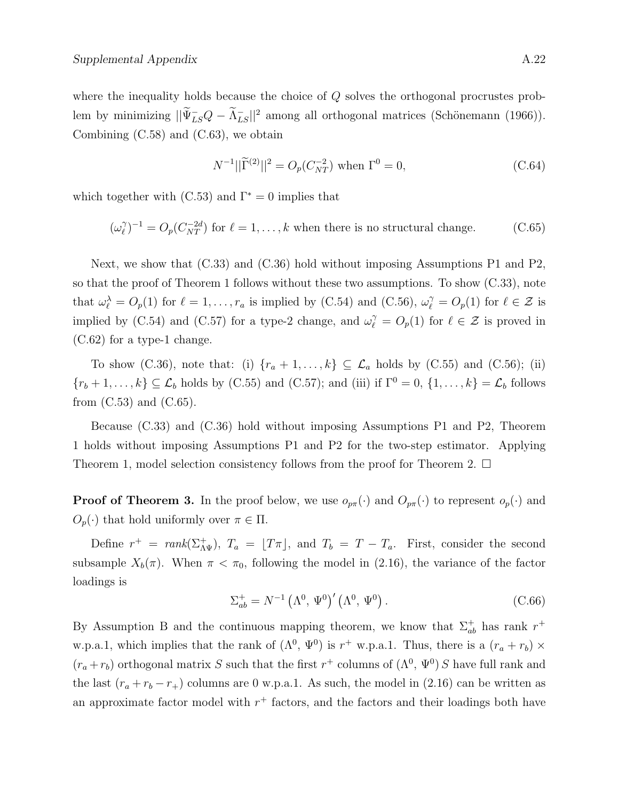where the inequality holds because the choice of Q solves the orthogonal procrustes problem by minimizing  $||\widetilde{\Psi}_{LS}^{-}Q - \widetilde{\Lambda}_{LS}^{-}||^2$  among all orthogonal matrices (Schönemann (1966)). Combining (C.58) and (C.63), we obtain

$$
N^{-1}||\widetilde{\Gamma}^{(2)}||^2 = O_p(C_{NT}^{-2}) \text{ when } \Gamma^0 = 0,
$$
 (C.64)

which together with  $(C.53)$  and  $\Gamma^* = 0$  implies that

$$
(\omega_{\ell}^{\gamma})^{-1} = O_p(C_{NT}^{-2d})
$$
 for  $\ell = 1, ..., k$  when there is no structural change. (C.65)

Next, we show that (C.33) and (C.36) hold without imposing Assumptions P1 and P2, so that the proof of Theorem 1 follows without these two assumptions. To show (C.33), note that  $\omega_{\ell}^{\lambda} = O_p(1)$  for  $\ell = 1, \ldots, r_a$  is implied by (C.54) and (C.56),  $\omega_{\ell}^{\gamma} = O_p(1)$  for  $\ell \in \mathcal{Z}$  is implied by (C.54) and (C.57) for a type-2 change, and  $\omega_{\ell}^{\gamma} = O_p(1)$  for  $\ell \in \mathcal{Z}$  is proved in (C.62) for a type-1 change.

To show (C.36), note that: (i)  $\{r_a + 1, \ldots, k\} \subseteq \mathcal{L}_a$  holds by (C.55) and (C.56); (ii)  $\{r_b+1,\ldots,k\}\subseteq \mathcal{L}_b$  holds by (C.55) and (C.57); and (iii) if  $\Gamma^0=0$ ,  $\{1,\ldots,k\}=\mathcal{L}_b$  follows from  $(C.53)$  and  $(C.65)$ .

Because (C.33) and (C.36) hold without imposing Assumptions P1 and P2, Theorem 1 holds without imposing Assumptions P1 and P2 for the two-step estimator. Applying Theorem 1, model selection consistency follows from the proof for Theorem 2.  $\Box$ 

**Proof of Theorem 3.** In the proof below, we use  $o_{p\pi}(\cdot)$  and  $O_{p\pi}(\cdot)$  to represent  $o_p(\cdot)$  and  $O_p(\cdot)$  that hold uniformly over  $\pi \in \Pi$ .

Define  $r^+ = rank(\Sigma_{\Lambda \Psi}^+), T_a = [T\pi],$  and  $T_b = T - T_a$ . First, consider the second subsample  $X_b(\pi)$ . When  $\pi < \pi_0$ , following the model in (2.16), the variance of the factor loadings is

$$
\Sigma_{ab}^{+} = N^{-1} \left( \Lambda^{0}, \Psi^{0} \right)' \left( \Lambda^{0}, \Psi^{0} \right). \tag{C.66}
$$

By Assumption B and the continuous mapping theorem, we know that  $\Sigma_{ab}^+$  has rank  $r^+$ w.p.a.1, which implies that the rank of  $(\Lambda^0, \Psi^0)$  is  $r^+$  w.p.a.1. Thus, there is a  $(r_a + r_b) \times$  $(r_a+r_b)$  orthogonal matrix S such that the first  $r^+$  columns of  $(\Lambda^0, \Psi^0)$  S have full rank and the last  $(r_a + r_b - r_+)$  columns are 0 w.p.a.1. As such, the model in (2.16) can be written as an approximate factor model with  $r^+$  factors, and the factors and their loadings both have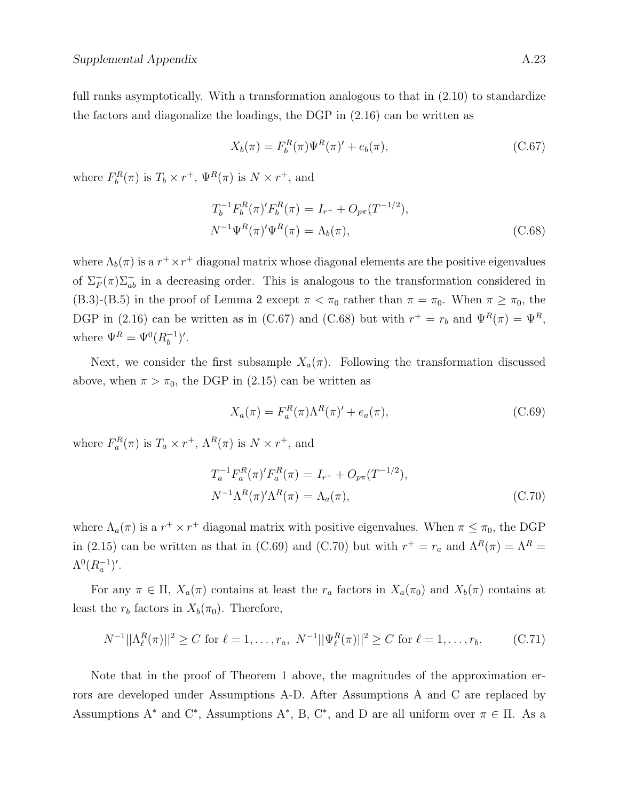full ranks asymptotically. With a transformation analogous to that in  $(2.10)$  to standardize the factors and diagonalize the loadings, the DGP in (2.16) can be written as

$$
X_b(\pi) = F_b^R(\pi)\Psi^R(\pi)' + e_b(\pi),
$$
\n(C.67)

where  $F_b^R(\pi)$  is  $T_b \times r^+$ ,  $\Psi^R(\pi)$  is  $N \times r^+$ , and

$$
T_b^{-1} F_b^R(\pi)' F_b^R(\pi) = I_{r^+} + O_{p\pi}(T^{-1/2}),
$$
  
\n
$$
N^{-1} \Psi^R(\pi)' \Psi^R(\pi) = \Lambda_b(\pi),
$$
\n(C.68)

where  $\Lambda_b(\pi)$  is a  $r^+\times r^+$  diagonal matrix whose diagonal elements are the positive eigenvalues of  $\Sigma_F^+(\pi)\Sigma_{ab}^+$  in a decreasing order. This is analogous to the transformation considered in (B.3)-(B.5) in the proof of Lemma 2 except  $\pi < \pi_0$  rather than  $\pi = \pi_0$ . When  $\pi \ge \pi_0$ , the DGP in (2.16) can be written as in (C.67) and (C.68) but with  $r^+ = r_b$  and  $\Psi^R(\pi) = \Psi^R$ , where  $\Psi^R = \Psi^0(R_h^{-1})$  $\binom{-1}{b}'$ .

Next, we consider the first subsample  $X_a(\pi)$ . Following the transformation discussed above, when  $\pi > \pi_0$ , the DGP in (2.15) can be written as

$$
X_a(\pi) = F_a^R(\pi)\Lambda^R(\pi)' + e_a(\pi),\tag{C.69}
$$

where  $F_a^R(\pi)$  is  $T_a \times r^+$ ,  $\Lambda^R(\pi)$  is  $N \times r^+$ , and

$$
T_a^{-1} F_a^R(\pi)' F_a^R(\pi) = I_{r^+} + O_{p\pi}(T^{-1/2}),
$$
  
\n
$$
N^{-1} \Lambda^R(\pi)' \Lambda^R(\pi) = \Lambda_a(\pi),
$$
\n(C.70)

where  $\Lambda_a(\pi)$  is a  $r^+ \times r^+$  diagonal matrix with positive eigenvalues. When  $\pi \leq \pi_0$ , the DGP in (2.15) can be written as that in (C.69) and (C.70) but with  $r^+ = r_a$  and  $\Lambda^R(\pi) = \Lambda^R =$  $\Lambda^{0}(R_{a}^{-1})'.$ 

For any  $\pi \in \Pi$ ,  $X_a(\pi)$  contains at least the  $r_a$  factors in  $X_a(\pi_0)$  and  $X_b(\pi)$  contains at least the  $r_b$  factors in  $X_b(\pi_0)$ . Therefore,

$$
N^{-1}||\Lambda^R_\ell(\pi)||^2 \ge C \text{ for } \ell = 1, \dots, r_a, \ N^{-1}||\Psi^R_\ell(\pi)||^2 \ge C \text{ for } \ell = 1, \dots, r_b.
$$
 (C.71)

Note that in the proof of Theorem 1 above, the magnitudes of the approximation errors are developed under Assumptions A-D. After Assumptions A and C are replaced by Assumptions A<sup>\*</sup> and C<sup>\*</sup>, Assumptions A<sup>\*</sup>, B, C<sup>\*</sup>, and D are all uniform over  $\pi \in \Pi$ . As a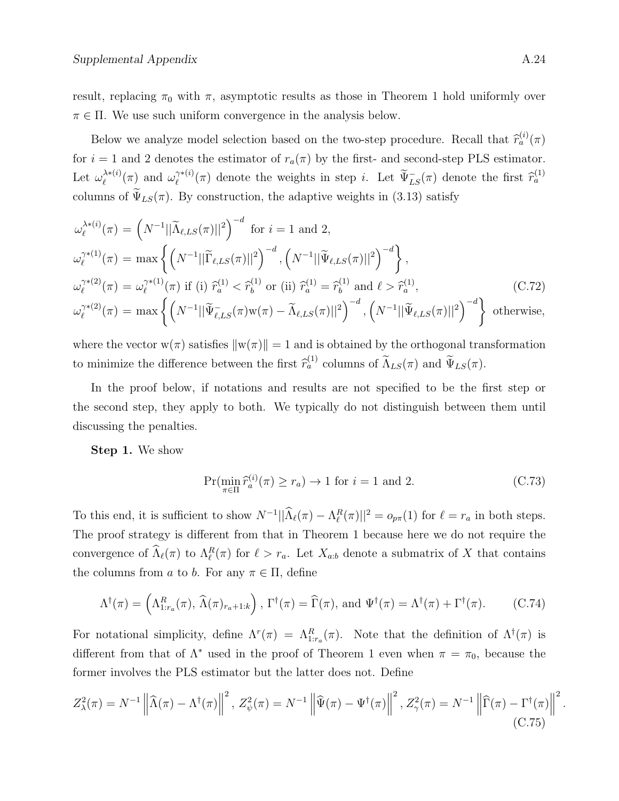result, replacing  $\pi_0$  with  $\pi$ , asymptotic results as those in Theorem 1 hold uniformly over  $\pi \in \Pi$ . We use such uniform convergence in the analysis below.

Below we analyze model selection based on the two-step procedure. Recall that  $\hat{r}_a^{(i)}(\pi)$ for  $i = 1$  and 2 denotes the estimator of  $r_a(\pi)$  by the first- and second-step PLS estimator. Let  $\omega_{\ell}^{\lambda * (i)}$  $\ell^{\lambda * (i)}(\pi)$  and  $\omega_{\ell}^{\gamma * (i)}$  $\widetilde{\Psi}_{LS}^{\gamma*(i)}(\pi)$  denote the weights in step *i*. Let  $\widetilde{\Psi}_{LS}^-(\pi)$  denote the first  $\widehat{r}_a^{(1)}$ columns of  $\widetilde{\Psi}_{LS}(\pi)$ . By construction, the adaptive weights in (3.13) satisfy

$$
\omega_{\ell}^{\lambda * (i)}(\pi) = \left(N^{-1}||\widetilde{\Lambda}_{\ell,LS}(\pi)||^2\right)^{-d} \text{ for } i = 1 \text{ and } 2,
$$
  
\n
$$
\omega_{\ell}^{\lambda * (1)}(\pi) = \max\left\{\left(N^{-1}||\widetilde{\Gamma}_{\ell,LS}(\pi)||^2\right)^{-d}, \left(N^{-1}||\widetilde{\Psi}_{\ell,LS}(\pi)||^2\right)^{-d}\right\},
$$
  
\n
$$
\omega_{\ell}^{\lambda * (2)}(\pi) = \omega_{\ell}^{\lambda * (1)}(\pi) \text{ if (i) } \widehat{r}_a^{(1)} < \widehat{r}_b^{(1)} \text{ or (ii) } \widehat{r}_a^{(1)} = \widehat{r}_b^{(1)} \text{ and } \ell > \widehat{r}_a^{(1)},
$$
  
\n
$$
\omega_{\ell}^{\lambda * (2)}(\pi) = \max\left\{\left(N^{-1}||\widetilde{\Psi}_{\ell,LS}(\pi)w(\pi) - \widetilde{\Lambda}_{\ell,LS}(\pi)||^2\right)^{-d}, \left(N^{-1}||\widetilde{\Psi}_{\ell,LS}(\pi)||^2\right)^{-d}\right\} \text{ otherwise,}
$$
\n(C.72)

where the vector  $w(\pi)$  satisfies  $\|w(\pi)\|=1$  and is obtained by the orthogonal transformation to minimize the difference between the first  $\hat{r}_a^{(1)}$  columns of  $\tilde{\Lambda}_{LS}(\pi)$  and  $\tilde{\Psi}_{LS}(\pi)$ .

In the proof below, if notations and results are not specified to be the first step or the second step, they apply to both. We typically do not distinguish between them until discussing the penalties.

Step 1. We show

$$
\Pr(\min_{\pi \in \Pi} \widehat{r}_a^{(i)}(\pi) \ge r_a) \to 1 \text{ for } i = 1 \text{ and } 2. \tag{C.73}
$$

To this end, it is sufficient to show  $N^{-1}||\hat{\Lambda}_{\ell}(\pi) - \Lambda_{\ell}^R(\pi)||^2 = o_{p\pi}(1)$  for  $\ell = r_a$  in both steps. The proof strategy is different from that in Theorem 1 because here we do not require the convergence of  $\widehat{\Lambda}_{\ell}(\pi)$  to  $\Lambda_{\ell}^R(\pi)$  for  $\ell > r_a$ . Let  $X_{a:b}$  denote a submatrix of X that contains the columns from a to b. For any  $\pi \in \Pi$ , define

$$
\Lambda^{\dagger}(\pi) = \left(\Lambda^{R}_{1:r_{a}}(\pi), \widehat{\Lambda}(\pi)_{r_{a}+1:k}\right), \Gamma^{\dagger}(\pi) = \widehat{\Gamma}(\pi), \text{ and } \Psi^{\dagger}(\pi) = \Lambda^{\dagger}(\pi) + \Gamma^{\dagger}(\pi). \tag{C.74}
$$

For notational simplicity, define  $\Lambda^r(\pi) = \Lambda^R_{1:r_a}(\pi)$ . Note that the definition of  $\Lambda^{\dagger}(\pi)$  is different from that of  $\Lambda^*$  used in the proof of Theorem 1 even when  $\pi = \pi_0$ , because the former involves the PLS estimator but the latter does not. Define

$$
Z_{\lambda}^{2}(\pi) = N^{-1} \left\| \widehat{\Lambda}(\pi) - \Lambda^{\dagger}(\pi) \right\|^{2}, Z_{\psi}^{2}(\pi) = N^{-1} \left\| \widehat{\Psi}(\pi) - \Psi^{\dagger}(\pi) \right\|^{2}, Z_{\gamma}^{2}(\pi) = N^{-1} \left\| \widehat{\Gamma}(\pi) - \Gamma^{\dagger}(\pi) \right\|^{2}
$$
\n(C.75)

.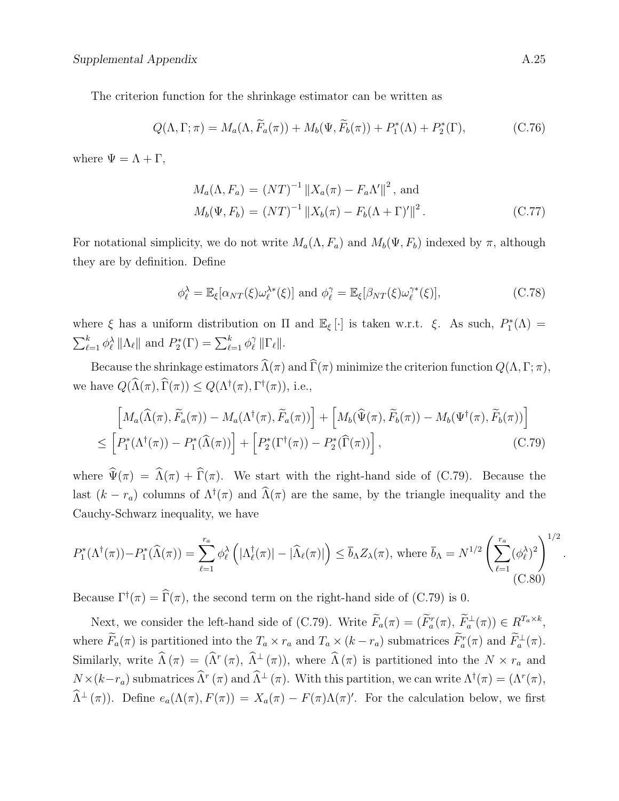The criterion function for the shrinkage estimator can be written as

$$
Q(\Lambda, \Gamma; \pi) = M_a(\Lambda, \widetilde{F}_a(\pi)) + M_b(\Psi, \widetilde{F}_b(\pi)) + P_1^*(\Lambda) + P_2^*(\Gamma), \tag{C.76}
$$

where  $\Psi = \Lambda + \Gamma$ ,

$$
M_a(\Lambda, F_a) = (NT)^{-1} ||X_a(\pi) - F_a \Lambda' ||^2, \text{ and}
$$
  
\n
$$
M_b(\Psi, F_b) = (NT)^{-1} ||X_b(\pi) - F_b(\Lambda + \Gamma)'||^2.
$$
\n(C.77)

For notational simplicity, we do not write  $M_a(\Lambda, F_a)$  and  $M_b(\Psi, F_b)$  indexed by  $\pi$ , although they are by definition. Define

$$
\phi_{\ell}^{\lambda} = \mathbb{E}_{\xi}[\alpha_{NT}(\xi)\omega_{\ell}^{\lambda*}(\xi)] \text{ and } \phi_{\ell}^{\gamma} = \mathbb{E}_{\xi}[\beta_{NT}(\xi)\omega_{\ell}^{\gamma*}(\xi)], \tag{C.78}
$$

where  $\xi$  has a uniform distribution on  $\Pi$  and  $\mathbb{E}_{\xi}[\cdot]$  is taken w.r.t.  $\xi$ . As such,  $P_1^*(\Lambda)$  =  $\sum_{\ell=1}^k \phi_\ell^\lambda \|\Lambda_\ell\|$  and  $P_2^*(\Gamma) = \sum_{\ell=1}^k \phi_\ell^\gamma$  $\int\limits_{\ell}^{\gamma} \| \Gamma_{\ell} \|$ .

Because the shrinkage estimators  $\widehat{\Lambda}(\pi)$  and  $\widehat{\Gamma}(\pi)$  minimize the criterion function  $Q(\Lambda,\Gamma;\pi)$ , we have  $Q(\widehat{\Lambda}(\pi), \widehat{\Gamma}(\pi)) \leq Q(\Lambda^{\dagger}(\pi), \Gamma^{\dagger}(\pi))$ , i.e.,

$$
\begin{aligned}\n\left[M_a(\widehat{\Lambda}(\pi), \widetilde{F}_a(\pi)) - M_a(\Lambda^\dagger(\pi), \widetilde{F}_a(\pi))\right] + \left[M_b(\widehat{\Psi}(\pi), \widetilde{F}_b(\pi)) - M_b(\Psi^\dagger(\pi), \widetilde{F}_b(\pi))\right] \\
\leq \left[P_1^*(\Lambda^\dagger(\pi)) - P_1^*(\widehat{\Lambda}(\pi))\right] + \left[P_2^*(\Gamma^\dagger(\pi)) - P_2^*(\widehat{\Gamma}(\pi))\right],\n\end{aligned} \tag{C.79}
$$

where  $\hat{\Psi}(\pi) = \hat{\Lambda}(\pi) + \hat{\Gamma}(\pi)$ . We start with the right-hand side of (C.79). Because the last  $(k - r_a)$  columns of  $\Lambda^{\dagger}(\pi)$  and  $\widehat{\Lambda}(\pi)$  are the same, by the triangle inequality and the Cauchy-Schwarz inequality, we have

$$
P_1^*(\Lambda^\dagger(\pi)) - P_1^*(\widehat{\Lambda}(\pi)) = \sum_{\ell=1}^{r_a} \phi_\ell^\lambda \left( |\Lambda_\ell^\dagger(\pi)| - |\widehat{\Lambda}_\ell(\pi)| \right) \le \overline{b}_\Lambda Z_\lambda(\pi), \text{ where } \overline{b}_\Lambda = N^{1/2} \left( \sum_{\ell=1}^{r_a} (\phi_\ell^\lambda)^2 \right)^{1/2}.
$$
\n(C.80)

Because  $\Gamma^{\dagger}(\pi) = \widehat{\Gamma}(\pi)$ , the second term on the right-hand side of (C.79) is 0.

Next, we consider the left-hand side of (C.79). Write  $\tilde{F}_a(\pi) = (\tilde{F}_a^r(\pi), \tilde{F}_a^{\perp}(\pi)) \in R^{T_a \times k}$ , where  $\tilde{F}_a(\pi)$  is partitioned into the  $T_a \times r_a$  and  $T_a \times (k - r_a)$  submatrices  $\tilde{F}_a^r(\pi)$  and  $\tilde{F}_a^{\perp}(\pi)$ . Similarly, write  $\widehat{\Lambda}(\pi) = (\widehat{\Lambda}^r(\pi), \widehat{\Lambda}^{\perp}(\pi))$ , where  $\widehat{\Lambda}(\pi)$  is partitioned into the  $N \times r_a$  and  $N \times (k - r_a)$  submatrices  $\widehat{\Lambda}^r(\pi)$  and  $\widehat{\Lambda}^{\perp}(\pi)$ . With this partition, we can write  $\Lambda^{\dagger}(\pi) = (\Lambda^r(\pi),$  $\widehat{\Lambda}^{\perp}(\pi)$ . Define  $e_a(\Lambda(\pi), F(\pi)) = X_a(\pi) - F(\pi)\Lambda(\pi)'$ . For the calculation below, we first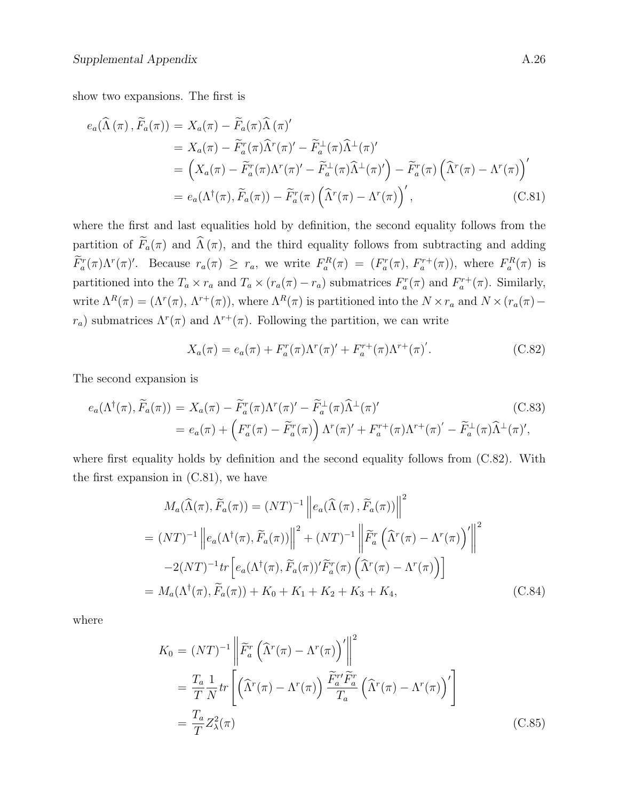show two expansions. The first is

$$
e_a(\widehat{\Lambda}(\pi), \widetilde{F}_a(\pi)) = X_a(\pi) - \widetilde{F}_a(\pi) \widehat{\Lambda}(\pi)'
$$
  
\n
$$
= X_a(\pi) - \widetilde{F}_a^r(\pi) \widehat{\Lambda}^r(\pi) - \widetilde{F}_a^{\perp}(\pi) \widehat{\Lambda}^{\perp}(\pi)'
$$
  
\n
$$
= \left(X_a(\pi) - \widetilde{F}_a^r(\pi) \Lambda^r(\pi) - \widetilde{F}_a^{\perp}(\pi) \widehat{\Lambda}^{\perp}(\pi) \right) - \widetilde{F}_a^r(\pi) \left(\widehat{\Lambda}^r(\pi) - \Lambda^r(\pi)\right)'
$$
  
\n
$$
= e_a(\Lambda^{\dagger}(\pi), \widetilde{F}_a(\pi)) - \widetilde{F}_a^r(\pi) \left(\widehat{\Lambda}^r(\pi) - \Lambda^r(\pi)\right)', \qquad (C.81)
$$

where the first and last equalities hold by definition, the second equality follows from the partition of  $\widetilde{F}_a(\pi)$  and  $\widehat{\Lambda}(\pi)$ , and the third equality follows from subtracting and adding  $\tilde{F}_a^r(\pi)\Lambda^r(\pi)'$ . Because  $r_a(\pi) \ge r_a$ , we write  $F_a^R(\pi) = (F_a^r(\pi), F_a^{r+}(\pi))$ , where  $F_a^R(\pi)$  is partitioned into the  $T_a \times r_a$  and  $T_a \times (r_a(\pi) - r_a)$  submatrices  $F_a^r(\pi)$  and  $F_a^{r+}(\pi)$ . Similarly, write  $\Lambda^R(\pi) = (\Lambda^r(\pi), \Lambda^{r+}(\pi))$ , where  $\Lambda^R(\pi)$  is partitioned into the  $N \times r_a$  and  $N \times (r_a(\pi)$  $r_a$ ) submatrices  $\Lambda^r(\pi)$  and  $\Lambda^{r+}(\pi)$ . Following the partition, we can write

$$
X_a(\pi) = e_a(\pi) + F_a^r(\pi)\Lambda^r(\pi)' + F_a^{r+}(\pi)\Lambda^{r+}(\pi').
$$
 (C.82)

The second expansion is

$$
e_a(\Lambda^\dagger(\pi), \widetilde{F}_a(\pi)) = X_a(\pi) - \widetilde{F}_a^r(\pi) \Lambda^r(\pi)' - \widetilde{F}_a^\perp(\pi) \widehat{\Lambda}^\perp(\pi)'
$$
(C.83)  

$$
= e_a(\pi) + \left( F_a^r(\pi) - \widetilde{F}_a^r(\pi) \right) \Lambda^r(\pi)' + F_a^{r+}(\pi) \Lambda^{r+}(\pi)' - \widetilde{F}_a^\perp(\pi) \widehat{\Lambda}^\perp(\pi)',
$$

where first equality holds by definition and the second equality follows from  $(C.82)$ . With the first expansion in  $(C.81)$ , we have

$$
M_a(\widehat{\Lambda}(\pi), \widetilde{F}_a(\pi)) = (NT)^{-1} \left\| e_a(\widehat{\Lambda}(\pi), \widetilde{F}_a(\pi)) \right\|^2
$$
  
\n
$$
= (NT)^{-1} \left\| e_a(\Lambda^\dagger(\pi), \widetilde{F}_a(\pi)) \right\|^2 + (NT)^{-1} \left\| \widetilde{F}_a^r \left( \widehat{\Lambda}^r(\pi) - \Lambda^r(\pi) \right)' \right\|^2
$$
  
\n
$$
-2(NT)^{-1} tr \left[ e_a(\Lambda^\dagger(\pi), \widetilde{F}_a(\pi))' \widetilde{F}_a^r(\pi) \left( \widehat{\Lambda}^r(\pi) - \Lambda^r(\pi) \right) \right]
$$
  
\n
$$
= M_a(\Lambda^\dagger(\pi), \widetilde{F}_a(\pi)) + K_0 + K_1 + K_2 + K_3 + K_4,
$$
 (C.84)

where

$$
K_0 = (NT)^{-1} \left\| \widetilde{F}_a^r \left( \widehat{\Lambda}^r(\pi) - \Lambda^r(\pi) \right)' \right\|^2
$$
  

$$
= \frac{T_a}{T} \frac{1}{N} tr \left[ \left( \widehat{\Lambda}^r(\pi) - \Lambda^r(\pi) \right) \frac{\widetilde{F}_a^{r \prime} \widetilde{F}_a^r}{T_a} \left( \widehat{\Lambda}^r(\pi) - \Lambda^r(\pi) \right)' \right]
$$
  

$$
= \frac{T_a}{T} Z_\lambda^2(\pi) \qquad (C.85)
$$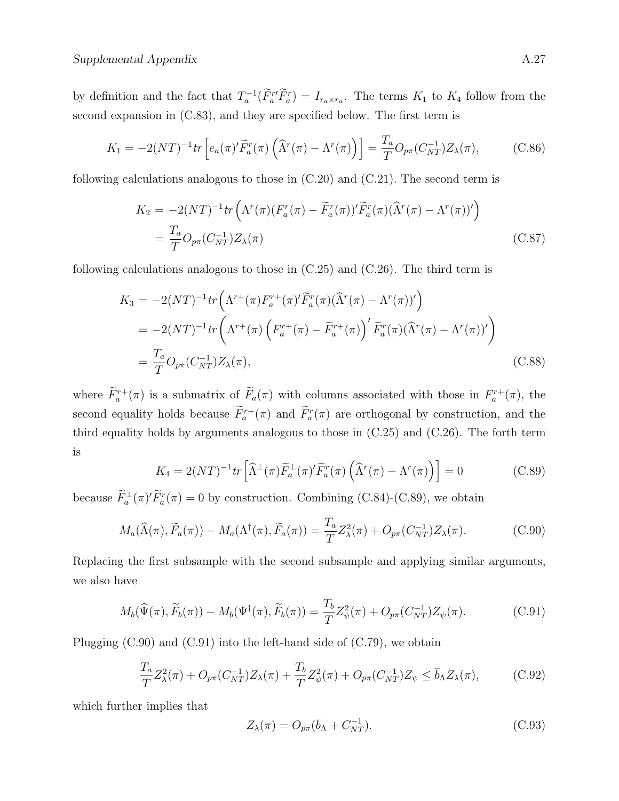by definition and the fact that  $T_a^{-1}(\tilde{F}_a^{r} \tilde{F}_a^r) = I_{r_a \times r_a}$ . The terms  $K_1$  to  $K_4$  follow from the second expansion in  $(C.83)$ , and they are specified below. The first term is

$$
K_1 = -2(NT)^{-1}tr\left[e_a(\pi)'\widetilde{F}_a^r(\pi)\left(\widehat{\Lambda}^r(\pi) - \Lambda^r(\pi)\right)\right] = \frac{T_a}{T}O_{p\pi}(C_{NT}^{-1})Z_{\lambda}(\pi),\tag{C.86}
$$

following calculations analogous to those in (C.20) and (C.21). The second term is

$$
K_2 = -2(NT)^{-1} tr\left(\Lambda^r(\pi) (F_a^r(\pi) - \widetilde{F}_a^r(\pi))'\widetilde{F}_a^r(\pi) (\widehat{\Lambda}^r(\pi) - \Lambda^r(\pi))'\right)
$$
  
= 
$$
\frac{T_a}{T} O_{p\pi}(C_{NT}^{-1}) Z_\lambda(\pi)
$$
(C.87)

following calculations analogous to those in (C.25) and (C.26). The third term is

$$
K_3 = -2(NT)^{-1} tr\left(\Lambda^{r+}(\pi) F_a^{r+}(\pi)' \widetilde{F}_a^r(\pi) (\widehat{\Lambda}^r(\pi) - \Lambda^r(\pi))'\right)
$$
  
=  $-2(NT)^{-1} tr\left(\Lambda^{r+}(\pi) \left(F_a^{r+}(\pi) - \widetilde{F}_a^{r+}(\pi)\right)' \widetilde{F}_a^r(\pi) (\widehat{\Lambda}^r(\pi) - \Lambda^r(\pi))'\right)$   
=  $\frac{T_a}{T} O_{p\pi}(C_{NT}^{-1}) Z_\lambda(\pi),$  (C.88)

where  $\hat{F}_a^{r+}(\pi)$  is a submatrix of  $\hat{F}_a(\pi)$  with columns associated with those in  $F_a^{r+}(\pi)$ , the second equality holds because  $\tilde{F}_a^{r+}(\pi)$  and  $\tilde{F}_a^{r}(\pi)$  are orthogonal by construction, and the third equality holds by arguments analogous to those in (C.25) and (C.26). The forth term is

$$
K_4 = 2(NT)^{-1} tr \left[ \widehat{\Lambda}^{\perp}(\pi) \widetilde{F}_a^{\perp}(\pi)' \widetilde{F}_a^r(\pi) \left( \widehat{\Lambda}^r(\pi) - \Lambda^r(\pi) \right) \right] = 0 \tag{C.89}
$$

because  $\overline{F}_a^{\perp}(\pi)' \overline{F}_a^r(\pi) = 0$  by construction. Combining (C.84)-(C.89), we obtain

$$
M_a(\widehat{\Lambda}(\pi), \widetilde{F}_a(\pi)) - M_a(\Lambda^\dagger(\pi), \widetilde{F}_a(\pi)) = \frac{T_a}{T} Z_\lambda^2(\pi) + O_{p\pi}(C_{NT}^{-1}) Z_\lambda(\pi).
$$
 (C.90)

Replacing the first subsample with the second subsample and applying similar arguments, we also have

$$
M_b(\widehat{\Psi}(\pi), \widetilde{F}_b(\pi)) - M_b(\Psi^{\dagger}(\pi), \widetilde{F}_b(\pi)) = \frac{T_b}{T} Z_{\psi}^2(\pi) + O_{p\pi}(C_{NT}^{-1}) Z_{\psi}(\pi).
$$
 (C.91)

Plugging  $(C.90)$  and  $(C.91)$  into the left-hand side of  $(C.79)$ , we obtain

$$
\frac{T_a}{T} Z^2_{\lambda}(\pi) + O_{p\pi}(C_{NT}^{-1}) Z_{\lambda}(\pi) + \frac{T_b}{T} Z^2_{\psi}(\pi) + O_{p\pi}(C_{NT}^{-1}) Z_{\psi} \le \bar{b}_{\Lambda} Z_{\lambda}(\pi),
$$
\n(C.92)

which further implies that

$$
Z_{\lambda}(\pi) = O_{p\pi}(\bar{b}_{\Lambda} + C_{NT}^{-1}).
$$
\n(C.93)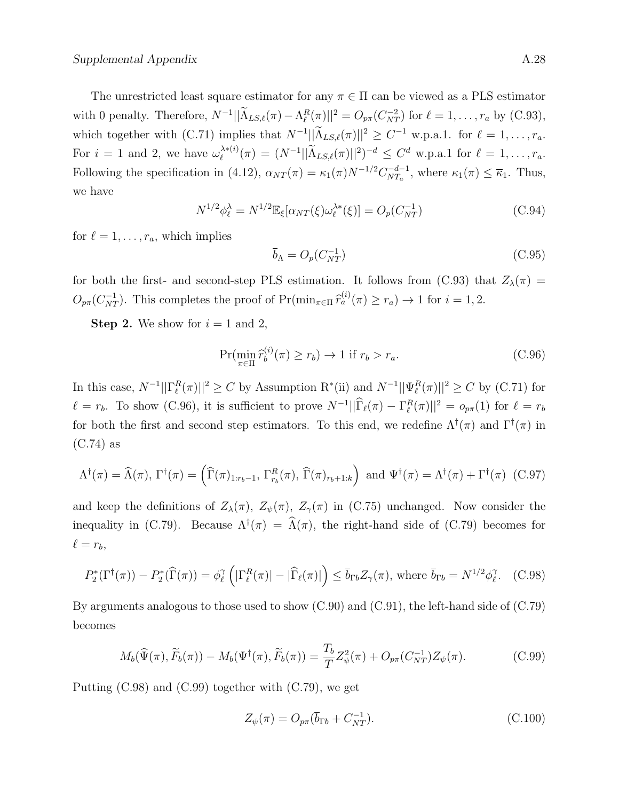The unrestricted least square estimator for any  $\pi \in \Pi$  can be viewed as a PLS estimator with 0 penalty. Therefore,  $N^{-1}||\widetilde{\Lambda}_{LS,\ell}(\pi) - \Lambda_{\ell}^R(\pi)||^2 = O_{p\pi}(C_{NT}^{-2})$  for  $\ell = 1, \ldots, r_a$  by (C.93), which together with  $(C.71)$  implies that  $N^{-1} || \tilde{\Lambda}_{LS,\ell}(\pi) ||^2 \geq C^{-1}$  w.p.a.1. for  $\ell = 1, \ldots, r_a$ . For  $i = 1$  and 2, we have  $\omega_{\ell}^{\lambda * (i)}$  $\mathcal{L}_{\ell}^{\lambda * (i)}(\pi) = (N^{-1}||\tilde{\Lambda}_{LS,\ell}(\pi)||^2)^{-d} \leq C^d$  w.p.a.1 for  $\ell = 1, ..., r_a$ . Following the specification in (4.12),  $\alpha_{NT}(\pi) = \kappa_1(\pi) N^{-1/2} C_{NT_a}^{-d-1}$  $\frac{n-d-1}{NT_a}$ , where  $\kappa_1(\pi) \leq \overline{\kappa}_1$ . Thus, we have

$$
N^{1/2}\phi_{\ell}^{\lambda} = N^{1/2} \mathbb{E}_{\xi} [\alpha_{NT}(\xi)\omega_{\ell}^{\lambda*}(\xi)] = O_p(C_{NT}^{-1})
$$
\n(C.94)

for  $\ell = 1, \ldots, r_a$ , which implies

$$
\overline{b}_{\Lambda} = O_p(C_{NT}^{-1}) \tag{C.95}
$$

for both the first- and second-step PLS estimation. It follows from (C.93) that  $Z_{\lambda}(\pi)$  =  $O_{p\pi}(C_{NT}^{-1})$ . This completes the proof of  $Pr(\min_{\pi \in \Pi} \widehat{r}_a^{(i)}(\pi) \ge r_a) \to 1$  for  $i = 1, 2$ .

**Step 2.** We show for  $i = 1$  and 2,

$$
\Pr(\min_{\pi \in \Pi} \widehat{r}_b^{(i)}(\pi) \ge r_b) \to 1 \text{ if } r_b > r_a. \tag{C.96}
$$

In this case,  $N^{-1}||\Gamma_{\ell}^R(\pi)||^2 \geq C$  by Assumption  $\mathrm{R}^*$ (ii) and  $N^{-1}||\Psi_{\ell}^R(\pi)||^2 \geq C$  by (C.71) for  $\ell = r_b$ . To show (C.96), it is sufficient to prove  $N^{-1} || \widehat{\Gamma}_{\ell}(\pi) - \Gamma_{\ell}^R(\pi) ||^2 = o_{p\pi}(1)$  for  $\ell = r_b$ for both the first and second step estimators. To this end, we redefine  $\Lambda^{\dagger}(\pi)$  and  $\Gamma^{\dagger}(\pi)$  in (C.74) as

$$
\Lambda^{\dagger}(\pi) = \widehat{\Lambda}(\pi), \Gamma^{\dagger}(\pi) = (\widehat{\Gamma}(\pi)_{1:r_b-1}, \Gamma^R_{r_b}(\pi), \widehat{\Gamma}(\pi)_{r_b+1:k}) \text{ and } \Psi^{\dagger}(\pi) = \Lambda^{\dagger}(\pi) + \Gamma^{\dagger}(\pi) \tag{C.97}
$$

and keep the definitions of  $Z_{\lambda}(\pi)$ ,  $Z_{\psi}(\pi)$ ,  $Z_{\gamma}(\pi)$  in (C.75) unchanged. Now consider the inequality in (C.79). Because  $\Lambda^{\dagger}(\pi) = \widehat{\Lambda}(\pi)$ , the right-hand side of (C.79) becomes for  $\ell = r_b,$ 

$$
P_2^*(\Gamma^\dagger(\pi)) - P_2^*(\widehat{\Gamma}(\pi)) = \phi_\ell^\gamma \left( |\Gamma_\ell^R(\pi)| - |\widehat{\Gamma}_\ell(\pi)| \right) \le \overline{b}_{\Gamma b} Z_\gamma(\pi), \text{ where } \overline{b}_{\Gamma b} = N^{1/2} \phi_\ell^\gamma. \tag{C.98}
$$

By arguments analogous to those used to show (C.90) and (C.91), the left-hand side of (C.79) becomes

$$
M_b(\widehat{\Psi}(\pi), \widetilde{F}_b(\pi)) - M_b(\Psi^{\dagger}(\pi), \widetilde{F}_b(\pi)) = \frac{T_b}{T} Z_{\psi}^2(\pi) + O_{p\pi}(C_{NT}^{-1}) Z_{\psi}(\pi).
$$
 (C.99)

Putting (C.98) and (C.99) together with (C.79), we get

$$
Z_{\psi}(\pi) = O_{p\pi}(\bar{b}_{\Gamma b} + C_{NT}^{-1}).
$$
\n(C.100)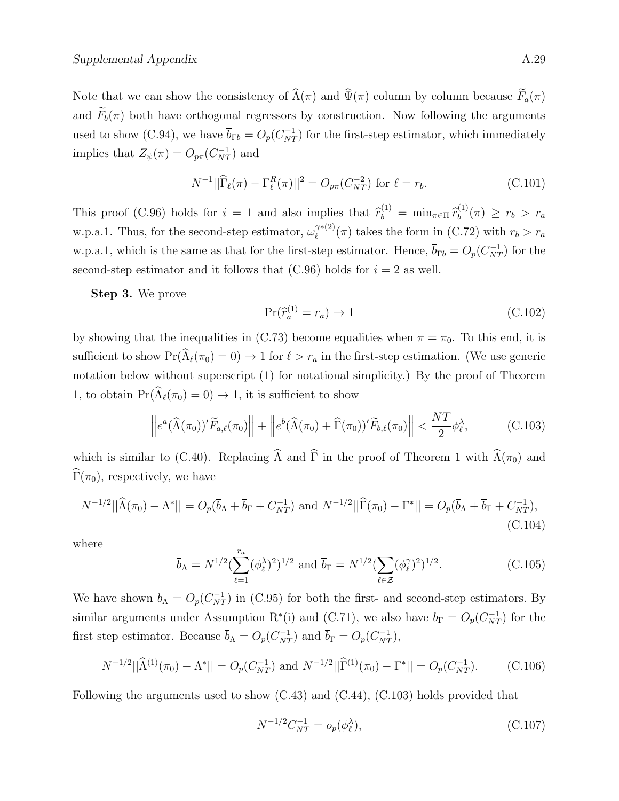Note that we can show the consistency of  $\widehat{\Lambda}(\pi)$  and  $\widehat{\Psi}(\pi)$  column by column because  $\widetilde{F}_a(\pi)$ and  $\widetilde{F}_b(\pi)$  both have orthogonal regressors by construction. Now following the arguments used to show (C.94), we have  $\bar{b}_{\Gamma b} = O_p(C_{NT}^{-1})$  for the first-step estimator, which immediately implies that  $Z_{\psi}(\pi) = O_{p\pi}(C_{NT}^{-1})$  and

$$
N^{-1}||\widehat{\Gamma}_{\ell}(\pi) - \Gamma_{\ell}^{R}(\pi)||^{2} = O_{p\pi}(C_{NT}^{-2}) \text{ for } \ell = r_{b}.
$$
 (C.101)

This proof (C.96) holds for  $i = 1$  and also implies that  $\hat{r}_b^{(1)} = \min_{\pi \in \Pi} \hat{r}_b^{(1)}$  $f_b^{(1)}(\pi) \geq r_b > r_a$ w.p.a.1. Thus, for the second-step estimator,  $\omega_{\ell}^{\gamma*(2)}$  $\ell^{\gamma*(2)}(\pi)$  takes the form in (C.72) with  $r_b > r_a$ w.p.a.1, which is the same as that for the first-step estimator. Hence,  $\bar{b}_{\Gamma b} = O_p(C_{NT}^{-1})$  for the second-step estimator and it follows that  $(C.96)$  holds for  $i = 2$  as well.

Step 3. We prove

$$
\Pr(\widehat{r}_a^{(1)} = r_a) \to 1\tag{C.102}
$$

by showing that the inequalities in (C.73) become equalities when  $\pi = \pi_0$ . To this end, it is sufficient to show  $Pr(\widehat{\Lambda}_{\ell}(\pi_0) = 0) \to 1$  for  $\ell > r_a$  in the first-step estimation. (We use generic notation below without superscript (1) for notational simplicity.) By the proof of Theorem 1, to obtain  $\Pr(\widehat{\Lambda}_{\ell}(\pi_0) = 0) \to 1$ , it is sufficient to show

$$
\left\|e^{a}(\widehat{\Lambda}(\pi_{0}))'\widetilde{F}_{a,\ell}(\pi_{0})\right\| + \left\|e^{b}(\widehat{\Lambda}(\pi_{0}) + \widehat{\Gamma}(\pi_{0}))'\widetilde{F}_{b,\ell}(\pi_{0})\right\| < \frac{NT}{2}\phi_{\ell}^{\lambda},\tag{C.103}
$$

which is similar to (C.40). Replacing  $\widehat{\Lambda}$  and  $\widehat{\Gamma}$  in the proof of Theorem 1 with  $\widehat{\Lambda}(\pi_0)$  and  $\widehat{\Gamma}(\pi_0)$ , respectively, we have

$$
N^{-1/2}||\widehat{\Lambda}(\pi_0) - \Lambda^*|| = O_p(\overline{b}_\Lambda + \overline{b}_\Gamma + C_{NT}^{-1}) \text{ and } N^{-1/2}||\widehat{\Gamma}(\pi_0) - \Gamma^*|| = O_p(\overline{b}_\Lambda + \overline{b}_\Gamma + C_{NT}^{-1}),
$$
\n(C.104)

where

$$
\bar{b}_{\Lambda} = N^{1/2} \left( \sum_{\ell=1}^{r_a} (\phi_{\ell}^{\lambda})^2 \right)^{1/2} \text{ and } \bar{b}_{\Gamma} = N^{1/2} \left( \sum_{\ell \in \mathcal{Z}} (\phi_{\ell}^{\gamma})^2 \right)^{1/2}.
$$
 (C.105)

We have shown  $\bar{b}_{\Lambda} = O_p(C_{NT}^{-1})$  in (C.95) for both the first- and second-step estimators. By similar arguments under Assumption R<sup>\*</sup>(i) and (C.71), we also have  $\bar{b}_{\Gamma} = O_p(C_{NT}^{-1})$  for the first step estimator. Because  $\bar{b}_{\Lambda} = O_p(C_{NT}^{-1})$  and  $\bar{b}_{\Gamma} = O_p(C_{NT}^{-1}),$ 

$$
N^{-1/2}||\widehat{\Lambda}^{(1)}(\pi_0) - \Lambda^*|| = O_p(C_{NT}^{-1}) \text{ and } N^{-1/2}||\widehat{\Gamma}^{(1)}(\pi_0) - \Gamma^*|| = O_p(C_{NT}^{-1}).\tag{C.106}
$$

Following the arguments used to show (C.43) and (C.44), (C.103) holds provided that

$$
N^{-1/2}C_{NT}^{-1} = o_p(\phi_\ell^{\lambda}),\tag{C.107}
$$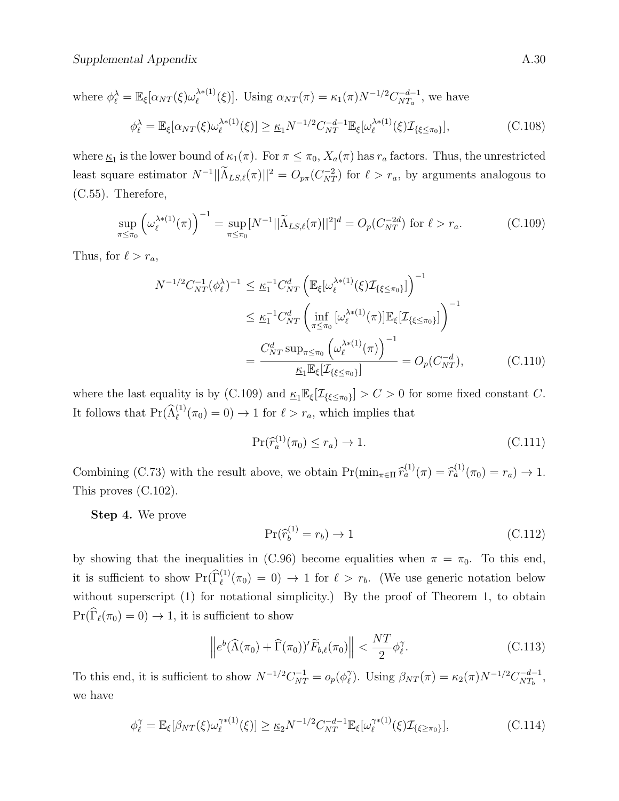where 
$$
\phi_{\ell}^{\lambda} = \mathbb{E}_{\xi}[\alpha_{NT}(\xi)\omega_{\ell}^{\lambda*(1)}(\xi)].
$$
 Using  $\alpha_{NT}(\pi) = \kappa_1(\pi)N^{-1/2}C_{NT_a}^{-d-1}$ , we have  
\n
$$
\phi_{\ell}^{\lambda} = \mathbb{E}_{\xi}[\alpha_{NT}(\xi)\omega_{\ell}^{\lambda*(1)}(\xi)] \ge \underline{\kappa}_1 N^{-1/2}C_{NT}^{-d-1}\mathbb{E}_{\xi}[\omega_{\ell}^{\lambda*(1)}(\xi)\mathcal{I}_{\{\xi \le \pi_0\}}],
$$
\n(C.108)

where  $\underline{\kappa}_1$  is the lower bound of  $\kappa_1(\pi)$ . For  $\pi \leq \pi_0$ ,  $X_a(\pi)$  has  $r_a$  factors. Thus, the unrestricted least square estimator  $N^{-1}||\tilde{\Lambda}_{LS,\ell}(\pi)||^2 = O_{p\pi}(C_{NT}^{-2})$  for  $\ell > r_a$ , by arguments analogous to (C.55). Therefore,

$$
\sup_{\pi \le \pi_0} \left( \omega_\ell^{\lambda * (1)}(\pi) \right)^{-1} = \sup_{\pi \le \pi_0} [N^{-1} || \widetilde{\Lambda}_{LS,\ell}(\pi) ||^2]^d = O_p(C_{NT}^{-2d}) \text{ for } \ell > r_a.
$$
 (C.109)

Thus, for  $\ell > r_a$ ,

$$
N^{-1/2}C_{NT}^{-1}(\phi_{\ell}^{\lambda})^{-1} \leq \underline{\kappa}_{1}^{-1}C_{NT}^{d}\left(\mathbb{E}_{\xi}[\omega_{\ell}^{\lambda*(1)}(\xi)\mathcal{I}_{\{\xi \leq \pi_{0}\}}]\right)^{-1}
$$
  

$$
\leq \underline{\kappa}_{1}^{-1}C_{NT}^{d}\left(\inf_{\pi \leq \pi_{0}}[\omega_{\ell}^{\lambda*(1)}(\pi)]\mathbb{E}_{\xi}[\mathcal{I}_{\{\xi \leq \pi_{0}\}}]\right)^{-1}
$$
  

$$
=\frac{C_{NT}^{d}\sup_{\pi \leq \pi_{0}}(\omega_{\ell}^{\lambda*(1)}(\pi))^{-1}}{\underline{\kappa}_{1}\mathbb{E}_{\xi}[\mathcal{I}_{\{\xi \leq \pi_{0}\}}]} = O_{p}(C_{NT}^{-d}), \qquad (C.110)
$$

where the last equality is by (C.109) and  $K_1 \mathbb{E}_{\xi}[\mathcal{I}_{\{\xi \leq \pi_0\}}] > C > 0$  for some fixed constant C. It follows that  $Pr(\hat{\Lambda}_{\ell}^{(1)}(\pi_0) = 0) \to 1$  for  $\ell > r_a$ , which implies that

$$
\Pr(\widehat{r}_a^{(1)}(\pi_0) \le r_a) \to 1. \tag{C.111}
$$

Combining (C.73) with the result above, we obtain  $\Pr(\min_{\pi \in \Pi} \hat{r}_a^{(1)}(\pi) = \hat{r}_a^{(1)}(\pi_0) = r_a) \to 1$ . This proves (C.102).

Step 4. We prove

$$
\Pr(\widehat{r}_b^{(1)} = r_b) \to 1\tag{C.112}
$$

by showing that the inequalities in (C.96) become equalities when  $\pi = \pi_0$ . To this end, it is sufficient to show  $Pr(\widehat{\Gamma}_{\ell}^{(1)}(\pi_0) = 0) \to 1$  for  $\ell > r_b$ . (We use generic notation below without superscript (1) for notational simplicity.) By the proof of Theorem 1, to obtain  $\Pr(\widehat{\Gamma}_{\ell}(\pi_0) = 0) \to 1$ , it is sufficient to show

$$
\left\| e^b(\widehat{\Lambda}(\pi_0) + \widehat{\Gamma}(\pi_0))'\widetilde{F}_{b,\ell}(\pi_0) \right\| < \frac{NT}{2}\phi_{\ell}^{\gamma}.\tag{C.113}
$$

To this end, it is sufficient to show  $N^{-1/2}C_{NT}^{-1} = o_p(\phi_\ell^{\gamma})$ <sup>γ</sup><sub> $\ell$ </sub>). Using  $\beta_{NT}(\pi) = \kappa_2(\pi) N^{-1/2} C_{NT_b}^{-d-1}$  $\frac{d-1}{NT_b},$ we have

$$
\phi_{\ell}^{\gamma} = \mathbb{E}_{\xi}[\beta_{NT}(\xi)\omega_{\ell}^{\gamma*(1)}(\xi)] \ge \underline{\kappa}_2 N^{-1/2} C_{NT}^{-d-1} \mathbb{E}_{\xi}[\omega_{\ell}^{\gamma*(1)}(\xi) \mathcal{I}_{\{\xi \ge \pi_0\}}],
$$
\n(C.114)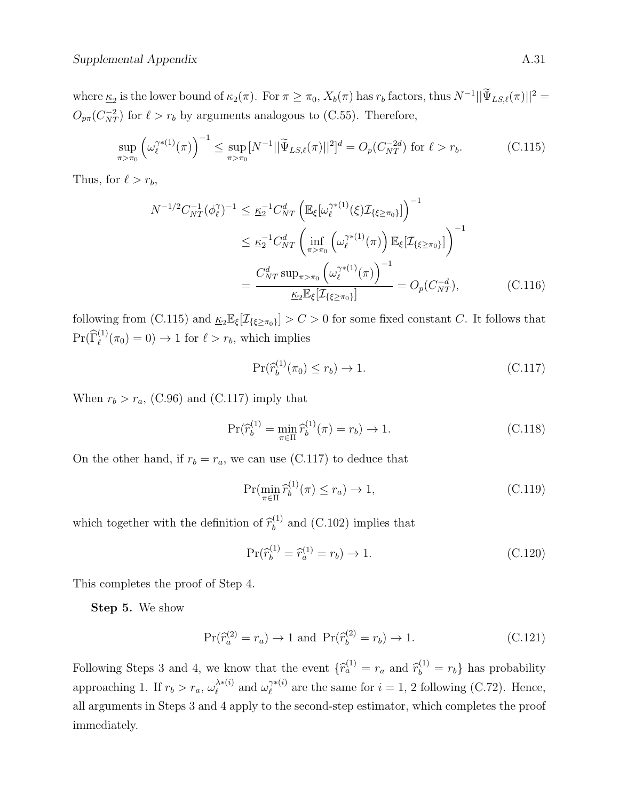where  $\underline{\kappa}_2$  is the lower bound of  $\kappa_2(\pi)$ . For  $\pi \geq \pi_0$ ,  $X_b(\pi)$  has  $r_b$  factors, thus  $N^{-1} || \tilde{\Psi}_{LS,\ell}(\pi) ||^2 =$  $O_{p\pi}(C_{NT}^{-2})$  for  $\ell > r_b$  by arguments analogous to (C.55). Therefore,

$$
\sup_{\pi > \pi_0} \left( \omega_{\ell}^{\gamma * (1)}(\pi) \right)^{-1} \leq \sup_{\pi > \pi_0} [N^{-1} || \widetilde{\Psi}_{LS,\ell}(\pi) ||^2]^d = O_p(C_{NT}^{-2d}) \text{ for } \ell > r_b.
$$
 (C.115)

Thus, for  $\ell > r_b$ ,

$$
N^{-1/2}C_{NT}^{-1}(\phi_{\ell}^{\gamma})^{-1} \leq \underline{\kappa}_{2}^{-1}C_{NT}^{d}\left(\mathbb{E}_{\xi}[\omega_{\ell}^{\gamma*(1)}(\xi)\mathcal{I}_{\{\xi \geq \pi_{0}\}}]\right)^{-1}
$$
  

$$
\leq \underline{\kappa}_{2}^{-1}C_{NT}^{d}\left(\inf_{\pi > \pi_{0}}\left(\omega_{\ell}^{\gamma*(1)}(\pi)\right)\mathbb{E}_{\xi}[\mathcal{I}_{\{\xi \geq \pi_{0}\}}]\right)^{-1}
$$
  

$$
=\frac{C_{NT}^{d}\sup_{\pi > \pi_{0}}\left(\omega_{\ell}^{\gamma*(1)}(\pi)\right)^{-1}}{\underline{\kappa}_{2}\mathbb{E}_{\xi}[\mathcal{I}_{\{\xi \geq \pi_{0}\}}]} = O_{p}(C_{NT}^{-d}), \qquad (C.116)
$$

following from (C.115) and  $\underline{\kappa}_2 \mathbb{E}_{\xi}[\mathcal{I}_{\{\xi \geq \pi_0\}}] > C > 0$  for some fixed constant C. It follows that  $\Pr(\widehat{\Gamma}_{\ell}^{(1)}(\pi_0) = 0) \to 1$  for  $\ell > r_b$ , which implies

$$
\Pr(\widehat{r}_b^{(1)}(\pi_0) \le r_b) \to 1. \tag{C.117}
$$

When  $r_b > r_a$ , (C.96) and (C.117) imply that

$$
\Pr(\hat{r}_b^{(1)} = \min_{\pi \in \Pi} \hat{r}_b^{(1)}(\pi) = r_b) \to 1.
$$
 (C.118)

On the other hand, if  $r_b = r_a$ , we can use (C.117) to deduce that

$$
\Pr(\min_{\pi \in \Pi} \widehat{r}_b^{(1)}(\pi) \le r_a) \to 1,\tag{C.119}
$$

which together with the definition of  $\hat{r}_b^{(1)}$  $b<sup>(1)</sup>$  and (C.102) implies that

$$
\Pr(\hat{r}_b^{(1)} = \hat{r}_a^{(1)} = r_b) \to 1. \tag{C.120}
$$

This completes the proof of Step 4.

Step 5. We show

$$
\Pr(\widehat{r}_a^{(2)} = r_a) \to 1 \text{ and } \Pr(\widehat{r}_b^{(2)} = r_b) \to 1. \tag{C.121}
$$

Following Steps 3 and 4, we know that the event  $\{\hat{r}_a^{(1)} = r_a \text{ and } \hat{r}_b^{(1)} = r_b\}$  has probability approaching 1. If  $r_b > r_a$ ,  $\omega_{\ell}^{\lambda * (i)}$  $\lambda^{*(i)}$  and  $\omega_{\ell}^{\gamma^{*(i)}}$  $\chi^{(i)}_{\ell}$  are the same for  $i = 1, 2$  following (C.72). Hence, all arguments in Steps 3 and 4 apply to the second-step estimator, which completes the proof immediately.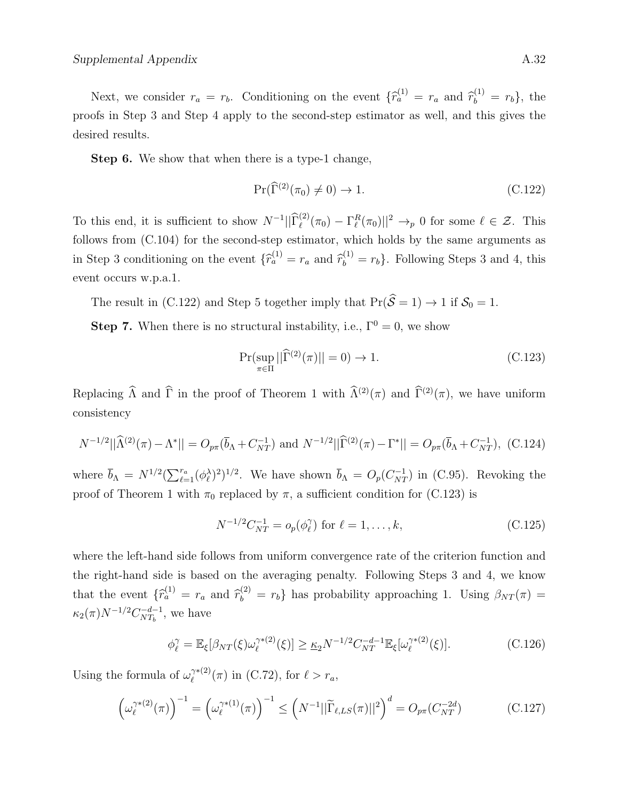Next, we consider  $r_a = r_b$ . Conditioning on the event  $\{\hat{r}_a^{(1)} = r_a \text{ and } \hat{r}_b^{(1)} = r_b\}$ , the proofs in Step 3 and Step 4 apply to the second-step estimator as well, and this gives the desired results.

Step 6. We show that when there is a type-1 change,

$$
\Pr(\widehat{\Gamma}^{(2)}(\pi_0) \neq 0) \to 1. \tag{C.122}
$$

To this end, it is sufficient to show  $N^{-1}||\hat{\Gamma}_{\ell}^{(2)}(\pi_0) - \Gamma_{\ell}^{R}(\pi_0)||^2 \to_p 0$  for some  $\ell \in \mathcal{Z}$ . This follows from (C.104) for the second-step estimator, which holds by the same arguments as in Step 3 conditioning on the event  $\{\hat{r}_a^{(1)} = r_a \text{ and } \hat{r}_b^{(1)} = r_b\}$ . Following Steps 3 and 4, this event occurs w.p.a.1.

The result in (C.122) and Step 5 together imply that  $Pr(\hat{S} = 1) \rightarrow 1$  if  $S_0 = 1$ .

**Step 7.** When there is no structural instability, i.e.,  $\Gamma^0 = 0$ , we show

$$
\Pr(\sup_{\pi \in \Pi} ||\widehat{\Gamma}^{(2)}(\pi)|| = 0) \to 1. \tag{C.123}
$$

Replacing  $\widehat{\Lambda}$  and  $\widehat{\Gamma}$  in the proof of Theorem 1 with  $\widehat{\Lambda}^{(2)}(\pi)$  and  $\widehat{\Gamma}^{(2)}(\pi)$ , we have uniform consistency

$$
N^{-1/2}||\widehat{\Lambda}^{(2)}(\pi) - \Lambda^*|| = O_{p\pi}(\overline{b}_\Lambda + C_{NT}^{-1}) \text{ and } N^{-1/2}||\widehat{\Gamma}^{(2)}(\pi) - \Gamma^*|| = O_{p\pi}(\overline{b}_\Lambda + C_{NT}^{-1}), \text{ (C.124)}
$$

where  $\bar{b}_{\Lambda} = N^{1/2} (\sum_{\ell=1}^{r_a} (\phi_{\ell}^{\lambda})^2)^{1/2}$ . We have shown  $\bar{b}_{\Lambda} = O_p(C_{NT}^{-1})$  in (C.95). Revoking the proof of Theorem 1 with  $\pi_0$  replaced by  $\pi$ , a sufficient condition for (C.123) is

$$
N^{-1/2}C_{NT}^{-1} = o_p(\phi_\ell^{\gamma}) \text{ for } \ell = 1, ..., k,
$$
 (C.125)

where the left-hand side follows from uniform convergence rate of the criterion function and the right-hand side is based on the averaging penalty. Following Steps 3 and 4, we know that the event  $\{\hat{r}_a^{(1)} = r_a \text{ and } \hat{r}_b^{(2)} = r_b\}$  has probability approaching 1. Using  $\beta_{NT}(\pi) =$  $\kappa_2(\pi) N^{-1/2} C_{NT_h}^{-d-1}$  $\frac{d-1}{NT_b}$ , we have

$$
\phi_{\ell}^{\gamma} = \mathbb{E}_{\xi}[\beta_{NT}(\xi)\omega_{\ell}^{\gamma*(2)}(\xi)] \geq \underline{\kappa}_2 N^{-1/2} C_{NT}^{-d-1} \mathbb{E}_{\xi}[\omega_{\ell}^{\gamma*(2)}(\xi)]. \tag{C.126}
$$

Using the formula of  $\omega_{\ell}^{\gamma*(2)}$  $\ell^{\gamma*(2)}(\pi)$  in (C.72), for  $\ell > r_a$ ,

$$
\left(\omega_{\ell}^{\gamma*(2)}(\pi)\right)^{-1} = \left(\omega_{\ell}^{\gamma*(1)}(\pi)\right)^{-1} \le \left(N^{-1}||\widetilde{\Gamma}_{\ell,LS}(\pi)||^2\right)^d = O_{p\pi}(C_{NT}^{-2d})\tag{C.127}
$$